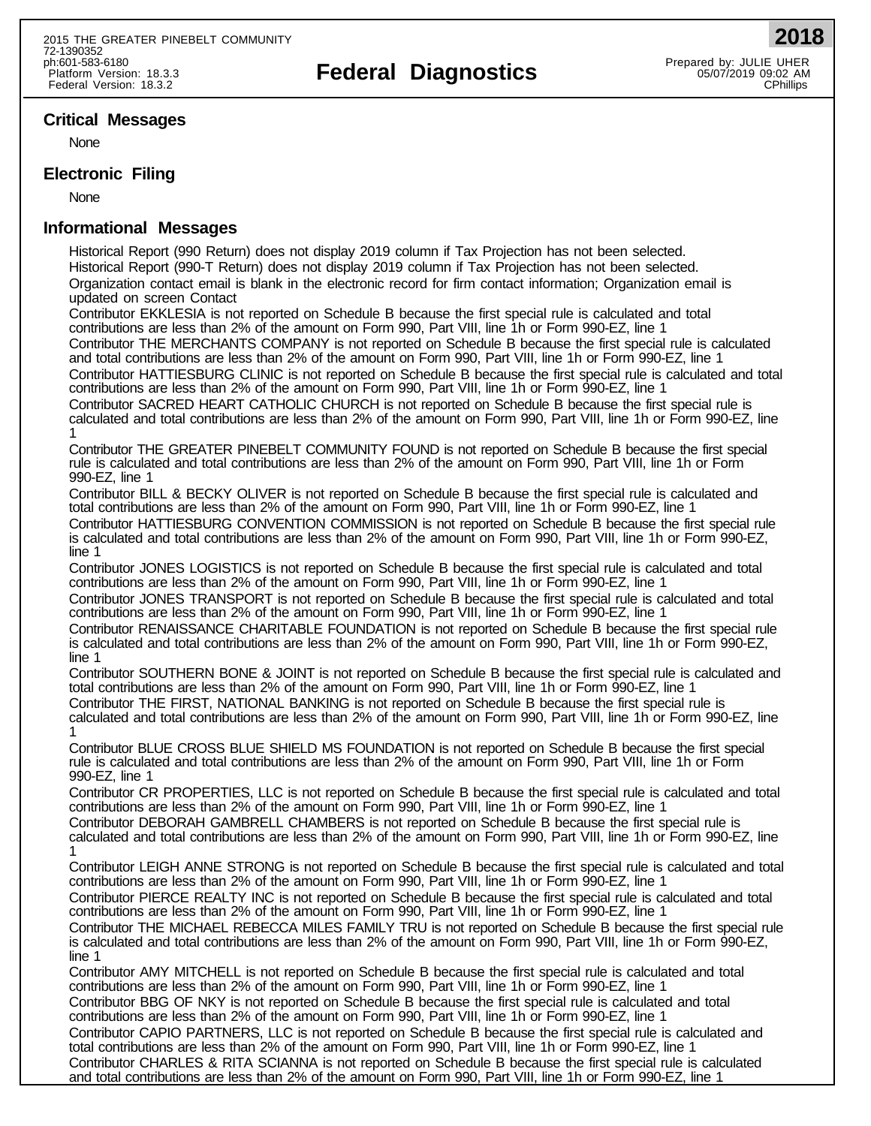**2018**

#### **Critical Messages**

None

#### **Electronic Filing**

None

#### **Informational Messages**

Historical Report (990 Return) does not display 2019 column if Tax Projection has not been selected. Historical Report (990-T Return) does not display 2019 column if Tax Projection has not been selected. Organization contact email is blank in the electronic record for firm contact information; Organization email is updated on screen Contact

Contributor EKKLESIA is not reported on Schedule B because the first special rule is calculated and total contributions are less than 2% of the amount on Form 990, Part VIII, line 1h or Form 990-EZ, line 1

Contributor THE MERCHANTS COMPANY is not reported on Schedule B because the first special rule is calculated and total contributions are less than 2% of the amount on Form 990, Part VIII, line 1h or Form 990-EZ, line 1 Contributor HATTIESBURG CLINIC is not reported on Schedule B because the first special rule is calculated and total contributions are less than 2% of the amount on Form 990, Part VIII, line 1h or Form 990-EZ, line 1

Contributor SACRED HEART CATHOLIC CHURCH is not reported on Schedule B because the first special rule is calculated and total contributions are less than 2% of the amount on Form 990, Part VIII, line 1h or Form 990-EZ, line 1

Contributor THE GREATER PINEBELT COMMUNITY FOUND is not reported on Schedule B because the first special rule is calculated and total contributions are less than 2% of the amount on Form 990, Part VIII, line 1h or Form 990-EZ, line 1

Contributor BILL & BECKY OLIVER is not reported on Schedule B because the first special rule is calculated and total contributions are less than 2% of the amount on Form 990, Part VIII, line 1h or Form 990-EZ, line 1

Contributor HATTIESBURG CONVENTION COMMISSION is not reported on Schedule B because the first special rule is calculated and total contributions are less than 2% of the amount on Form 990, Part VIII, line 1h or Form 990-EZ, line 1

Contributor JONES LOGISTICS is not reported on Schedule B because the first special rule is calculated and total contributions are less than 2% of the amount on Form 990, Part VIII, line 1h or Form 990-EZ, line 1

Contributor JONES TRANSPORT is not reported on Schedule B because the first special rule is calculated and total contributions are less than 2% of the amount on Form 990, Part VIII, line 1h or Form 990-EZ, line 1

Contributor RENAISSANCE CHARITABLE FOUNDATION is not reported on Schedule B because the first special rule is calculated and total contributions are less than 2% of the amount on Form 990, Part VIII, line 1h or Form 990-EZ, line 1

Contributor SOUTHERN BONE & JOINT is not reported on Schedule B because the first special rule is calculated and total contributions are less than 2% of the amount on Form 990, Part VIII, line 1h or Form 990-EZ, line 1 Contributor THE FIRST, NATIONAL BANKING is not reported on Schedule B because the first special rule is calculated and total contributions are less than 2% of the amount on Form 990, Part VIII, line 1h or Form 990-EZ, line 1

Contributor BLUE CROSS BLUE SHIELD MS FOUNDATION is not reported on Schedule B because the first special rule is calculated and total contributions are less than 2% of the amount on Form 990, Part VIII, line 1h or Form 990-EZ, line 1

Contributor CR PROPERTIES, LLC is not reported on Schedule B because the first special rule is calculated and total contributions are less than 2% of the amount on Form 990, Part VIII, line 1h or Form 990-EZ, line 1

Contributor DEBORAH GAMBRELL CHAMBERS is not reported on Schedule B because the first special rule is calculated and total contributions are less than 2% of the amount on Form 990, Part VIII, line 1h or Form 990-EZ, line 1

Contributor LEIGH ANNE STRONG is not reported on Schedule B because the first special rule is calculated and total contributions are less than 2% of the amount on Form 990, Part VIII, line 1h or Form 990-EZ, line 1

Contributor PIERCE REALTY INC is not reported on Schedule B because the first special rule is calculated and total contributions are less than 2% of the amount on Form 990, Part VIII, line 1h or Form 990-EZ, line 1

Contributor THE MICHAEL REBECCA MILES FAMILY TRU is not reported on Schedule B because the first special rule is calculated and total contributions are less than 2% of the amount on Form 990, Part VIII, line 1h or Form 990-EZ, line 1

Contributor AMY MITCHELL is not reported on Schedule B because the first special rule is calculated and total contributions are less than 2% of the amount on Form 990, Part VIII, line 1h or Form 990-EZ, line 1

Contributor BBG OF NKY is not reported on Schedule B because the first special rule is calculated and total contributions are less than 2% of the amount on Form 990, Part VIII, line 1h or Form 990-EZ, line 1

Contributor CAPIO PARTNERS, LLC is not reported on Schedule B because the first special rule is calculated and total contributions are less than 2% of the amount on Form 990, Part VIII, line 1h or Form 990-EZ, line 1 Contributor CHARLES & RITA SCIANNA is not reported on Schedule B because the first special rule is calculated and total contributions are less than 2% of the amount on Form 990, Part VIII, line 1h or Form 990-EZ, line 1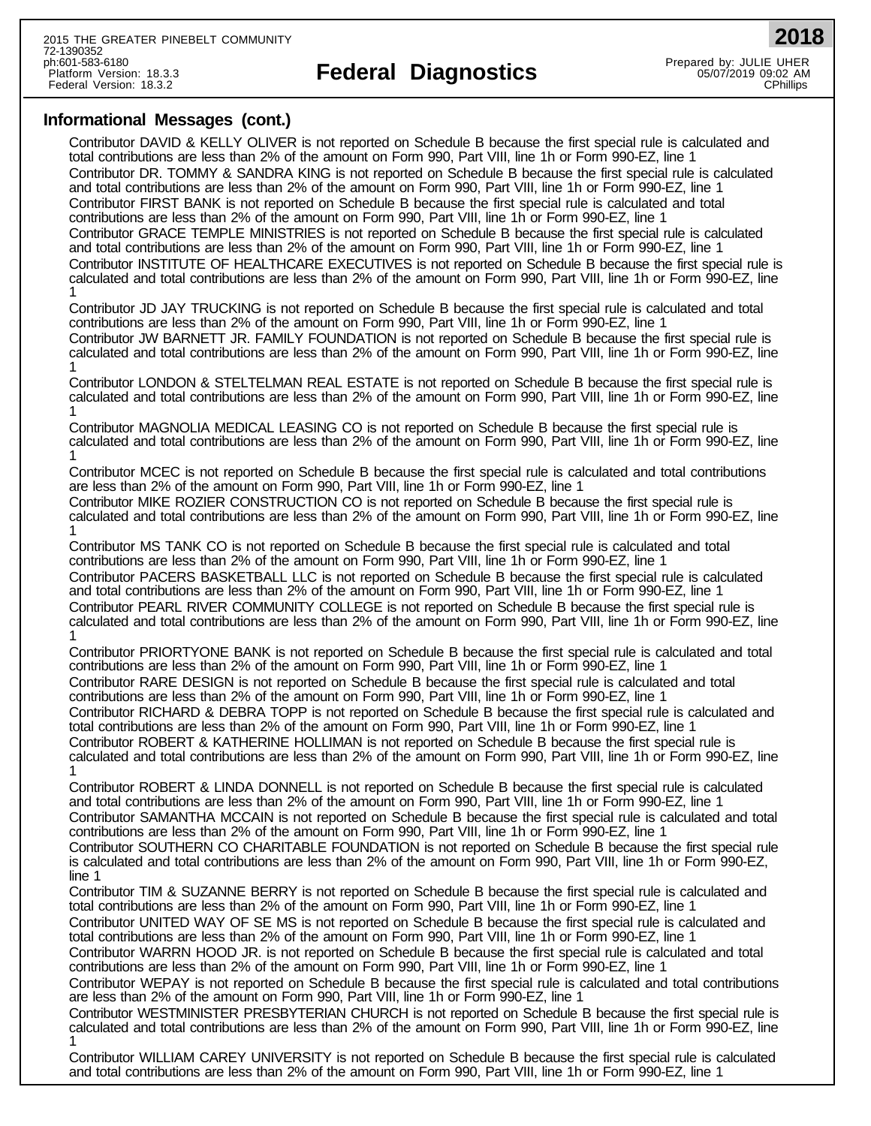#### **Informational Messages (cont.)**

Contributor DAVID & KELLY OLIVER is not reported on Schedule B because the first special rule is calculated and total contributions are less than 2% of the amount on Form 990, Part VIII, line 1h or Form 990-EZ, line 1 Contributor DR. TOMMY & SANDRA KING is not reported on Schedule B because the first special rule is calculated and total contributions are less than 2% of the amount on Form 990, Part VIII, line 1h or Form 990-EZ, line 1 Contributor FIRST BANK is not reported on Schedule B because the first special rule is calculated and total contributions are less than 2% of the amount on Form 990, Part VIII, line 1h or Form 990-EZ, line 1 Contributor GRACE TEMPLE MINISTRIES is not reported on Schedule B because the first special rule is calculated and total contributions are less than 2% of the amount on Form 990, Part VIII, line 1h or Form 990-EZ, line 1 Contributor INSTITUTE OF HEALTHCARE EXECUTIVES is not reported on Schedule B because the first special rule is calculated and total contributions are less than 2% of the amount on Form 990, Part VIII, line 1h or Form 990-EZ, line 1

Contributor JD JAY TRUCKING is not reported on Schedule B because the first special rule is calculated and total contributions are less than 2% of the amount on Form 990, Part VIII, line 1h or Form 990-EZ, line 1 Contributor JW BARNETT JR. FAMILY FOUNDATION is not reported on Schedule B because the first special rule is calculated and total contributions are less than 2% of the amount on Form 990, Part VIII, line 1h or Form 990-EZ, line 1

Contributor LONDON & STELTELMAN REAL ESTATE is not reported on Schedule B because the first special rule is calculated and total contributions are less than 2% of the amount on Form 990, Part VIII, line 1h or Form 990-EZ, line 1

Contributor MAGNOLIA MEDICAL LEASING CO is not reported on Schedule B because the first special rule is calculated and total contributions are less than 2% of the amount on Form 990, Part VIII, line 1h or Form 990-EZ, line 1

Contributor MCEC is not reported on Schedule B because the first special rule is calculated and total contributions are less than 2% of the amount on Form 990, Part VIII, line 1h or Form 990-EZ, line 1

Contributor MIKE ROZIER CONSTRUCTION CO is not reported on Schedule B because the first special rule is calculated and total contributions are less than 2% of the amount on Form 990, Part VIII, line 1h or Form 990-EZ, line 1

Contributor MS TANK CO is not reported on Schedule B because the first special rule is calculated and total contributions are less than 2% of the amount on Form 990, Part VIII, line 1h or Form 990-EZ, line 1 Contributor PACERS BASKETBALL LLC is not reported on Schedule B because the first special rule is calculated and total contributions are less than 2% of the amount on Form 990, Part VIII, line 1h or Form 990-EZ, line 1 Contributor PEARL RIVER COMMUNITY COLLEGE is not reported on Schedule B because the first special rule is calculated and total contributions are less than 2% of the amount on Form 990, Part VIII, line 1h or Form 990-EZ, line 1

Contributor PRIORTYONE BANK is not reported on Schedule B because the first special rule is calculated and total contributions are less than 2% of the amount on Form 990, Part VIII, line 1h or Form 990-EZ, line 1 Contributor RARE DESIGN is not reported on Schedule B because the first special rule is calculated and total

contributions are less than 2% of the amount on Form 990, Part VIII, line 1h or Form 990-EZ, line 1

Contributor RICHARD & DEBRA TOPP is not reported on Schedule B because the first special rule is calculated and total contributions are less than 2% of the amount on Form 990, Part VIII, line 1h or Form 990-EZ, line 1

Contributor ROBERT & KATHERINE HOLLIMAN is not reported on Schedule B because the first special rule is calculated and total contributions are less than 2% of the amount on Form 990, Part VIII, line 1h or Form 990-EZ, line 1

Contributor ROBERT & LINDA DONNELL is not reported on Schedule B because the first special rule is calculated and total contributions are less than 2% of the amount on Form 990, Part VIII, line 1h or Form 990-EZ, line 1 Contributor SAMANTHA MCCAIN is not reported on Schedule B because the first special rule is calculated and total contributions are less than 2% of the amount on Form 990, Part VIII, line 1h or Form 990-EZ, line 1

Contributor SOUTHERN CO CHARITABLE FOUNDATION is not reported on Schedule B because the first special rule is calculated and total contributions are less than 2% of the amount on Form 990, Part VIII, line 1h or Form 990-EZ, line 1

Contributor TIM & SUZANNE BERRY is not reported on Schedule B because the first special rule is calculated and total contributions are less than 2% of the amount on Form 990, Part VIII, line 1h or Form 990-EZ, line 1

Contributor UNITED WAY OF SE MS is not reported on Schedule B because the first special rule is calculated and total contributions are less than 2% of the amount on Form 990, Part VIII, line 1h or Form 990-EZ, line 1

Contributor WARRN HOOD JR. is not reported on Schedule B because the first special rule is calculated and total contributions are less than 2% of the amount on Form 990, Part VIII, line 1h or Form 990-EZ, line 1

Contributor WEPAY is not reported on Schedule B because the first special rule is calculated and total contributions are less than 2% of the amount on Form 990, Part VIII, line 1h or Form 990-EZ, line 1

Contributor WESTMINISTER PRESBYTERIAN CHURCH is not reported on Schedule B because the first special rule is calculated and total contributions are less than 2% of the amount on Form 990, Part VIII, line 1h or Form 990-EZ, line 1

Contributor WILLIAM CAREY UNIVERSITY is not reported on Schedule B because the first special rule is calculated and total contributions are less than 2% of the amount on Form 990, Part VIII, line 1h or Form 990-EZ, line 1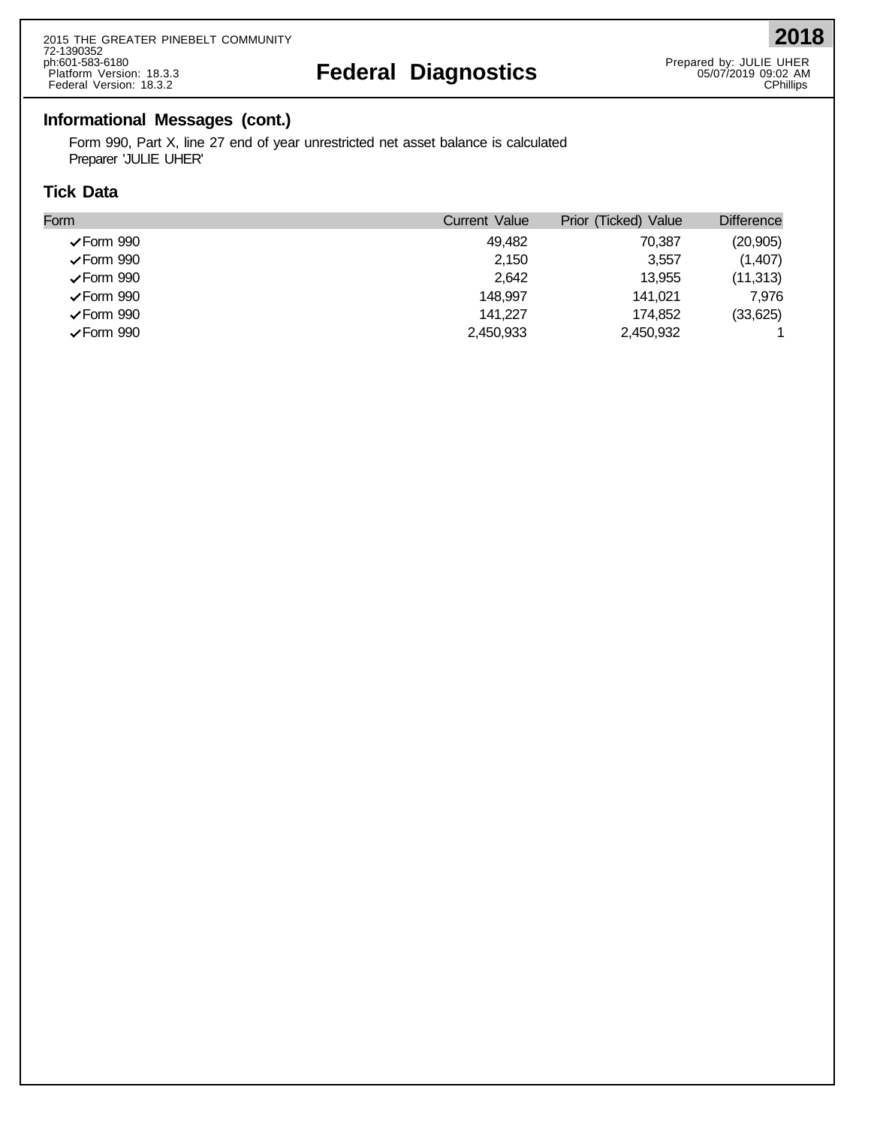### **Informational Messages (cont.)**

Form 990, Part X, line 27 end of year unrestricted net asset balance is calculated Preparer 'JULIE UHER'

#### **Tick Data**

| <b>Form</b>           | <b>Current Value</b> | Prior (Ticked) Value | Difference |
|-----------------------|----------------------|----------------------|------------|
| $\checkmark$ Form 990 | 49.482               | 70.387               | (20, 905)  |
| $\checkmark$ Form 990 | 2,150                | 3,557                | (1,407)    |
| $\checkmark$ Form 990 | 2,642                | 13,955               | (11, 313)  |
| $\checkmark$ Form 990 | 148.997              | 141.021              | 7.976      |
| $\checkmark$ Form 990 | 141.227              | 174.852              | (33, 625)  |
| $\checkmark$ Form 990 | 2,450,933            | 2,450,932            |            |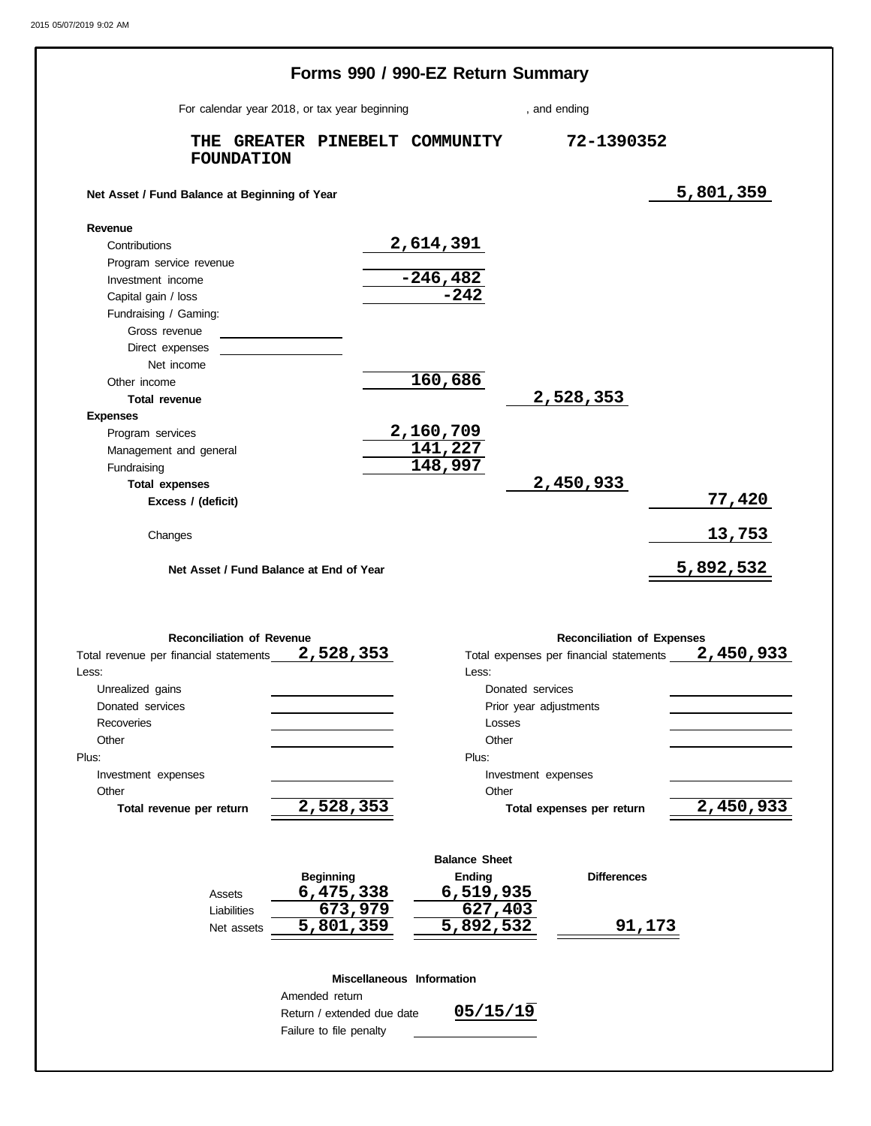|                                                          |                  |              | Forms 990 / 990-EZ Return Summary                  |                                   |                                                   |
|----------------------------------------------------------|------------------|--------------|----------------------------------------------------|-----------------------------------|---------------------------------------------------|
| For calendar year 2018, or tax year beginning            |                  | , and ending |                                                    |                                   |                                                   |
| <b>FOUNDATION</b>                                        |                  |              | THE GREATER PINEBELT COMMUNITY                     | 72-1390352                        |                                                   |
| Net Asset / Fund Balance at Beginning of Year            |                  |              |                                                    |                                   | 5,801,359                                         |
| Revenue                                                  |                  |              |                                                    |                                   |                                                   |
| Contributions                                            |                  |              | 2,614,391                                          |                                   |                                                   |
| Program service revenue                                  |                  |              |                                                    |                                   |                                                   |
| Investment income                                        |                  |              | $-246,482$                                         |                                   |                                                   |
| Capital gain / loss                                      |                  |              | $-242$                                             |                                   |                                                   |
| Fundraising / Gaming:                                    |                  |              |                                                    |                                   |                                                   |
| Gross revenue                                            |                  |              |                                                    |                                   |                                                   |
| Direct expenses                                          |                  |              |                                                    |                                   |                                                   |
| Net income                                               |                  |              |                                                    |                                   |                                                   |
| Other income                                             |                  |              | 160,686                                            |                                   |                                                   |
| Total revenue                                            |                  |              |                                                    | 2,528,353                         |                                                   |
| <b>Expenses</b>                                          |                  |              |                                                    |                                   |                                                   |
| Program services                                         |                  |              | <u>2,160,709</u>                                   |                                   |                                                   |
| Management and general                                   |                  |              | 141,227                                            |                                   |                                                   |
| Fundraising                                              |                  |              | 148,997                                            |                                   |                                                   |
| <b>Total expenses</b>                                    |                  |              |                                                    | 2,450,933                         |                                                   |
| Excess / (deficit)                                       |                  |              |                                                    |                                   | 77,420                                            |
|                                                          |                  |              |                                                    |                                   |                                                   |
| Changes                                                  |                  |              |                                                    |                                   | 13,753                                            |
| Net Asset / Fund Balance at End of Year                  |                  |              |                                                    |                                   | 5,892,532                                         |
| <b>Reconciliation of Revenue</b>                         |                  |              |                                                    | <b>Reconciliation of Expenses</b> |                                                   |
|                                                          |                  | 2,528,353    |                                                    |                                   |                                                   |
|                                                          |                  |              | Less:                                              |                                   |                                                   |
| Unrealized gains                                         |                  |              |                                                    | Donated services                  |                                                   |
| Donated services<br><b>Recoveries</b>                    |                  |              | Losses                                             | Prior year adjustments            |                                                   |
| Other                                                    |                  |              | Other                                              |                                   |                                                   |
|                                                          |                  |              |                                                    |                                   |                                                   |
|                                                          |                  |              | Plus:                                              |                                   | Total expenses per financial statements 2,450,933 |
| Investment expenses<br>Other                             |                  |              | Other                                              | Investment expenses               |                                                   |
| Total revenue per return                                 |                  | 2,528,353    |                                                    | Total expenses per return         |                                                   |
| Total revenue per financial statements<br>Less:<br>Plus: |                  |              |                                                    |                                   | 2,450,933                                         |
| Assets                                                   | <b>Beginning</b> | 6,475,338    | <b>Balance Sheet</b><br><b>Ending</b><br>6,519,935 | <b>Differences</b>                |                                                   |
| Liabilities                                              |                  | 673,979      | 627,403                                            |                                   |                                                   |
| Net assets                                               |                  | 5,801,359    | 5,892,532                                          |                                   | <u>91,173</u>                                     |
|                                                          | Amended return   |              | Miscellaneous Information<br>05/15/19              |                                   |                                                   |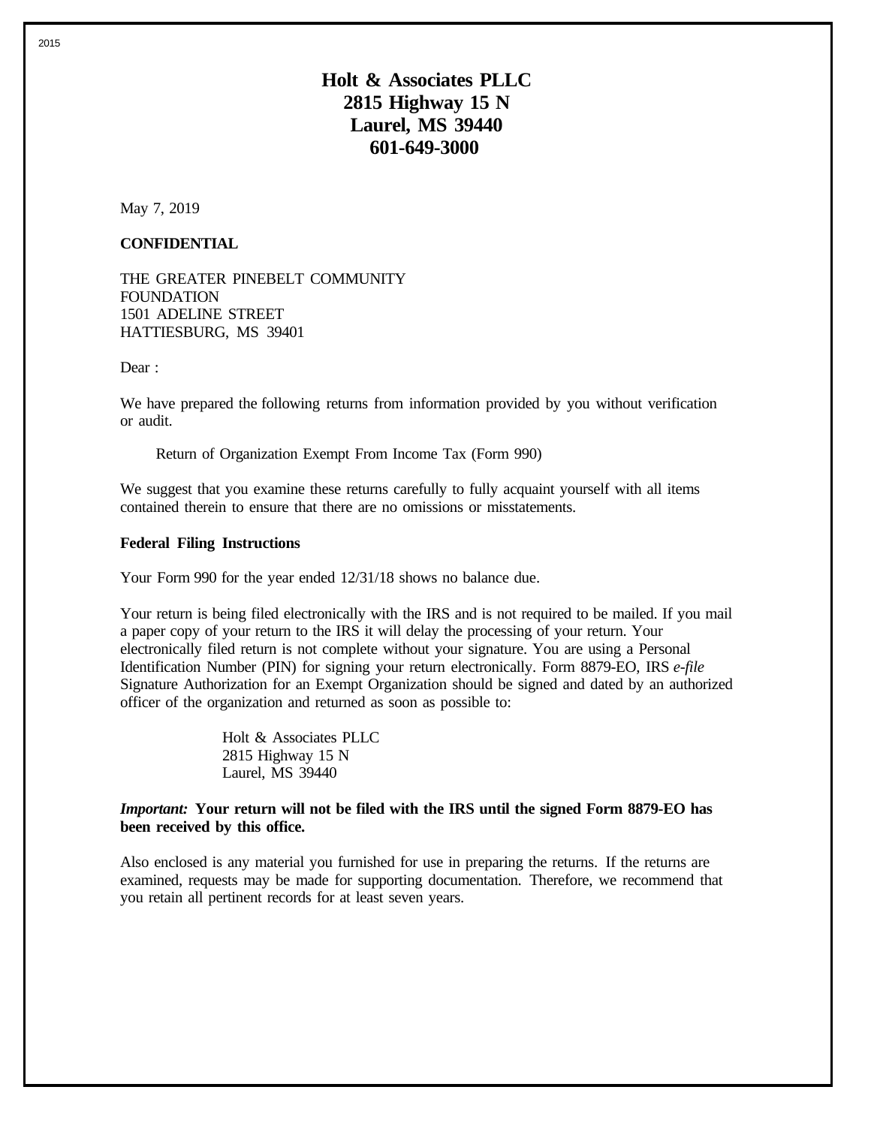### **Holt & Associates PLLC 2815 Highway 15 N Laurel, MS 39440 601-649-3000**

May 7, 2019

#### **CONFIDENTIAL**

THE GREATER PINEBELT COMMUNITY FOUNDATION 1501 ADELINE STREET HATTIESBURG, MS 39401

Dear :

We have prepared the following returns from information provided by you without verification or audit.

Return of Organization Exempt From Income Tax (Form 990)

We suggest that you examine these returns carefully to fully acquaint yourself with all items contained therein to ensure that there are no omissions or misstatements.

#### **Federal Filing Instructions**

Your Form 990 for the year ended 12/31/18 shows no balance due.

Your return is being filed electronically with the IRS and is not required to be mailed. If you mail a paper copy of your return to the IRS it will delay the processing of your return. Your electronically filed return is not complete without your signature. You are using a Personal Identification Number (PIN) for signing your return electronically. Form 8879-EO, IRS *e-file* Signature Authorization for an Exempt Organization should be signed and dated by an authorized officer of the organization and returned as soon as possible to:

> Holt & Associates PLLC 2815 Highway 15 N Laurel, MS 39440

#### *Important:* **Your return will not be filed with the IRS until the signed Form 8879-EO has been received by this office.**

Also enclosed is any material you furnished for use in preparing the returns. If the returns are examined, requests may be made for supporting documentation. Therefore, we recommend that you retain all pertinent records for at least seven years.

2015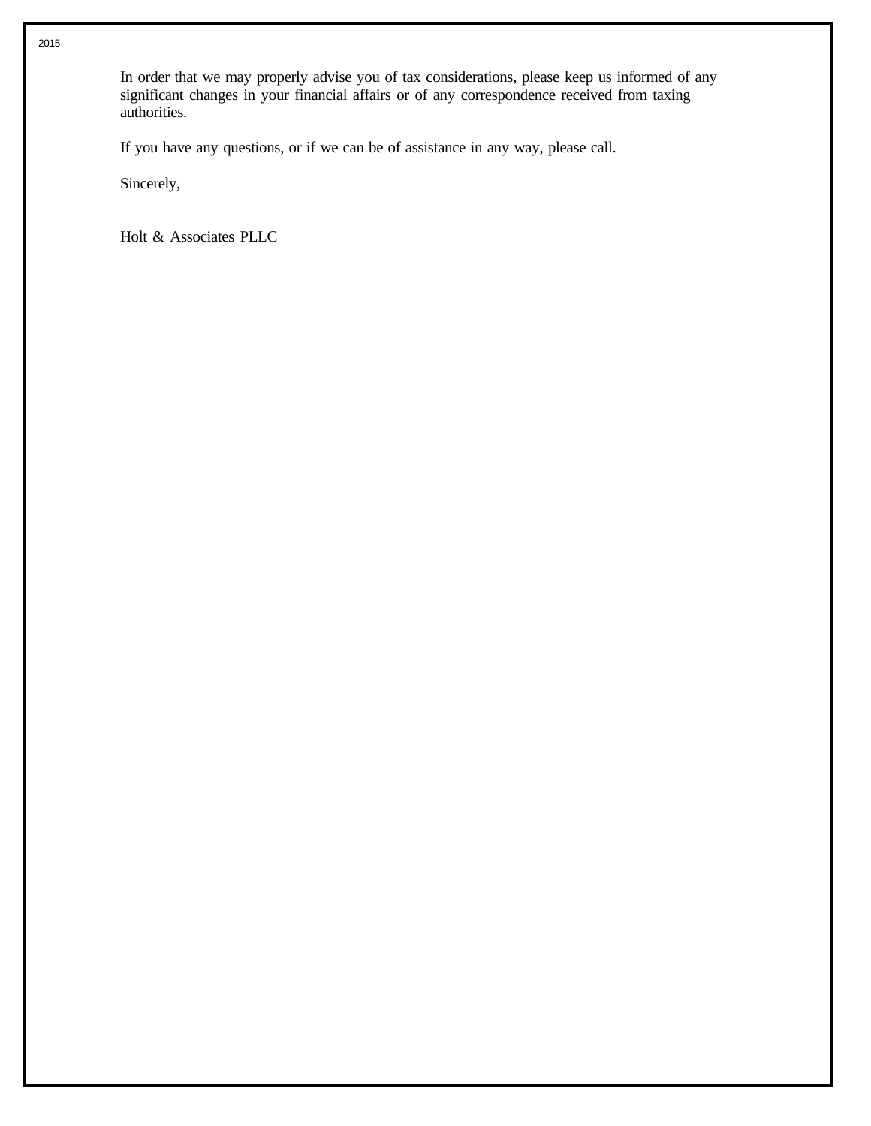In order that we may properly advise you of tax considerations, please keep us informed of any significant changes in your financial affairs or of any correspondence received from taxing authorities.

If you have any questions, or if we can be of assistance in any way, please call.

Sincerely,

Holt & Associates PLLC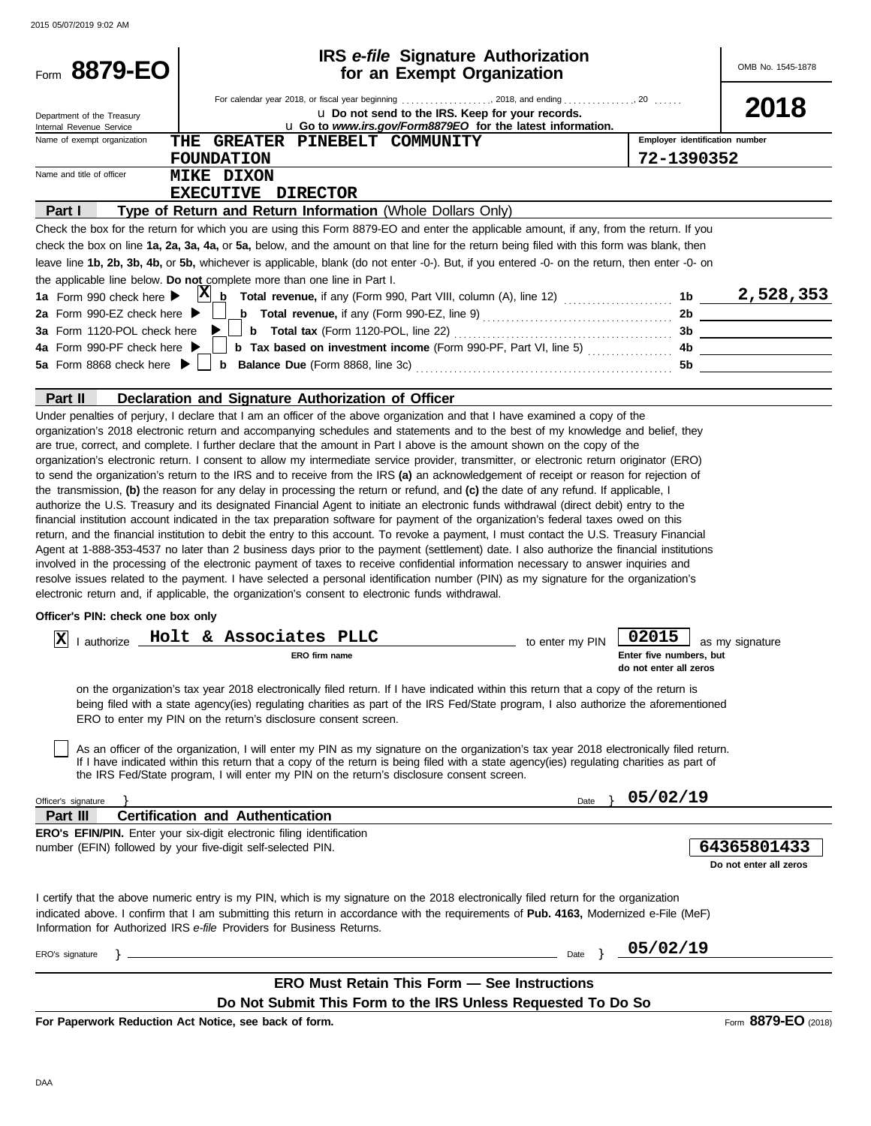| Form 8879-EO                                                  | IRS e-file Signature Authorization<br>for an Exempt Organization                                                                                                                                                                                                                                                                                                                                                                                                                                                                                                                                                                                                                                                                                                                                                                                                                                                                                                                                                                                                                                                                                                                                                                                                                                                                                                                                                                                                                                                                                                                                                                                                                                                                                                                                                                                                                                                                                                                                                                                                                                                                                                                                                                                                                                                                                                                                                                                                                                                                                                                           |                         |                                                                        | OMB No. 1545-1878      |
|---------------------------------------------------------------|--------------------------------------------------------------------------------------------------------------------------------------------------------------------------------------------------------------------------------------------------------------------------------------------------------------------------------------------------------------------------------------------------------------------------------------------------------------------------------------------------------------------------------------------------------------------------------------------------------------------------------------------------------------------------------------------------------------------------------------------------------------------------------------------------------------------------------------------------------------------------------------------------------------------------------------------------------------------------------------------------------------------------------------------------------------------------------------------------------------------------------------------------------------------------------------------------------------------------------------------------------------------------------------------------------------------------------------------------------------------------------------------------------------------------------------------------------------------------------------------------------------------------------------------------------------------------------------------------------------------------------------------------------------------------------------------------------------------------------------------------------------------------------------------------------------------------------------------------------------------------------------------------------------------------------------------------------------------------------------------------------------------------------------------------------------------------------------------------------------------------------------------------------------------------------------------------------------------------------------------------------------------------------------------------------------------------------------------------------------------------------------------------------------------------------------------------------------------------------------------------------------------------------------------------------------------------------------------|-------------------------|------------------------------------------------------------------------|------------------------|
|                                                               |                                                                                                                                                                                                                                                                                                                                                                                                                                                                                                                                                                                                                                                                                                                                                                                                                                                                                                                                                                                                                                                                                                                                                                                                                                                                                                                                                                                                                                                                                                                                                                                                                                                                                                                                                                                                                                                                                                                                                                                                                                                                                                                                                                                                                                                                                                                                                                                                                                                                                                                                                                                            |                         |                                                                        |                        |
| Department of the Treasury<br>Internal Revenue Service        | u Do not send to the IRS. Keep for your records.<br>u Go to www.irs.gov/Form8879EO for the latest information.                                                                                                                                                                                                                                                                                                                                                                                                                                                                                                                                                                                                                                                                                                                                                                                                                                                                                                                                                                                                                                                                                                                                                                                                                                                                                                                                                                                                                                                                                                                                                                                                                                                                                                                                                                                                                                                                                                                                                                                                                                                                                                                                                                                                                                                                                                                                                                                                                                                                             |                         |                                                                        | 2018                   |
| Name of exempt organization                                   | <b>THE</b><br>GREATER PINEBELT COMMUNITY                                                                                                                                                                                                                                                                                                                                                                                                                                                                                                                                                                                                                                                                                                                                                                                                                                                                                                                                                                                                                                                                                                                                                                                                                                                                                                                                                                                                                                                                                                                                                                                                                                                                                                                                                                                                                                                                                                                                                                                                                                                                                                                                                                                                                                                                                                                                                                                                                                                                                                                                                   |                         | Employer identification number                                         |                        |
|                                                               | <b>FOUNDATION</b>                                                                                                                                                                                                                                                                                                                                                                                                                                                                                                                                                                                                                                                                                                                                                                                                                                                                                                                                                                                                                                                                                                                                                                                                                                                                                                                                                                                                                                                                                                                                                                                                                                                                                                                                                                                                                                                                                                                                                                                                                                                                                                                                                                                                                                                                                                                                                                                                                                                                                                                                                                          |                         | 72-1390352                                                             |                        |
| Name and title of officer                                     | <b>MIKE DIXON</b><br>EXECUTIVE DIRECTOR                                                                                                                                                                                                                                                                                                                                                                                                                                                                                                                                                                                                                                                                                                                                                                                                                                                                                                                                                                                                                                                                                                                                                                                                                                                                                                                                                                                                                                                                                                                                                                                                                                                                                                                                                                                                                                                                                                                                                                                                                                                                                                                                                                                                                                                                                                                                                                                                                                                                                                                                                    |                         |                                                                        |                        |
| Part I                                                        | Type of Return and Return Information (Whole Dollars Only)                                                                                                                                                                                                                                                                                                                                                                                                                                                                                                                                                                                                                                                                                                                                                                                                                                                                                                                                                                                                                                                                                                                                                                                                                                                                                                                                                                                                                                                                                                                                                                                                                                                                                                                                                                                                                                                                                                                                                                                                                                                                                                                                                                                                                                                                                                                                                                                                                                                                                                                                 |                         |                                                                        |                        |
|                                                               | Check the box for the return for which you are using this Form 8879-EO and enter the applicable amount, if any, from the return. If you                                                                                                                                                                                                                                                                                                                                                                                                                                                                                                                                                                                                                                                                                                                                                                                                                                                                                                                                                                                                                                                                                                                                                                                                                                                                                                                                                                                                                                                                                                                                                                                                                                                                                                                                                                                                                                                                                                                                                                                                                                                                                                                                                                                                                                                                                                                                                                                                                                                    |                         |                                                                        |                        |
|                                                               | check the box on line 1a, 2a, 3a, 4a, or 5a, below, and the amount on that line for the return being filed with this form was blank, then                                                                                                                                                                                                                                                                                                                                                                                                                                                                                                                                                                                                                                                                                                                                                                                                                                                                                                                                                                                                                                                                                                                                                                                                                                                                                                                                                                                                                                                                                                                                                                                                                                                                                                                                                                                                                                                                                                                                                                                                                                                                                                                                                                                                                                                                                                                                                                                                                                                  |                         |                                                                        |                        |
|                                                               | leave line 1b, 2b, 3b, 4b, or 5b, whichever is applicable, blank (do not enter -0-). But, if you entered -0- on the return, then enter -0- on                                                                                                                                                                                                                                                                                                                                                                                                                                                                                                                                                                                                                                                                                                                                                                                                                                                                                                                                                                                                                                                                                                                                                                                                                                                                                                                                                                                                                                                                                                                                                                                                                                                                                                                                                                                                                                                                                                                                                                                                                                                                                                                                                                                                                                                                                                                                                                                                                                              |                         |                                                                        |                        |
|                                                               | the applicable line below. Do not complete more than one line in Part I.                                                                                                                                                                                                                                                                                                                                                                                                                                                                                                                                                                                                                                                                                                                                                                                                                                                                                                                                                                                                                                                                                                                                                                                                                                                                                                                                                                                                                                                                                                                                                                                                                                                                                                                                                                                                                                                                                                                                                                                                                                                                                                                                                                                                                                                                                                                                                                                                                                                                                                                   |                         |                                                                        |                        |
| 1a Form 990 check here $\blacktriangleright$                  | $ \mathbf{x} $<br>$\mu$ Total revenue, if any (Form 990, Part VIII, column (A), line 12) $\mu$ , equation to the same 2, 528, 353                                                                                                                                                                                                                                                                                                                                                                                                                                                                                                                                                                                                                                                                                                                                                                                                                                                                                                                                                                                                                                                                                                                                                                                                                                                                                                                                                                                                                                                                                                                                                                                                                                                                                                                                                                                                                                                                                                                                                                                                                                                                                                                                                                                                                                                                                                                                                                                                                                                          |                         |                                                                        |                        |
| 2a Form 990-EZ check here $\blacktriangleright$               | <b>b</b> Total revenue, if any (Form 990-EZ, line 9) $\ldots$ $\ldots$ $\ldots$ $\ldots$ $\ldots$ $\ldots$                                                                                                                                                                                                                                                                                                                                                                                                                                                                                                                                                                                                                                                                                                                                                                                                                                                                                                                                                                                                                                                                                                                                                                                                                                                                                                                                                                                                                                                                                                                                                                                                                                                                                                                                                                                                                                                                                                                                                                                                                                                                                                                                                                                                                                                                                                                                                                                                                                                                                 |                         |                                                                        | 2b                     |
| 3a Form 1120-POL check here                                   |                                                                                                                                                                                                                                                                                                                                                                                                                                                                                                                                                                                                                                                                                                                                                                                                                                                                                                                                                                                                                                                                                                                                                                                                                                                                                                                                                                                                                                                                                                                                                                                                                                                                                                                                                                                                                                                                                                                                                                                                                                                                                                                                                                                                                                                                                                                                                                                                                                                                                                                                                                                            |                         |                                                                        |                        |
| 4a Form 990-PF check here ▶                                   | <b>b</b> Tax based on investment income (Form 990-PF, Part VI, line 5)                                                                                                                                                                                                                                                                                                                                                                                                                                                                                                                                                                                                                                                                                                                                                                                                                                                                                                                                                                                                                                                                                                                                                                                                                                                                                                                                                                                                                                                                                                                                                                                                                                                                                                                                                                                                                                                                                                                                                                                                                                                                                                                                                                                                                                                                                                                                                                                                                                                                                                                     |                         |                                                                        | 4b                     |
| 5a Form 8868 check here $\blacktriangleright$                 |                                                                                                                                                                                                                                                                                                                                                                                                                                                                                                                                                                                                                                                                                                                                                                                                                                                                                                                                                                                                                                                                                                                                                                                                                                                                                                                                                                                                                                                                                                                                                                                                                                                                                                                                                                                                                                                                                                                                                                                                                                                                                                                                                                                                                                                                                                                                                                                                                                                                                                                                                                                            |                         |                                                                        |                        |
| Part II                                                       | Declaration and Signature Authorization of Officer                                                                                                                                                                                                                                                                                                                                                                                                                                                                                                                                                                                                                                                                                                                                                                                                                                                                                                                                                                                                                                                                                                                                                                                                                                                                                                                                                                                                                                                                                                                                                                                                                                                                                                                                                                                                                                                                                                                                                                                                                                                                                                                                                                                                                                                                                                                                                                                                                                                                                                                                         |                         |                                                                        |                        |
| Officer's PIN: check one box only<br>x<br>Officer's signature | Under penalties of perjury, I declare that I am an officer of the above organization and that I have examined a copy of the<br>organization's 2018 electronic return and accompanying schedules and statements and to the best of my knowledge and belief, they<br>are true, correct, and complete. I further declare that the amount in Part I above is the amount shown on the copy of the<br>organization's electronic return. I consent to allow my intermediate service provider, transmitter, or electronic return originator (ERO)<br>to send the organization's return to the IRS and to receive from the IRS (a) an acknowledgement of receipt or reason for rejection of<br>the transmission, (b) the reason for any delay in processing the return or refund, and (c) the date of any refund. If applicable, I<br>authorize the U.S. Treasury and its designated Financial Agent to initiate an electronic funds withdrawal (direct debit) entry to the<br>financial institution account indicated in the tax preparation software for payment of the organization's federal taxes owed on this<br>return, and the financial institution to debit the entry to this account. To revoke a payment, I must contact the U.S. Treasury Financial<br>Agent at 1-888-353-4537 no later than 2 business days prior to the payment (settlement) date. I also authorize the financial institutions<br>involved in the processing of the electronic payment of taxes to receive confidential information necessary to answer inquiries and<br>resolve issues related to the payment. I have selected a personal identification number (PIN) as my signature for the organization's<br>electronic return and, if applicable, the organization's consent to electronic funds withdrawal.<br>I authorize Holt & Associates PLLC<br><b>ERO firm name</b><br>on the organization's tax year 2018 electronically filed return. If I have indicated within this return that a copy of the return is<br>being filed with a state agency(ies) regulating charities as part of the IRS Fed/State program, I also authorize the aforementioned<br>ERO to enter my PIN on the return's disclosure consent screen.<br>As an officer of the organization, I will enter my PIN as my signature on the organization's tax year 2018 electronically filed return.<br>If I have indicated within this return that a copy of the return is being filed with a state agency(ies) regulating charities as part of<br>the IRS Fed/State program, I will enter my PIN on the return's disclosure consent screen. | to enter my PIN<br>Date | 02015<br>Enter five numbers, but<br>do not enter all zeros<br>05/02/19 | as my signature        |
| Part III                                                      | <b>Certification and Authentication</b>                                                                                                                                                                                                                                                                                                                                                                                                                                                                                                                                                                                                                                                                                                                                                                                                                                                                                                                                                                                                                                                                                                                                                                                                                                                                                                                                                                                                                                                                                                                                                                                                                                                                                                                                                                                                                                                                                                                                                                                                                                                                                                                                                                                                                                                                                                                                                                                                                                                                                                                                                    |                         |                                                                        |                        |
|                                                               | ERO's EFIN/PIN. Enter your six-digit electronic filing identification                                                                                                                                                                                                                                                                                                                                                                                                                                                                                                                                                                                                                                                                                                                                                                                                                                                                                                                                                                                                                                                                                                                                                                                                                                                                                                                                                                                                                                                                                                                                                                                                                                                                                                                                                                                                                                                                                                                                                                                                                                                                                                                                                                                                                                                                                                                                                                                                                                                                                                                      |                         |                                                                        |                        |
|                                                               | number (EFIN) followed by your five-digit self-selected PIN.                                                                                                                                                                                                                                                                                                                                                                                                                                                                                                                                                                                                                                                                                                                                                                                                                                                                                                                                                                                                                                                                                                                                                                                                                                                                                                                                                                                                                                                                                                                                                                                                                                                                                                                                                                                                                                                                                                                                                                                                                                                                                                                                                                                                                                                                                                                                                                                                                                                                                                                               |                         |                                                                        | 64365801433            |
|                                                               |                                                                                                                                                                                                                                                                                                                                                                                                                                                                                                                                                                                                                                                                                                                                                                                                                                                                                                                                                                                                                                                                                                                                                                                                                                                                                                                                                                                                                                                                                                                                                                                                                                                                                                                                                                                                                                                                                                                                                                                                                                                                                                                                                                                                                                                                                                                                                                                                                                                                                                                                                                                            |                         |                                                                        | Do not enter all zeros |
|                                                               | I certify that the above numeric entry is my PIN, which is my signature on the 2018 electronically filed return for the organization<br>indicated above. I confirm that I am submitting this return in accordance with the requirements of Pub. 4163, Modernized e-File (MeF)<br>Information for Authorized IRS e-file Providers for Business Returns.                                                                                                                                                                                                                                                                                                                                                                                                                                                                                                                                                                                                                                                                                                                                                                                                                                                                                                                                                                                                                                                                                                                                                                                                                                                                                                                                                                                                                                                                                                                                                                                                                                                                                                                                                                                                                                                                                                                                                                                                                                                                                                                                                                                                                                     |                         |                                                                        |                        |
| ERO's signature<br>$\mathcal{E}$                              |                                                                                                                                                                                                                                                                                                                                                                                                                                                                                                                                                                                                                                                                                                                                                                                                                                                                                                                                                                                                                                                                                                                                                                                                                                                                                                                                                                                                                                                                                                                                                                                                                                                                                                                                                                                                                                                                                                                                                                                                                                                                                                                                                                                                                                                                                                                                                                                                                                                                                                                                                                                            |                         | Date } 05/02/19                                                        |                        |
|                                                               |                                                                                                                                                                                                                                                                                                                                                                                                                                                                                                                                                                                                                                                                                                                                                                                                                                                                                                                                                                                                                                                                                                                                                                                                                                                                                                                                                                                                                                                                                                                                                                                                                                                                                                                                                                                                                                                                                                                                                                                                                                                                                                                                                                                                                                                                                                                                                                                                                                                                                                                                                                                            |                         |                                                                        |                        |
|                                                               | <b>ERO Must Retain This Form - See Instructions</b>                                                                                                                                                                                                                                                                                                                                                                                                                                                                                                                                                                                                                                                                                                                                                                                                                                                                                                                                                                                                                                                                                                                                                                                                                                                                                                                                                                                                                                                                                                                                                                                                                                                                                                                                                                                                                                                                                                                                                                                                                                                                                                                                                                                                                                                                                                                                                                                                                                                                                                                                        |                         |                                                                        |                        |
|                                                               | Do Not Submit This Form to the IRS Unless Requested To Do So                                                                                                                                                                                                                                                                                                                                                                                                                                                                                                                                                                                                                                                                                                                                                                                                                                                                                                                                                                                                                                                                                                                                                                                                                                                                                                                                                                                                                                                                                                                                                                                                                                                                                                                                                                                                                                                                                                                                                                                                                                                                                                                                                                                                                                                                                                                                                                                                                                                                                                                               |                         |                                                                        |                        |
|                                                               | For Paperwork Reduction Act Notice, see back of form.                                                                                                                                                                                                                                                                                                                                                                                                                                                                                                                                                                                                                                                                                                                                                                                                                                                                                                                                                                                                                                                                                                                                                                                                                                                                                                                                                                                                                                                                                                                                                                                                                                                                                                                                                                                                                                                                                                                                                                                                                                                                                                                                                                                                                                                                                                                                                                                                                                                                                                                                      |                         |                                                                        | Form 8879-EO (2018)    |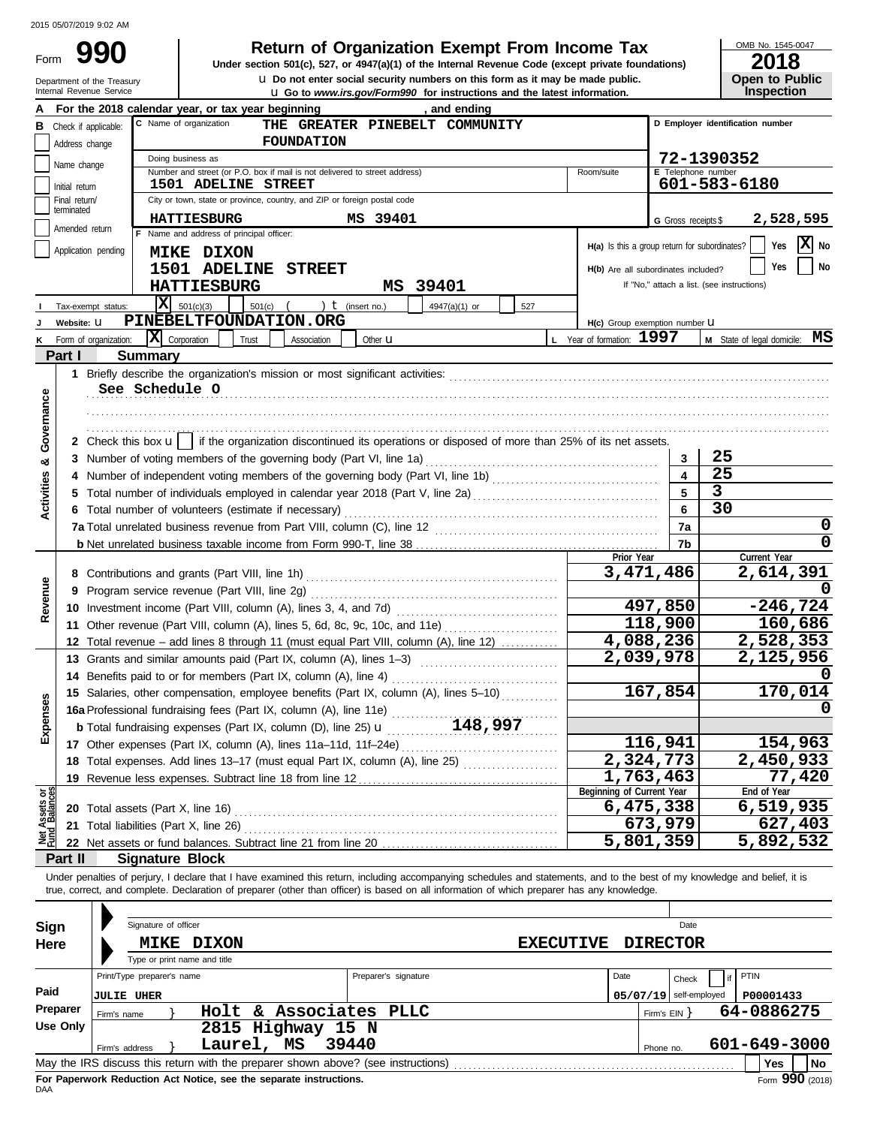| ۱m<br>Form |  |
|------------|--|
|            |  |

Department of the Treasury<br>Internal Revenue Service

## **990 1990 2018 Depending Solution Solution Solution Script Script Script Script Script Prom Income Tax 1947(a)(1)** of the Internal Revenue Code (except private foundations)

**u** Go to *www.irs.gov/Form990* for instructions and the latest information. **u** Do not enter social security numbers on this form as it may be made public. OMB No. 1545-0047

| _______               |
|-----------------------|
| <b>Open to Public</b> |
| <b>Inspection</b>     |

|                                |                | For the 2018 calendar year, or tax year beginning<br>, and ending                                                                                                          |                                 |                                               |                          |                                            |                   |  |  |  |
|--------------------------------|----------------|----------------------------------------------------------------------------------------------------------------------------------------------------------------------------|---------------------------------|-----------------------------------------------|--------------------------|--------------------------------------------|-------------------|--|--|--|
| в                              |                | C Name of organization<br>THE GREATER PINEBELT COMMUNITY<br>Check if applicable:                                                                                           |                                 |                                               |                          | D Employer identification number           |                   |  |  |  |
|                                | Address change |                                                                                                                                                                            | <b>FOUNDATION</b><br>72-1390352 |                                               |                          |                                            |                   |  |  |  |
|                                | Name change    | Doing business as                                                                                                                                                          |                                 |                                               |                          |                                            |                   |  |  |  |
|                                | Initial return | Number and street (or P.O. box if mail is not delivered to street address)<br><b>1501 ADELINE STREET</b>                                                                   |                                 | Room/suite                                    | E Telephone number       | 601-583-6180                               |                   |  |  |  |
|                                | Final return/  | City or town, state or province, country, and ZIP or foreign postal code                                                                                                   |                                 |                                               |                          |                                            |                   |  |  |  |
|                                | terminated     | MS 39401<br><b>HATTIESBURG</b>                                                                                                                                             |                                 |                                               | G Gross receipts \$      | 2,528,595                                  |                   |  |  |  |
|                                | Amended return | F Name and address of principal officer:                                                                                                                                   |                                 |                                               |                          |                                            |                   |  |  |  |
|                                |                | Application pending<br><b>MIKE DIXON</b>                                                                                                                                   |                                 | H(a) Is this a group return for subordinates? |                          | Yes                                        | $ \mathbf{X} $ No |  |  |  |
|                                |                | 1501 ADELINE<br><b>STREET</b>                                                                                                                                              |                                 | H(b) Are all subordinates included?           |                          | Yes                                        | No                |  |  |  |
|                                |                | MS 39401<br><b>HATTIESBURG</b>                                                                                                                                             |                                 |                                               |                          | If "No," attach a list. (see instructions) |                   |  |  |  |
|                                |                | $ \mathbf{X} $ 501(c)(3)<br>) $t$ (insert no.)<br>501(c)<br>4947(a)(1) or<br>527<br>Tax-exempt status:                                                                     |                                 |                                               |                          |                                            |                   |  |  |  |
|                                | Website: U     | PINEBELTFOUNDATION.ORG                                                                                                                                                     |                                 | H(c) Group exemption number U                 |                          |                                            |                   |  |  |  |
| κ                              |                | X Corporation<br>Form of organization:<br>Trust<br>Association<br>Other <b>u</b>                                                                                           |                                 | L Year of formation: 1997                     |                          | M State of legal domicile: MS              |                   |  |  |  |
|                                | Part I         | <b>Summary</b>                                                                                                                                                             |                                 |                                               |                          |                                            |                   |  |  |  |
|                                |                |                                                                                                                                                                            |                                 |                                               |                          |                                            |                   |  |  |  |
|                                |                | See Schedule O                                                                                                                                                             |                                 |                                               |                          |                                            |                   |  |  |  |
|                                |                |                                                                                                                                                                            |                                 |                                               |                          |                                            |                   |  |  |  |
| Governance                     |                |                                                                                                                                                                            |                                 |                                               |                          |                                            |                   |  |  |  |
|                                |                | 2 Check this box $\mathbf{u}$   if the organization discontinued its operations or disposed of more than 25% of its net assets.                                            |                                 |                                               |                          |                                            |                   |  |  |  |
| ಯ                              |                | 3 Number of voting members of the governing body (Part VI, line 1a)                                                                                                        |                                 |                                               | 3                        | 25                                         |                   |  |  |  |
|                                |                |                                                                                                                                                                            |                                 |                                               | $\blacktriangle$         | 25                                         |                   |  |  |  |
| <b>Activities</b>              |                |                                                                                                                                                                            |                                 |                                               | 5                        | 3                                          |                   |  |  |  |
|                                |                | 6 Total number of volunteers (estimate if necessary)                                                                                                                       |                                 |                                               | 6                        | 30                                         |                   |  |  |  |
|                                |                |                                                                                                                                                                            |                                 |                                               | 7a                       |                                            | 0                 |  |  |  |
|                                |                |                                                                                                                                                                            |                                 |                                               | 7b                       |                                            | 0                 |  |  |  |
|                                |                |                                                                                                                                                                            |                                 | Prior Year<br>3,471,486                       |                          | Current Year                               |                   |  |  |  |
|                                |                |                                                                                                                                                                            |                                 |                                               |                          | 2,614,391                                  |                   |  |  |  |
| Revenue                        |                | 9 Program service revenue (Part VIII, line 2g)                                                                                                                             |                                 |                                               | 497,850                  | $-246,724$                                 |                   |  |  |  |
|                                |                | 11 Other revenue (Part VIII, column (A), lines 5, 6d, 8c, 9c, 10c, and 11e)                                                                                                |                                 |                                               | 118,900                  | 160,686                                    |                   |  |  |  |
|                                |                |                                                                                                                                                                            |                                 | 4,088,236                                     |                          | 2,528,353                                  |                   |  |  |  |
|                                |                | 12 Total revenue – add lines 8 through 11 (must equal Part VIII, column (A), line 12)<br>13 Grants and similar amounts paid (Part IX, column (A), lines 1-3)               |                                 | 2,039,978                                     |                          | 2,125,956                                  |                   |  |  |  |
|                                |                | 14 Benefits paid to or for members (Part IX, column (A), line 4)                                                                                                           |                                 |                                               |                          |                                            |                   |  |  |  |
|                                |                | 15 Salaries, other compensation, employee benefits (Part IX, column (A), lines 5-10)                                                                                       |                                 |                                               |                          |                                            |                   |  |  |  |
| xpenses                        |                |                                                                                                                                                                            |                                 |                                               | 167,854                  | 170,014                                    |                   |  |  |  |
|                                |                |                                                                                                                                                                            |                                 |                                               |                          |                                            |                   |  |  |  |
| ш                              |                | 17 Other expenses (Part IX, column (A), lines 11a-11d, 11f-24e)                                                                                                            |                                 |                                               | 116,941                  | 154,963                                    |                   |  |  |  |
|                                |                | 18 Total expenses. Add lines 13-17 (must equal Part IX, column (A), line 25) [                                                                                             |                                 | 2,324,773                                     |                          | 2,450,933                                  |                   |  |  |  |
|                                |                | 19 Revenue less expenses. Subtract line 18 from line 12                                                                                                                    |                                 | 1,763,463                                     |                          | 77,420                                     |                   |  |  |  |
|                                |                |                                                                                                                                                                            |                                 | Beginning of Current Year                     |                          | End of Year                                |                   |  |  |  |
| Net Assets or<br>Fund Balances |                | 20 Total assets (Part X, line 16)                                                                                                                                          |                                 | 6,475,338                                     |                          | 6,519,935                                  |                   |  |  |  |
|                                | 21             | Total liabilities (Part X, line 26)                                                                                                                                        |                                 |                                               | 673,979                  | 627,403                                    |                   |  |  |  |
|                                |                |                                                                                                                                                                            |                                 | 5,801,359                                     |                          | 5,892,532                                  |                   |  |  |  |
|                                | Part II        | <b>Signature Block</b>                                                                                                                                                     |                                 |                                               |                          |                                            |                   |  |  |  |
|                                |                | Under penalties of perjury, I declare that I have examined this return, including accompanying schedules and statements, and to the best of my knowledge and belief, it is |                                 |                                               |                          |                                            |                   |  |  |  |
|                                |                | true, correct, and complete. Declaration of preparer (other than officer) is based on all information of which preparer has any knowledge.                                 |                                 |                                               |                          |                                            |                   |  |  |  |
|                                |                |                                                                                                                                                                            |                                 |                                               |                          |                                            |                   |  |  |  |
| Sign                           |                | Signature of officer                                                                                                                                                       |                                 |                                               | Date                     |                                            |                   |  |  |  |
| Here                           |                | <b>MIKE DIXON</b>                                                                                                                                                          | <b>EXECUTIVE</b>                |                                               | <b>DIRECTOR</b>          |                                            |                   |  |  |  |
|                                |                | Type or print name and title                                                                                                                                               |                                 |                                               |                          |                                            |                   |  |  |  |
| Paid                           |                | Print/Type preparer's name<br>Preparer's signature                                                                                                                         |                                 | Date                                          | Check                    | PTIN                                       |                   |  |  |  |
|                                | Preparer       | <b>JULIE UHER</b>                                                                                                                                                          |                                 |                                               | $05/07/19$ self-employed | P00001433                                  |                   |  |  |  |
|                                | Use Only       | Holt & Associates PLLC<br>Firm's name                                                                                                                                      |                                 |                                               | Firm's $EIN$ }           | 64-0886275                                 |                   |  |  |  |
|                                |                | 2815 Highway 15 N<br>39440<br>Laurel, MS                                                                                                                                   |                                 |                                               |                          | 601-649-3000                               |                   |  |  |  |
|                                |                | Firm's address                                                                                                                                                             |                                 |                                               | Phone no.                |                                            |                   |  |  |  |
|                                |                | May the IRS discuss this return with the preparer shown above? (see instructions)                                                                                          |                                 |                                               |                          | Yes                                        | No                |  |  |  |

| Sign            | Signature of officer                                                                                    |                              |                        |       |                      | Date             |          |                 |  |              |
|-----------------|---------------------------------------------------------------------------------------------------------|------------------------------|------------------------|-------|----------------------|------------------|----------|-----------------|--|--------------|
| Here            | <b>MIKE</b>                                                                                             | <b>DIXON</b>                 |                        |       |                      | <b>EXECUTIVE</b> |          | <b>DIRECTOR</b> |  |              |
|                 |                                                                                                         | Type or print name and title |                        |       |                      |                  |          |                 |  |              |
|                 | Print/Type preparer's name                                                                              |                              |                        |       | Preparer's signature |                  | Date     | Check           |  | PTIN         |
| Paid            | <b>JULIE UHER</b>                                                                                       |                              |                        |       |                      |                  | 05/07/19 | self-employed   |  | P00001433    |
| Preparer        | Firm's name                                                                                             |                              | Holt & Associates PLLC |       |                      |                  |          | Firm's $EIN$    |  | 64-0886275   |
| <b>Use Only</b> |                                                                                                         |                              | 2815 Highway           | 15 N  |                      |                  |          |                 |  |              |
|                 | Firm's address                                                                                          | Laurel,                      | MS                     | 39440 |                      |                  |          | Phone no.       |  | 601-649-3000 |
|                 | May the IRS discuss this return with the preparer shown above? (see instructions)<br>  No<br><b>Yes</b> |                              |                        |       |                      |                  |          |                 |  |              |
| DAA             | Form 990 (2018)<br>For Paperwork Reduction Act Notice, see the separate instructions.                   |                              |                        |       |                      |                  |          |                 |  |              |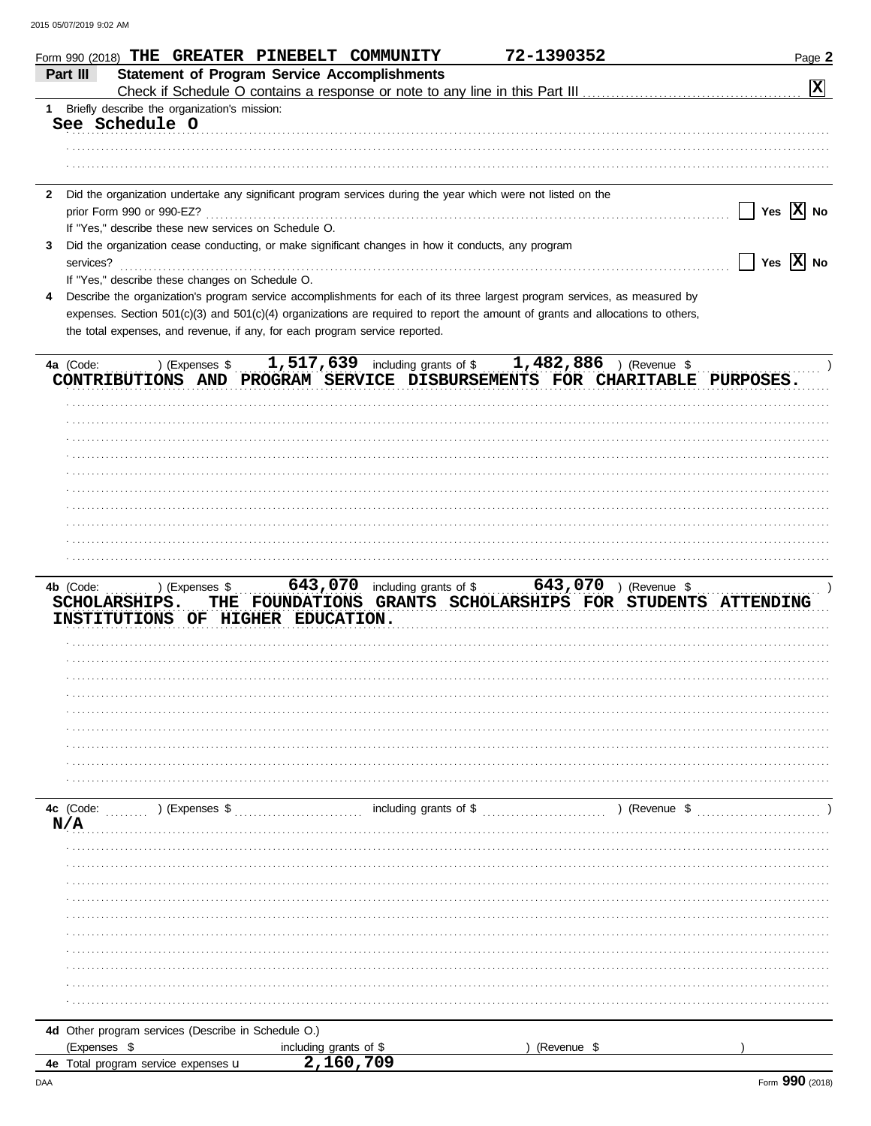|              | Form 990 (2018) THE GREATER PINEBELT COMMUNITY                                                                                 |                                     |                        | 72-1390352                                                 |               | Page 2                |
|--------------|--------------------------------------------------------------------------------------------------------------------------------|-------------------------------------|------------------------|------------------------------------------------------------|---------------|-----------------------|
|              | <b>Statement of Program Service Accomplishments</b><br>Part III                                                                |                                     |                        |                                                            |               |                       |
|              |                                                                                                                                |                                     |                        |                                                            |               | 冈                     |
| 1.           | Briefly describe the organization's mission:                                                                                   |                                     |                        |                                                            |               |                       |
|              | See Schedule O                                                                                                                 |                                     |                        |                                                            |               |                       |
|              |                                                                                                                                |                                     |                        |                                                            |               |                       |
|              |                                                                                                                                |                                     |                        |                                                            |               |                       |
|              |                                                                                                                                |                                     |                        |                                                            |               |                       |
| $\mathbf{2}$ | Did the organization undertake any significant program services during the year which were not listed on the                   |                                     |                        |                                                            |               |                       |
|              | prior Form 990 or 990-EZ?                                                                                                      |                                     |                        |                                                            |               | Yes $\overline{X}$ No |
|              | If "Yes," describe these new services on Schedule O.                                                                           |                                     |                        |                                                            |               |                       |
| 3            | Did the organization cease conducting, or make significant changes in how it conducts, any program                             |                                     |                        |                                                            |               |                       |
|              | services?                                                                                                                      |                                     |                        |                                                            |               | Yes $\overline{X}$ No |
|              | If "Yes," describe these changes on Schedule O.                                                                                |                                     |                        |                                                            |               |                       |
| 4            | Describe the organization's program service accomplishments for each of its three largest program services, as measured by     |                                     |                        |                                                            |               |                       |
|              | expenses. Section 501(c)(3) and 501(c)(4) organizations are required to report the amount of grants and allocations to others, |                                     |                        |                                                            |               |                       |
|              | the total expenses, and revenue, if any, for each program service reported.                                                    |                                     |                        |                                                            |               |                       |
|              |                                                                                                                                |                                     |                        |                                                            |               |                       |
|              | ) (Expenses \$<br>4a (Code:<br>CONTRIBUTIONS AND PROGRAM SERVICE DISBURSEMENTS FOR CHARITABLE PURPOSES.                        |                                     |                        | 1,517,639 including grants of \$ $1,482,886$ ) (Revenue \$ |               |                       |
|              |                                                                                                                                |                                     |                        |                                                            |               |                       |
|              |                                                                                                                                |                                     |                        |                                                            |               |                       |
|              |                                                                                                                                |                                     |                        |                                                            |               |                       |
|              |                                                                                                                                |                                     |                        |                                                            |               |                       |
|              |                                                                                                                                |                                     |                        |                                                            |               |                       |
|              |                                                                                                                                |                                     |                        |                                                            |               |                       |
|              |                                                                                                                                |                                     |                        |                                                            |               |                       |
|              |                                                                                                                                |                                     |                        |                                                            |               |                       |
|              |                                                                                                                                |                                     |                        |                                                            |               |                       |
|              |                                                                                                                                |                                     |                        |                                                            |               |                       |
|              |                                                                                                                                |                                     |                        |                                                            |               |                       |
|              | 4b (Code:<br>) (Expenses \$<br>SCHOLARSHIPS.<br>THE<br>INSTITUTIONS OF HIGHER EDUCATION.                                       |                                     |                        | FOUNDATIONS GRANTS SCHOLARSHIPS FOR STUDENTS ATTENDING     |               |                       |
|              |                                                                                                                                |                                     |                        |                                                            |               |                       |
|              |                                                                                                                                |                                     |                        |                                                            |               |                       |
|              |                                                                                                                                |                                     |                        |                                                            |               |                       |
|              |                                                                                                                                |                                     |                        |                                                            |               |                       |
|              |                                                                                                                                |                                     |                        |                                                            |               |                       |
|              |                                                                                                                                |                                     |                        |                                                            |               |                       |
|              |                                                                                                                                |                                     |                        |                                                            |               |                       |
|              |                                                                                                                                |                                     |                        |                                                            |               |                       |
|              |                                                                                                                                |                                     |                        |                                                            |               |                       |
|              | 4c (Code:<br>) (Expenses \$                                                                                                    |                                     | including grants of \$ |                                                            | ) (Revenue \$ |                       |
|              | N/A                                                                                                                            |                                     |                        |                                                            |               |                       |
|              |                                                                                                                                |                                     |                        |                                                            |               |                       |
|              |                                                                                                                                |                                     |                        |                                                            |               |                       |
|              |                                                                                                                                |                                     |                        |                                                            |               |                       |
|              |                                                                                                                                |                                     |                        |                                                            |               |                       |
|              |                                                                                                                                |                                     |                        |                                                            |               |                       |
|              |                                                                                                                                |                                     |                        |                                                            |               |                       |
|              |                                                                                                                                |                                     |                        |                                                            |               |                       |
|              |                                                                                                                                |                                     |                        |                                                            |               |                       |
|              |                                                                                                                                |                                     |                        |                                                            |               |                       |
|              |                                                                                                                                |                                     |                        |                                                            |               |                       |
|              |                                                                                                                                |                                     |                        |                                                            |               |                       |
|              | 4d Other program services (Describe in Schedule O.)                                                                            |                                     |                        |                                                            |               |                       |
|              | (Expenses \$                                                                                                                   | including grants of \$<br>2,160,709 |                        | (Revenue \$                                                |               |                       |
|              | 4e Total program service expenses u                                                                                            |                                     |                        |                                                            |               |                       |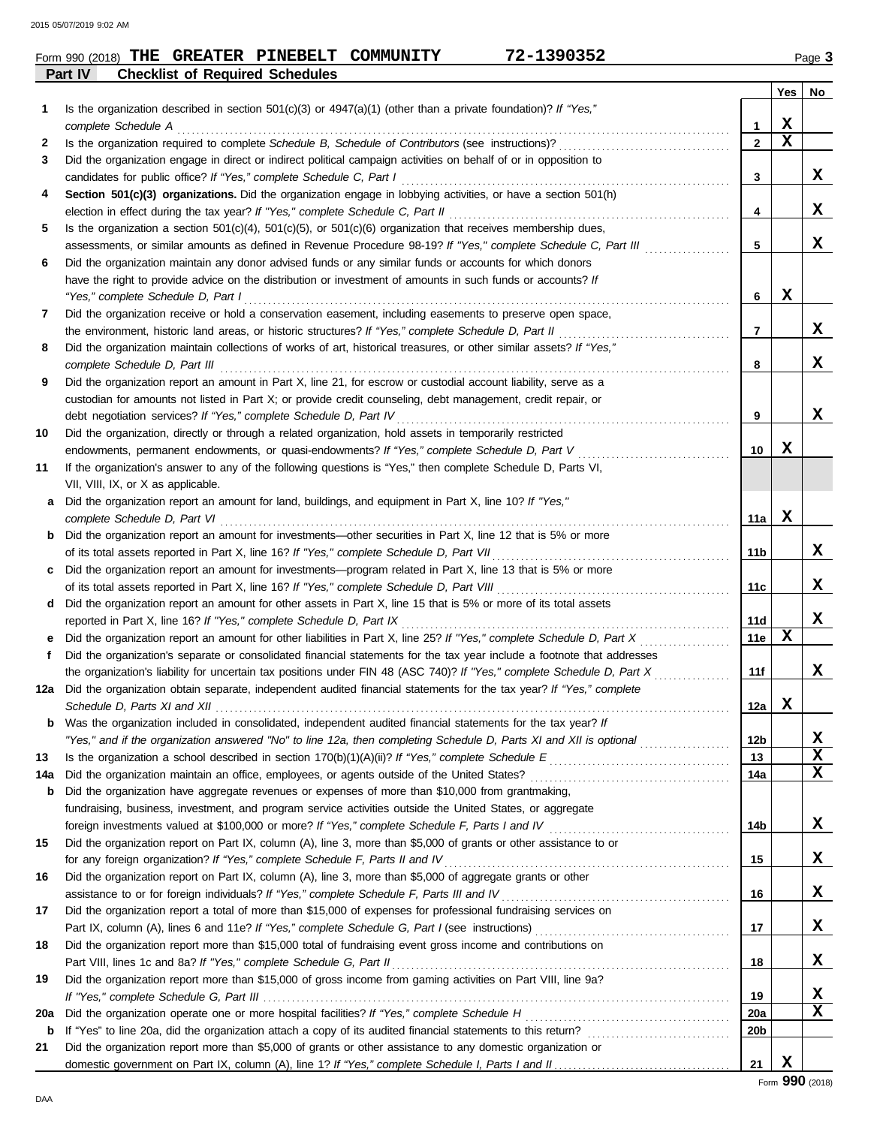| Form 990 (2018) THE |  |                                        | GREATER PINEBELT COMMUNITY | 72-1390352 | Page 3 |
|---------------------|--|----------------------------------------|----------------------------|------------|--------|
| Part IV             |  | <b>Checklist of Required Schedules</b> |                            |            |        |

|         |                                                                                                                                                                                                                                                  |              | Yes              | No.    |
|---------|--------------------------------------------------------------------------------------------------------------------------------------------------------------------------------------------------------------------------------------------------|--------------|------------------|--------|
| 1       | Is the organization described in section $501(c)(3)$ or $4947(a)(1)$ (other than a private foundation)? If "Yes,"                                                                                                                                |              |                  |        |
|         | complete Schedule A                                                                                                                                                                                                                              | 1            | X<br>$\mathbf x$ |        |
| 2       | Is the organization required to complete Schedule B, Schedule of Contributors (see instructions)?                                                                                                                                                | $\mathbf{2}$ |                  |        |
| 3       | Did the organization engage in direct or indirect political campaign activities on behalf of or in opposition to                                                                                                                                 |              |                  | X      |
|         | candidates for public office? If "Yes," complete Schedule C, Part I                                                                                                                                                                              | 3            |                  |        |
| 4       | Section 501(c)(3) organizations. Did the organization engage in lobbying activities, or have a section 501(h)<br>election in effect during the tax year? If "Yes," complete Schedule C, Part II                                                  | 4            |                  | х      |
| 5       | Is the organization a section $501(c)(4)$ , $501(c)(5)$ , or $501(c)(6)$ organization that receives membership dues,                                                                                                                             |              |                  |        |
|         | assessments, or similar amounts as defined in Revenue Procedure 98-19? If "Yes," complete Schedule C, Part III                                                                                                                                   | 5            |                  | x      |
| 6       | Did the organization maintain any donor advised funds or any similar funds or accounts for which donors                                                                                                                                          |              |                  |        |
|         | have the right to provide advice on the distribution or investment of amounts in such funds or accounts? If                                                                                                                                      |              |                  |        |
|         | "Yes," complete Schedule D, Part I                                                                                                                                                                                                               | 6            | х                |        |
| 7       | Did the organization receive or hold a conservation easement, including easements to preserve open space,                                                                                                                                        |              |                  |        |
|         | the environment, historic land areas, or historic structures? If "Yes," complete Schedule D, Part II                                                                                                                                             | 7            |                  | X      |
| 8       | Did the organization maintain collections of works of art, historical treasures, or other similar assets? If "Yes,"                                                                                                                              |              |                  |        |
|         | complete Schedule D, Part III                                                                                                                                                                                                                    | 8            |                  | X      |
| 9       | Did the organization report an amount in Part X, line 21, for escrow or custodial account liability, serve as a                                                                                                                                  |              |                  |        |
|         | custodian for amounts not listed in Part X; or provide credit counseling, debt management, credit repair, or                                                                                                                                     |              |                  |        |
|         | debt negotiation services? If "Yes," complete Schedule D, Part IV                                                                                                                                                                                | 9            |                  | x      |
| 10      | Did the organization, directly or through a related organization, hold assets in temporarily restricted                                                                                                                                          |              |                  |        |
|         | endowments, permanent endowments, or quasi-endowments? If "Yes," complete Schedule D, Part V                                                                                                                                                     | 10           | x                |        |
| 11      | If the organization's answer to any of the following questions is "Yes," then complete Schedule D, Parts VI,                                                                                                                                     |              |                  |        |
|         | VII, VIII, IX, or X as applicable.                                                                                                                                                                                                               |              |                  |        |
| a       | Did the organization report an amount for land, buildings, and equipment in Part X, line 10? If "Yes,"                                                                                                                                           |              |                  |        |
|         | complete Schedule D, Part VI                                                                                                                                                                                                                     | 11a l        | х                |        |
| b       | Did the organization report an amount for investments—other securities in Part X, line 12 that is 5% or more                                                                                                                                     |              |                  |        |
|         | of its total assets reported in Part X, line 16? If "Yes," complete Schedule D, Part VII                                                                                                                                                         | 11b          |                  | x      |
| c       | Did the organization report an amount for investments—program related in Part X, line 13 that is 5% or more                                                                                                                                      |              |                  |        |
|         | of its total assets reported in Part X, line 16? If "Yes," complete Schedule D, Part VIII                                                                                                                                                        | 11c          |                  | x      |
| d       | Did the organization report an amount for other assets in Part X, line 15 that is 5% or more of its total assets                                                                                                                                 |              |                  | X      |
|         | reported in Part X, line 16? If "Yes," complete Schedule D, Part IX                                                                                                                                                                              | 11d<br>11e   | х                |        |
| е<br>f. | Did the organization report an amount for other liabilities in Part X, line 25? If "Yes," complete Schedule D, Part X<br>Did the organization's separate or consolidated financial statements for the tax year include a footnote that addresses |              |                  |        |
|         | the organization's liability for uncertain tax positions under FIN 48 (ASC 740)? If "Yes," complete Schedule D, Part X                                                                                                                           | 11f          |                  | x      |
| 12a     | Did the organization obtain separate, independent audited financial statements for the tax year? If "Yes," complete                                                                                                                              |              |                  |        |
|         | Schedule D, Parts XI and XII                                                                                                                                                                                                                     | 12a          | X                |        |
|         | <b>b</b> Was the organization included in consolidated, independent audited financial statements for the tax year? If                                                                                                                            |              |                  |        |
|         | "Yes," and if the organization answered "No" to line 12a, then completing Schedule D, Parts XI and XII is optional                                                                                                                               | 12b          |                  | X      |
| 13      |                                                                                                                                                                                                                                                  | 13           |                  | X      |
| 14a     |                                                                                                                                                                                                                                                  | 14a          |                  | x      |
| b       | Did the organization have aggregate revenues or expenses of more than \$10,000 from grantmaking,                                                                                                                                                 |              |                  |        |
|         | fundraising, business, investment, and program service activities outside the United States, or aggregate                                                                                                                                        |              |                  |        |
|         | foreign investments valued at \$100,000 or more? If "Yes," complete Schedule F, Parts I and IV [[[[[[[[[[[[[[[                                                                                                                                   | 14b          |                  | X      |
| 15      | Did the organization report on Part IX, column (A), line 3, more than \$5,000 of grants or other assistance to or                                                                                                                                |              |                  |        |
|         | for any foreign organization? If "Yes," complete Schedule F, Parts II and IV                                                                                                                                                                     | 15           |                  | X.     |
| 16      | Did the organization report on Part IX, column (A), line 3, more than \$5,000 of aggregate grants or other                                                                                                                                       |              |                  |        |
|         |                                                                                                                                                                                                                                                  | 16           |                  | X      |
| 17      | Did the organization report a total of more than \$15,000 of expenses for professional fundraising services on                                                                                                                                   |              |                  |        |
|         |                                                                                                                                                                                                                                                  | 17           |                  | X      |
| 18      | Did the organization report more than \$15,000 total of fundraising event gross income and contributions on                                                                                                                                      |              |                  |        |
|         |                                                                                                                                                                                                                                                  | 18           |                  | X.     |
| 19      | Did the organization report more than \$15,000 of gross income from gaming activities on Part VIII, line 9a?                                                                                                                                     |              |                  |        |
|         |                                                                                                                                                                                                                                                  | 19           |                  | X<br>x |
| 20a     |                                                                                                                                                                                                                                                  | 20a<br>20b   |                  |        |
| b<br>21 | Did the organization report more than \$5,000 of grants or other assistance to any domestic organization or                                                                                                                                      |              |                  |        |
|         |                                                                                                                                                                                                                                                  | 21           | х                |        |
|         |                                                                                                                                                                                                                                                  |              |                  |        |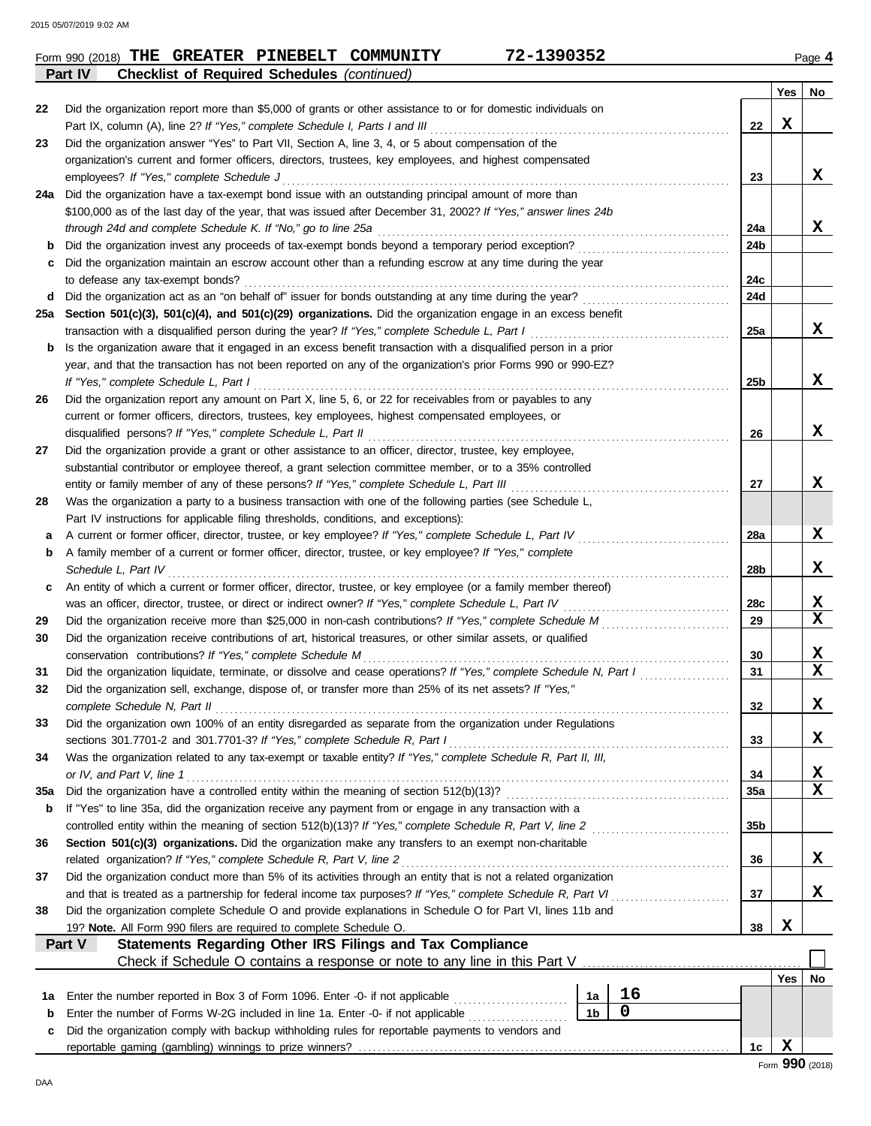|        | Part IV<br><b>Checklist of Required Schedules (continued)</b>                                                                                                                           |            |          |                  |
|--------|-----------------------------------------------------------------------------------------------------------------------------------------------------------------------------------------|------------|----------|------------------|
|        |                                                                                                                                                                                         |            | Yes      | No.              |
| 22     | Did the organization report more than \$5,000 of grants or other assistance to or for domestic individuals on                                                                           |            |          |                  |
|        | Part IX, column (A), line 2? If "Yes," complete Schedule I, Parts I and III                                                                                                             | 22         | X        |                  |
| 23     | Did the organization answer "Yes" to Part VII, Section A, line 3, 4, or 5 about compensation of the                                                                                     |            |          |                  |
|        | organization's current and former officers, directors, trustees, key employees, and highest compensated                                                                                 |            |          |                  |
|        | employees? If "Yes," complete Schedule J                                                                                                                                                | 23         |          | x                |
| 24a    | Did the organization have a tax-exempt bond issue with an outstanding principal amount of more than                                                                                     |            |          |                  |
|        | \$100,000 as of the last day of the year, that was issued after December 31, 2002? If "Yes," answer lines 24b                                                                           |            |          | x                |
|        | through 24d and complete Schedule K. If "No," go to line 25a<br>Did the organization invest any proceeds of tax-exempt bonds beyond a temporary period exception?                       | 24a<br>24b |          |                  |
| b<br>с | Did the organization maintain an escrow account other than a refunding escrow at any time during the year                                                                               |            |          |                  |
|        | to defease any tax-exempt bonds?                                                                                                                                                        | 24c        |          |                  |
| d      | Did the organization act as an "on behalf of" issuer for bonds outstanding at any time during the year?                                                                                 | 24d        |          |                  |
| 25a    | Section 501(c)(3), 501(c)(4), and 501(c)(29) organizations. Did the organization engage in an excess benefit                                                                            |            |          |                  |
|        | transaction with a disqualified person during the year? If "Yes," complete Schedule L, Part I                                                                                           | 25a        |          | x                |
| b      | Is the organization aware that it engaged in an excess benefit transaction with a disqualified person in a prior                                                                        |            |          |                  |
|        | year, and that the transaction has not been reported on any of the organization's prior Forms 990 or 990-EZ?                                                                            |            |          |                  |
|        | If "Yes," complete Schedule L, Part I                                                                                                                                                   | 25b        |          | x                |
| 26     | Did the organization report any amount on Part X, line 5, 6, or 22 for receivables from or payables to any                                                                              |            |          |                  |
|        | current or former officers, directors, trustees, key employees, highest compensated employees, or                                                                                       |            |          |                  |
|        | disqualified persons? If "Yes," complete Schedule L, Part II                                                                                                                            | 26         |          | x                |
| 27     | Did the organization provide a grant or other assistance to an officer, director, trustee, key employee,                                                                                |            |          |                  |
|        | substantial contributor or employee thereof, a grant selection committee member, or to a 35% controlled                                                                                 |            |          |                  |
|        | entity or family member of any of these persons? If "Yes," complete Schedule L, Part III                                                                                                | 27         |          | x                |
| 28     | Was the organization a party to a business transaction with one of the following parties (see Schedule L,                                                                               |            |          |                  |
|        | Part IV instructions for applicable filing thresholds, conditions, and exceptions):                                                                                                     |            |          |                  |
| а      | A current or former officer, director, trustee, or key employee? If "Yes," complete Schedule L, Part IV                                                                                 | 28a        |          | X                |
| b      | A family member of a current or former officer, director, trustee, or key employee? If "Yes," complete                                                                                  |            |          |                  |
|        | Schedule L, Part IV                                                                                                                                                                     | 28b        |          | X                |
| c      | An entity of which a current or former officer, director, trustee, or key employee (or a family member thereof)                                                                         |            |          |                  |
|        | was an officer, director, trustee, or direct or indirect owner? If "Yes," complete Schedule L, Part IV                                                                                  | 28c        |          | X                |
| 29     | Did the organization receive more than \$25,000 in non-cash contributions? If "Yes," complete Schedule M                                                                                | 29         |          | X                |
| 30     | Did the organization receive contributions of art, historical treasures, or other similar assets, or qualified                                                                          |            |          |                  |
|        | conservation contributions? If "Yes," complete Schedule M                                                                                                                               | 30         |          | X<br>$\mathbf x$ |
| 31     | Did the organization liquidate, terminate, or dissolve and cease operations? If "Yes," complete Schedule N, Part I                                                                      | 31         |          |                  |
| 32     | Did the organization sell, exchange, dispose of, or transfer more than 25% of its net assets? If "Yes,"                                                                                 |            |          | X                |
|        | complete Schedule N, Part II                                                                                                                                                            | 32         |          |                  |
| 33     | Did the organization own 100% of an entity disregarded as separate from the organization under Regulations<br>sections 301.7701-2 and 301.7701-3? If "Yes," complete Schedule R, Part I | 33         |          | X.               |
| 34     | Was the organization related to any tax-exempt or taxable entity? If "Yes," complete Schedule R, Part II, III,                                                                          |            |          |                  |
|        | or IV, and Part V, line 1                                                                                                                                                               | 34         |          | x                |
| 35a    | Did the organization have a controlled entity within the meaning of section 512(b)(13)?                                                                                                 | 35a        |          | X                |
| b      | If "Yes" to line 35a, did the organization receive any payment from or engage in any transaction with a                                                                                 |            |          |                  |
|        | controlled entity within the meaning of section 512(b)(13)? If "Yes," complete Schedule R, Part V, line 2                                                                               | 35b        |          |                  |
| 36     | Section 501(c)(3) organizations. Did the organization make any transfers to an exempt non-charitable                                                                                    |            |          |                  |
|        | related organization? If "Yes," complete Schedule R, Part V, line 2                                                                                                                     | 36         |          | X.               |
| 37     | Did the organization conduct more than 5% of its activities through an entity that is not a related organization                                                                        |            |          |                  |
|        | and that is treated as a partnership for federal income tax purposes? If "Yes," complete Schedule R, Part VI                                                                            | 37         |          | X.               |
| 38     | Did the organization complete Schedule O and provide explanations in Schedule O for Part VI, lines 11b and                                                                              |            |          |                  |
|        | 19? Note. All Form 990 filers are required to complete Schedule O.                                                                                                                      | 38         | X        |                  |
|        | <b>Statements Regarding Other IRS Filings and Tax Compliance</b><br>Part V                                                                                                              |            |          |                  |
|        |                                                                                                                                                                                         |            |          |                  |
|        |                                                                                                                                                                                         |            | Yes      | No.              |
| 1a     | 16<br>Enter the number reported in Box 3 of Form 1096. Enter -0- if not applicable<br>1a                                                                                                |            |          |                  |
| b      | 0<br>1 <sub>b</sub><br>Enter the number of Forms W-2G included in line 1a. Enter -0- if not applicable                                                                                  |            |          |                  |
| c      | Did the organization comply with backup withholding rules for reportable payments to vendors and                                                                                        |            |          |                  |
|        |                                                                                                                                                                                         | 1c         | X<br>ה ה |                  |

**THE GREATER PINEBELT COMMUNITY 72-1390352**

Form **990** (2018)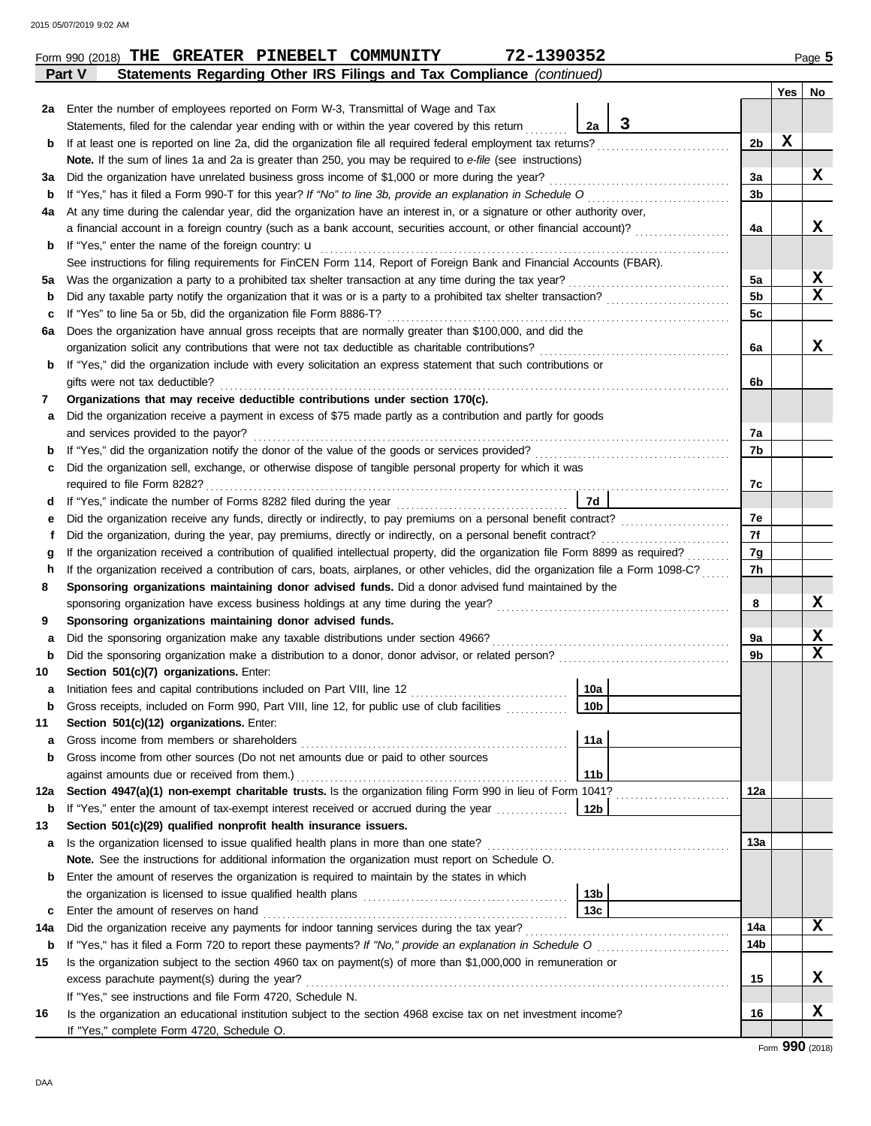|        |                                                                                                                                                 |                 |   |                | Yes | No          |  |  |
|--------|-------------------------------------------------------------------------------------------------------------------------------------------------|-----------------|---|----------------|-----|-------------|--|--|
| 2a     | Enter the number of employees reported on Form W-3, Transmittal of Wage and Tax                                                                 |                 |   |                |     |             |  |  |
|        | Statements, filed for the calendar year ending with or within the year covered by this return                                                   | 2a              | 3 |                |     |             |  |  |
| b      | If at least one is reported on line 2a, did the organization file all required federal employment tax returns?                                  |                 |   | 2b             | х   |             |  |  |
|        | Note. If the sum of lines 1a and 2a is greater than 250, you may be required to e-file (see instructions)                                       |                 |   |                |     |             |  |  |
| За     | Did the organization have unrelated business gross income of \$1,000 or more during the year?                                                   |                 |   |                |     |             |  |  |
| b      |                                                                                                                                                 |                 |   | 3b             |     |             |  |  |
| 4a     | At any time during the calendar year, did the organization have an interest in, or a signature or other authority over,                         |                 |   |                |     |             |  |  |
|        | a financial account in a foreign country (such as a bank account, securities account, or other financial account)?                              |                 |   | 4a             |     | x           |  |  |
| b      | If "Yes," enter the name of the foreign country: u                                                                                              |                 |   |                |     |             |  |  |
|        | See instructions for filing requirements for FinCEN Form 114, Report of Foreign Bank and Financial Accounts (FBAR).                             |                 |   |                |     |             |  |  |
| 5а     | Was the organization a party to a prohibited tax shelter transaction at any time during the tax year?                                           |                 |   | 5a             |     | x           |  |  |
| b      |                                                                                                                                                 |                 |   | 5 <sub>b</sub> |     | X           |  |  |
| c      | If "Yes" to line 5a or 5b, did the organization file Form 8886-T?                                                                               |                 |   | 5c             |     |             |  |  |
| 6а     | Does the organization have annual gross receipts that are normally greater than \$100,000, and did the                                          |                 |   |                |     |             |  |  |
|        | organization solicit any contributions that were not tax deductible as charitable contributions?                                                |                 |   | 6a             |     | x           |  |  |
| b      | If "Yes," did the organization include with every solicitation an express statement that such contributions or                                  |                 |   |                |     |             |  |  |
|        | gifts were not tax deductible?                                                                                                                  |                 |   | 6b             |     |             |  |  |
| 7      | Organizations that may receive deductible contributions under section 170(c).                                                                   |                 |   |                |     |             |  |  |
| а      | Did the organization receive a payment in excess of \$75 made partly as a contribution and partly for goods                                     |                 |   |                |     |             |  |  |
|        | and services provided to the payor?                                                                                                             |                 |   | 7a             |     |             |  |  |
| b      |                                                                                                                                                 |                 |   | 7b             |     |             |  |  |
| c      | Did the organization sell, exchange, or otherwise dispose of tangible personal property for which it was                                        |                 |   |                |     |             |  |  |
|        |                                                                                                                                                 |                 |   | 7c             |     |             |  |  |
| d      |                                                                                                                                                 | 7d              |   |                |     |             |  |  |
| е      |                                                                                                                                                 |                 |   | 7e             |     |             |  |  |
| f      | Did the organization, during the year, pay premiums, directly or indirectly, on a personal benefit contract?                                    |                 |   | 7f             |     |             |  |  |
| g      | If the organization received a contribution of qualified intellectual property, did the organization file Form 8899 as required?                |                 |   | 7g             |     |             |  |  |
| h      | If the organization received a contribution of cars, boats, airplanes, or other vehicles, did the organization file a Form 1098-C?              |                 |   | 7h             |     |             |  |  |
| 8      | Sponsoring organizations maintaining donor advised funds. Did a donor advised fund maintained by the                                            |                 |   | 8              |     | x           |  |  |
| 9      | sponsoring organization have excess business holdings at any time during the year?<br>Sponsoring organizations maintaining donor advised funds. |                 |   |                |     |             |  |  |
|        | Did the sponsoring organization make any taxable distributions under section 4966?                                                              |                 |   | 9a             |     | x           |  |  |
| а<br>b |                                                                                                                                                 |                 |   | 9b             |     | X           |  |  |
| 10     | Section 501(c)(7) organizations. Enter:                                                                                                         |                 |   |                |     |             |  |  |
| а      | Initiation fees and capital contributions included on Part VIII, line 12                                                                        | 10a             |   |                |     |             |  |  |
| b      | Gross receipts, included on Form 990, Part VIII, line 12, for public use of club facilities                                                     | 10 <sub>b</sub> |   |                |     |             |  |  |
| 11.    | Section 501(c)(12) organizations. Enter:                                                                                                        |                 |   |                |     |             |  |  |
| а      |                                                                                                                                                 | 11a             |   |                |     |             |  |  |
| b      | Gross income from other sources (Do not net amounts due or paid to other sources                                                                |                 |   |                |     |             |  |  |
|        |                                                                                                                                                 | 11 <sub>b</sub> |   |                |     |             |  |  |
| 12a    | Section 4947(a)(1) non-exempt charitable trusts. Is the organization filing Form 990 in lieu of Form 1041?                                      |                 |   | 12a            |     |             |  |  |
| b      | If "Yes," enter the amount of tax-exempt interest received or accrued during the year                                                           | 12b             |   |                |     |             |  |  |
| 13     | Section 501(c)(29) qualified nonprofit health insurance issuers.                                                                                |                 |   |                |     |             |  |  |
| а      |                                                                                                                                                 |                 |   | 13а            |     |             |  |  |
|        | Note. See the instructions for additional information the organization must report on Schedule O.                                               |                 |   |                |     |             |  |  |
| b      | Enter the amount of reserves the organization is required to maintain by the states in which                                                    |                 |   |                |     |             |  |  |
|        |                                                                                                                                                 | 13 <sub>b</sub> |   |                |     |             |  |  |
| c      |                                                                                                                                                 | 13c             |   |                |     |             |  |  |
| 14a    |                                                                                                                                                 |                 |   | 14a            |     | X           |  |  |
| b      | If "Yes," has it filed a Form 720 to report these payments? If "No," provide an explanation in Schedule O                                       |                 |   | 14b            |     |             |  |  |
| 15     | Is the organization subject to the section 4960 tax on payment(s) of more than \$1,000,000 in remuneration or                                   |                 |   |                |     |             |  |  |
|        |                                                                                                                                                 |                 |   | 15             |     | x           |  |  |
|        | If "Yes," see instructions and file Form 4720, Schedule N.                                                                                      |                 |   |                |     |             |  |  |
| 16     | Is the organization an educational institution subject to the section 4968 excise tax on net investment income?                                 |                 |   | 16             |     | X           |  |  |
|        | If "Yes," complete Form 4720, Schedule O.                                                                                                       |                 |   |                |     |             |  |  |
|        |                                                                                                                                                 |                 |   |                |     | $000$ $000$ |  |  |

**Part V Statements Regarding Other IRS Filings and Tax Compliance** *(continued)*

**Form 990 (2018) THE GREATER PINEBELT COMMUNITY 72-1390352** Page 5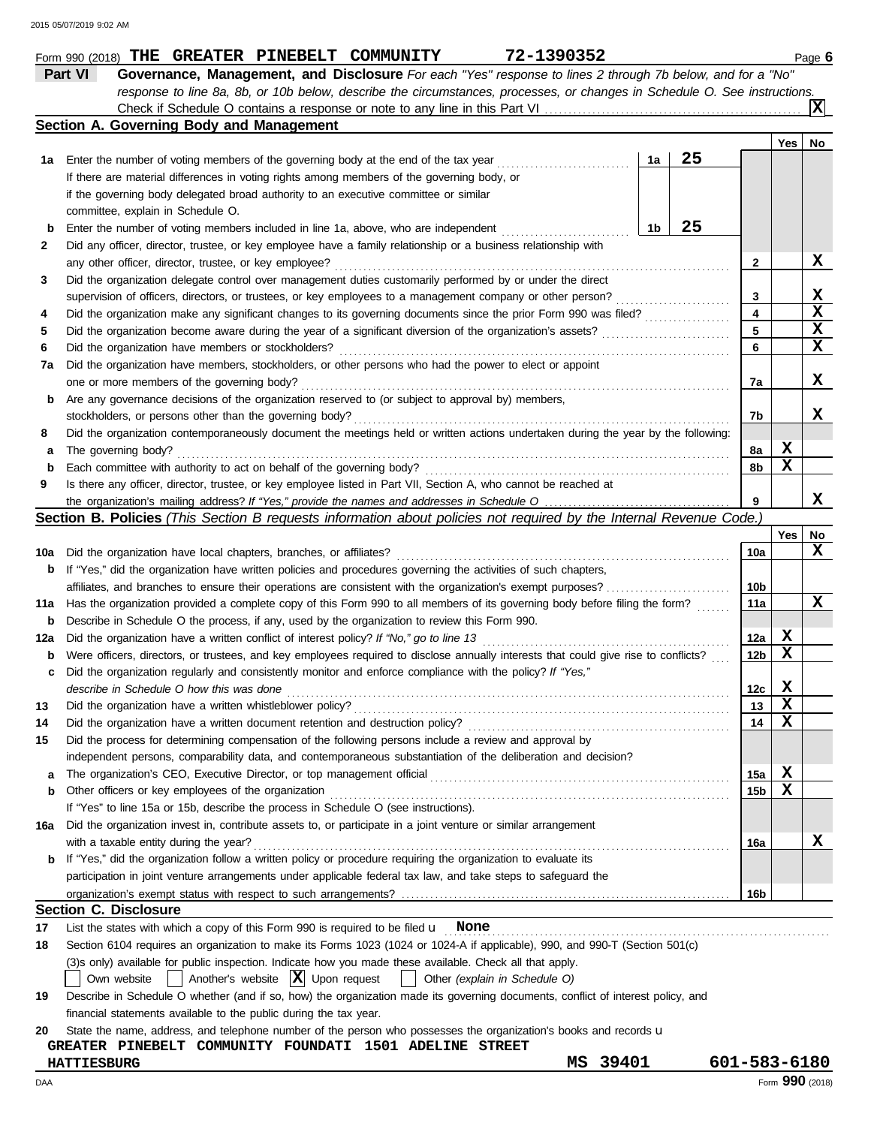|     | 72-1390352<br>Form 990 (2018) THE GREATER PINEBELT COMMUNITY                                                                        |              |             | Page 6          |
|-----|-------------------------------------------------------------------------------------------------------------------------------------|--------------|-------------|-----------------|
|     | Part VI<br>Governance, Management, and Disclosure For each "Yes" response to lines 2 through 7b below, and for a "No"               |              |             |                 |
|     | response to line 8a, 8b, or 10b below, describe the circumstances, processes, or changes in Schedule O. See instructions.           |              |             |                 |
|     |                                                                                                                                     |              |             | ΙXΙ             |
|     | Section A. Governing Body and Management                                                                                            |              |             |                 |
|     |                                                                                                                                     |              | Yes         | No              |
| 1а  | 25<br>1a<br>Enter the number of voting members of the governing body at the end of the tax year                                     |              |             |                 |
|     | If there are material differences in voting rights among members of the governing body, or                                          |              |             |                 |
|     | if the governing body delegated broad authority to an executive committee or similar                                                |              |             |                 |
|     | committee, explain in Schedule O.                                                                                                   |              |             |                 |
| b   | 25<br>1 <sub>b</sub><br>Enter the number of voting members included in line 1a, above, who are independent                          |              |             |                 |
| 2   | Did any officer, director, trustee, or key employee have a family relationship or a business relationship with                      |              |             |                 |
|     | any other officer, director, trustee, or key employee?                                                                              | 2            |             | X               |
| 3   | Did the organization delegate control over management duties customarily performed by or under the direct                           |              |             |                 |
|     | supervision of officers, directors, or trustees, or key employees to a management company or other person?                          | 3            |             | X               |
| 4   | Did the organization make any significant changes to its governing documents since the prior Form 990 was filed?                    | 4            |             | X               |
| 5   | Did the organization become aware during the year of a significant diversion of the organization's assets?                          | 5            |             | X               |
| 6   | Did the organization have members or stockholders?                                                                                  | 6            |             | X               |
| 7a  | Did the organization have members, stockholders, or other persons who had the power to elect or appoint                             |              |             |                 |
|     | one or more members of the governing body?                                                                                          | 7a           |             | x               |
|     | Are any governance decisions of the organization reserved to (or subject to approval by) members,                                   |              |             |                 |
| b   |                                                                                                                                     |              |             | x               |
|     | stockholders, or persons other than the governing body?                                                                             | 7b           |             |                 |
| 8   | Did the organization contemporaneously document the meetings held or written actions undertaken during the year by the following:   |              |             |                 |
| а   | The governing body?                                                                                                                 | 8а           | X           |                 |
| b   | Each committee with authority to act on behalf of the governing body?                                                               | 8b           | X           |                 |
| 9   | Is there any officer, director, trustee, or key employee listed in Part VII, Section A, who cannot be reached at                    |              |             |                 |
|     |                                                                                                                                     | 9            |             | x               |
|     | <b>Section B. Policies</b> (This Section B requests information about policies not required by the Internal Revenue Code.)          |              |             |                 |
|     |                                                                                                                                     |              | Yes         | No              |
| 10a | Did the organization have local chapters, branches, or affiliates?                                                                  | 10a          |             | X               |
| b   | If "Yes," did the organization have written policies and procedures governing the activities of such chapters,                      |              |             |                 |
|     |                                                                                                                                     | 10b          |             |                 |
| 11a | Has the organization provided a complete copy of this Form 990 to all members of its governing body before filing the form?         | 11a          |             | X               |
| b   | Describe in Schedule O the process, if any, used by the organization to review this Form 990.                                       |              |             |                 |
| 12a | Did the organization have a written conflict of interest policy? If "No," go to line 13                                             | 12a          | X           |                 |
| b   | Were officers, directors, or trustees, and key employees required to disclose annually interests that could give rise to conflicts? | 12b          | X           |                 |
| c   | Did the organization regularly and consistently monitor and enforce compliance with the policy? If "Yes,"                           |              |             |                 |
|     | describe in Schedule O how this was done                                                                                            | 12c          | $\mathbf x$ |                 |
| 13  | Did the organization have a written whistleblower policy?                                                                           | 13           | $\mathbf x$ |                 |
| 14  | Did the organization have a written document retention and destruction policy?                                                      | 14           | X           |                 |
| 15  | Did the process for determining compensation of the following persons include a review and approval by                              |              |             |                 |
|     | independent persons, comparability data, and contemporaneous substantiation of the deliberation and decision?                       |              |             |                 |
| а   | The organization's CEO, Executive Director, or top management official                                                              | 15a          | X           |                 |
| b   | Other officers or key employees of the organization                                                                                 | 15b          | X           |                 |
|     | If "Yes" to line 15a or 15b, describe the process in Schedule O (see instructions).                                                 |              |             |                 |
| 16a | Did the organization invest in, contribute assets to, or participate in a joint venture or similar arrangement                      |              |             |                 |
|     | with a taxable entity during the year?                                                                                              | 16a          |             | x               |
| b   | If "Yes," did the organization follow a written policy or procedure requiring the organization to evaluate its                      |              |             |                 |
|     | participation in joint venture arrangements under applicable federal tax law, and take steps to safeguard the                       |              |             |                 |
|     |                                                                                                                                     | 16b          |             |                 |
|     | <b>Section C. Disclosure</b>                                                                                                        |              |             |                 |
| 17  | List the states with which a copy of this Form 990 is required to be filed $\mathbf u$ None                                         |              |             |                 |
| 18  | Section 6104 requires an organization to make its Forms 1023 (1024 or 1024-A if applicable), 990, and 990-T (Section 501(c)         |              |             |                 |
|     | (3)s only) available for public inspection. Indicate how you made these available. Check all that apply.                            |              |             |                 |
|     | Another's website $ \mathbf{X} $ Upon request<br>Own website<br>Other (explain in Schedule O)                                       |              |             |                 |
| 19  | Describe in Schedule O whether (and if so, how) the organization made its governing documents, conflict of interest policy, and     |              |             |                 |
|     | financial statements available to the public during the tax year.                                                                   |              |             |                 |
| 20  | State the name, address, and telephone number of the person who possesses the organization's books and records <b>u</b>             |              |             |                 |
|     | GREATER PINEBELT COMMUNITY FOUNDATI 1501 ADELINE STREET                                                                             |              |             |                 |
|     | 39401<br>MS<br><b>HATTIESBURG</b>                                                                                                   | 601-583-6180 |             |                 |
| DAA |                                                                                                                                     |              |             | Form 990 (2018) |
|     |                                                                                                                                     |              |             |                 |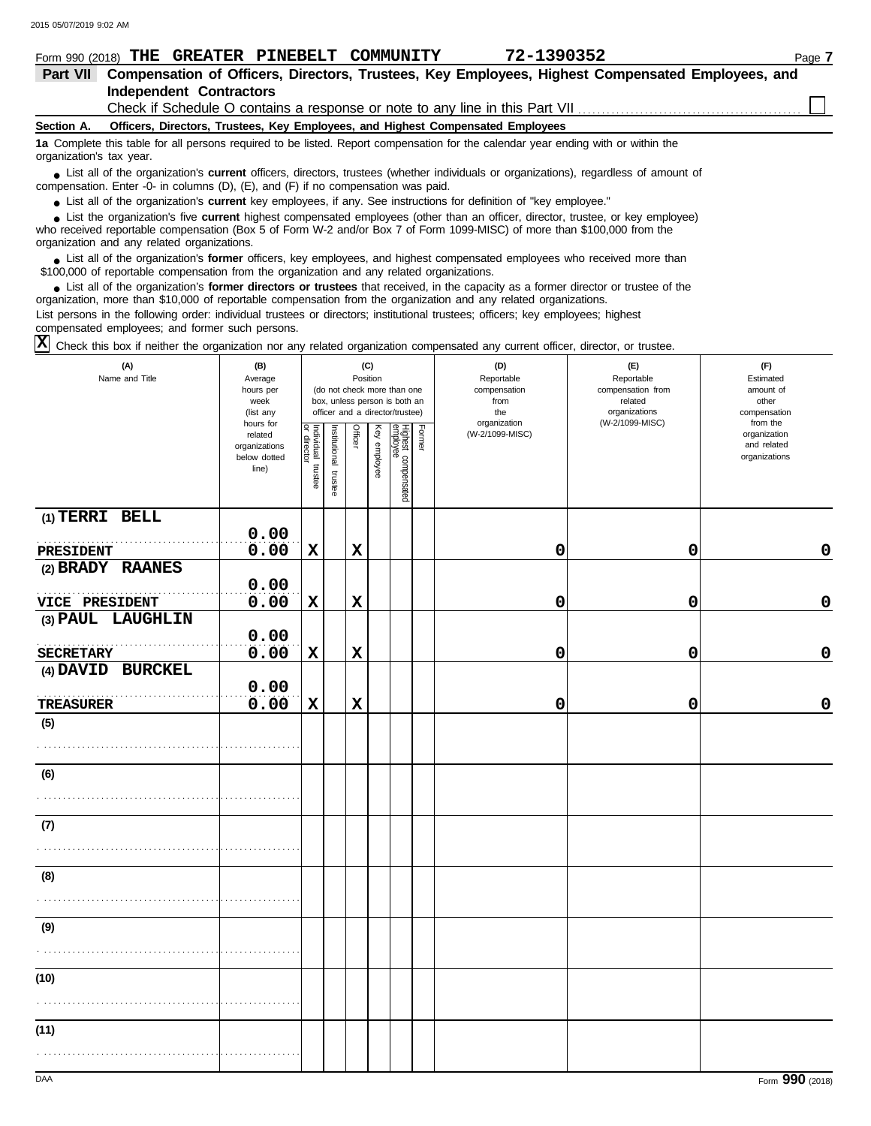|                                                                                               | 72-1390352<br>Form 990 (2018) THE GREATER PINEBELT COMMUNITY                                                                                                                                                                        | Page 7 |  |  |  |  |  |  |  |
|-----------------------------------------------------------------------------------------------|-------------------------------------------------------------------------------------------------------------------------------------------------------------------------------------------------------------------------------------|--------|--|--|--|--|--|--|--|
| Part VII                                                                                      | Compensation of Officers, Directors, Trustees, Key Employees, Highest Compensated Employees, and                                                                                                                                    |        |  |  |  |  |  |  |  |
|                                                                                               | <b>Independent Contractors</b>                                                                                                                                                                                                      |        |  |  |  |  |  |  |  |
|                                                                                               | Check if Schedule O contains a response or note to any line in this Part VII                                                                                                                                                        |        |  |  |  |  |  |  |  |
| Officers, Directors, Trustees, Key Employees, and Highest Compensated Employees<br>Section A. |                                                                                                                                                                                                                                     |        |  |  |  |  |  |  |  |
|                                                                                               | 1a Complete this table for all persons required to be listed. Report compensation for the calendar year ending with or within the<br>organization's tax year.                                                                       |        |  |  |  |  |  |  |  |
|                                                                                               | • List all of the organization's current officers, directors, trustees (whether individuals or organizations), regardless of amount of<br>compensation. Enter -0- in columns $(D)$ , $(E)$ , and $(F)$ if no compensation was paid. |        |  |  |  |  |  |  |  |

● List all of the organization's **current** key employees, if any. See instructions for definition of "key employee."

who received reportable compensation (Box 5 of Form W-2 and/or Box 7 of Form 1099-MISC) of more than \$100,000 from the organization and any related organizations. ■ List the organization's five **current** highest compensated employees (other than an officer, director, trustee, or key employee)<br> **•** Preceived reportable compensation (Box 5 of Form *M, 2 and/or Box 7 of Form 1000 MISC* 

■ List all of the organization's **former** officers, key employees, and highest compensated employees who received more than<br> **•** 00.000 of reportable compensation from the ergonization and any related ergonizations \$100,000 of reportable compensation from the organization and any related organizations.

■ List all of the organization's **former directors or trustees** that received, in the capacity as a former director or trustee of the<br>paization, more than \$10,000 of reportable compensation from the organization and any r organization, more than \$10,000 of reportable compensation from the organization and any related organizations. List persons in the following order: individual trustees or directors; institutional trustees; officers; key employees; highest

compensated employees; and former such persons.

 $\overline{X}$  Check this box if neither the organization nor any related organization compensated any current officer, director, or trustee.

| (A)<br>Name and Title | (B)<br>Average<br>hours per<br>week<br>(list any               | (C)<br>Position<br>(do not check more than one<br>box, unless person is both an<br>officer and a director/trustee) |                       |             |              |                                 |        | (D)<br>Reportable<br>compensation<br>from<br>the | (E)<br>Reportable<br>compensation from<br>related<br>organizations | (F)<br>Estimated<br>amount of<br>other<br>compensation   |
|-----------------------|----------------------------------------------------------------|--------------------------------------------------------------------------------------------------------------------|-----------------------|-------------|--------------|---------------------------------|--------|--------------------------------------------------|--------------------------------------------------------------------|----------------------------------------------------------|
|                       | hours for<br>related<br>organizations<br>below dotted<br>line) | Individual trustee<br>or director                                                                                  | Institutional trustee | Officer     | Key employee | Highest compensated<br>employee | Former | organization<br>(W-2/1099-MISC)                  | (W-2/1099-MISC)                                                    | from the<br>organization<br>and related<br>organizations |
| (1) TERRI BELL        | 0.00                                                           |                                                                                                                    |                       |             |              |                                 |        |                                                  |                                                                    |                                                          |
| PRESIDENT             | 0.00                                                           | $\mathbf x$                                                                                                        |                       | $\mathbf x$ |              |                                 |        | 0                                                | 0                                                                  | $\mathbf 0$                                              |
| (2) BRADY RAANES      | 0.00                                                           |                                                                                                                    |                       |             |              |                                 |        |                                                  |                                                                    |                                                          |
| VICE PRESIDENT        | 0.00                                                           | $\mathbf x$                                                                                                        |                       | $\mathbf x$ |              |                                 |        | 0                                                | 0                                                                  | $\pmb{0}$                                                |
| (3) PAUL LAUGHLIN     | 0.00                                                           |                                                                                                                    |                       |             |              |                                 |        |                                                  |                                                                    |                                                          |
| <b>SECRETARY</b>      | 0.00                                                           | $\mathbf x$                                                                                                        |                       | $\mathbf x$ |              |                                 |        | 0                                                | 0                                                                  | $\pmb{0}$                                                |
| (4) DAVID BURCKEL     |                                                                |                                                                                                                    |                       |             |              |                                 |        |                                                  |                                                                    |                                                          |
|                       | 0.00                                                           |                                                                                                                    |                       |             |              |                                 |        |                                                  |                                                                    |                                                          |
| <b>TREASURER</b>      | 0.00                                                           | $\mathbf x$                                                                                                        |                       | $\mathbf x$ |              |                                 |        | 0                                                | 0                                                                  | $\mathbf 0$                                              |
| (5)                   |                                                                |                                                                                                                    |                       |             |              |                                 |        |                                                  |                                                                    |                                                          |
| (6)                   |                                                                |                                                                                                                    |                       |             |              |                                 |        |                                                  |                                                                    |                                                          |
| (7)                   |                                                                |                                                                                                                    |                       |             |              |                                 |        |                                                  |                                                                    |                                                          |
|                       |                                                                |                                                                                                                    |                       |             |              |                                 |        |                                                  |                                                                    |                                                          |
| (8)                   |                                                                |                                                                                                                    |                       |             |              |                                 |        |                                                  |                                                                    |                                                          |
|                       |                                                                |                                                                                                                    |                       |             |              |                                 |        |                                                  |                                                                    |                                                          |
| (9)                   |                                                                |                                                                                                                    |                       |             |              |                                 |        |                                                  |                                                                    |                                                          |
|                       |                                                                |                                                                                                                    |                       |             |              |                                 |        |                                                  |                                                                    |                                                          |
| (10)                  |                                                                |                                                                                                                    |                       |             |              |                                 |        |                                                  |                                                                    |                                                          |
|                       |                                                                |                                                                                                                    |                       |             |              |                                 |        |                                                  |                                                                    |                                                          |
| (11)                  |                                                                |                                                                                                                    |                       |             |              |                                 |        |                                                  |                                                                    |                                                          |
|                       |                                                                |                                                                                                                    |                       |             |              |                                 |        |                                                  |                                                                    |                                                          |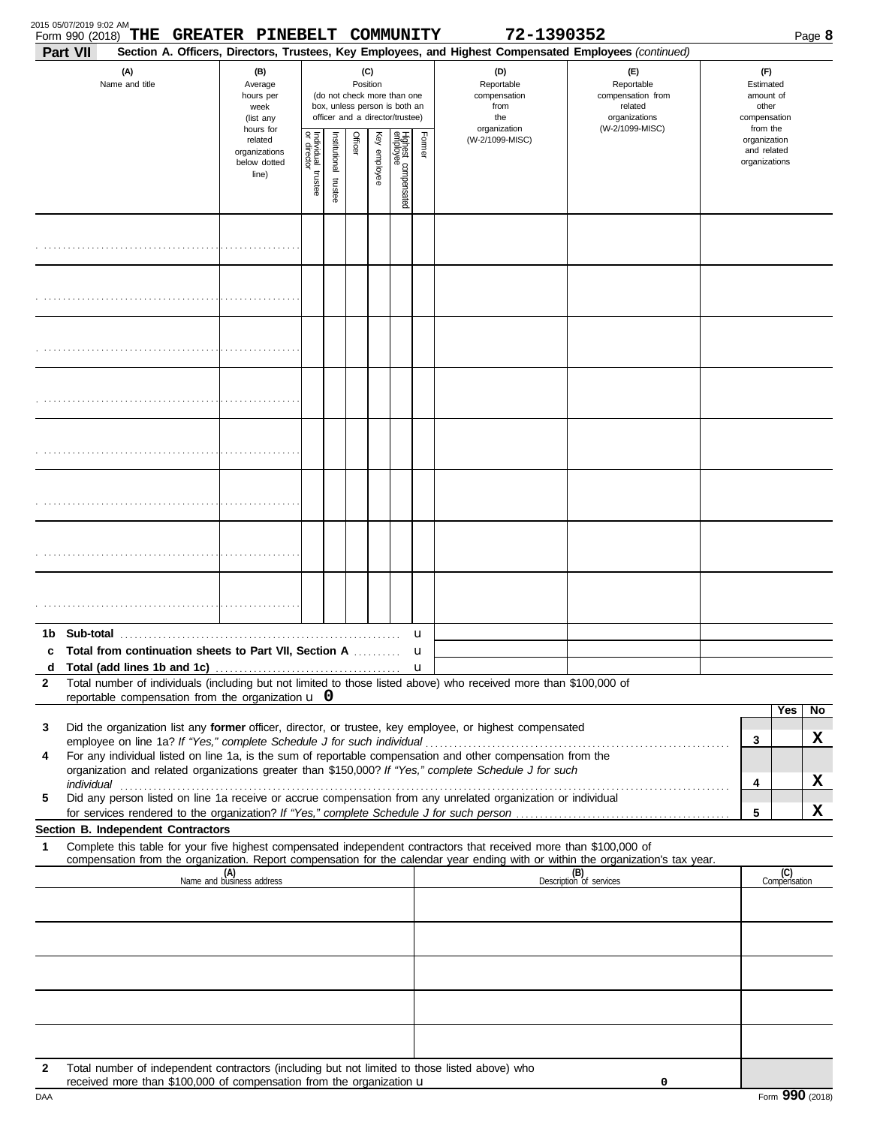| <b>Part VII</b> | (A)                                                                                           | (B)<br>Average<br>hours per<br>week<br>(list any<br>hours for<br>related<br>organizations<br>below dotted |                       |                                                                                                                                      |              |                                 |                                           |                                 | Section A. Officers, Directors, Trustees, Key Employees, and Highest Compensated Employees (continued)<br>(D)      | (E)                                                                                                                                                                                                                            |                                                             | (F) |                     |
|-----------------|-----------------------------------------------------------------------------------------------|-----------------------------------------------------------------------------------------------------------|-----------------------|--------------------------------------------------------------------------------------------------------------------------------------|--------------|---------------------------------|-------------------------------------------|---------------------------------|--------------------------------------------------------------------------------------------------------------------|--------------------------------------------------------------------------------------------------------------------------------------------------------------------------------------------------------------------------------|-------------------------------------------------------------|-----|---------------------|
|                 |                                                                                               |                                                                                                           |                       | (C)<br>Name and title<br>Position<br>(do not check more than one<br>box, unless person is both an<br>officer and a director/trustee) |              |                                 | Reportable<br>compensation<br>from<br>the |                                 | Reportable<br>compensation from<br>related<br>organizations                                                        |                                                                                                                                                                                                                                | Estimated<br>amount of<br>other<br>compensation<br>from the |     |                     |
|                 | Individual 1<br>trustee<br>line)                                                              |                                                                                                           | Institutional trustee | Officer                                                                                                                              | Key employee | Highest compensated<br>employee | Former                                    | organization<br>(W-2/1099-MISC) | (W-2/1099-MISC)                                                                                                    |                                                                                                                                                                                                                                | organization<br>and related<br>organizations                |     |                     |
|                 |                                                                                               |                                                                                                           |                       |                                                                                                                                      |              |                                 |                                           |                                 |                                                                                                                    |                                                                                                                                                                                                                                |                                                             |     |                     |
|                 |                                                                                               |                                                                                                           |                       |                                                                                                                                      |              |                                 |                                           |                                 |                                                                                                                    |                                                                                                                                                                                                                                |                                                             |     |                     |
|                 |                                                                                               |                                                                                                           |                       |                                                                                                                                      |              |                                 |                                           |                                 |                                                                                                                    |                                                                                                                                                                                                                                |                                                             |     |                     |
|                 |                                                                                               |                                                                                                           |                       |                                                                                                                                      |              |                                 |                                           |                                 |                                                                                                                    |                                                                                                                                                                                                                                |                                                             |     |                     |
|                 |                                                                                               |                                                                                                           |                       |                                                                                                                                      |              |                                 |                                           |                                 |                                                                                                                    |                                                                                                                                                                                                                                |                                                             |     |                     |
|                 |                                                                                               |                                                                                                           |                       |                                                                                                                                      |              |                                 |                                           |                                 |                                                                                                                    |                                                                                                                                                                                                                                |                                                             |     |                     |
|                 |                                                                                               |                                                                                                           |                       |                                                                                                                                      |              |                                 |                                           |                                 |                                                                                                                    |                                                                                                                                                                                                                                |                                                             |     |                     |
|                 |                                                                                               |                                                                                                           |                       |                                                                                                                                      |              |                                 |                                           |                                 |                                                                                                                    |                                                                                                                                                                                                                                |                                                             |     |                     |
|                 | Total from continuation sheets to Part VII, Section A                                         |                                                                                                           |                       |                                                                                                                                      |              |                                 |                                           | u                               |                                                                                                                    |                                                                                                                                                                                                                                |                                                             |     |                     |
| d               |                                                                                               |                                                                                                           |                       |                                                                                                                                      |              |                                 |                                           |                                 |                                                                                                                    |                                                                                                                                                                                                                                |                                                             |     |                     |
| 2               | reportable compensation from the organization $\bf{u}$ 0                                      |                                                                                                           |                       |                                                                                                                                      |              |                                 |                                           |                                 | Total number of individuals (including but not limited to those listed above) who received more than \$100,000 of  |                                                                                                                                                                                                                                |                                                             |     |                     |
| 3               |                                                                                               |                                                                                                           |                       |                                                                                                                                      |              |                                 |                                           |                                 | Did the organization list any former officer, director, or trustee, key employee, or highest compensated           |                                                                                                                                                                                                                                |                                                             |     | Yes<br>No           |
| 4               |                                                                                               |                                                                                                           |                       |                                                                                                                                      |              |                                 |                                           |                                 | For any individual listed on line 1a, is the sum of reportable compensation and other compensation from the        |                                                                                                                                                                                                                                |                                                             | 3   | X                   |
|                 |                                                                                               |                                                                                                           |                       |                                                                                                                                      |              |                                 |                                           |                                 | organization and related organizations greater than \$150,000? If "Yes," complete Schedule J for such              |                                                                                                                                                                                                                                |                                                             |     |                     |
| 5               |                                                                                               |                                                                                                           |                       |                                                                                                                                      |              |                                 |                                           |                                 | Did any person listed on line 1a receive or accrue compensation from any unrelated organization or individual      | individual with a construction of the construction of the construction of the construction of the construction of the construction of the construction of the construction of the construction of the construction of the cons |                                                             | 4   | X                   |
|                 | Section B. Independent Contractors                                                            |                                                                                                           |                       |                                                                                                                                      |              |                                 |                                           |                                 |                                                                                                                    |                                                                                                                                                                                                                                |                                                             | 5   | x                   |
| 1               |                                                                                               |                                                                                                           |                       |                                                                                                                                      |              |                                 |                                           |                                 | Complete this table for your five highest compensated independent contractors that received more than \$100,000 of |                                                                                                                                                                                                                                |                                                             |     |                     |
|                 |                                                                                               | (A)<br>Name and business address                                                                          |                       |                                                                                                                                      |              |                                 |                                           |                                 |                                                                                                                    | compensation from the organization. Report compensation for the calendar year ending with or within the organization's tax year.<br>(B)<br>Description of services                                                             |                                                             |     | (C)<br>Compensation |
|                 |                                                                                               |                                                                                                           |                       |                                                                                                                                      |              |                                 |                                           |                                 |                                                                                                                    |                                                                                                                                                                                                                                |                                                             |     |                     |
|                 |                                                                                               |                                                                                                           |                       |                                                                                                                                      |              |                                 |                                           |                                 |                                                                                                                    |                                                                                                                                                                                                                                |                                                             |     |                     |
|                 |                                                                                               |                                                                                                           |                       |                                                                                                                                      |              |                                 |                                           |                                 |                                                                                                                    |                                                                                                                                                                                                                                |                                                             |     |                     |
|                 |                                                                                               |                                                                                                           |                       |                                                                                                                                      |              |                                 |                                           |                                 |                                                                                                                    |                                                                                                                                                                                                                                |                                                             |     |                     |
| 2               | Total number of independent contractors (including but not limited to those listed above) who |                                                                                                           |                       |                                                                                                                                      |              |                                 |                                           |                                 |                                                                                                                    |                                                                                                                                                                                                                                |                                                             |     |                     |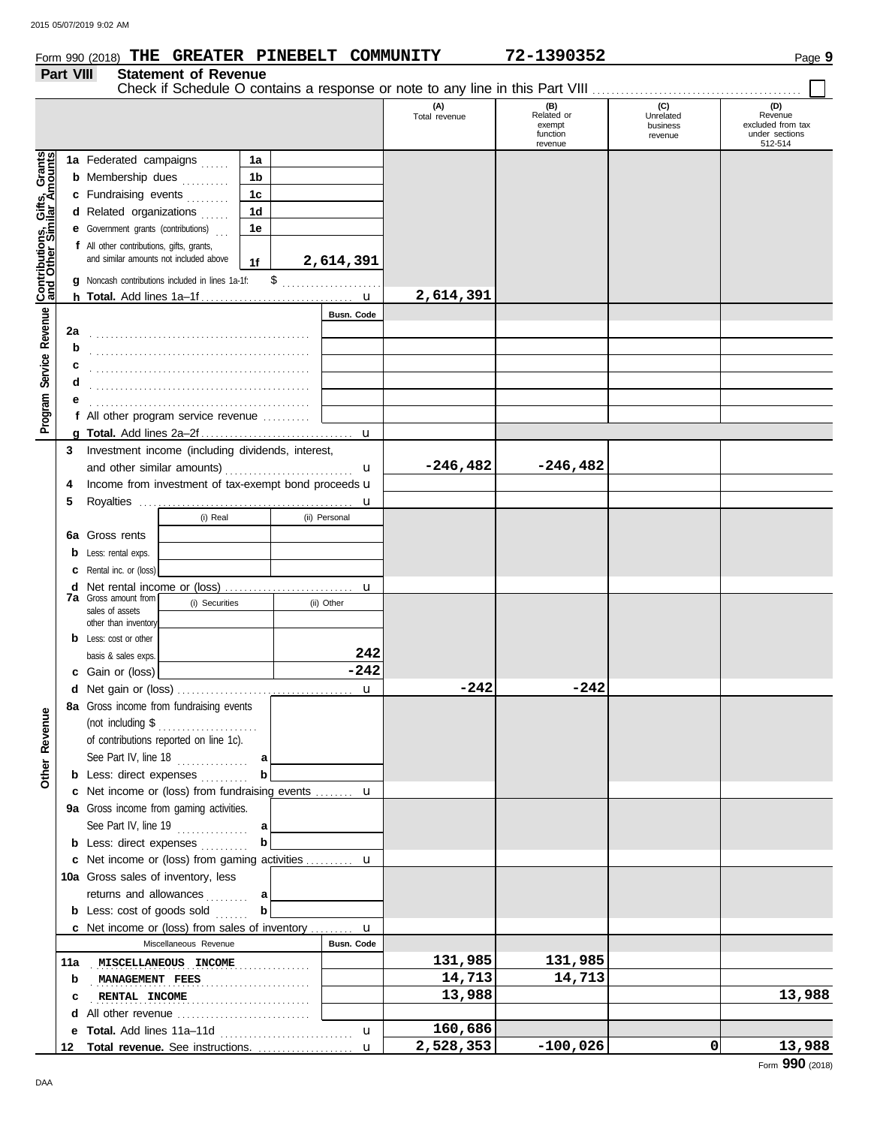| Part VIII                    |    | Form 990 (2018) THE GREATER PINEBELT COMMUNITY<br><b>Statement of Revenue</b>       |                |               |                      | 72-1390352                                         |                                         | Page 9                                                           |
|------------------------------|----|-------------------------------------------------------------------------------------|----------------|---------------|----------------------|----------------------------------------------------|-----------------------------------------|------------------------------------------------------------------|
|                              |    |                                                                                     |                |               |                      |                                                    |                                         |                                                                  |
|                              |    |                                                                                     |                |               | (A)<br>Total revenue | (B)<br>Related or<br>exempt<br>function<br>revenue | (C)<br>Unrelated<br>business<br>revenue | (D)<br>Revenue<br>excluded from tax<br>under sections<br>512-514 |
|                              |    | 1a Federated campaigns                                                              | 1a             |               |                      |                                                    |                                         |                                                                  |
|                              |    | <b>b</b> Membership dues                                                            | 1 <sub>b</sub> |               |                      |                                                    |                                         |                                                                  |
|                              |    | c Fundraising events                                                                | 1 <sub>c</sub> |               |                      |                                                    |                                         |                                                                  |
|                              |    | d Related organizations                                                             | 1 <sub>d</sub> |               |                      |                                                    |                                         |                                                                  |
|                              |    | e Government grants (contributions)                                                 | 1e             |               |                      |                                                    |                                         |                                                                  |
| Contributions, Gifts, Grants |    | f All other contributions, gifts, grants,<br>and similar amounts not included above | 1f             | 2,614,391     |                      |                                                    |                                         |                                                                  |
|                              |    | g Noncash contributions included in lines 1a-1f:                                    |                |               |                      |                                                    |                                         |                                                                  |
|                              |    |                                                                                     |                |               | 2,614,391            |                                                    |                                         |                                                                  |
|                              |    |                                                                                     |                | Busn. Code    |                      |                                                    |                                         |                                                                  |
| 2a                           |    |                                                                                     |                |               |                      |                                                    |                                         |                                                                  |
|                              | b  |                                                                                     |                |               |                      |                                                    |                                         |                                                                  |
|                              | c  |                                                                                     |                |               |                      |                                                    |                                         |                                                                  |
|                              | d  |                                                                                     |                |               |                      |                                                    |                                         |                                                                  |
|                              | е  |                                                                                     |                |               |                      |                                                    |                                         |                                                                  |
|                              |    | f All other program service revenue                                                 |                |               |                      |                                                    |                                         |                                                                  |
|                              |    |                                                                                     |                |               |                      |                                                    |                                         |                                                                  |
| 3                            |    | Investment income (including dividends, interest,                                   |                |               |                      |                                                    |                                         |                                                                  |
|                              |    |                                                                                     |                | $\mathbf{u}$  | $-246,482$           | $-246, 482$                                        |                                         |                                                                  |
| 4                            |    | Income from investment of tax-exempt bond proceeds u                                |                |               |                      |                                                    |                                         |                                                                  |
| 5                            |    |                                                                                     |                |               |                      |                                                    |                                         |                                                                  |
|                              |    | (i) Real                                                                            |                | (ii) Personal |                      |                                                    |                                         |                                                                  |
|                              |    | 6a Gross rents                                                                      |                |               |                      |                                                    |                                         |                                                                  |
|                              | b  | Less: rental exps.                                                                  |                |               |                      |                                                    |                                         |                                                                  |
|                              |    | Rental inc. or (loss)                                                               |                |               |                      |                                                    |                                         |                                                                  |
|                              | d  | <b>7a</b> Gross amount from                                                         |                | $\mathbf{u}$  |                      |                                                    |                                         |                                                                  |
|                              |    | (i) Securities<br>sales of assets                                                   |                | (ii) Other    |                      |                                                    |                                         |                                                                  |
|                              |    | other than inventory                                                                |                |               |                      |                                                    |                                         |                                                                  |
|                              | b. | Less: cost or other                                                                 |                |               |                      |                                                    |                                         |                                                                  |
|                              |    | basis & sales exps.                                                                 |                | 242           |                      |                                                    |                                         |                                                                  |
|                              |    | c Gain or (loss)                                                                    |                | $-242$        |                      |                                                    |                                         |                                                                  |
|                              | d  |                                                                                     |                | $\mathbf{u}$  | $-242$               | $-242$                                             |                                         |                                                                  |
|                              |    | 8a Gross income from fundraising events                                             |                |               |                      |                                                    |                                         |                                                                  |
|                              |    | (not including $\$\dots$                                                            |                |               |                      |                                                    |                                         |                                                                  |
|                              |    | of contributions reported on line 1c).                                              |                |               |                      |                                                    |                                         |                                                                  |
|                              |    | See Part IV, line 18<br>.                                                           | a              |               |                      |                                                    |                                         |                                                                  |

**b**

Less: direct expenses ...........

**b**

|   | c Net income or (loss) from fundraising events  u                                   |              |           |            |                 |
|---|-------------------------------------------------------------------------------------|--------------|-----------|------------|-----------------|
|   | 9a Gross income from gaming activities.                                             |              |           |            |                 |
|   | See Part IV, line 19 $\ldots$ a                                                     |              |           |            |                 |
|   | <b>b</b> Less: direct expenses                                                      |              |           |            |                 |
|   | <b>c</b> Net income or (loss) from gaming activities $\dots \dots$                  |              |           |            |                 |
|   | <b>10a</b> Gross sales of inventory, less                                           |              |           |            |                 |
|   | returns and allowances  a                                                           |              |           |            |                 |
|   | <b>b</b> Less: cost of goods sold<br>b                                              |              |           |            |                 |
|   | c Net income or (loss) from sales of inventory  u                                   |              |           |            |                 |
|   | Miscellaneous Revenue                                                               | Busn. Code   |           |            |                 |
|   | 11a MISCELLANEOUS INCOME                                                            |              | 131,985   | 131,985    |                 |
| b | MANAGEMENT FEES                                                                     |              | 14,713    | 14,713     |                 |
|   | RENTAL INCOME                                                                       |              | 13,988    |            | 13,988          |
|   | <b>d</b> All other revenue $\ldots, \ldots, \ldots, \ldots, \ldots, \ldots, \ldots$ |              |           |            |                 |
|   |                                                                                     | $\mathbf{u}$ | 160,686   |            |                 |
|   |                                                                                     | $\mathbf u$  | 2,528,353 | $-100,026$ | 13,988          |
|   |                                                                                     |              |           |            | Form 990 (2018) |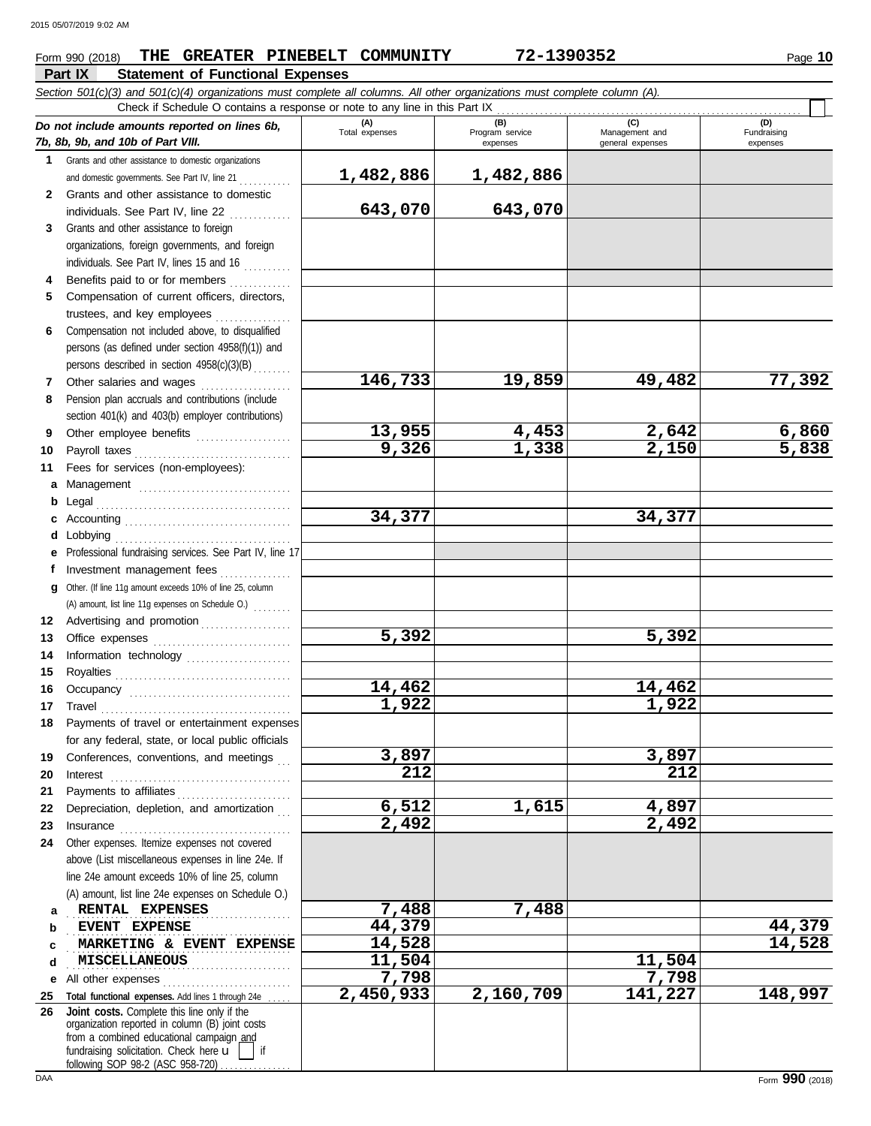### **Form 990 (2018) THE GREATER PINEBELT COMMUNITY 72-1390352** Page 10

 $\overline{\phantom{1}}$ 

### **Part IX Statement of Functional Expenses**

*Section 501(c)(3) and 501(c)(4) organizations must complete all columns. All other organizations must complete column (A).* Check if Schedule O contains a response or note to any line in this Part IX

|          | Crieck in Scriedule O contains a response or note to any line in this Fart IX.                                                                                                                                                                                                                                                                                                                                                                                                                                              |                       |                                    |                                           |                                |
|----------|-----------------------------------------------------------------------------------------------------------------------------------------------------------------------------------------------------------------------------------------------------------------------------------------------------------------------------------------------------------------------------------------------------------------------------------------------------------------------------------------------------------------------------|-----------------------|------------------------------------|-------------------------------------------|--------------------------------|
|          | Do not include amounts reported on lines 6b,<br>7b, 8b, 9b, and 10b of Part VIII.                                                                                                                                                                                                                                                                                                                                                                                                                                           | (A)<br>Total expenses | (B)<br>Program service<br>expenses | (C)<br>Management and<br>general expenses | (D)<br>Fundraising<br>expenses |
|          | 1 Grants and other assistance to domestic organizations                                                                                                                                                                                                                                                                                                                                                                                                                                                                     |                       |                                    |                                           |                                |
|          | and domestic governments. See Part IV, line 21                                                                                                                                                                                                                                                                                                                                                                                                                                                                              | 1,482,886             | 1,482,886                          |                                           |                                |
|          | 2 Grants and other assistance to domestic                                                                                                                                                                                                                                                                                                                                                                                                                                                                                   |                       |                                    |                                           |                                |
|          | individuals. See Part IV, line 22                                                                                                                                                                                                                                                                                                                                                                                                                                                                                           | 643,070               | 643,070                            |                                           |                                |
|          |                                                                                                                                                                                                                                                                                                                                                                                                                                                                                                                             |                       |                                    |                                           |                                |
| 3        | Grants and other assistance to foreign                                                                                                                                                                                                                                                                                                                                                                                                                                                                                      |                       |                                    |                                           |                                |
|          | organizations, foreign governments, and foreign                                                                                                                                                                                                                                                                                                                                                                                                                                                                             |                       |                                    |                                           |                                |
|          | individuals. See Part IV, lines 15 and 16                                                                                                                                                                                                                                                                                                                                                                                                                                                                                   |                       |                                    |                                           |                                |
|          | Benefits paid to or for members                                                                                                                                                                                                                                                                                                                                                                                                                                                                                             |                       |                                    |                                           |                                |
| 5.       | Compensation of current officers, directors,                                                                                                                                                                                                                                                                                                                                                                                                                                                                                |                       |                                    |                                           |                                |
|          | trustees, and key employees<br>.                                                                                                                                                                                                                                                                                                                                                                                                                                                                                            |                       |                                    |                                           |                                |
| 6        | Compensation not included above, to disqualified                                                                                                                                                                                                                                                                                                                                                                                                                                                                            |                       |                                    |                                           |                                |
|          | persons (as defined under section 4958(f)(1)) and                                                                                                                                                                                                                                                                                                                                                                                                                                                                           |                       |                                    |                                           |                                |
|          | persons described in section 4958(c)(3)(B)                                                                                                                                                                                                                                                                                                                                                                                                                                                                                  |                       |                                    |                                           |                                |
| 7        | Other salaries and wages<br>.                                                                                                                                                                                                                                                                                                                                                                                                                                                                                               | 146,733               | 19,859                             | 49,482                                    | 77,392                         |
| 8        | Pension plan accruals and contributions (include                                                                                                                                                                                                                                                                                                                                                                                                                                                                            |                       |                                    |                                           |                                |
|          | section 401(k) and 403(b) employer contributions)                                                                                                                                                                                                                                                                                                                                                                                                                                                                           |                       |                                    |                                           |                                |
| 9        | Other employee benefits                                                                                                                                                                                                                                                                                                                                                                                                                                                                                                     | 13,955                |                                    | 2,642                                     | 6,860                          |
| 10       |                                                                                                                                                                                                                                                                                                                                                                                                                                                                                                                             | 9,326                 | $\frac{4,453}{1,338}$              | $\overline{2}$ , 150                      | 5,838                          |
| 11       | Fees for services (non-employees):                                                                                                                                                                                                                                                                                                                                                                                                                                                                                          |                       |                                    |                                           |                                |
|          |                                                                                                                                                                                                                                                                                                                                                                                                                                                                                                                             |                       |                                    |                                           |                                |
| a        | Management                                                                                                                                                                                                                                                                                                                                                                                                                                                                                                                  |                       |                                    |                                           |                                |
| b        |                                                                                                                                                                                                                                                                                                                                                                                                                                                                                                                             | 34,377                |                                    | 34,377                                    |                                |
|          |                                                                                                                                                                                                                                                                                                                                                                                                                                                                                                                             |                       |                                    |                                           |                                |
| d        | Lobbying                                                                                                                                                                                                                                                                                                                                                                                                                                                                                                                    |                       |                                    |                                           |                                |
|          | Professional fundraising services. See Part IV, line 17                                                                                                                                                                                                                                                                                                                                                                                                                                                                     |                       |                                    |                                           |                                |
| f        | Investment management fees                                                                                                                                                                                                                                                                                                                                                                                                                                                                                                  |                       |                                    |                                           |                                |
| a        | Other. (If line 11g amount exceeds 10% of line 25, column                                                                                                                                                                                                                                                                                                                                                                                                                                                                   |                       |                                    |                                           |                                |
|          | (A) amount, list line 11g expenses on Schedule O.)                                                                                                                                                                                                                                                                                                                                                                                                                                                                          |                       |                                    |                                           |                                |
| 12       |                                                                                                                                                                                                                                                                                                                                                                                                                                                                                                                             |                       |                                    |                                           |                                |
| 13       |                                                                                                                                                                                                                                                                                                                                                                                                                                                                                                                             | 5,392                 |                                    | 5,392                                     |                                |
| 14       | Information technology                                                                                                                                                                                                                                                                                                                                                                                                                                                                                                      |                       |                                    |                                           |                                |
| 15       |                                                                                                                                                                                                                                                                                                                                                                                                                                                                                                                             |                       |                                    |                                           |                                |
| 16       |                                                                                                                                                                                                                                                                                                                                                                                                                                                                                                                             | 14,462                |                                    | 14,462                                    |                                |
| 17       | $\begin{minipage}[c]{0.9\linewidth} \begin{tabular}{l} \textbf{Travel} \end{tabular} \end{minipage} \end{minipage} \begin{minipage}[c]{0.9\linewidth} \begin{tabular}{l} \textbf{True} \end{tabular} \end{minipage} \end{minipage} \begin{minipage}[c]{0.9\linewidth} \begin{tabular}{l} \textbf{True} \end{tabular} \end{minipage} \end{minipage} \begin{minipage}[c]{0.9\linewidth} \begin{tabular}{l} \textbf{True} \end{tabular} \end{minipage} \end{minipage} \begin{minipage}[c]{0.9\linewidth} \begin{tabular}{l} \$ | 1,922                 |                                    | 1,922                                     |                                |
| 18       | Payments of travel or entertainment expenses                                                                                                                                                                                                                                                                                                                                                                                                                                                                                |                       |                                    |                                           |                                |
|          | for any federal, state, or local public officials                                                                                                                                                                                                                                                                                                                                                                                                                                                                           |                       |                                    |                                           |                                |
| 19       | Conferences, conventions, and meetings                                                                                                                                                                                                                                                                                                                                                                                                                                                                                      | 3,897                 |                                    | 3,897                                     |                                |
| 20       | Interest                                                                                                                                                                                                                                                                                                                                                                                                                                                                                                                    | $\overline{212}$      |                                    | $\overline{212}$                          |                                |
| 21       | Payments to affiliates                                                                                                                                                                                                                                                                                                                                                                                                                                                                                                      |                       |                                    |                                           |                                |
| 22       | Depreciation, depletion, and amortization                                                                                                                                                                                                                                                                                                                                                                                                                                                                                   | 6,512                 | 1,615                              | 4,897                                     |                                |
| 23       |                                                                                                                                                                                                                                                                                                                                                                                                                                                                                                                             | 2,492                 |                                    | 2,492                                     |                                |
| 24       | Other expenses. Itemize expenses not covered                                                                                                                                                                                                                                                                                                                                                                                                                                                                                |                       |                                    |                                           |                                |
|          | above (List miscellaneous expenses in line 24e. If                                                                                                                                                                                                                                                                                                                                                                                                                                                                          |                       |                                    |                                           |                                |
|          | line 24e amount exceeds 10% of line 25, column                                                                                                                                                                                                                                                                                                                                                                                                                                                                              |                       |                                    |                                           |                                |
|          | (A) amount, list line 24e expenses on Schedule O.)                                                                                                                                                                                                                                                                                                                                                                                                                                                                          |                       |                                    |                                           |                                |
| а        | RENTAL EXPENSES                                                                                                                                                                                                                                                                                                                                                                                                                                                                                                             | 7,488                 | 7,488                              |                                           |                                |
| b        | <b>EVENT EXPENSE</b>                                                                                                                                                                                                                                                                                                                                                                                                                                                                                                        | 44,379                |                                    |                                           | 44,379                         |
| c        | MARKETING & EVENT EXPENSE                                                                                                                                                                                                                                                                                                                                                                                                                                                                                                   | 14,528                |                                    |                                           | 14,528                         |
| d        | <b>MISCELLANEOUS</b>                                                                                                                                                                                                                                                                                                                                                                                                                                                                                                        | 11,504                |                                    | 11,504                                    |                                |
|          |                                                                                                                                                                                                                                                                                                                                                                                                                                                                                                                             | 7,798                 |                                    | 7,798                                     |                                |
| е        | All other expenses                                                                                                                                                                                                                                                                                                                                                                                                                                                                                                          | 2,450,933             | 2,160,709                          | 141,227                                   | 148,997                        |
| 25<br>26 | Total functional expenses. Add lines 1 through 24e<br>Joint costs. Complete this line only if the                                                                                                                                                                                                                                                                                                                                                                                                                           |                       |                                    |                                           |                                |
|          | organization reported in column (B) joint costs                                                                                                                                                                                                                                                                                                                                                                                                                                                                             |                       |                                    |                                           |                                |
|          | from a combined educational campaign and                                                                                                                                                                                                                                                                                                                                                                                                                                                                                    |                       |                                    |                                           |                                |
|          | fundraising solicitation. Check here u<br>if                                                                                                                                                                                                                                                                                                                                                                                                                                                                                |                       |                                    |                                           |                                |
|          | following SOP 98-2 (ASC 958-720)                                                                                                                                                                                                                                                                                                                                                                                                                                                                                            |                       |                                    |                                           |                                |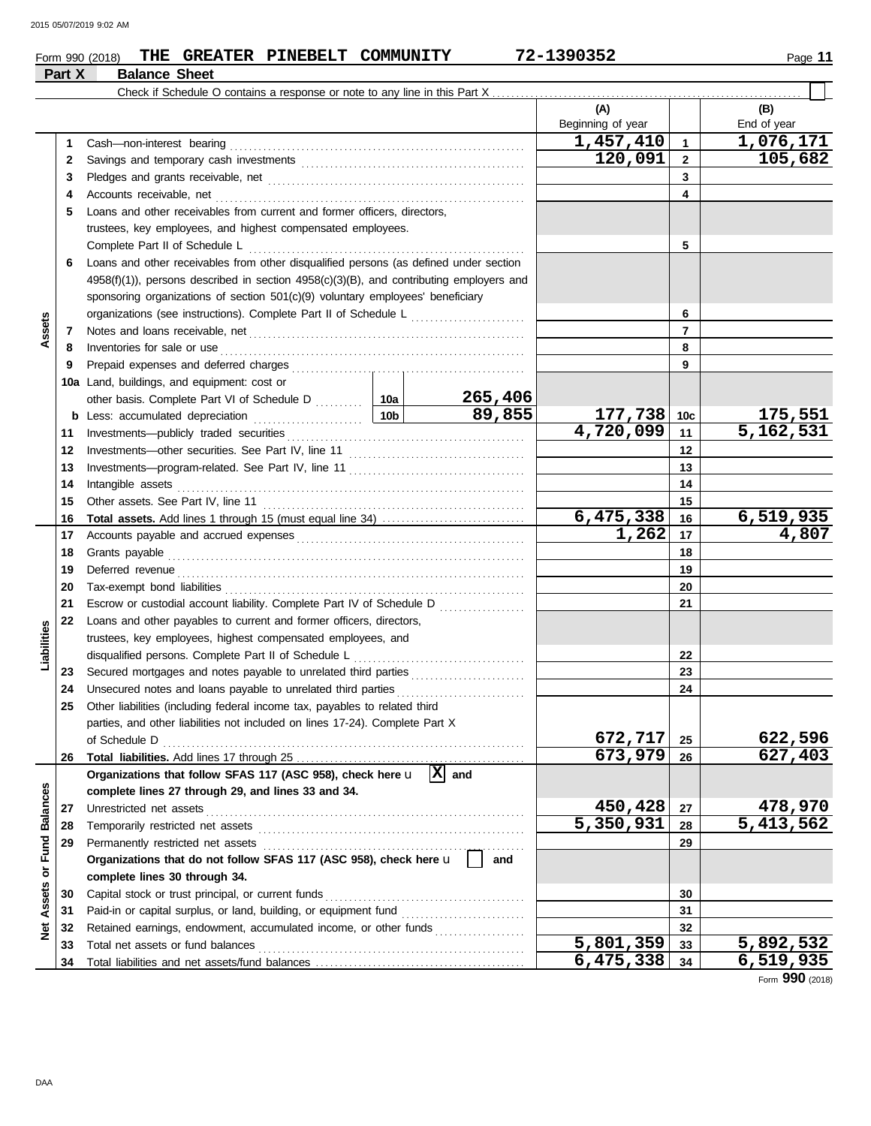#### **Form 990 (2018) THE GREATER PINEBELT COMMUNITY 72-1390352** Page 11 **Part X Balance Sheet**

| (A)<br>(B)<br>Beginning of year<br>End of year<br>1,457,410<br>1,076,171<br>Cash-non-interest bearing<br>$\overline{1}$<br>1<br>120,091<br>105,682<br>$\overline{2}$<br>2<br>3<br>3<br>4<br>4<br>Loans and other receivables from current and former officers, directors,<br>5<br>trustees, key employees, and highest compensated employees.<br>Complete Part II of Schedule L<br>5<br>Loans and other receivables from other disqualified persons (as defined under section<br>6<br>$4958(f)(1)$ ), persons described in section $4958(c)(3)(B)$ , and contributing employers and<br>sponsoring organizations of section 501(c)(9) voluntary employees' beneficiary<br>organizations (see instructions). Complete Part II of Schedule L<br>6<br>Assets<br>7<br>7<br>Inventories for sale or use <i>communication</i> and the contract of the contract of the contract of the contract of the contract of the contract of the contract of the contract of the contract of the contract of the contract o<br>8<br>8<br>9<br>9<br>Land, buildings, and equipment: cost or<br>10a<br>265,406<br>other basis. Complete Part VI of Schedule D  10a<br>89,855<br>177,738 10c<br>175,551<br>b<br>4,720,099<br>5,162,531<br>11<br>11<br>12<br>12<br>13<br>13<br>Intangible assets<br>14<br>14<br>15<br>15<br>6,475,338<br>6,519,935<br>Total assets. Add lines 1 through 15 (must equal line 34)<br>16<br>16<br>1,262<br>4,807<br>17<br>17<br>Grants payable<br>18<br>18<br>19<br>19<br>20<br>20<br>Escrow or custodial account liability. Complete Part IV of Schedule D<br>21<br>21<br>Loans and other payables to current and former officers, directors,<br>22<br>Liabilities<br>trustees, key employees, highest compensated employees, and<br>22<br>23<br>23<br>Unsecured notes and loans payable to unrelated third parties<br>24<br>24<br>Other liabilities (including federal income tax, payables to related third<br>25<br>parties, and other liabilities not included on lines 17-24). Complete Part X<br>672,717<br>622,596<br>of Schedule D<br>25<br>673,979<br>627,403<br>26<br>26<br>Organizations that follow SFAS 117 (ASC 958), check here $\mathbf{u}$   $\overline{\mathbf{X}}$ and<br><b>Balances</b><br>complete lines 27 through 29, and lines 33 and 34.<br>450,428<br>478,970<br>Unrestricted net assets<br>27<br>27<br>5,350,931<br>5,413,562<br>28<br>28<br>or Fund<br>Permanently restricted net assets<br>29<br>29<br>Organizations that do not follow SFAS 117 (ASC 958), check here u<br>and<br>complete lines 30 through 34.<br>Assets<br>Capital stock or trust principal, or current funds<br>30<br>30<br>31<br>31<br>ğ<br>Retained earnings, endowment, accumulated income, or other funds<br>32<br>32<br>5,801,359<br>5,892,532<br>Total net assets or fund balances<br>33<br>33<br>6,475,338<br>6,519,935<br>34<br>34 |  |  |  |  |  |  |
|------------------------------------------------------------------------------------------------------------------------------------------------------------------------------------------------------------------------------------------------------------------------------------------------------------------------------------------------------------------------------------------------------------------------------------------------------------------------------------------------------------------------------------------------------------------------------------------------------------------------------------------------------------------------------------------------------------------------------------------------------------------------------------------------------------------------------------------------------------------------------------------------------------------------------------------------------------------------------------------------------------------------------------------------------------------------------------------------------------------------------------------------------------------------------------------------------------------------------------------------------------------------------------------------------------------------------------------------------------------------------------------------------------------------------------------------------------------------------------------------------------------------------------------------------------------------------------------------------------------------------------------------------------------------------------------------------------------------------------------------------------------------------------------------------------------------------------------------------------------------------------------------------------------------------------------------------------------------------------------------------------------------------------------------------------------------------------------------------------------------------------------------------------------------------------------------------------------------------------------------------------------------------------------------------------------------------------------------------------------------------------------------------------------------------------------------------------------------------------------------------------------------------------------------------------------------------------------------------------------------------------------------------------------------------------------------------------------------------------------------------------------------------------------------------------------------------------------------------|--|--|--|--|--|--|
|                                                                                                                                                                                                                                                                                                                                                                                                                                                                                                                                                                                                                                                                                                                                                                                                                                                                                                                                                                                                                                                                                                                                                                                                                                                                                                                                                                                                                                                                                                                                                                                                                                                                                                                                                                                                                                                                                                                                                                                                                                                                                                                                                                                                                                                                                                                                                                                                                                                                                                                                                                                                                                                                                                                                                                                                                                                      |  |  |  |  |  |  |
|                                                                                                                                                                                                                                                                                                                                                                                                                                                                                                                                                                                                                                                                                                                                                                                                                                                                                                                                                                                                                                                                                                                                                                                                                                                                                                                                                                                                                                                                                                                                                                                                                                                                                                                                                                                                                                                                                                                                                                                                                                                                                                                                                                                                                                                                                                                                                                                                                                                                                                                                                                                                                                                                                                                                                                                                                                                      |  |  |  |  |  |  |
|                                                                                                                                                                                                                                                                                                                                                                                                                                                                                                                                                                                                                                                                                                                                                                                                                                                                                                                                                                                                                                                                                                                                                                                                                                                                                                                                                                                                                                                                                                                                                                                                                                                                                                                                                                                                                                                                                                                                                                                                                                                                                                                                                                                                                                                                                                                                                                                                                                                                                                                                                                                                                                                                                                                                                                                                                                                      |  |  |  |  |  |  |
|                                                                                                                                                                                                                                                                                                                                                                                                                                                                                                                                                                                                                                                                                                                                                                                                                                                                                                                                                                                                                                                                                                                                                                                                                                                                                                                                                                                                                                                                                                                                                                                                                                                                                                                                                                                                                                                                                                                                                                                                                                                                                                                                                                                                                                                                                                                                                                                                                                                                                                                                                                                                                                                                                                                                                                                                                                                      |  |  |  |  |  |  |
|                                                                                                                                                                                                                                                                                                                                                                                                                                                                                                                                                                                                                                                                                                                                                                                                                                                                                                                                                                                                                                                                                                                                                                                                                                                                                                                                                                                                                                                                                                                                                                                                                                                                                                                                                                                                                                                                                                                                                                                                                                                                                                                                                                                                                                                                                                                                                                                                                                                                                                                                                                                                                                                                                                                                                                                                                                                      |  |  |  |  |  |  |
|                                                                                                                                                                                                                                                                                                                                                                                                                                                                                                                                                                                                                                                                                                                                                                                                                                                                                                                                                                                                                                                                                                                                                                                                                                                                                                                                                                                                                                                                                                                                                                                                                                                                                                                                                                                                                                                                                                                                                                                                                                                                                                                                                                                                                                                                                                                                                                                                                                                                                                                                                                                                                                                                                                                                                                                                                                                      |  |  |  |  |  |  |
|                                                                                                                                                                                                                                                                                                                                                                                                                                                                                                                                                                                                                                                                                                                                                                                                                                                                                                                                                                                                                                                                                                                                                                                                                                                                                                                                                                                                                                                                                                                                                                                                                                                                                                                                                                                                                                                                                                                                                                                                                                                                                                                                                                                                                                                                                                                                                                                                                                                                                                                                                                                                                                                                                                                                                                                                                                                      |  |  |  |  |  |  |
|                                                                                                                                                                                                                                                                                                                                                                                                                                                                                                                                                                                                                                                                                                                                                                                                                                                                                                                                                                                                                                                                                                                                                                                                                                                                                                                                                                                                                                                                                                                                                                                                                                                                                                                                                                                                                                                                                                                                                                                                                                                                                                                                                                                                                                                                                                                                                                                                                                                                                                                                                                                                                                                                                                                                                                                                                                                      |  |  |  |  |  |  |
|                                                                                                                                                                                                                                                                                                                                                                                                                                                                                                                                                                                                                                                                                                                                                                                                                                                                                                                                                                                                                                                                                                                                                                                                                                                                                                                                                                                                                                                                                                                                                                                                                                                                                                                                                                                                                                                                                                                                                                                                                                                                                                                                                                                                                                                                                                                                                                                                                                                                                                                                                                                                                                                                                                                                                                                                                                                      |  |  |  |  |  |  |
|                                                                                                                                                                                                                                                                                                                                                                                                                                                                                                                                                                                                                                                                                                                                                                                                                                                                                                                                                                                                                                                                                                                                                                                                                                                                                                                                                                                                                                                                                                                                                                                                                                                                                                                                                                                                                                                                                                                                                                                                                                                                                                                                                                                                                                                                                                                                                                                                                                                                                                                                                                                                                                                                                                                                                                                                                                                      |  |  |  |  |  |  |
|                                                                                                                                                                                                                                                                                                                                                                                                                                                                                                                                                                                                                                                                                                                                                                                                                                                                                                                                                                                                                                                                                                                                                                                                                                                                                                                                                                                                                                                                                                                                                                                                                                                                                                                                                                                                                                                                                                                                                                                                                                                                                                                                                                                                                                                                                                                                                                                                                                                                                                                                                                                                                                                                                                                                                                                                                                                      |  |  |  |  |  |  |
|                                                                                                                                                                                                                                                                                                                                                                                                                                                                                                                                                                                                                                                                                                                                                                                                                                                                                                                                                                                                                                                                                                                                                                                                                                                                                                                                                                                                                                                                                                                                                                                                                                                                                                                                                                                                                                                                                                                                                                                                                                                                                                                                                                                                                                                                                                                                                                                                                                                                                                                                                                                                                                                                                                                                                                                                                                                      |  |  |  |  |  |  |
|                                                                                                                                                                                                                                                                                                                                                                                                                                                                                                                                                                                                                                                                                                                                                                                                                                                                                                                                                                                                                                                                                                                                                                                                                                                                                                                                                                                                                                                                                                                                                                                                                                                                                                                                                                                                                                                                                                                                                                                                                                                                                                                                                                                                                                                                                                                                                                                                                                                                                                                                                                                                                                                                                                                                                                                                                                                      |  |  |  |  |  |  |
|                                                                                                                                                                                                                                                                                                                                                                                                                                                                                                                                                                                                                                                                                                                                                                                                                                                                                                                                                                                                                                                                                                                                                                                                                                                                                                                                                                                                                                                                                                                                                                                                                                                                                                                                                                                                                                                                                                                                                                                                                                                                                                                                                                                                                                                                                                                                                                                                                                                                                                                                                                                                                                                                                                                                                                                                                                                      |  |  |  |  |  |  |
|                                                                                                                                                                                                                                                                                                                                                                                                                                                                                                                                                                                                                                                                                                                                                                                                                                                                                                                                                                                                                                                                                                                                                                                                                                                                                                                                                                                                                                                                                                                                                                                                                                                                                                                                                                                                                                                                                                                                                                                                                                                                                                                                                                                                                                                                                                                                                                                                                                                                                                                                                                                                                                                                                                                                                                                                                                                      |  |  |  |  |  |  |
|                                                                                                                                                                                                                                                                                                                                                                                                                                                                                                                                                                                                                                                                                                                                                                                                                                                                                                                                                                                                                                                                                                                                                                                                                                                                                                                                                                                                                                                                                                                                                                                                                                                                                                                                                                                                                                                                                                                                                                                                                                                                                                                                                                                                                                                                                                                                                                                                                                                                                                                                                                                                                                                                                                                                                                                                                                                      |  |  |  |  |  |  |
|                                                                                                                                                                                                                                                                                                                                                                                                                                                                                                                                                                                                                                                                                                                                                                                                                                                                                                                                                                                                                                                                                                                                                                                                                                                                                                                                                                                                                                                                                                                                                                                                                                                                                                                                                                                                                                                                                                                                                                                                                                                                                                                                                                                                                                                                                                                                                                                                                                                                                                                                                                                                                                                                                                                                                                                                                                                      |  |  |  |  |  |  |
|                                                                                                                                                                                                                                                                                                                                                                                                                                                                                                                                                                                                                                                                                                                                                                                                                                                                                                                                                                                                                                                                                                                                                                                                                                                                                                                                                                                                                                                                                                                                                                                                                                                                                                                                                                                                                                                                                                                                                                                                                                                                                                                                                                                                                                                                                                                                                                                                                                                                                                                                                                                                                                                                                                                                                                                                                                                      |  |  |  |  |  |  |
|                                                                                                                                                                                                                                                                                                                                                                                                                                                                                                                                                                                                                                                                                                                                                                                                                                                                                                                                                                                                                                                                                                                                                                                                                                                                                                                                                                                                                                                                                                                                                                                                                                                                                                                                                                                                                                                                                                                                                                                                                                                                                                                                                                                                                                                                                                                                                                                                                                                                                                                                                                                                                                                                                                                                                                                                                                                      |  |  |  |  |  |  |
|                                                                                                                                                                                                                                                                                                                                                                                                                                                                                                                                                                                                                                                                                                                                                                                                                                                                                                                                                                                                                                                                                                                                                                                                                                                                                                                                                                                                                                                                                                                                                                                                                                                                                                                                                                                                                                                                                                                                                                                                                                                                                                                                                                                                                                                                                                                                                                                                                                                                                                                                                                                                                                                                                                                                                                                                                                                      |  |  |  |  |  |  |
|                                                                                                                                                                                                                                                                                                                                                                                                                                                                                                                                                                                                                                                                                                                                                                                                                                                                                                                                                                                                                                                                                                                                                                                                                                                                                                                                                                                                                                                                                                                                                                                                                                                                                                                                                                                                                                                                                                                                                                                                                                                                                                                                                                                                                                                                                                                                                                                                                                                                                                                                                                                                                                                                                                                                                                                                                                                      |  |  |  |  |  |  |
|                                                                                                                                                                                                                                                                                                                                                                                                                                                                                                                                                                                                                                                                                                                                                                                                                                                                                                                                                                                                                                                                                                                                                                                                                                                                                                                                                                                                                                                                                                                                                                                                                                                                                                                                                                                                                                                                                                                                                                                                                                                                                                                                                                                                                                                                                                                                                                                                                                                                                                                                                                                                                                                                                                                                                                                                                                                      |  |  |  |  |  |  |
|                                                                                                                                                                                                                                                                                                                                                                                                                                                                                                                                                                                                                                                                                                                                                                                                                                                                                                                                                                                                                                                                                                                                                                                                                                                                                                                                                                                                                                                                                                                                                                                                                                                                                                                                                                                                                                                                                                                                                                                                                                                                                                                                                                                                                                                                                                                                                                                                                                                                                                                                                                                                                                                                                                                                                                                                                                                      |  |  |  |  |  |  |
|                                                                                                                                                                                                                                                                                                                                                                                                                                                                                                                                                                                                                                                                                                                                                                                                                                                                                                                                                                                                                                                                                                                                                                                                                                                                                                                                                                                                                                                                                                                                                                                                                                                                                                                                                                                                                                                                                                                                                                                                                                                                                                                                                                                                                                                                                                                                                                                                                                                                                                                                                                                                                                                                                                                                                                                                                                                      |  |  |  |  |  |  |
|                                                                                                                                                                                                                                                                                                                                                                                                                                                                                                                                                                                                                                                                                                                                                                                                                                                                                                                                                                                                                                                                                                                                                                                                                                                                                                                                                                                                                                                                                                                                                                                                                                                                                                                                                                                                                                                                                                                                                                                                                                                                                                                                                                                                                                                                                                                                                                                                                                                                                                                                                                                                                                                                                                                                                                                                                                                      |  |  |  |  |  |  |
|                                                                                                                                                                                                                                                                                                                                                                                                                                                                                                                                                                                                                                                                                                                                                                                                                                                                                                                                                                                                                                                                                                                                                                                                                                                                                                                                                                                                                                                                                                                                                                                                                                                                                                                                                                                                                                                                                                                                                                                                                                                                                                                                                                                                                                                                                                                                                                                                                                                                                                                                                                                                                                                                                                                                                                                                                                                      |  |  |  |  |  |  |
|                                                                                                                                                                                                                                                                                                                                                                                                                                                                                                                                                                                                                                                                                                                                                                                                                                                                                                                                                                                                                                                                                                                                                                                                                                                                                                                                                                                                                                                                                                                                                                                                                                                                                                                                                                                                                                                                                                                                                                                                                                                                                                                                                                                                                                                                                                                                                                                                                                                                                                                                                                                                                                                                                                                                                                                                                                                      |  |  |  |  |  |  |
|                                                                                                                                                                                                                                                                                                                                                                                                                                                                                                                                                                                                                                                                                                                                                                                                                                                                                                                                                                                                                                                                                                                                                                                                                                                                                                                                                                                                                                                                                                                                                                                                                                                                                                                                                                                                                                                                                                                                                                                                                                                                                                                                                                                                                                                                                                                                                                                                                                                                                                                                                                                                                                                                                                                                                                                                                                                      |  |  |  |  |  |  |
|                                                                                                                                                                                                                                                                                                                                                                                                                                                                                                                                                                                                                                                                                                                                                                                                                                                                                                                                                                                                                                                                                                                                                                                                                                                                                                                                                                                                                                                                                                                                                                                                                                                                                                                                                                                                                                                                                                                                                                                                                                                                                                                                                                                                                                                                                                                                                                                                                                                                                                                                                                                                                                                                                                                                                                                                                                                      |  |  |  |  |  |  |
|                                                                                                                                                                                                                                                                                                                                                                                                                                                                                                                                                                                                                                                                                                                                                                                                                                                                                                                                                                                                                                                                                                                                                                                                                                                                                                                                                                                                                                                                                                                                                                                                                                                                                                                                                                                                                                                                                                                                                                                                                                                                                                                                                                                                                                                                                                                                                                                                                                                                                                                                                                                                                                                                                                                                                                                                                                                      |  |  |  |  |  |  |
|                                                                                                                                                                                                                                                                                                                                                                                                                                                                                                                                                                                                                                                                                                                                                                                                                                                                                                                                                                                                                                                                                                                                                                                                                                                                                                                                                                                                                                                                                                                                                                                                                                                                                                                                                                                                                                                                                                                                                                                                                                                                                                                                                                                                                                                                                                                                                                                                                                                                                                                                                                                                                                                                                                                                                                                                                                                      |  |  |  |  |  |  |
|                                                                                                                                                                                                                                                                                                                                                                                                                                                                                                                                                                                                                                                                                                                                                                                                                                                                                                                                                                                                                                                                                                                                                                                                                                                                                                                                                                                                                                                                                                                                                                                                                                                                                                                                                                                                                                                                                                                                                                                                                                                                                                                                                                                                                                                                                                                                                                                                                                                                                                                                                                                                                                                                                                                                                                                                                                                      |  |  |  |  |  |  |
|                                                                                                                                                                                                                                                                                                                                                                                                                                                                                                                                                                                                                                                                                                                                                                                                                                                                                                                                                                                                                                                                                                                                                                                                                                                                                                                                                                                                                                                                                                                                                                                                                                                                                                                                                                                                                                                                                                                                                                                                                                                                                                                                                                                                                                                                                                                                                                                                                                                                                                                                                                                                                                                                                                                                                                                                                                                      |  |  |  |  |  |  |
|                                                                                                                                                                                                                                                                                                                                                                                                                                                                                                                                                                                                                                                                                                                                                                                                                                                                                                                                                                                                                                                                                                                                                                                                                                                                                                                                                                                                                                                                                                                                                                                                                                                                                                                                                                                                                                                                                                                                                                                                                                                                                                                                                                                                                                                                                                                                                                                                                                                                                                                                                                                                                                                                                                                                                                                                                                                      |  |  |  |  |  |  |
|                                                                                                                                                                                                                                                                                                                                                                                                                                                                                                                                                                                                                                                                                                                                                                                                                                                                                                                                                                                                                                                                                                                                                                                                                                                                                                                                                                                                                                                                                                                                                                                                                                                                                                                                                                                                                                                                                                                                                                                                                                                                                                                                                                                                                                                                                                                                                                                                                                                                                                                                                                                                                                                                                                                                                                                                                                                      |  |  |  |  |  |  |
|                                                                                                                                                                                                                                                                                                                                                                                                                                                                                                                                                                                                                                                                                                                                                                                                                                                                                                                                                                                                                                                                                                                                                                                                                                                                                                                                                                                                                                                                                                                                                                                                                                                                                                                                                                                                                                                                                                                                                                                                                                                                                                                                                                                                                                                                                                                                                                                                                                                                                                                                                                                                                                                                                                                                                                                                                                                      |  |  |  |  |  |  |
|                                                                                                                                                                                                                                                                                                                                                                                                                                                                                                                                                                                                                                                                                                                                                                                                                                                                                                                                                                                                                                                                                                                                                                                                                                                                                                                                                                                                                                                                                                                                                                                                                                                                                                                                                                                                                                                                                                                                                                                                                                                                                                                                                                                                                                                                                                                                                                                                                                                                                                                                                                                                                                                                                                                                                                                                                                                      |  |  |  |  |  |  |
|                                                                                                                                                                                                                                                                                                                                                                                                                                                                                                                                                                                                                                                                                                                                                                                                                                                                                                                                                                                                                                                                                                                                                                                                                                                                                                                                                                                                                                                                                                                                                                                                                                                                                                                                                                                                                                                                                                                                                                                                                                                                                                                                                                                                                                                                                                                                                                                                                                                                                                                                                                                                                                                                                                                                                                                                                                                      |  |  |  |  |  |  |
|                                                                                                                                                                                                                                                                                                                                                                                                                                                                                                                                                                                                                                                                                                                                                                                                                                                                                                                                                                                                                                                                                                                                                                                                                                                                                                                                                                                                                                                                                                                                                                                                                                                                                                                                                                                                                                                                                                                                                                                                                                                                                                                                                                                                                                                                                                                                                                                                                                                                                                                                                                                                                                                                                                                                                                                                                                                      |  |  |  |  |  |  |
|                                                                                                                                                                                                                                                                                                                                                                                                                                                                                                                                                                                                                                                                                                                                                                                                                                                                                                                                                                                                                                                                                                                                                                                                                                                                                                                                                                                                                                                                                                                                                                                                                                                                                                                                                                                                                                                                                                                                                                                                                                                                                                                                                                                                                                                                                                                                                                                                                                                                                                                                                                                                                                                                                                                                                                                                                                                      |  |  |  |  |  |  |
|                                                                                                                                                                                                                                                                                                                                                                                                                                                                                                                                                                                                                                                                                                                                                                                                                                                                                                                                                                                                                                                                                                                                                                                                                                                                                                                                                                                                                                                                                                                                                                                                                                                                                                                                                                                                                                                                                                                                                                                                                                                                                                                                                                                                                                                                                                                                                                                                                                                                                                                                                                                                                                                                                                                                                                                                                                                      |  |  |  |  |  |  |
|                                                                                                                                                                                                                                                                                                                                                                                                                                                                                                                                                                                                                                                                                                                                                                                                                                                                                                                                                                                                                                                                                                                                                                                                                                                                                                                                                                                                                                                                                                                                                                                                                                                                                                                                                                                                                                                                                                                                                                                                                                                                                                                                                                                                                                                                                                                                                                                                                                                                                                                                                                                                                                                                                                                                                                                                                                                      |  |  |  |  |  |  |
|                                                                                                                                                                                                                                                                                                                                                                                                                                                                                                                                                                                                                                                                                                                                                                                                                                                                                                                                                                                                                                                                                                                                                                                                                                                                                                                                                                                                                                                                                                                                                                                                                                                                                                                                                                                                                                                                                                                                                                                                                                                                                                                                                                                                                                                                                                                                                                                                                                                                                                                                                                                                                                                                                                                                                                                                                                                      |  |  |  |  |  |  |
|                                                                                                                                                                                                                                                                                                                                                                                                                                                                                                                                                                                                                                                                                                                                                                                                                                                                                                                                                                                                                                                                                                                                                                                                                                                                                                                                                                                                                                                                                                                                                                                                                                                                                                                                                                                                                                                                                                                                                                                                                                                                                                                                                                                                                                                                                                                                                                                                                                                                                                                                                                                                                                                                                                                                                                                                                                                      |  |  |  |  |  |  |
|                                                                                                                                                                                                                                                                                                                                                                                                                                                                                                                                                                                                                                                                                                                                                                                                                                                                                                                                                                                                                                                                                                                                                                                                                                                                                                                                                                                                                                                                                                                                                                                                                                                                                                                                                                                                                                                                                                                                                                                                                                                                                                                                                                                                                                                                                                                                                                                                                                                                                                                                                                                                                                                                                                                                                                                                                                                      |  |  |  |  |  |  |
|                                                                                                                                                                                                                                                                                                                                                                                                                                                                                                                                                                                                                                                                                                                                                                                                                                                                                                                                                                                                                                                                                                                                                                                                                                                                                                                                                                                                                                                                                                                                                                                                                                                                                                                                                                                                                                                                                                                                                                                                                                                                                                                                                                                                                                                                                                                                                                                                                                                                                                                                                                                                                                                                                                                                                                                                                                                      |  |  |  |  |  |  |
|                                                                                                                                                                                                                                                                                                                                                                                                                                                                                                                                                                                                                                                                                                                                                                                                                                                                                                                                                                                                                                                                                                                                                                                                                                                                                                                                                                                                                                                                                                                                                                                                                                                                                                                                                                                                                                                                                                                                                                                                                                                                                                                                                                                                                                                                                                                                                                                                                                                                                                                                                                                                                                                                                                                                                                                                                                                      |  |  |  |  |  |  |
|                                                                                                                                                                                                                                                                                                                                                                                                                                                                                                                                                                                                                                                                                                                                                                                                                                                                                                                                                                                                                                                                                                                                                                                                                                                                                                                                                                                                                                                                                                                                                                                                                                                                                                                                                                                                                                                                                                                                                                                                                                                                                                                                                                                                                                                                                                                                                                                                                                                                                                                                                                                                                                                                                                                                                                                                                                                      |  |  |  |  |  |  |
|                                                                                                                                                                                                                                                                                                                                                                                                                                                                                                                                                                                                                                                                                                                                                                                                                                                                                                                                                                                                                                                                                                                                                                                                                                                                                                                                                                                                                                                                                                                                                                                                                                                                                                                                                                                                                                                                                                                                                                                                                                                                                                                                                                                                                                                                                                                                                                                                                                                                                                                                                                                                                                                                                                                                                                                                                                                      |  |  |  |  |  |  |
|                                                                                                                                                                                                                                                                                                                                                                                                                                                                                                                                                                                                                                                                                                                                                                                                                                                                                                                                                                                                                                                                                                                                                                                                                                                                                                                                                                                                                                                                                                                                                                                                                                                                                                                                                                                                                                                                                                                                                                                                                                                                                                                                                                                                                                                                                                                                                                                                                                                                                                                                                                                                                                                                                                                                                                                                                                                      |  |  |  |  |  |  |

Form **990** (2018)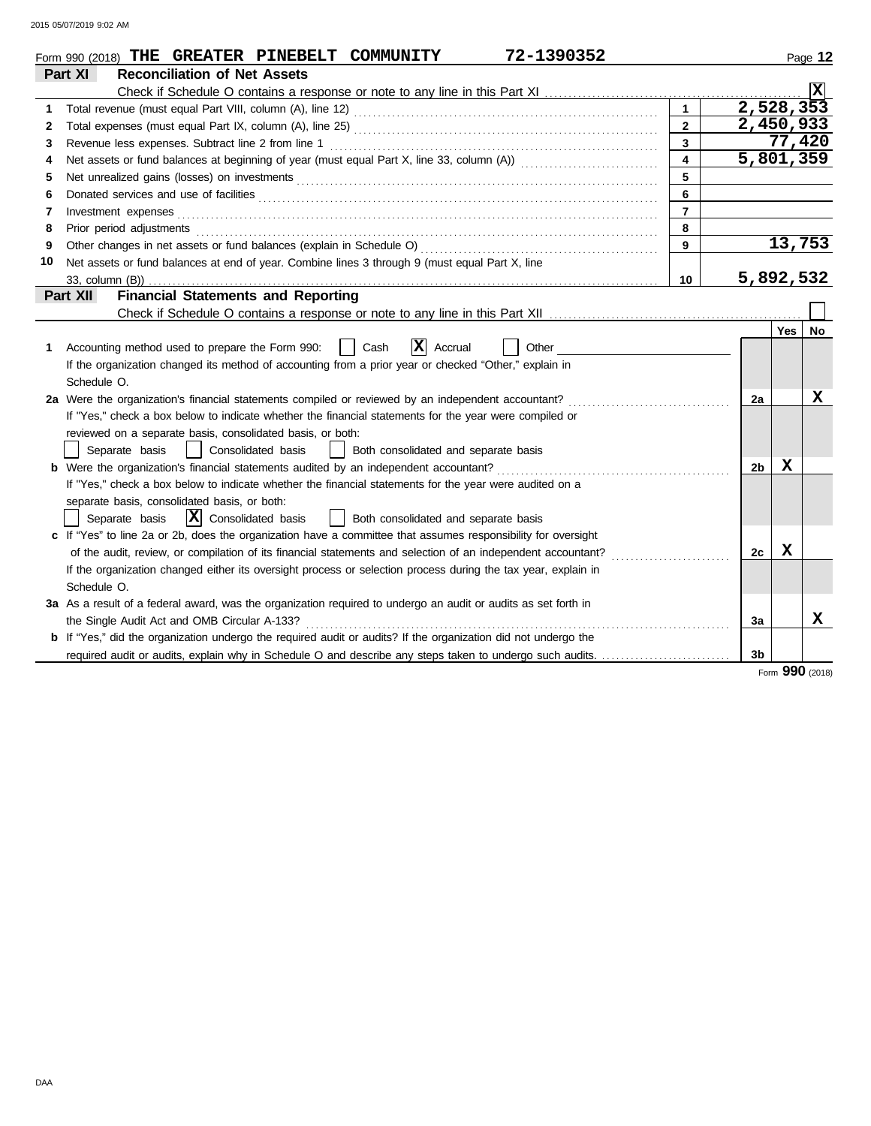2015 05/07/2019 9:02 AM

|    | 72-1390352<br>Form 990 (2018) THE GREATER PINEBELT COMMUNITY                                                                                                                                                                  |                         |           |            | Page 12   |  |  |  |
|----|-------------------------------------------------------------------------------------------------------------------------------------------------------------------------------------------------------------------------------|-------------------------|-----------|------------|-----------|--|--|--|
|    | Part XI<br><b>Reconciliation of Net Assets</b>                                                                                                                                                                                |                         |           |            |           |  |  |  |
|    |                                                                                                                                                                                                                               |                         |           |            | <u> x</u> |  |  |  |
| 1  |                                                                                                                                                                                                                               | $\mathbf{1}$            | 2,528,353 |            |           |  |  |  |
| 2  |                                                                                                                                                                                                                               | $\overline{2}$          | 2,450,933 |            |           |  |  |  |
| 3  | Revenue less expenses. Subtract line 2 from line 1                                                                                                                                                                            | $\mathbf{3}$            |           | 77,420     |           |  |  |  |
| 4  |                                                                                                                                                                                                                               | $\overline{\mathbf{4}}$ | 5,801,359 |            |           |  |  |  |
| 5  | 5                                                                                                                                                                                                                             |                         |           |            |           |  |  |  |
| 6  |                                                                                                                                                                                                                               | 6                       |           |            |           |  |  |  |
| 7  | Investment expenses <b>contract and the expenses</b>                                                                                                                                                                          | $\overline{7}$          |           |            |           |  |  |  |
| 8  | Prior period adjustments entertainment and an intervention of the state of the state of the state of the state of the state of the state of the state of the state of the state of the state of the state of the state of the | 8                       |           |            |           |  |  |  |
| 9  |                                                                                                                                                                                                                               | 9                       |           |            | 13,753    |  |  |  |
| 10 | Net assets or fund balances at end of year. Combine lines 3 through 9 (must equal Part X, line                                                                                                                                |                         |           |            |           |  |  |  |
|    |                                                                                                                                                                                                                               | 10                      | 5,892,532 |            |           |  |  |  |
|    | <b>Financial Statements and Reporting</b><br><b>Part XII</b>                                                                                                                                                                  |                         |           |            |           |  |  |  |
|    |                                                                                                                                                                                                                               |                         |           |            |           |  |  |  |
|    |                                                                                                                                                                                                                               |                         |           | <b>Yes</b> | No        |  |  |  |
| 1  | X <br>Cash<br>Accounting method used to prepare the Form 990:<br>Accrual<br>Other                                                                                                                                             |                         |           |            |           |  |  |  |
|    | If the organization changed its method of accounting from a prior year or checked "Other," explain in                                                                                                                         |                         |           |            |           |  |  |  |
|    | Schedule O.                                                                                                                                                                                                                   |                         |           |            |           |  |  |  |
|    | 2a Were the organization's financial statements compiled or reviewed by an independent accountant?                                                                                                                            |                         | 2a        |            | X         |  |  |  |
|    | If "Yes," check a box below to indicate whether the financial statements for the year were compiled or                                                                                                                        |                         |           |            |           |  |  |  |
|    | reviewed on a separate basis, consolidated basis, or both:                                                                                                                                                                    |                         |           |            |           |  |  |  |
|    | Separate basis<br>Consolidated basis<br>  Both consolidated and separate basis                                                                                                                                                |                         |           |            |           |  |  |  |
|    | <b>b</b> Were the organization's financial statements audited by an independent accountant?                                                                                                                                   |                         | 2b        | х          |           |  |  |  |
|    | If "Yes," check a box below to indicate whether the financial statements for the year were audited on a                                                                                                                       |                         |           |            |           |  |  |  |
|    | separate basis, consolidated basis, or both:                                                                                                                                                                                  |                         |           |            |           |  |  |  |
|    | $ \mathbf{X} $ Consolidated basis<br>Separate basis<br>  Both consolidated and separate basis                                                                                                                                 |                         |           |            |           |  |  |  |
|    | c If "Yes" to line 2a or 2b, does the organization have a committee that assumes responsibility for oversight                                                                                                                 |                         |           |            |           |  |  |  |
|    | of the audit, review, or compilation of its financial statements and selection of an independent accountant?                                                                                                                  |                         | 2c        | X          |           |  |  |  |
|    | If the organization changed either its oversight process or selection process during the tax year, explain in                                                                                                                 |                         |           |            |           |  |  |  |
|    | Schedule O.                                                                                                                                                                                                                   |                         |           |            |           |  |  |  |
|    | 3a As a result of a federal award, was the organization required to undergo an audit or audits as set forth in                                                                                                                |                         |           |            |           |  |  |  |
|    | the Single Audit Act and OMB Circular A-133?                                                                                                                                                                                  |                         | За        |            | x         |  |  |  |
|    | <b>b</b> If "Yes," did the organization undergo the required audit or audits? If the organization did not undergo the                                                                                                         |                         |           |            |           |  |  |  |
|    | required audit or audits, explain why in Schedule O and describe any steps taken to undergo such audits.                                                                                                                      |                         | 3b        |            |           |  |  |  |

#### Form **990** (2018)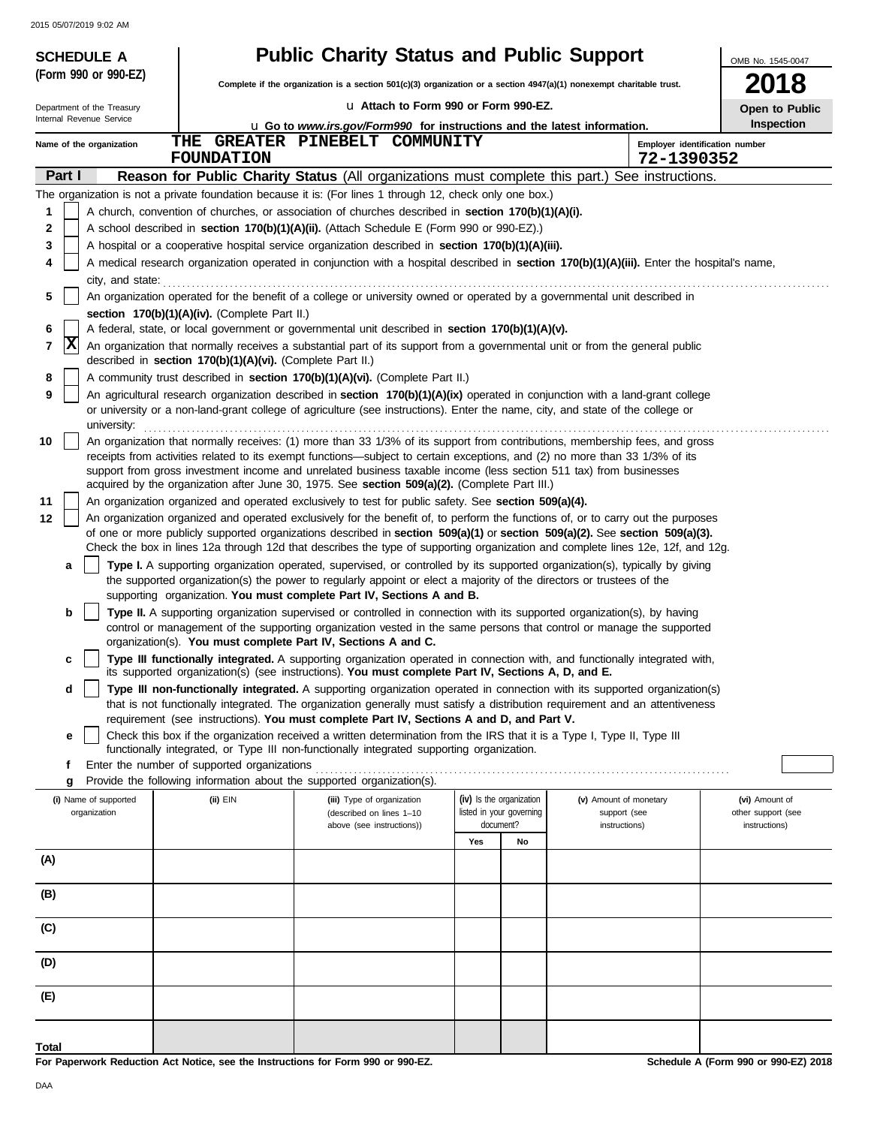2015 05/07/2019 9:02 AM

| <b>SCHEDULE A</b>                     |                                                                                                                           | <b>Public Charity Status and Public Support</b>                                                                                                                                                                                                                                                                  |                                                      |                                        | OMB No. 1545-0047                    |  |  |  |  |  |
|---------------------------------------|---------------------------------------------------------------------------------------------------------------------------|------------------------------------------------------------------------------------------------------------------------------------------------------------------------------------------------------------------------------------------------------------------------------------------------------------------|------------------------------------------------------|----------------------------------------|--------------------------------------|--|--|--|--|--|
| (Form 990 or 990-EZ)                  |                                                                                                                           | Complete if the organization is a section 501(c)(3) organization or a section 4947(a)(1) nonexempt charitable trust.                                                                                                                                                                                             |                                                      |                                        | 2018                                 |  |  |  |  |  |
| Department of the Treasury            |                                                                                                                           | La Attach to Form 990 or Form 990-EZ.                                                                                                                                                                                                                                                                            |                                                      |                                        | Open to Public                       |  |  |  |  |  |
| Internal Revenue Service              |                                                                                                                           | <b>u</b> Go to www.irs.gov/Form990 for instructions and the latest information.                                                                                                                                                                                                                                  |                                                      |                                        | <b>Inspection</b>                    |  |  |  |  |  |
| Name of the organization              | <b>FOUNDATION</b>                                                                                                         | THE GREATER PINEBELT COMMUNITY                                                                                                                                                                                                                                                                                   |                                                      | 72-1390352                             | Employer identification number       |  |  |  |  |  |
| Part I                                |                                                                                                                           | Reason for Public Charity Status (All organizations must complete this part.) See instructions.                                                                                                                                                                                                                  |                                                      |                                        |                                      |  |  |  |  |  |
|                                       |                                                                                                                           | The organization is not a private foundation because it is: (For lines 1 through 12, check only one box.)                                                                                                                                                                                                        |                                                      |                                        |                                      |  |  |  |  |  |
| 1                                     |                                                                                                                           | A church, convention of churches, or association of churches described in section 170(b)(1)(A)(i).                                                                                                                                                                                                               |                                                      |                                        |                                      |  |  |  |  |  |
| $\mathbf 2$<br>3                      |                                                                                                                           | A school described in section 170(b)(1)(A)(ii). (Attach Schedule E (Form 990 or 990-EZ).)<br>A hospital or a cooperative hospital service organization described in section 170(b)(1)(A)(iii).                                                                                                                   |                                                      |                                        |                                      |  |  |  |  |  |
| 4                                     |                                                                                                                           | A medical research organization operated in conjunction with a hospital described in section 170(b)(1)(A)(iii). Enter the hospital's name,                                                                                                                                                                       |                                                      |                                        |                                      |  |  |  |  |  |
| city, and state:                      |                                                                                                                           |                                                                                                                                                                                                                                                                                                                  |                                                      |                                        |                                      |  |  |  |  |  |
| 5                                     | An organization operated for the benefit of a college or university owned or operated by a governmental unit described in |                                                                                                                                                                                                                                                                                                                  |                                                      |                                        |                                      |  |  |  |  |  |
|                                       | section 170(b)(1)(A)(iv). (Complete Part II.)                                                                             |                                                                                                                                                                                                                                                                                                                  |                                                      |                                        |                                      |  |  |  |  |  |
| 6<br> X<br>7                          |                                                                                                                           | A federal, state, or local government or governmental unit described in section 170(b)(1)(A)(v).<br>An organization that normally receives a substantial part of its support from a governmental unit or from the general public                                                                                 |                                                      |                                        |                                      |  |  |  |  |  |
|                                       | described in section 170(b)(1)(A)(vi). (Complete Part II.)                                                                |                                                                                                                                                                                                                                                                                                                  |                                                      |                                        |                                      |  |  |  |  |  |
| 8                                     |                                                                                                                           | A community trust described in section 170(b)(1)(A)(vi). (Complete Part II.)                                                                                                                                                                                                                                     |                                                      |                                        |                                      |  |  |  |  |  |
| 9<br>university:                      |                                                                                                                           | An agricultural research organization described in section 170(b)(1)(A)(ix) operated in conjunction with a land-grant college<br>or university or a non-land-grant college of agriculture (see instructions). Enter the name, city, and state of the college or                                                  |                                                      |                                        |                                      |  |  |  |  |  |
| 10                                    |                                                                                                                           | An organization that normally receives: (1) more than 33 1/3% of its support from contributions, membership fees, and gross                                                                                                                                                                                      |                                                      |                                        |                                      |  |  |  |  |  |
|                                       |                                                                                                                           | receipts from activities related to its exempt functions—subject to certain exceptions, and (2) no more than 33 1/3% of its                                                                                                                                                                                      |                                                      |                                        |                                      |  |  |  |  |  |
|                                       |                                                                                                                           | support from gross investment income and unrelated business taxable income (less section 511 tax) from businesses<br>acquired by the organization after June 30, 1975. See section 509(a)(2). (Complete Part III.)                                                                                               |                                                      |                                        |                                      |  |  |  |  |  |
| 11                                    |                                                                                                                           | An organization organized and operated exclusively to test for public safety. See section 509(a)(4).                                                                                                                                                                                                             |                                                      |                                        |                                      |  |  |  |  |  |
| 12                                    |                                                                                                                           | An organization organized and operated exclusively for the benefit of, to perform the functions of, or to carry out the purposes                                                                                                                                                                                 |                                                      |                                        |                                      |  |  |  |  |  |
|                                       |                                                                                                                           | of one or more publicly supported organizations described in section 509(a)(1) or section 509(a)(2). See section 509(a)(3).<br>Check the box in lines 12a through 12d that describes the type of supporting organization and complete lines 12e, 12f, and 12g.                                                   |                                                      |                                        |                                      |  |  |  |  |  |
| a                                     |                                                                                                                           | Type I. A supporting organization operated, supervised, or controlled by its supported organization(s), typically by giving                                                                                                                                                                                      |                                                      |                                        |                                      |  |  |  |  |  |
|                                       |                                                                                                                           | the supported organization(s) the power to regularly appoint or elect a majority of the directors or trustees of the<br>supporting organization. You must complete Part IV, Sections A and B.                                                                                                                    |                                                      |                                        |                                      |  |  |  |  |  |
| b                                     |                                                                                                                           | Type II. A supporting organization supervised or controlled in connection with its supported organization(s), by having<br>control or management of the supporting organization vested in the same persons that control or manage the supported<br>organization(s). You must complete Part IV, Sections A and C. |                                                      |                                        |                                      |  |  |  |  |  |
| c                                     |                                                                                                                           | Type III functionally integrated. A supporting organization operated in connection with, and functionally integrated with,                                                                                                                                                                                       |                                                      |                                        |                                      |  |  |  |  |  |
| d                                     |                                                                                                                           | its supported organization(s) (see instructions). You must complete Part IV, Sections A, D, and E.                                                                                                                                                                                                               |                                                      |                                        |                                      |  |  |  |  |  |
|                                       |                                                                                                                           | Type III non-functionally integrated. A supporting organization operated in connection with its supported organization(s)<br>that is not functionally integrated. The organization generally must satisfy a distribution requirement and an attentiveness                                                        |                                                      |                                        |                                      |  |  |  |  |  |
|                                       |                                                                                                                           | requirement (see instructions). You must complete Part IV, Sections A and D, and Part V.                                                                                                                                                                                                                         |                                                      |                                        |                                      |  |  |  |  |  |
| е                                     |                                                                                                                           | Check this box if the organization received a written determination from the IRS that it is a Type I, Type II, Type III<br>functionally integrated, or Type III non-functionally integrated supporting organization.                                                                                             |                                                      |                                        |                                      |  |  |  |  |  |
| f                                     | Enter the number of supported organizations                                                                               |                                                                                                                                                                                                                                                                                                                  |                                                      |                                        |                                      |  |  |  |  |  |
| g                                     |                                                                                                                           | Provide the following information about the supported organization(s).                                                                                                                                                                                                                                           |                                                      |                                        |                                      |  |  |  |  |  |
| (i) Name of supported<br>organization | $(ii)$ EIN                                                                                                                | (iii) Type of organization<br>(described on lines 1-10                                                                                                                                                                                                                                                           | (iv) Is the organization<br>listed in your governing | (v) Amount of monetary<br>support (see | (vi) Amount of<br>other support (see |  |  |  |  |  |
|                                       |                                                                                                                           | above (see instructions))                                                                                                                                                                                                                                                                                        | document?                                            | instructions)                          | instructions)                        |  |  |  |  |  |
| (A)                                   |                                                                                                                           |                                                                                                                                                                                                                                                                                                                  | Yes<br>No                                            |                                        |                                      |  |  |  |  |  |
|                                       |                                                                                                                           |                                                                                                                                                                                                                                                                                                                  |                                                      |                                        |                                      |  |  |  |  |  |
| (B)                                   |                                                                                                                           |                                                                                                                                                                                                                                                                                                                  |                                                      |                                        |                                      |  |  |  |  |  |
| (C)                                   |                                                                                                                           |                                                                                                                                                                                                                                                                                                                  |                                                      |                                        |                                      |  |  |  |  |  |
| (D)                                   |                                                                                                                           |                                                                                                                                                                                                                                                                                                                  |                                                      |                                        |                                      |  |  |  |  |  |
| (E)                                   |                                                                                                                           |                                                                                                                                                                                                                                                                                                                  |                                                      |                                        |                                      |  |  |  |  |  |
| Total                                 |                                                                                                                           |                                                                                                                                                                                                                                                                                                                  |                                                      |                                        |                                      |  |  |  |  |  |
|                                       |                                                                                                                           |                                                                                                                                                                                                                                                                                                                  |                                                      |                                        |                                      |  |  |  |  |  |

**For Paperwork Reduction Act Notice, see the Instructions for Form 990 or 990-EZ.**

**Schedule A (Form 990 or 990-EZ) 2018**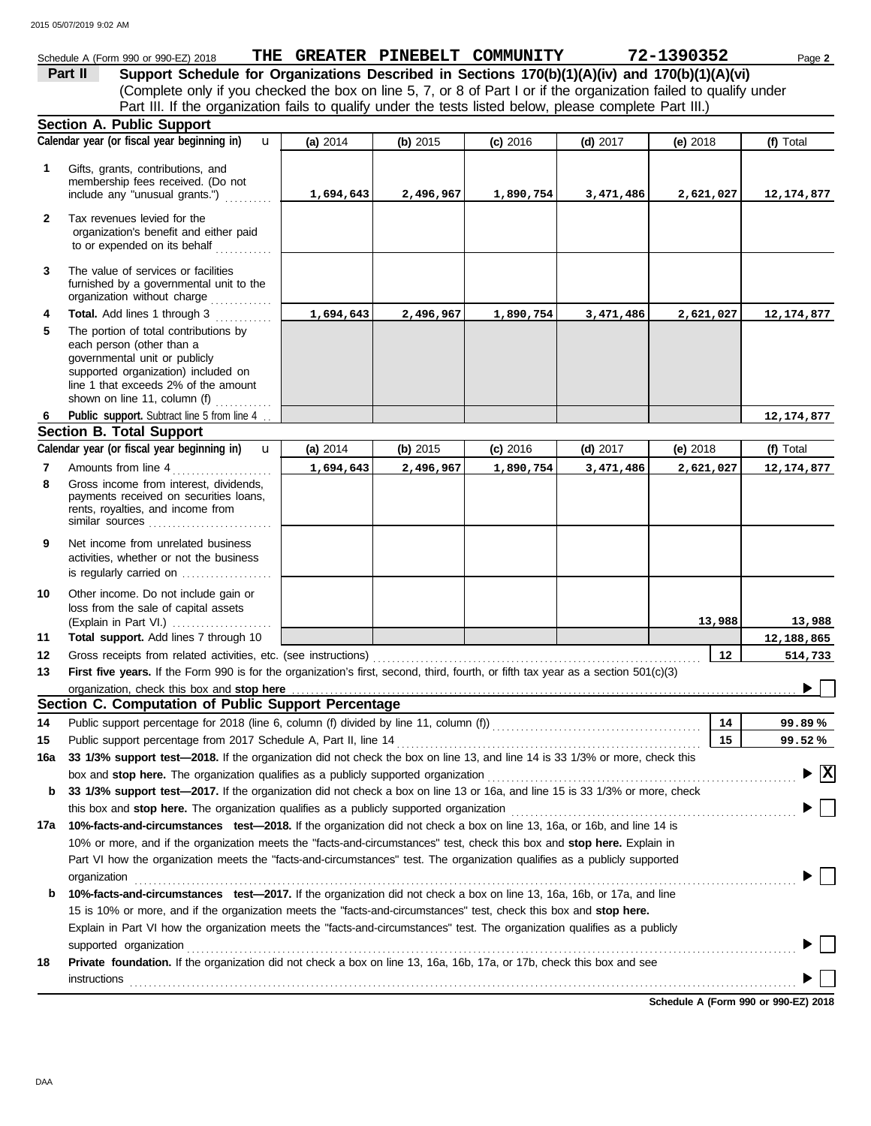|              | Schedule A (Form 990 or 990-EZ) 2018                                                                                                                                                                               |            |           | THE GREATER PINEBELT COMMUNITY |            | 72-1390352 | Page 2                  |
|--------------|--------------------------------------------------------------------------------------------------------------------------------------------------------------------------------------------------------------------|------------|-----------|--------------------------------|------------|------------|-------------------------|
|              | Part II<br>Support Schedule for Organizations Described in Sections 170(b)(1)(A)(iv) and 170(b)(1)(A)(vi)                                                                                                          |            |           |                                |            |            |                         |
|              | (Complete only if you checked the box on line 5, 7, or 8 of Part I or if the organization failed to qualify under                                                                                                  |            |           |                                |            |            |                         |
|              | Part III. If the organization fails to qualify under the tests listed below, please complete Part III.)                                                                                                            |            |           |                                |            |            |                         |
|              | <b>Section A. Public Support</b>                                                                                                                                                                                   |            |           |                                |            |            |                         |
|              | Calendar year (or fiscal year beginning in)<br>$\mathbf{u}$                                                                                                                                                        | (a) 2014   | (b) 2015  | (c) 2016                       | $(d)$ 2017 | (e) $2018$ | (f) Total               |
| 1            | Gifts, grants, contributions, and<br>membership fees received. (Do not<br>include any "unusual grants.")                                                                                                           | 1,694,643  | 2,496,967 | 1,890,754                      | 3,471,486  | 2,621,027  | 12,174,877              |
| $\mathbf{2}$ | Tax revenues levied for the<br>organization's benefit and either paid<br>to or expended on its behalf                                                                                                              |            |           |                                |            |            |                         |
| 3            | The value of services or facilities<br>furnished by a governmental unit to the<br>organization without charge<br>.                                                                                                 |            |           |                                |            |            |                         |
| 4            | Total. Add lines 1 through 3                                                                                                                                                                                       | 1,694,643  | 2,496,967 | 1,890,754                      | 3,471,486  | 2,621,027  | 12,174,877              |
| 5            | The portion of total contributions by<br>each person (other than a<br>governmental unit or publicly<br>supported organization) included on<br>line 1 that exceeds 2% of the amount<br>shown on line 11, column (f) |            |           |                                |            |            |                         |
|              | Public support. Subtract line 5 from line 4                                                                                                                                                                        |            |           |                                |            |            | 12,174,877              |
|              | <b>Section B. Total Support</b>                                                                                                                                                                                    |            |           |                                |            |            |                         |
|              | Calendar year (or fiscal year beginning in)<br>$\mathbf{u}$                                                                                                                                                        | (a) $2014$ | (b) 2015  | $(c)$ 2016                     | $(d)$ 2017 | (e) $2018$ | (f) Total               |
| 7            | Amounts from line 4                                                                                                                                                                                                | 1,694,643  | 2,496,967 | 1,890,754                      | 3,471,486  | 2,621,027  | 12, 174, 877            |
| 8            | Gross income from interest, dividends,<br>payments received on securities loans,<br>rents, royalties, and income from<br>similar sources                                                                           |            |           |                                |            |            |                         |
| 9            | Net income from unrelated business<br>activities, whether or not the business<br>is regularly carried on                                                                                                           |            |           |                                |            |            |                         |
| 10           | Other income. Do not include gain or<br>loss from the sale of capital assets                                                                                                                                       |            |           |                                |            | 13,988     | 13,988                  |
| 11           | Total support. Add lines 7 through 10                                                                                                                                                                              |            |           |                                |            |            | 12,188,865              |
| 12           | Gross receipts from related activities, etc. (see instructions)                                                                                                                                                    |            |           |                                |            | 12         | 514,733                 |
| 13           | First five years. If the Form 990 is for the organization's first, second, third, fourth, or fifth tax year as a section 501(c)(3)                                                                                 |            |           |                                |            |            |                         |
|              | organization, check this box and stop here                                                                                                                                                                         |            |           |                                |            |            |                         |
|              | Section C. Computation of Public Support Percentage                                                                                                                                                                |            |           |                                |            |            |                         |
| 14           | Public support percentage for 2018 (line 6, column (f) divided by line 11, column (f)) [[[[[[[[[[[[[[[[[[[[[[                                                                                                      |            |           |                                |            | 14         | 99.89%                  |
| 15           | Public support percentage from 2017 Schedule A, Part II, line 14                                                                                                                                                   |            |           |                                |            | 15         | 99.52%                  |
| 16a          | 33 1/3% support test-2018. If the organization did not check the box on line 13, and line 14 is 33 1/3% or more, check this                                                                                        |            |           |                                |            |            |                         |
|              | box and stop here. The organization qualifies as a publicly supported organization                                                                                                                                 |            |           |                                |            |            | $\overline{\mathbf{x}}$ |
| b            | 33 1/3% support test-2017. If the organization did not check a box on line 13 or 16a, and line 15 is 33 1/3% or more, check                                                                                        |            |           |                                |            |            |                         |
|              | this box and stop here. The organization qualifies as a publicly supported organization                                                                                                                            |            |           |                                |            |            |                         |
| 17a          | 10%-facts-and-circumstances test-2018. If the organization did not check a box on line 13, 16a, or 16b, and line 14 is                                                                                             |            |           |                                |            |            |                         |
|              | 10% or more, and if the organization meets the "facts-and-circumstances" test, check this box and stop here. Explain in                                                                                            |            |           |                                |            |            |                         |
|              | Part VI how the organization meets the "facts-and-circumstances" test. The organization qualifies as a publicly supported                                                                                          |            |           |                                |            |            |                         |
|              | organization                                                                                                                                                                                                       |            |           |                                |            |            |                         |
| b            | 10%-facts-and-circumstances test-2017. If the organization did not check a box on line 13, 16a, 16b, or 17a, and line                                                                                              |            |           |                                |            |            |                         |
|              | 15 is 10% or more, and if the organization meets the "facts-and-circumstances" test, check this box and stop here.                                                                                                 |            |           |                                |            |            |                         |
|              | Explain in Part VI how the organization meets the "facts-and-circumstances" test. The organization qualifies as a publicly                                                                                         |            |           |                                |            |            |                         |
|              | supported organization                                                                                                                                                                                             |            |           |                                |            |            |                         |
| 18           | Private foundation. If the organization did not check a box on line 13, 16a, 16b, 17a, or 17b, check this box and see<br>instructions                                                                              |            |           |                                |            |            |                         |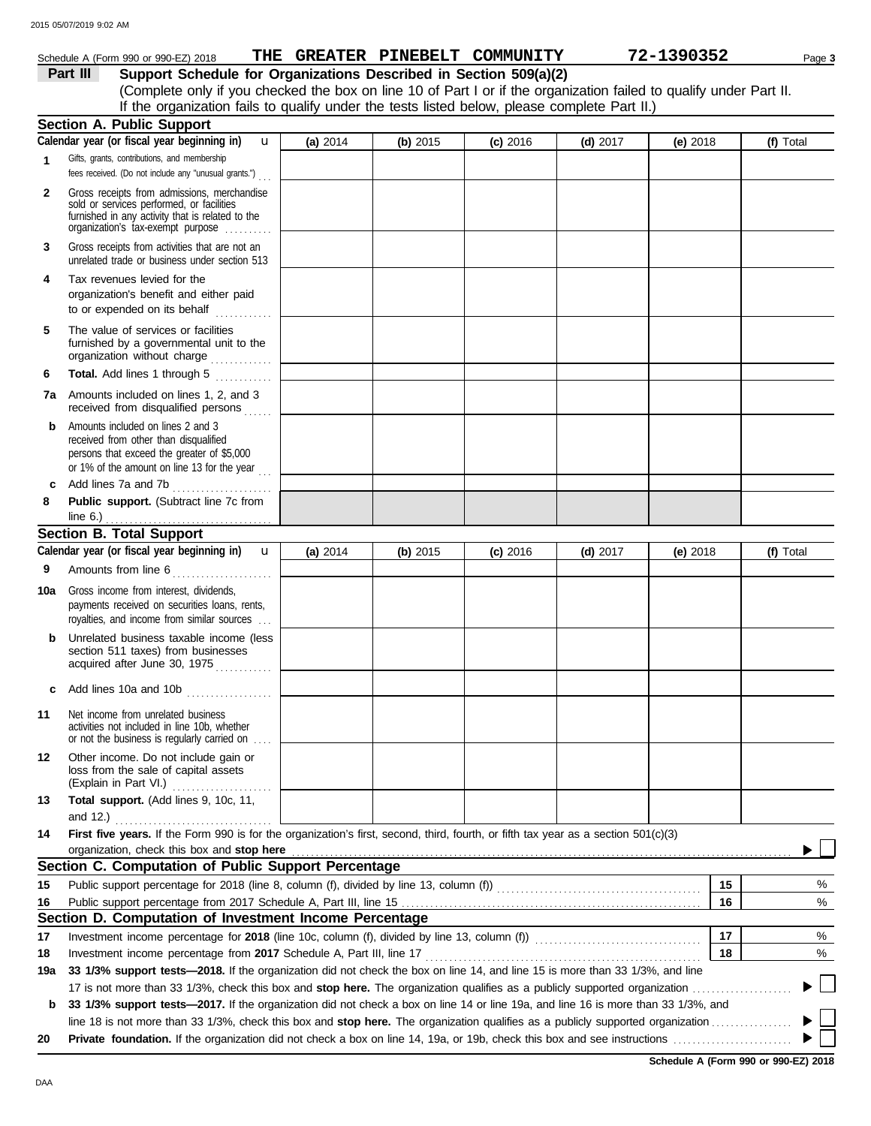|              | Schedule A (Form 990 or 990-EZ) 2018                                                                                                                                                                                                                                                  | THE GREATER PINEBELT COMMUNITY |          |            |            | 72-1390352 | Page 3    |
|--------------|---------------------------------------------------------------------------------------------------------------------------------------------------------------------------------------------------------------------------------------------------------------------------------------|--------------------------------|----------|------------|------------|------------|-----------|
|              | Support Schedule for Organizations Described in Section 509(a)(2)<br>Part III                                                                                                                                                                                                         |                                |          |            |            |            |           |
|              | (Complete only if you checked the box on line 10 of Part I or if the organization failed to qualify under Part II.                                                                                                                                                                    |                                |          |            |            |            |           |
|              | If the organization fails to qualify under the tests listed below, please complete Part II.)                                                                                                                                                                                          |                                |          |            |            |            |           |
|              | Section A. Public Support                                                                                                                                                                                                                                                             |                                |          |            |            |            |           |
|              | Calendar year (or fiscal year beginning in)<br>$\mathbf{u}$                                                                                                                                                                                                                           | (a) 2014                       | (b) 2015 | $(c)$ 2016 | $(d)$ 2017 | (e) 2018   | (f) Total |
| 1            | Gifts, grants, contributions, and membership<br>fees received. (Do not include any "unusual grants.")                                                                                                                                                                                 |                                |          |            |            |            |           |
| $\mathbf{2}$ | Gross receipts from admissions, merchandise<br>sold or services performed, or facilities<br>furnished in any activity that is related to the<br>organization's tax-exempt purpose                                                                                                     |                                |          |            |            |            |           |
| 3            | Gross receipts from activities that are not an<br>unrelated trade or business under section 513                                                                                                                                                                                       |                                |          |            |            |            |           |
| 4            | Tax revenues levied for the<br>organization's benefit and either paid<br>to or expended on its behalf                                                                                                                                                                                 |                                |          |            |            |            |           |
| 5            | The value of services or facilities<br>furnished by a governmental unit to the<br>organization without charge                                                                                                                                                                         |                                |          |            |            |            |           |
| 6            | Total. Add lines 1 through 5<br>.                                                                                                                                                                                                                                                     |                                |          |            |            |            |           |
|              | <b>7a</b> Amounts included on lines 1, 2, and 3<br>received from disqualified persons                                                                                                                                                                                                 |                                |          |            |            |            |           |
| b            | Amounts included on lines 2 and 3<br>received from other than disqualified<br>persons that exceed the greater of \$5,000<br>or 1% of the amount on line 13 for the year $\ldots$                                                                                                      |                                |          |            |            |            |           |
| c            | Add lines 7a and 7b                                                                                                                                                                                                                                                                   |                                |          |            |            |            |           |
| 8            | Public support. (Subtract line 7c from                                                                                                                                                                                                                                                |                                |          |            |            |            |           |
|              | line $6.$ )<br>.                                                                                                                                                                                                                                                                      |                                |          |            |            |            |           |
|              | <b>Section B. Total Support</b>                                                                                                                                                                                                                                                       |                                |          |            |            |            |           |
|              | Calendar year (or fiscal year beginning in)<br>$\mathbf{u}$                                                                                                                                                                                                                           | (a) 2014                       | (b) 2015 | $(c)$ 2016 | $(d)$ 2017 | $(e)$ 2018 | (f) Total |
| 9            | Amounts from line 6                                                                                                                                                                                                                                                                   |                                |          |            |            |            |           |
| 10a          | Gross income from interest, dividends,<br>payments received on securities loans, rents,<br>royalties, and income from similar sources                                                                                                                                                 |                                |          |            |            |            |           |
| b            | Unrelated business taxable income (less<br>section 511 taxes) from businesses<br>acquired after June 30, 1975                                                                                                                                                                         |                                |          |            |            |            |           |
|              | Add lines 10a and 10b                                                                                                                                                                                                                                                                 |                                |          |            |            |            |           |
| 11           | Net income from unrelated business<br>activities not included in line 10b, whether<br>or not the business is regularly carried on                                                                                                                                                     |                                |          |            |            |            |           |
| 12           | Other income. Do not include gain or<br>loss from the sale of capital assets<br>(Explain in Part VI.)                                                                                                                                                                                 |                                |          |            |            |            |           |
| 13           | Total support. (Add lines 9, 10c, 11,<br>and 12.)                                                                                                                                                                                                                                     |                                |          |            |            |            |           |
| 14           | First five years. If the Form 990 is for the organization's first, second, third, fourth, or fifth tax year as a section 501(c)(3)                                                                                                                                                    |                                |          |            |            |            |           |
|              | organization, check this box and stop here manufactured and content of the state of the state of the state of the state of the state of the state of the state of the state of the state of the state of the state of the stat<br>Section C. Computation of Public Support Percentage |                                |          |            |            |            |           |
|              |                                                                                                                                                                                                                                                                                       |                                |          |            |            | 15         | %         |
| 15<br>16     |                                                                                                                                                                                                                                                                                       |                                |          |            |            | 16         | $\%$      |
|              | Section D. Computation of Investment Income Percentage                                                                                                                                                                                                                                |                                |          |            |            |            |           |
| 17           | Investment income percentage for 2018 (line 10c, column (f), divided by line 13, column (f)) [[[[[[[[[[[[[[[[                                                                                                                                                                         |                                |          |            |            | 17         | $\%$      |
| 18           | Investment income percentage from 2017 Schedule A, Part III, line 17                                                                                                                                                                                                                  |                                |          |            |            | 18         | %         |
| 19a          | 33 1/3% support tests—2018. If the organization did not check the box on line 14, and line 15 is more than 33 1/3%, and line                                                                                                                                                          |                                |          |            |            |            |           |
|              | 17 is not more than 33 1/3%, check this box and stop here. The organization qualifies as a publicly supported organization                                                                                                                                                            |                                |          |            |            |            |           |
| b            | 33 1/3% support tests-2017. If the organization did not check a box on line 14 or line 19a, and line 16 is more than 33 1/3%, and                                                                                                                                                     |                                |          |            |            |            |           |
|              | line 18 is not more than 33 1/3%, check this box and stop here. The organization qualifies as a publicly supported organization                                                                                                                                                       |                                |          |            |            |            |           |

٦  $\blacktriangleright$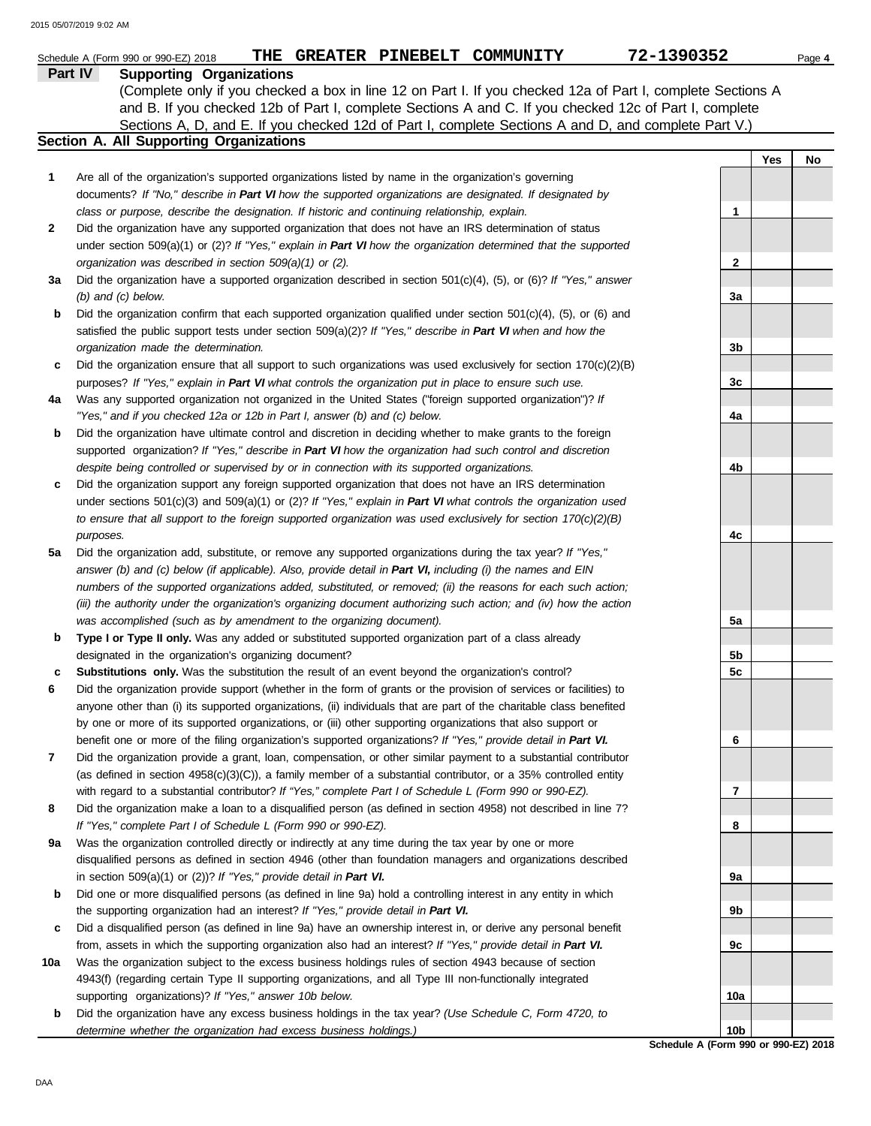|     | THE GREATER PINEBELT COMMUNITY<br>Schedule A (Form 990 or 990-EZ) 2018                                                                                                                                                                  | 72-1390352                                              |     | Page 4 |
|-----|-----------------------------------------------------------------------------------------------------------------------------------------------------------------------------------------------------------------------------------------|---------------------------------------------------------|-----|--------|
|     | Part IV<br><b>Supporting Organizations</b>                                                                                                                                                                                              |                                                         |     |        |
|     | (Complete only if you checked a box in line 12 on Part I. If you checked 12a of Part I, complete Sections A                                                                                                                             |                                                         |     |        |
|     | and B. If you checked 12b of Part I, complete Sections A and C. If you checked 12c of Part I, complete                                                                                                                                  |                                                         |     |        |
|     | Sections A, D, and E. If you checked 12d of Part I, complete Sections A and D, and complete Part V.)<br>Section A. All Supporting Organizations                                                                                         |                                                         |     |        |
|     |                                                                                                                                                                                                                                         |                                                         | Yes | No     |
| 1   | Are all of the organization's supported organizations listed by name in the organization's governing                                                                                                                                    |                                                         |     |        |
|     | documents? If "No," describe in Part VI how the supported organizations are designated. If designated by                                                                                                                                |                                                         |     |        |
|     | class or purpose, describe the designation. If historic and continuing relationship, explain.                                                                                                                                           | 1                                                       |     |        |
| 2   | Did the organization have any supported organization that does not have an IRS determination of status                                                                                                                                  |                                                         |     |        |
|     | under section 509(a)(1) or (2)? If "Yes," explain in Part VI how the organization determined that the supported                                                                                                                         |                                                         |     |        |
|     | organization was described in section 509(a)(1) or (2).                                                                                                                                                                                 | 2                                                       |     |        |
| За  | Did the organization have a supported organization described in section $501(c)(4)$ , (5), or (6)? If "Yes," answer                                                                                                                     |                                                         |     |        |
|     | $(b)$ and $(c)$ below.                                                                                                                                                                                                                  | За                                                      |     |        |
| b   | Did the organization confirm that each supported organization qualified under section $501(c)(4)$ , $(5)$ , or $(6)$ and                                                                                                                |                                                         |     |        |
|     | satisfied the public support tests under section 509(a)(2)? If "Yes," describe in Part VI when and how the                                                                                                                              |                                                         |     |        |
|     | organization made the determination.                                                                                                                                                                                                    | 3b                                                      |     |        |
| c   | Did the organization ensure that all support to such organizations was used exclusively for section $170(c)(2)(B)$                                                                                                                      |                                                         |     |        |
|     | purposes? If "Yes," explain in Part VI what controls the organization put in place to ensure such use.                                                                                                                                  | 3c                                                      |     |        |
| 4a  | Was any supported organization not organized in the United States ("foreign supported organization")? If                                                                                                                                |                                                         |     |        |
|     | "Yes," and if you checked 12a or 12b in Part I, answer (b) and (c) below.                                                                                                                                                               | 4a                                                      |     |        |
| b   | Did the organization have ultimate control and discretion in deciding whether to make grants to the foreign                                                                                                                             |                                                         |     |        |
|     | supported organization? If "Yes," describe in Part VI how the organization had such control and discretion                                                                                                                              |                                                         |     |        |
|     | despite being controlled or supervised by or in connection with its supported organizations.                                                                                                                                            | 4b                                                      |     |        |
| c   | Did the organization support any foreign supported organization that does not have an IRS determination                                                                                                                                 |                                                         |     |        |
|     | under sections $501(c)(3)$ and $509(a)(1)$ or (2)? If "Yes," explain in Part VI what controls the organization used<br>to ensure that all support to the foreign supported organization was used exclusively for section $170(c)(2)(B)$ |                                                         |     |        |
|     | purposes.                                                                                                                                                                                                                               | 4c                                                      |     |        |
| 5a  | Did the organization add, substitute, or remove any supported organizations during the tax year? If "Yes,"                                                                                                                              |                                                         |     |        |
|     | answer (b) and (c) below (if applicable). Also, provide detail in Part VI, including (i) the names and EIN                                                                                                                              |                                                         |     |        |
|     | numbers of the supported organizations added, substituted, or removed; (ii) the reasons for each such action;                                                                                                                           |                                                         |     |        |
|     | (iii) the authority under the organization's organizing document authorizing such action; and (iv) how the action                                                                                                                       |                                                         |     |        |
|     | was accomplished (such as by amendment to the organizing document).                                                                                                                                                                     | 5a                                                      |     |        |
| b   | Type I or Type II only. Was any added or substituted supported organization part of a class already                                                                                                                                     |                                                         |     |        |
|     | designated in the organization's organizing document?                                                                                                                                                                                   | 5b                                                      |     |        |
| c   | Substitutions only. Was the substitution the result of an event beyond the organization's control?                                                                                                                                      | 5c                                                      |     |        |
| 6   | Did the organization provide support (whether in the form of grants or the provision of services or facilities) to                                                                                                                      |                                                         |     |        |
|     | anyone other than (i) its supported organizations, (ii) individuals that are part of the charitable class benefited                                                                                                                     |                                                         |     |        |
|     | by one or more of its supported organizations, or (iii) other supporting organizations that also support or                                                                                                                             |                                                         |     |        |
|     | benefit one or more of the filing organization's supported organizations? If "Yes," provide detail in Part VI.                                                                                                                          | 6                                                       |     |        |
| 7   | Did the organization provide a grant, loan, compensation, or other similar payment to a substantial contributor                                                                                                                         |                                                         |     |        |
|     | (as defined in section $4958(c)(3)(C)$ ), a family member of a substantial contributor, or a 35% controlled entity                                                                                                                      |                                                         |     |        |
|     | with regard to a substantial contributor? If "Yes," complete Part I of Schedule L (Form 990 or 990-EZ).                                                                                                                                 | 7                                                       |     |        |
| 8   | Did the organization make a loan to a disqualified person (as defined in section 4958) not described in line 7?                                                                                                                         | 8                                                       |     |        |
| 9a  | If "Yes," complete Part I of Schedule L (Form 990 or 990-EZ).<br>Was the organization controlled directly or indirectly at any time during the tax year by one or more                                                                  |                                                         |     |        |
|     | disqualified persons as defined in section 4946 (other than foundation managers and organizations described                                                                                                                             |                                                         |     |        |
|     | in section $509(a)(1)$ or (2))? If "Yes," provide detail in Part VI.                                                                                                                                                                    | 9a                                                      |     |        |
| b   | Did one or more disqualified persons (as defined in line 9a) hold a controlling interest in any entity in which                                                                                                                         |                                                         |     |        |
|     | the supporting organization had an interest? If "Yes," provide detail in Part VI.                                                                                                                                                       | 9b                                                      |     |        |
| c   | Did a disqualified person (as defined in line 9a) have an ownership interest in, or derive any personal benefit                                                                                                                         |                                                         |     |        |
|     | from, assets in which the supporting organization also had an interest? If "Yes," provide detail in Part VI.                                                                                                                            | 9с                                                      |     |        |
| 10a | Was the organization subject to the excess business holdings rules of section 4943 because of section                                                                                                                                   |                                                         |     |        |
|     | 4943(f) (regarding certain Type II supporting organizations, and all Type III non-functionally integrated                                                                                                                               |                                                         |     |        |
|     | supporting organizations)? If "Yes," answer 10b below.                                                                                                                                                                                  | 10a                                                     |     |        |
| b   | Did the organization have any excess business holdings in the tax year? (Use Schedule C, Form 4720, to                                                                                                                                  |                                                         |     |        |
|     | determine whether the organization had excess business holdings.)                                                                                                                                                                       | 10 <sub>b</sub><br>Schodule A (Form 000 or 000-F7) 2019 |     |        |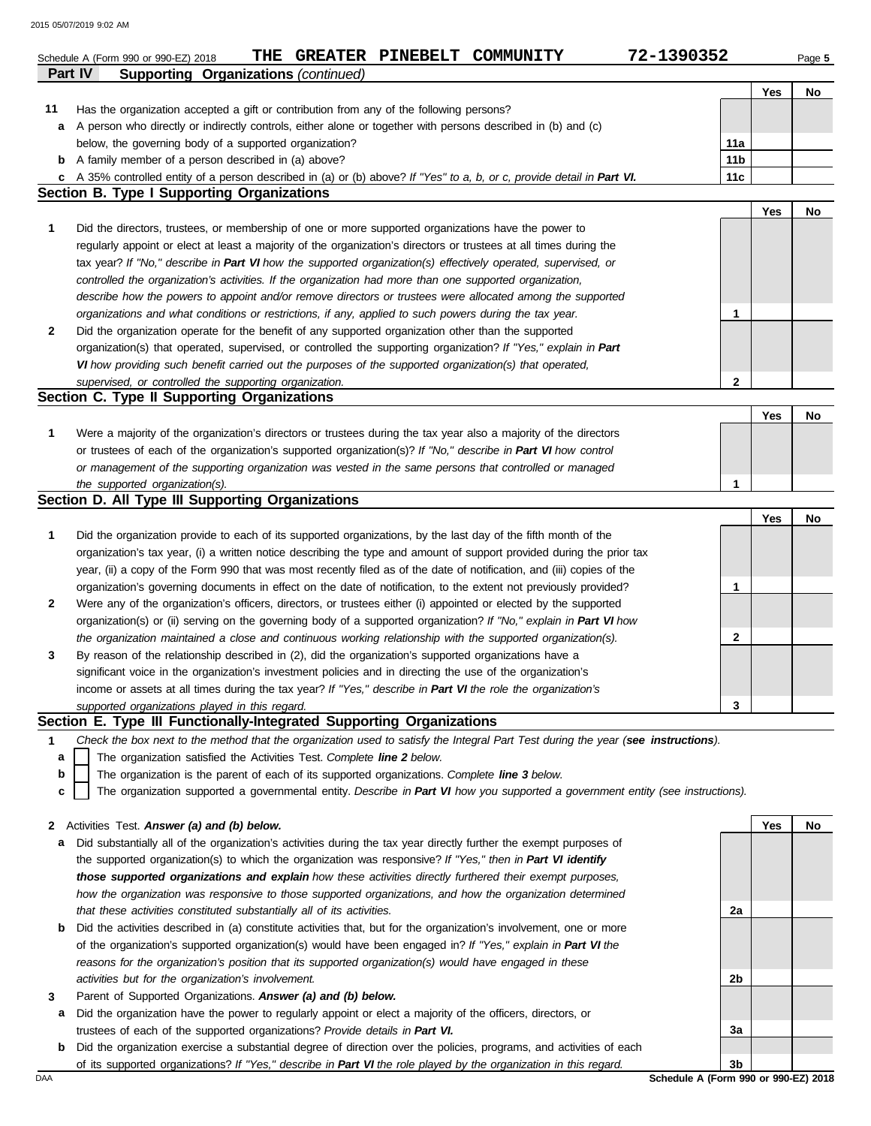2015 05/07/2019 9:02 AM

|    | 72-1390352<br>THE GREATER PINEBELT COMMUNITY<br>Schedule A (Form 990 or 990-EZ) 2018                                                                                                                                 |                 |     | Page 5 |
|----|----------------------------------------------------------------------------------------------------------------------------------------------------------------------------------------------------------------------|-----------------|-----|--------|
|    | <b>Supporting Organizations (continued)</b><br><b>Part IV</b>                                                                                                                                                        |                 |     |        |
|    |                                                                                                                                                                                                                      |                 | Yes | No     |
| 11 | Has the organization accepted a gift or contribution from any of the following persons?                                                                                                                              |                 |     |        |
| a  | A person who directly or indirectly controls, either alone or together with persons described in (b) and (c)                                                                                                         |                 |     |        |
|    | below, the governing body of a supported organization?                                                                                                                                                               | 11a             |     |        |
| b  | A family member of a person described in (a) above?                                                                                                                                                                  | 11 <sub>b</sub> |     |        |
| c  | A 35% controlled entity of a person described in (a) or (b) above? If "Yes" to a, b, or c, provide detail in Part VI.                                                                                                | 11c             |     |        |
|    | <b>Section B. Type I Supporting Organizations</b>                                                                                                                                                                    |                 |     |        |
|    |                                                                                                                                                                                                                      |                 | Yes | No     |
| 1  | Did the directors, trustees, or membership of one or more supported organizations have the power to                                                                                                                  |                 |     |        |
|    | regularly appoint or elect at least a majority of the organization's directors or trustees at all times during the                                                                                                   |                 |     |        |
|    | tax year? If "No," describe in Part VI how the supported organization(s) effectively operated, supervised, or                                                                                                        |                 |     |        |
|    | controlled the organization's activities. If the organization had more than one supported organization,<br>describe how the powers to appoint and/or remove directors or trustees were allocated among the supported |                 |     |        |
|    | organizations and what conditions or restrictions, if any, applied to such powers during the tax year.                                                                                                               | 1               |     |        |
| 2  | Did the organization operate for the benefit of any supported organization other than the supported                                                                                                                  |                 |     |        |
|    | organization(s) that operated, supervised, or controlled the supporting organization? If "Yes," explain in Part                                                                                                      |                 |     |        |
|    | VI how providing such benefit carried out the purposes of the supported organization(s) that operated,                                                                                                               |                 |     |        |
|    |                                                                                                                                                                                                                      | $\mathbf{2}$    |     |        |
|    | supervised, or controlled the supporting organization.<br>Section C. Type II Supporting Organizations                                                                                                                |                 |     |        |
|    |                                                                                                                                                                                                                      |                 | Yes | No     |
| 1  | Were a majority of the organization's directors or trustees during the tax year also a majority of the directors                                                                                                     |                 |     |        |
|    | or trustees of each of the organization's supported organization(s)? If "No," describe in Part VI how control                                                                                                        |                 |     |        |
|    | or management of the supporting organization was vested in the same persons that controlled or managed                                                                                                               |                 |     |        |
|    | the supported organization(s).                                                                                                                                                                                       | 1               |     |        |
|    | Section D. All Type III Supporting Organizations                                                                                                                                                                     |                 |     |        |
|    |                                                                                                                                                                                                                      |                 | Yes | No     |
| 1  | Did the organization provide to each of its supported organizations, by the last day of the fifth month of the                                                                                                       |                 |     |        |
|    | organization's tax year, (i) a written notice describing the type and amount of support provided during the prior tax                                                                                                |                 |     |        |
|    | year, (ii) a copy of the Form 990 that was most recently filed as of the date of notification, and (iii) copies of the                                                                                               |                 |     |        |
|    | organization's governing documents in effect on the date of notification, to the extent not previously provided?                                                                                                     | 1               |     |        |
| 2  | Were any of the organization's officers, directors, or trustees either (i) appointed or elected by the supported                                                                                                     |                 |     |        |
|    | organization(s) or (ii) serving on the governing body of a supported organization? If "No," explain in Part VI how                                                                                                   |                 |     |        |
|    | the organization maintained a close and continuous working relationship with the supported organization(s).                                                                                                          | 2               |     |        |
| 3  | By reason of the relationship described in (2), did the organization's supported organizations have a                                                                                                                |                 |     |        |
|    | significant voice in the organization's investment policies and in directing the use of the organization's                                                                                                           |                 |     |        |
|    | income or assets at all times during the tax year? If "Yes," describe in Part VI the role the organization's                                                                                                         |                 |     |        |
|    | supported organizations played in this regard.                                                                                                                                                                       | 3               |     |        |
|    | Section E. Type III Functionally-Integrated Supporting Organizations                                                                                                                                                 |                 |     |        |
| 1  | Check the box next to the method that the organization used to satisfy the Integral Part Test during the year (see instructions).                                                                                    |                 |     |        |
| а  | The organization satisfied the Activities Test. Complete line 2 below.                                                                                                                                               |                 |     |        |
| b  | The organization is the parent of each of its supported organizations. Complete line 3 below.                                                                                                                        |                 |     |        |
| c  | The organization supported a governmental entity. Describe in Part VI how you supported a government entity (see instructions).                                                                                      |                 |     |        |
|    |                                                                                                                                                                                                                      |                 |     |        |
| 2  | Activities Test. Answer (a) and (b) below.                                                                                                                                                                           |                 | Yes | No     |
| а  | Did substantially all of the organization's activities during the tax year directly further the exempt purposes of                                                                                                   |                 |     |        |
|    | the supported organization(s) to which the organization was responsive? If "Yes," then in Part VI identify                                                                                                           |                 |     |        |
|    | those supported organizations and explain how these activities directly furthered their exempt purposes,                                                                                                             |                 |     |        |
|    | how the organization was responsive to those supported organizations, and how the organization determined                                                                                                            |                 |     |        |
|    | that these activities constituted substantially all of its activities.                                                                                                                                               | 2a              |     |        |
| b  | Did the activities described in (a) constitute activities that, but for the organization's involvement, one or more                                                                                                  |                 |     |        |
|    | of the organization's supported organization(s) would have been engaged in? If "Yes," explain in Part VI the                                                                                                         |                 |     |        |
|    | reasons for the organization's position that its supported organization(s) would have engaged in these                                                                                                               |                 |     |        |
|    | activities but for the organization's involvement.                                                                                                                                                                   | 2b              |     |        |
| 3  | Parent of Supported Organizations. Answer (a) and (b) below.                                                                                                                                                         |                 |     |        |
| а  | Did the organization have the power to regularly appoint or elect a majority of the officers, directors, or                                                                                                          |                 |     |        |
|    | trustees of each of the supported organizations? Provide details in Part VI.                                                                                                                                         | 3a              |     |        |

| <b>b</b> Did the organization exercise a substantial degree of direction over the policies, programs, and activities of each |
|------------------------------------------------------------------------------------------------------------------------------|
| of its supported organizations? If "Yes," describe in Part VI the role played by the organization in this regard.            |

DAA **Schedule A (Form 990 or 990-EZ) 2018 3b**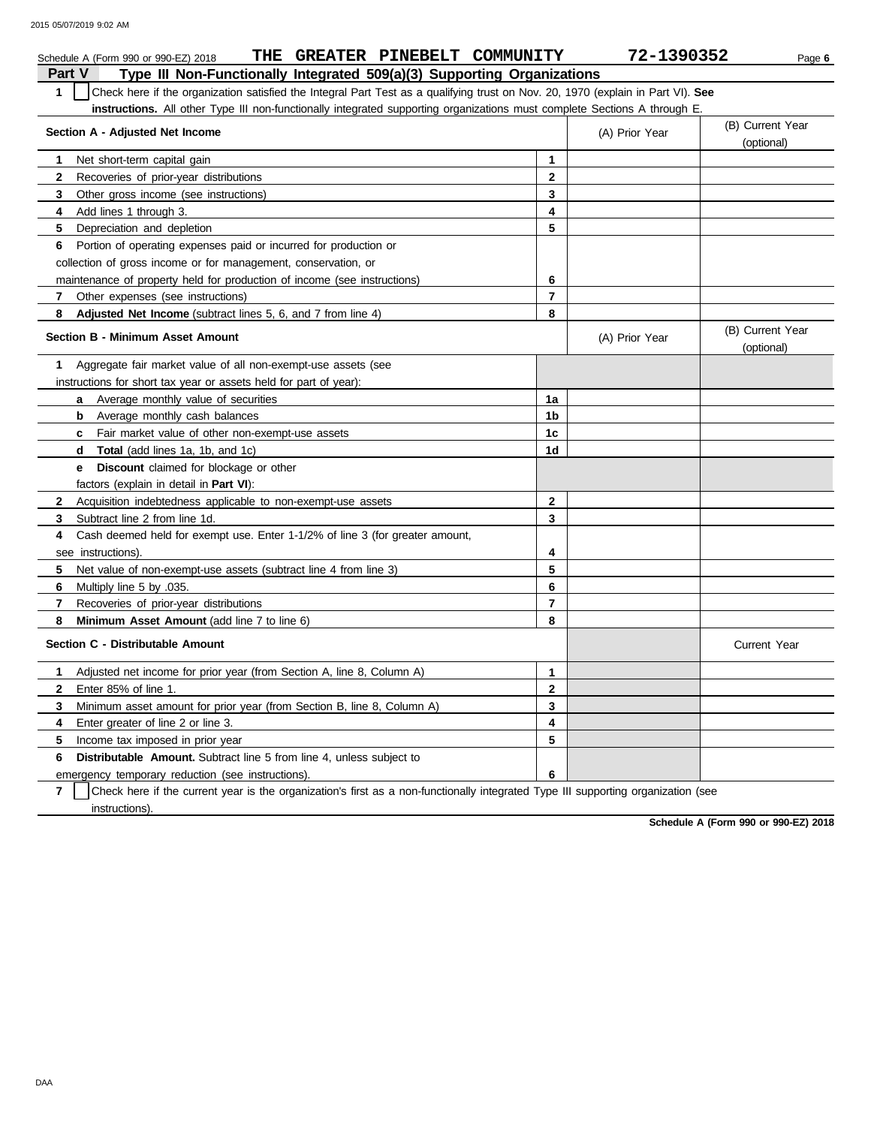|                         | THE GREATER PINEBELT COMMUNITY<br>Schedule A (Form 990 or 990-EZ) 2018                                                           |                | 72-1390352     | Page 6                         |
|-------------------------|----------------------------------------------------------------------------------------------------------------------------------|----------------|----------------|--------------------------------|
| <b>Part V</b>           | Type III Non-Functionally Integrated 509(a)(3) Supporting Organizations                                                          |                |                |                                |
| $\mathbf{1}$            | Check here if the organization satisfied the Integral Part Test as a qualifying trust on Nov. 20, 1970 (explain in Part VI). See |                |                |                                |
|                         | instructions. All other Type III non-functionally integrated supporting organizations must complete Sections A through E.        |                |                |                                |
|                         | Section A - Adjusted Net Income                                                                                                  |                | (A) Prior Year | (B) Current Year               |
|                         |                                                                                                                                  |                |                | (optional)                     |
| 1                       | Net short-term capital gain                                                                                                      | 1              |                |                                |
| 2                       | Recoveries of prior-year distributions                                                                                           | $\mathbf 2$    |                |                                |
| 3                       | Other gross income (see instructions)                                                                                            | 3              |                |                                |
| 4                       | Add lines 1 through 3.                                                                                                           | 4              |                |                                |
| 5.                      | Depreciation and depletion                                                                                                       | 5              |                |                                |
| 6                       | Portion of operating expenses paid or incurred for production or                                                                 |                |                |                                |
|                         | collection of gross income or for management, conservation, or                                                                   |                |                |                                |
|                         | maintenance of property held for production of income (see instructions)                                                         | 6              |                |                                |
| 7                       | Other expenses (see instructions)                                                                                                | $\overline{7}$ |                |                                |
| 8                       | Adjusted Net Income (subtract lines 5, 6, and 7 from line 4)                                                                     | 8              |                |                                |
|                         | <b>Section B - Minimum Asset Amount</b>                                                                                          |                | (A) Prior Year | (B) Current Year<br>(optional) |
| 1                       | Aggregate fair market value of all non-exempt-use assets (see                                                                    |                |                |                                |
|                         | instructions for short tax year or assets held for part of year):                                                                |                |                |                                |
|                         | Average monthly value of securities<br>a                                                                                         | 1a             |                |                                |
|                         | <b>b</b> Average monthly cash balances                                                                                           | 1b             |                |                                |
|                         | c Fair market value of other non-exempt-use assets                                                                               | 1 <sub>c</sub> |                |                                |
|                         | <b>d Total</b> (add lines 1a, 1b, and 1c)                                                                                        | 1d             |                |                                |
|                         | <b>Discount</b> claimed for blockage or other<br>e                                                                               |                |                |                                |
|                         | factors (explain in detail in Part VI):                                                                                          |                |                |                                |
| $\mathbf{2}$            | Acquisition indebtedness applicable to non-exempt-use assets                                                                     | $\mathbf{2}$   |                |                                |
| 3                       | Subtract line 2 from line 1d.                                                                                                    | 3              |                |                                |
| 4                       | Cash deemed held for exempt use. Enter 1-1/2% of line 3 (for greater amount,                                                     |                |                |                                |
|                         | see instructions).                                                                                                               | 4              |                |                                |
| 5.                      | Net value of non-exempt-use assets (subtract line 4 from line 3)                                                                 | 5              |                |                                |
| 6                       | Multiply line 5 by .035.                                                                                                         | 6              |                |                                |
| $\overline{\mathbf{r}}$ | Recoveries of prior-year distributions                                                                                           | 7              |                |                                |
| 8                       | Minimum Asset Amount (add line 7 to line 6)                                                                                      | 8              |                |                                |
|                         | Section C - Distributable Amount                                                                                                 |                |                | <b>Current Year</b>            |
| 1.                      | Adjusted net income for prior year (from Section A, line 8, Column A)                                                            | 1              |                |                                |
| $\mathbf{2}$            | Enter 85% of line 1.                                                                                                             | $\overline{2}$ |                |                                |
| 3                       | Minimum asset amount for prior year (from Section B, line 8, Column A)                                                           | 3              |                |                                |
| 4                       | Enter greater of line 2 or line 3.                                                                                               | 4              |                |                                |
| 5                       | Income tax imposed in prior year                                                                                                 | 5              |                |                                |
| 6                       | <b>Distributable Amount.</b> Subtract line 5 from line 4, unless subject to                                                      |                |                |                                |
|                         | emergency temporary reduction (see instructions)                                                                                 | 6              |                |                                |

**7** | Check here if the current year is the organization's first as a non-functionally integrated Type III supporting organization (see instructions).

**Schedule A (Form 990 or 990-EZ) 2018**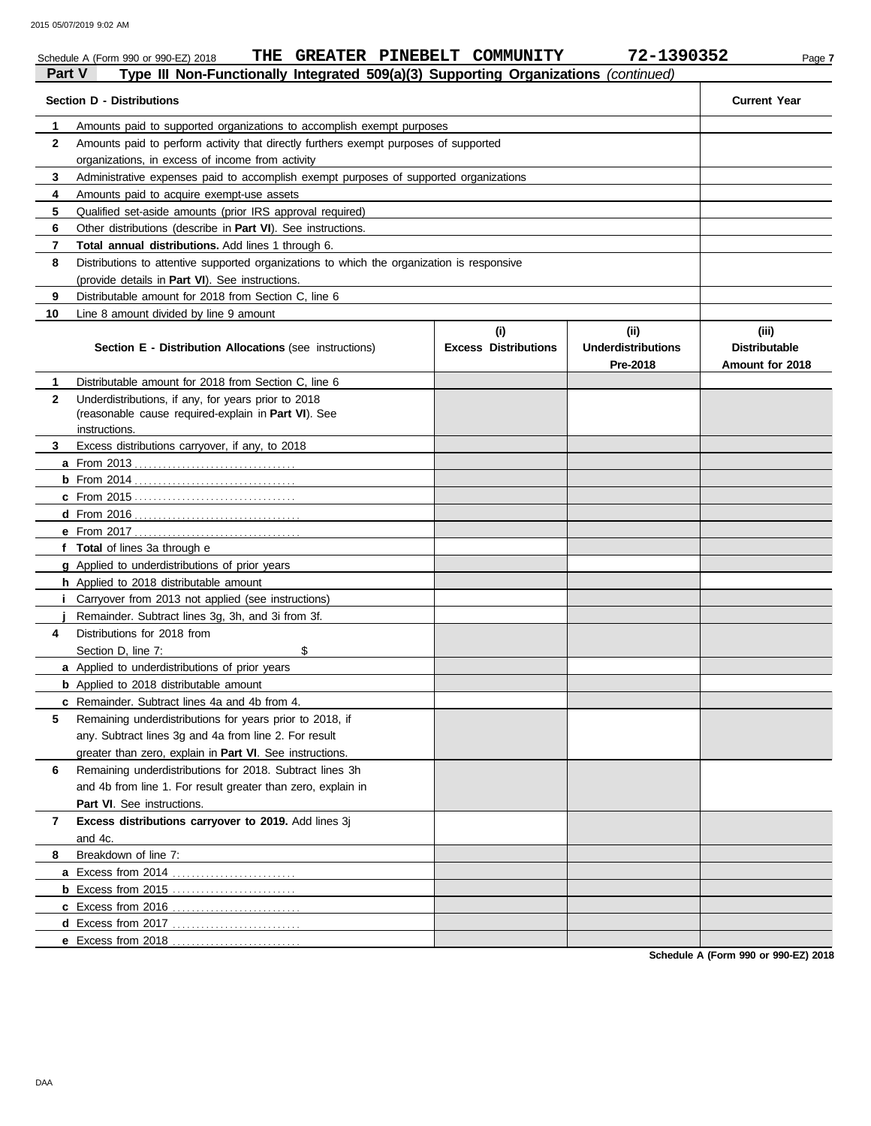|              | THE GREATER PINEBELT COMMUNITY<br>Schedule A (Form 990 or 990-EZ) 2018                                     |                                    | 72-1390352                                    | Page 7                                           |
|--------------|------------------------------------------------------------------------------------------------------------|------------------------------------|-----------------------------------------------|--------------------------------------------------|
| Part V       | Type III Non-Functionally Integrated 509(a)(3) Supporting Organizations (continued)                        |                                    |                                               |                                                  |
|              | <b>Section D - Distributions</b>                                                                           |                                    |                                               | <b>Current Year</b>                              |
| 1            | Amounts paid to supported organizations to accomplish exempt purposes                                      |                                    |                                               |                                                  |
| $\mathbf{2}$ | Amounts paid to perform activity that directly furthers exempt purposes of supported                       |                                    |                                               |                                                  |
|              | organizations, in excess of income from activity                                                           |                                    |                                               |                                                  |
| 3            | Administrative expenses paid to accomplish exempt purposes of supported organizations                      |                                    |                                               |                                                  |
| 4            | Amounts paid to acquire exempt-use assets                                                                  |                                    |                                               |                                                  |
| 5            | Qualified set-aside amounts (prior IRS approval required)                                                  |                                    |                                               |                                                  |
| 6            | Other distributions (describe in Part VI). See instructions.                                               |                                    |                                               |                                                  |
| 7            | Total annual distributions. Add lines 1 through 6.                                                         |                                    |                                               |                                                  |
| 8            | Distributions to attentive supported organizations to which the organization is responsive                 |                                    |                                               |                                                  |
|              | (provide details in Part VI). See instructions.                                                            |                                    |                                               |                                                  |
| 9            | Distributable amount for 2018 from Section C, line 6                                                       |                                    |                                               |                                                  |
| 10           | Line 8 amount divided by line 9 amount                                                                     |                                    |                                               |                                                  |
|              | <b>Section E - Distribution Allocations (see instructions)</b>                                             | (i)<br><b>Excess Distributions</b> | (ii)<br><b>Underdistributions</b><br>Pre-2018 | (iii)<br><b>Distributable</b><br>Amount for 2018 |
| 1            | Distributable amount for 2018 from Section C, line 6                                                       |                                    |                                               |                                                  |
| $\mathbf{2}$ | Underdistributions, if any, for years prior to 2018<br>(reasonable cause required-explain in Part VI). See |                                    |                                               |                                                  |
| 3            | instructions.<br>Excess distributions carryover, if any, to 2018                                           |                                    |                                               |                                                  |
|              |                                                                                                            |                                    |                                               |                                                  |
|              |                                                                                                            |                                    |                                               |                                                  |
|              |                                                                                                            |                                    |                                               |                                                  |
|              |                                                                                                            |                                    |                                               |                                                  |
|              |                                                                                                            |                                    |                                               |                                                  |
|              | f Total of lines 3a through e                                                                              |                                    |                                               |                                                  |
|              | g Applied to underdistributions of prior years                                                             |                                    |                                               |                                                  |
|              | h Applied to 2018 distributable amount                                                                     |                                    |                                               |                                                  |
| Ť.           | Carryover from 2013 not applied (see instructions)                                                         |                                    |                                               |                                                  |
|              | Remainder. Subtract lines 3g, 3h, and 3i from 3f.                                                          |                                    |                                               |                                                  |
| 4            | Distributions for 2018 from                                                                                |                                    |                                               |                                                  |
|              | Section D. line 7:<br>\$                                                                                   |                                    |                                               |                                                  |
|              | a Applied to underdistributions of prior years                                                             |                                    |                                               |                                                  |
|              | <b>b</b> Applied to 2018 distributable amount                                                              |                                    |                                               |                                                  |
|              | c Remainder. Subtract lines 4a and 4b from 4.                                                              |                                    |                                               |                                                  |
| 5            | Remaining underdistributions for years prior to 2018, if                                                   |                                    |                                               |                                                  |
|              | any. Subtract lines 3g and 4a from line 2. For result                                                      |                                    |                                               |                                                  |
|              | greater than zero, explain in Part VI. See instructions.                                                   |                                    |                                               |                                                  |
| 6            | Remaining underdistributions for 2018. Subtract lines 3h                                                   |                                    |                                               |                                                  |
|              | and 4b from line 1. For result greater than zero, explain in                                               |                                    |                                               |                                                  |
|              | Part VI. See instructions.                                                                                 |                                    |                                               |                                                  |
| 7            | Excess distributions carryover to 2019. Add lines 3j                                                       |                                    |                                               |                                                  |
|              | and 4c.                                                                                                    |                                    |                                               |                                                  |
| 8            | Breakdown of line 7:                                                                                       |                                    |                                               |                                                  |
|              | a Excess from 2014                                                                                         |                                    |                                               |                                                  |
|              |                                                                                                            |                                    |                                               |                                                  |
|              |                                                                                                            |                                    |                                               |                                                  |
|              |                                                                                                            |                                    |                                               |                                                  |
|              | e Excess from 2018                                                                                         |                                    |                                               |                                                  |
|              |                                                                                                            |                                    |                                               |                                                  |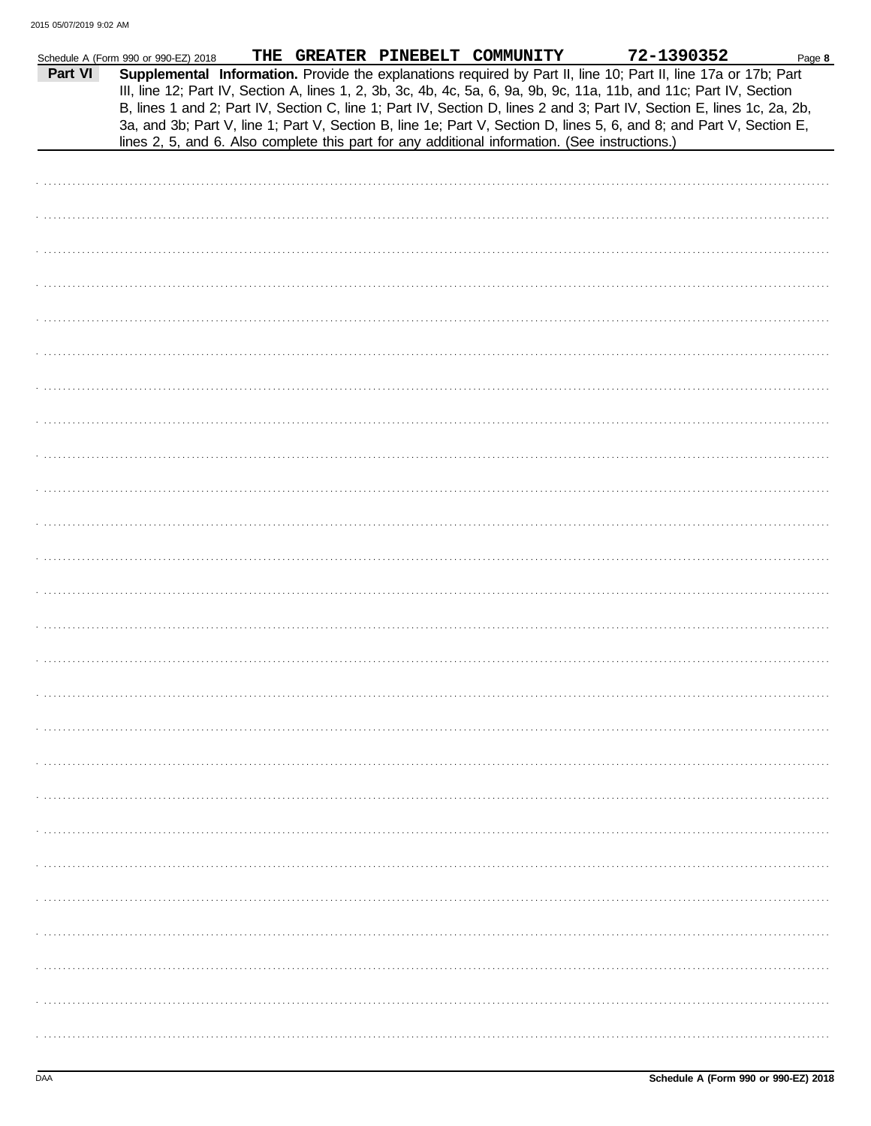|         | Schedule A (Form 990 or 990-EZ) 2018 |  | THE GREATER PINEBELT COMMUNITY                                                                 | 72-1390352                                                                                                                                                                                                                                                                                                                                                        | Page 8 |
|---------|--------------------------------------|--|------------------------------------------------------------------------------------------------|-------------------------------------------------------------------------------------------------------------------------------------------------------------------------------------------------------------------------------------------------------------------------------------------------------------------------------------------------------------------|--------|
| Part VI |                                      |  |                                                                                                | Supplemental Information. Provide the explanations required by Part II, line 10; Part II, line 17a or 17b; Part<br>III, line 12; Part IV, Section A, lines 1, 2, 3b, 3c, 4b, 4c, 5a, 6, 9a, 9b, 9c, 11a, 11b, and 11c; Part IV, Section<br>B, lines 1 and 2; Part IV, Section C, line 1; Part IV, Section D, lines 2 and 3; Part IV, Section E, lines 1c, 2a, 2b, |        |
|         |                                      |  | lines 2, 5, and 6. Also complete this part for any additional information. (See instructions.) | 3a, and 3b; Part V, line 1; Part V, Section B, line 1e; Part V, Section D, lines 5, 6, and 8; and Part V, Section E,                                                                                                                                                                                                                                              |        |
|         |                                      |  |                                                                                                |                                                                                                                                                                                                                                                                                                                                                                   |        |
|         |                                      |  |                                                                                                |                                                                                                                                                                                                                                                                                                                                                                   |        |
|         |                                      |  |                                                                                                |                                                                                                                                                                                                                                                                                                                                                                   |        |
|         |                                      |  |                                                                                                |                                                                                                                                                                                                                                                                                                                                                                   |        |
|         |                                      |  |                                                                                                |                                                                                                                                                                                                                                                                                                                                                                   |        |
|         |                                      |  |                                                                                                |                                                                                                                                                                                                                                                                                                                                                                   |        |
|         |                                      |  |                                                                                                |                                                                                                                                                                                                                                                                                                                                                                   |        |
|         |                                      |  |                                                                                                |                                                                                                                                                                                                                                                                                                                                                                   |        |
|         |                                      |  |                                                                                                |                                                                                                                                                                                                                                                                                                                                                                   |        |
|         |                                      |  |                                                                                                |                                                                                                                                                                                                                                                                                                                                                                   |        |
|         |                                      |  |                                                                                                |                                                                                                                                                                                                                                                                                                                                                                   |        |
|         |                                      |  |                                                                                                |                                                                                                                                                                                                                                                                                                                                                                   |        |
|         |                                      |  |                                                                                                |                                                                                                                                                                                                                                                                                                                                                                   |        |
|         |                                      |  |                                                                                                |                                                                                                                                                                                                                                                                                                                                                                   |        |
|         |                                      |  |                                                                                                |                                                                                                                                                                                                                                                                                                                                                                   |        |
|         |                                      |  |                                                                                                |                                                                                                                                                                                                                                                                                                                                                                   |        |
|         |                                      |  |                                                                                                |                                                                                                                                                                                                                                                                                                                                                                   |        |
|         |                                      |  |                                                                                                |                                                                                                                                                                                                                                                                                                                                                                   |        |
|         |                                      |  |                                                                                                |                                                                                                                                                                                                                                                                                                                                                                   |        |
|         |                                      |  |                                                                                                |                                                                                                                                                                                                                                                                                                                                                                   |        |
|         |                                      |  |                                                                                                |                                                                                                                                                                                                                                                                                                                                                                   |        |
|         |                                      |  |                                                                                                |                                                                                                                                                                                                                                                                                                                                                                   |        |
|         |                                      |  |                                                                                                |                                                                                                                                                                                                                                                                                                                                                                   |        |
|         |                                      |  |                                                                                                |                                                                                                                                                                                                                                                                                                                                                                   |        |
|         |                                      |  |                                                                                                |                                                                                                                                                                                                                                                                                                                                                                   |        |
|         |                                      |  |                                                                                                |                                                                                                                                                                                                                                                                                                                                                                   |        |
|         |                                      |  |                                                                                                |                                                                                                                                                                                                                                                                                                                                                                   |        |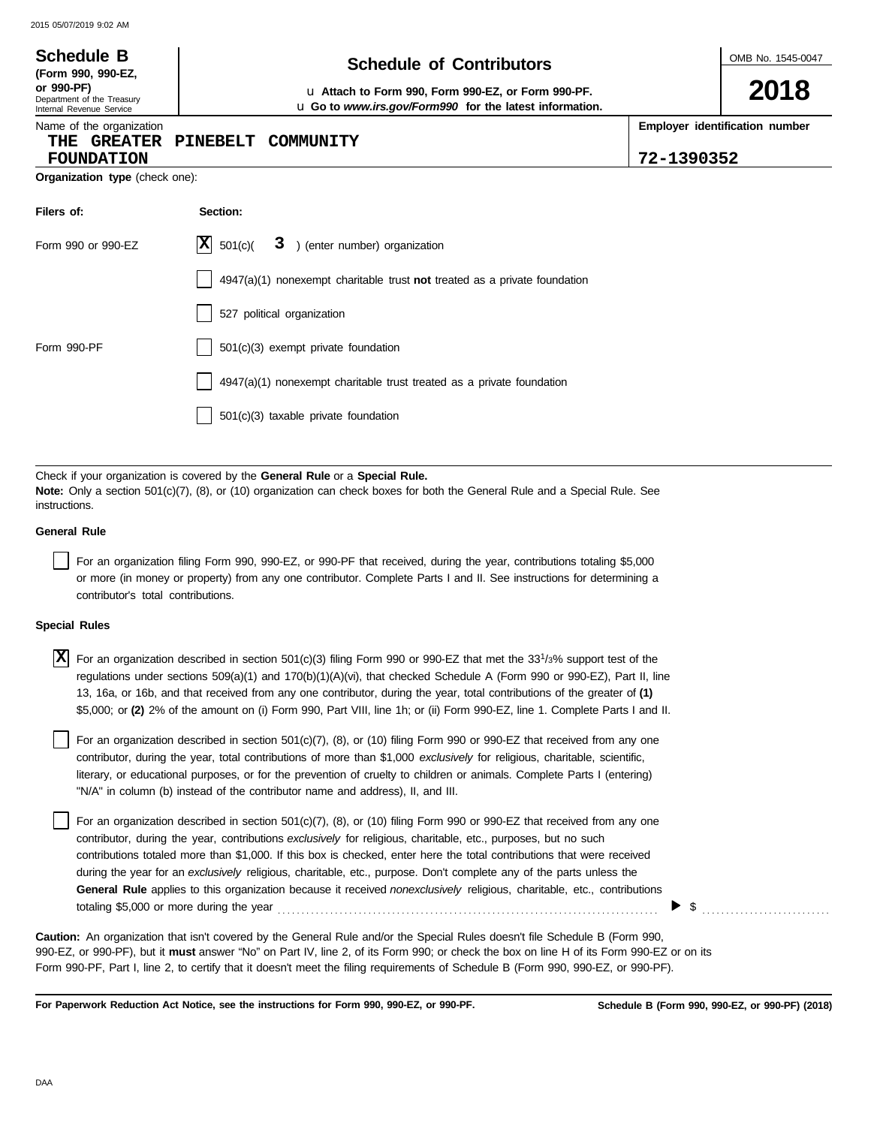#### OMB No. 1545-0047 Department of the Treasury Internal Revenue Service Name of the organization **2018 Schedule of Contributors Schedule B (Form 990, 990-EZ, or 990-PF)** u **Attach to Form 990, Form 990-EZ, or Form 990-PF. Employer identification number Organization type** (check one): **Filers of: Section:** Form 990 or 990-EZ  $|\mathbf{X}|$  501(c)( 3) (enter number) organization 4947(a)(1) nonexempt charitable trust **not** treated as a private foundation 527 political organization Form 990-PF 1501(c)(3) exempt private foundation u **Go to** *www.irs.gov/Form990* **for the latest information. THE GREATER PINEBELT COMMUNITY FOUNDATION 72-1390352**  $|\mathbf{X}|$  501(c)(

4947(a)(1) nonexempt charitable trust treated as a private foundation

501(c)(3) taxable private foundation

Check if your organization is covered by the **General Rule** or a **Special Rule. Note:** Only a section 501(c)(7), (8), or (10) organization can check boxes for both the General Rule and a Special Rule. See instructions.

#### **General Rule**

For an organization filing Form 990, 990-EZ, or 990-PF that received, during the year, contributions totaling \$5,000 or more (in money or property) from any one contributor. Complete Parts I and II. See instructions for determining a contributor's total contributions.

#### **Special Rules**

X For an organization described in section 501(c)(3) filing Form 990 or 990-EZ that met the 33<sup>1</sup>/3% support test of the regulations under sections 509(a)(1) and 170(b)(1)(A)(vi), that checked Schedule A (Form 990 or 990-EZ), Part II, line 13, 16a, or 16b, and that received from any one contributor, during the year, total contributions of the greater of **(1)** \$5,000; or **(2)** 2% of the amount on (i) Form 990, Part VIII, line 1h; or (ii) Form 990-EZ, line 1. Complete Parts I and II.

literary, or educational purposes, or for the prevention of cruelty to children or animals. Complete Parts I (entering) For an organization described in section 501(c)(7), (8), or (10) filing Form 990 or 990-EZ that received from any one contributor, during the year, total contributions of more than \$1,000 *exclusively* for religious, charitable, scientific, "N/A" in column (b) instead of the contributor name and address), II, and III.

For an organization described in section 501(c)(7), (8), or (10) filing Form 990 or 990-EZ that received from any one contributor, during the year, contributions *exclusively* for religious, charitable, etc., purposes, but no such contributions totaled more than \$1,000. If this box is checked, enter here the total contributions that were received during the year for an *exclusively* religious, charitable, etc., purpose. Don't complete any of the parts unless the **General Rule** applies to this organization because it received *nonexclusively* religious, charitable, etc., contributions totaling \$5,000 or more during the year . . . . . . . . . . . . . . . . . . . . . . . . . . . . . . . . . . . . . . . . . . . . . . . . . . . . . . . . . . . . . . . . . . . . . . . . . . . . . . . .

990-EZ, or 990-PF), but it **must** answer "No" on Part IV, line 2, of its Form 990; or check the box on line H of its Form 990-EZ or on its Form 990-PF, Part I, line 2, to certify that it doesn't meet the filing requirements of Schedule B (Form 990, 990-EZ, or 990-PF). **Caution:** An organization that isn't covered by the General Rule and/or the Special Rules doesn't file Schedule B (Form 990,

**For Paperwork Reduction Act Notice, see the instructions for Form 990, 990-EZ, or 990-PF.**

 $\triangleright$  \$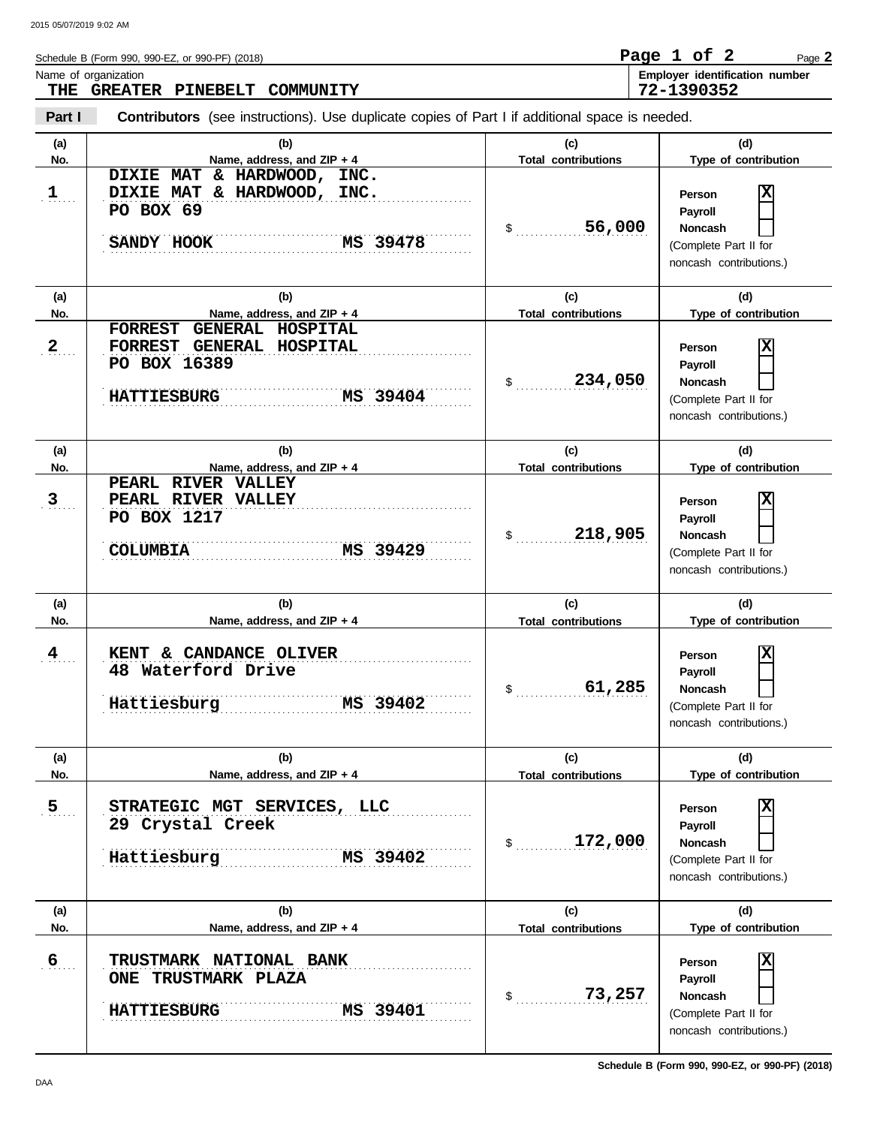| Schedule B (Form 990, 990-EZ, or 990-PF) (2018)                                                                 | Page 1 of 2<br>Page 2          |  |  |  |  |  |  |
|-----------------------------------------------------------------------------------------------------------------|--------------------------------|--|--|--|--|--|--|
| Name of organization                                                                                            | Employer identification number |  |  |  |  |  |  |
| THE GREATER PINEBELT COMMUNITY                                                                                  | 72-1390352                     |  |  |  |  |  |  |
| Part I<br><b>Contributors</b> (see instructions). Use duplicate copies of Part I if additional space is needed. |                                |  |  |  |  |  |  |

| (a)<br>No.       | (b)<br>Name, address, and ZIP + 4                                                                                | (c)<br><b>Total contributions</b> | (d)<br>Type of contribution                                                                  |
|------------------|------------------------------------------------------------------------------------------------------------------|-----------------------------------|----------------------------------------------------------------------------------------------|
| $\mathbf{1}$     | DIXIE MAT & HARDWOOD, INC.<br>DIXIE MAT & HARDWOOD, INC.<br>PO BOX 69<br>MS 39478<br>SANDY HOOK                  | 56,000<br>\$                      | X<br>Person<br>Payroll<br><b>Noncash</b><br>(Complete Part II for<br>noncash contributions.) |
| (a)<br>No.       | (b)<br>Name, address, and ZIP + 4                                                                                | (c)<br><b>Total contributions</b> | (d)<br>Type of contribution                                                                  |
| $\overline{2}$   | <b>FORREST</b><br>GENERAL HOSPITAL<br>FORREST GENERAL HOSPITAL<br>PO BOX 16389<br>MS 39404<br><b>HATTIESBURG</b> | 234,050<br>\$                     | X<br>Person<br>Payroll<br><b>Noncash</b><br>(Complete Part II for<br>noncash contributions.) |
| (a)<br>No.       | (b)<br>Name, address, and ZIP + 4                                                                                | (c)<br><b>Total contributions</b> | (d)<br>Type of contribution                                                                  |
| $\overline{3}$   | PEARL RIVER VALLEY<br>PEARL RIVER VALLEY<br>PO BOX 1217<br><b>COLUMBIA</b><br>MS 39429                           | 218,905<br>\$                     | X<br>Person<br>Payroll<br><b>Noncash</b><br>(Complete Part II for<br>noncash contributions.) |
| (a)<br>No.       | (b)<br>Name, address, and ZIP + 4                                                                                | (c)<br><b>Total contributions</b> | (d)<br>Type of contribution                                                                  |
| $\frac{4}{1}$    | KENT & CANDANCE OLIVER<br>48 Waterford Drive<br>Hattiesburg<br>MS 39402                                          | 61,285<br>\$                      | X<br>Person<br>Payroll<br><b>Noncash</b><br>(Complete Part II for<br>noncash contributions.) |
| (a)<br>No.       | (b)<br>Name, address, and ZIP + 4                                                                                | (c)<br><b>Total contributions</b> | (d)<br>Type of contribution                                                                  |
| $\overline{5}$   | STRATEGIC MGT SERVICES, LLC<br>29 Crystal Creek<br>Hattiesburg<br>MS 39402                                       | 172,000<br>$$\mathbb{S}$$         | X<br>Person<br>Payroll<br><b>Noncash</b><br>(Complete Part II for<br>noncash contributions.) |
| (a)<br>No.       | (b)<br>Name, address, and ZIP + 4                                                                                | (c)<br><b>Total contributions</b> | (d)<br>Type of contribution                                                                  |
| $6 \overline{6}$ | TRUSTMARK NATIONAL BANK<br>ONE TRUSTMARK PLAZA<br>MS 39401<br><b>HATTIESBURG</b>                                 | 73,257<br>\$                      | X<br>Person<br>Payroll<br>Noncash<br>(Complete Part II for<br>noncash contributions.)        |

**Schedule B (Form 990, 990-EZ, or 990-PF) (2018)**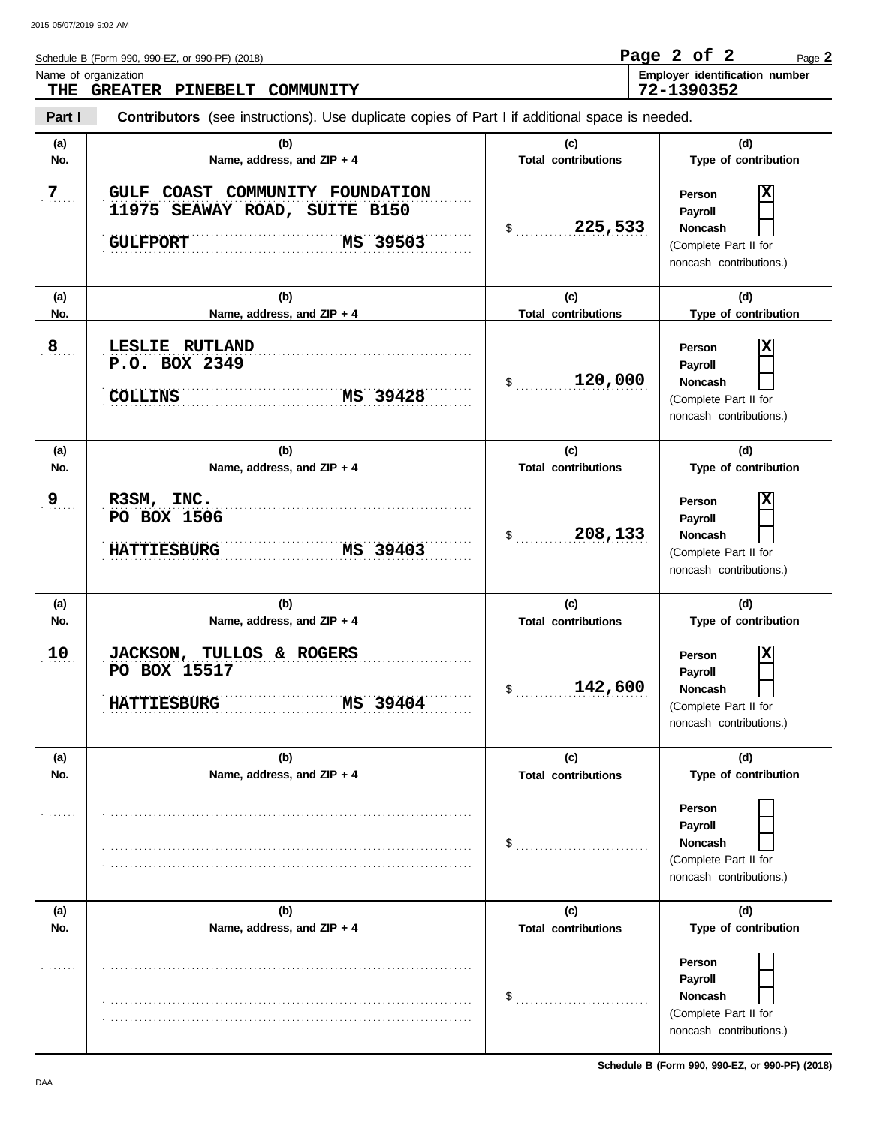|                | Name of organization<br>THE GREATER PINEBELT<br>COMMUNITY                                                |                                             | Employer identification number<br>72-1390352                                                                          |
|----------------|----------------------------------------------------------------------------------------------------------|---------------------------------------------|-----------------------------------------------------------------------------------------------------------------------|
| Part I         | Contributors (see instructions). Use duplicate copies of Part I if additional space is needed.           |                                             |                                                                                                                       |
| (a)<br>No.     | (b)<br>Name, address, and ZIP + 4                                                                        | (c)<br><b>Total contributions</b>           | (d)<br>Type of contribution                                                                                           |
| $7_{\ldots}$   | GULF COAST COMMUNITY FOUNDATION<br>11975 SEAWAY ROAD, SUITE B150<br>MS 39503<br><b>GULFPORT</b>          | 225,533<br>\$                               | X<br>Person<br>Payroll<br><b>Noncash</b><br>(Complete Part II for<br>noncash contributions.)                          |
| (a)<br>No.     | (b)<br>Name, address, and ZIP + 4                                                                        | (c)<br><b>Total contributions</b>           | (d)<br>Type of contribution                                                                                           |
| 8              | LESLIE RUTLAND<br>P.O. BOX 2349<br><b>COLLINS</b><br>MS 39428                                            | 120,000<br>\$                               | X<br>Person<br>Payroll<br><b>Noncash</b><br>(Complete Part II for<br>noncash contributions.)                          |
| (a)<br>No.     | (b)<br>Name, address, and ZIP + 4                                                                        | (c)<br><b>Total contributions</b>           | (d)<br>Type of contribution                                                                                           |
| 9 <sub>1</sub> | R3SM, INC.<br>PO BOX 1506<br>MS 39403<br><b>HATTIESBURG</b>                                              | 208,133<br>\$                               | X<br>Person<br>Payroll<br><b>Noncash</b><br>(Complete Part II for<br>noncash contributions.)                          |
| (a)            | (b)                                                                                                      | (c)                                         | (d)                                                                                                                   |
| No.<br>10      | Name, address, and ZIP + 4<br>JACKSON, TULLOS & ROGERS<br>PO BOX 15517<br>MS 39404<br><b>HATTIESBURG</b> | <b>Total contributions</b><br>142,600<br>\$ | Type of contribution<br> X<br>Person<br>Payroll<br><b>Noncash</b><br>(Complete Part II for<br>noncash contributions.) |
| (a)<br>No.     | (b)<br>Name, address, and ZIP + 4                                                                        | (c)<br><b>Total contributions</b>           | (d)<br>Type of contribution                                                                                           |

**(a) (b) (c) (d)** No. No. Name, address, and ZIP + 4 **Total contributions** Type of contribution

. . . . . . . . . . . . . . . . . . . . . . . . . . . . . . . . . . . . . . . . . . . . . . . . . . . . . . . . . . . . . . . . . . . . . . . . . . . . . . . . . . . . . . . . . . . . . . . . . . . . . . . . . . . . . . . . . . . . . . . . . . . . . . . . . . . . . . . . . . . . . . . . . . . . . . . . . .

. . . . . . . . . . . . . . . . . . . . . . . . . . . . . . . . . . . . . . . . . . . . . . . . . . . . . . . . . . . . . . . . . . . . . . . . . . . . .

. . . . . . . . . . . . . . . . . . . . . . . . . . . . . . . . . . . . . . . . . . . . . . . . . . . . . . . . . . . . . . . . . . . . . . . . . . . . .

. . . . . . . . . . . . . . . . . . . . . . . . . . . . . . . . . . . . . . . . . . . . . . . . . . . . . . . . . . . . . . . . . . . . . . . . . . . . . . . . . . . . . . . . . . . . . . . . . . . . . . . . . . . . . . . . . . . . . . . . . . . . . . . . . . . . . . . . . . . . . . . . . . . . . . . . . .  $\mathsf{S}$ 

\$ . . . . . . . . . . . . . . . . . . . . . . . . . . . .

**Total contributions**

**Payroll Noncash**

(Complete Part II for noncash contributions.)

(Complete Part II for

**Person Payroll Noncash**

. . . . . . .

. . . . . . .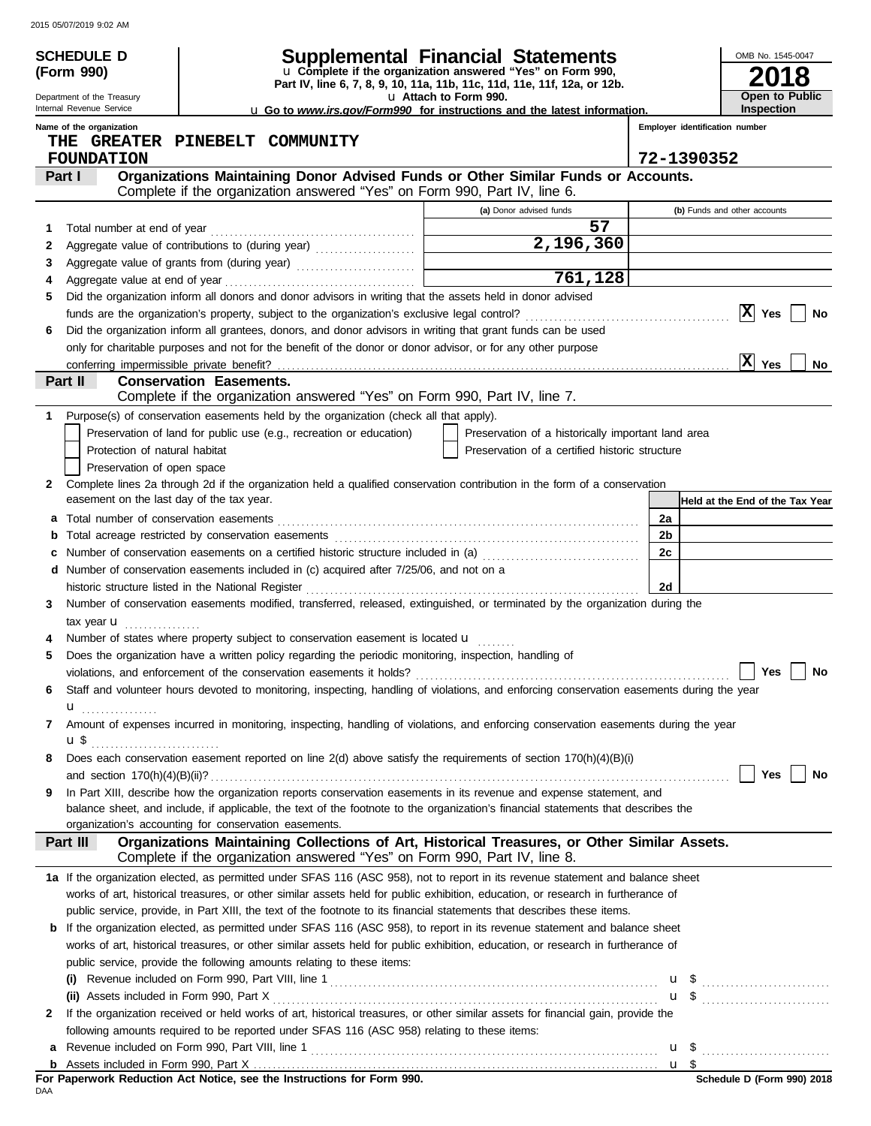2015 05/07/2019 9:02 AM

| <b>SCHEDULE D</b><br>(Form 990) |                                                        |                                                                                                                                                                                                                                                                     | Supplemental Financial Statements<br>u Complete if the organization answered "Yes" on Form 990, |                                                    |    |                                | OMB No. 1545-0047            |                                 |  |
|---------------------------------|--------------------------------------------------------|---------------------------------------------------------------------------------------------------------------------------------------------------------------------------------------------------------------------------------------------------------------------|-------------------------------------------------------------------------------------------------|----------------------------------------------------|----|--------------------------------|------------------------------|---------------------------------|--|
|                                 |                                                        |                                                                                                                                                                                                                                                                     | Part IV, line 6, 7, 8, 9, 10, 11a, 11b, 11c, 11d, 11e, 11f, 12a, or 12b.                        |                                                    |    |                                | 8                            |                                 |  |
|                                 | Department of the Treasury<br>Internal Revenue Service |                                                                                                                                                                                                                                                                     |                                                                                                 | u Attach to Form 990.                              |    |                                | <b>Inspection</b>            | Open to Public                  |  |
|                                 |                                                        | <b>u</b> Go to www.irs.gov/Form990 for instructions and the latest information.                                                                                                                                                                                     |                                                                                                 |                                                    |    |                                |                              |                                 |  |
|                                 | Name of the organization                               | THE GREATER PINEBELT COMMUNITY                                                                                                                                                                                                                                      |                                                                                                 |                                                    |    | Employer identification number |                              |                                 |  |
|                                 | <b>FOUNDATION</b>                                      |                                                                                                                                                                                                                                                                     |                                                                                                 |                                                    |    | 72-1390352                     |                              |                                 |  |
|                                 | Part I                                                 | Organizations Maintaining Donor Advised Funds or Other Similar Funds or Accounts.                                                                                                                                                                                   |                                                                                                 |                                                    |    |                                |                              |                                 |  |
|                                 |                                                        | Complete if the organization answered "Yes" on Form 990, Part IV, line 6.                                                                                                                                                                                           |                                                                                                 |                                                    |    |                                |                              |                                 |  |
|                                 |                                                        |                                                                                                                                                                                                                                                                     |                                                                                                 | (a) Donor advised funds                            |    |                                | (b) Funds and other accounts |                                 |  |
| 1                               |                                                        |                                                                                                                                                                                                                                                                     |                                                                                                 | 57                                                 |    |                                |                              |                                 |  |
| 2                               |                                                        |                                                                                                                                                                                                                                                                     |                                                                                                 | 2,196,360                                          |    |                                |                              |                                 |  |
| 3                               |                                                        |                                                                                                                                                                                                                                                                     |                                                                                                 |                                                    |    |                                |                              |                                 |  |
| 4                               |                                                        |                                                                                                                                                                                                                                                                     |                                                                                                 | 761,128                                            |    |                                |                              |                                 |  |
| 5                               |                                                        | Did the organization inform all donors and donor advisors in writing that the assets held in donor advised                                                                                                                                                          |                                                                                                 |                                                    |    |                                |                              |                                 |  |
|                                 |                                                        |                                                                                                                                                                                                                                                                     |                                                                                                 |                                                    |    |                                | $ X $ Yes                    | No                              |  |
| 6                               |                                                        | Did the organization inform all grantees, donors, and donor advisors in writing that grant funds can be used                                                                                                                                                        |                                                                                                 |                                                    |    |                                |                              |                                 |  |
|                                 | conferring impermissible private benefit?              | only for charitable purposes and not for the benefit of the donor or donor advisor, or for any other purpose                                                                                                                                                        |                                                                                                 |                                                    |    |                                | Ixl<br>Yes                   | No.                             |  |
|                                 | Part II                                                | <b>Conservation Easements.</b>                                                                                                                                                                                                                                      |                                                                                                 |                                                    |    |                                |                              |                                 |  |
|                                 |                                                        | Complete if the organization answered "Yes" on Form 990, Part IV, line 7.                                                                                                                                                                                           |                                                                                                 |                                                    |    |                                |                              |                                 |  |
| 1                               |                                                        | Purpose(s) of conservation easements held by the organization (check all that apply).                                                                                                                                                                               |                                                                                                 |                                                    |    |                                |                              |                                 |  |
|                                 |                                                        | Preservation of land for public use (e.g., recreation or education)                                                                                                                                                                                                 |                                                                                                 | Preservation of a historically important land area |    |                                |                              |                                 |  |
|                                 | Protection of natural habitat                          |                                                                                                                                                                                                                                                                     |                                                                                                 | Preservation of a certified historic structure     |    |                                |                              |                                 |  |
|                                 | Preservation of open space                             |                                                                                                                                                                                                                                                                     |                                                                                                 |                                                    |    |                                |                              |                                 |  |
| 2                               |                                                        | Complete lines 2a through 2d if the organization held a qualified conservation contribution in the form of a conservation                                                                                                                                           |                                                                                                 |                                                    |    |                                |                              |                                 |  |
|                                 | easement on the last day of the tax year.              |                                                                                                                                                                                                                                                                     |                                                                                                 |                                                    |    |                                |                              | Held at the End of the Tax Year |  |
|                                 |                                                        | a Total number of conservation easements [111] [12] The Total Management of Total number of conservation easements                                                                                                                                                  |                                                                                                 |                                                    | 2a |                                |                              |                                 |  |
|                                 |                                                        |                                                                                                                                                                                                                                                                     |                                                                                                 |                                                    | 2b |                                |                              |                                 |  |
|                                 |                                                        | Number of conservation easements on a certified historic structure included in (a) [[[[[ [ [ ]]]                                                                                                                                                                    |                                                                                                 |                                                    | 2c |                                |                              |                                 |  |
|                                 |                                                        | d Number of conservation easements included in (c) acquired after 7/25/06, and not on a                                                                                                                                                                             |                                                                                                 |                                                    |    |                                |                              |                                 |  |
|                                 |                                                        |                                                                                                                                                                                                                                                                     |                                                                                                 |                                                    | 2d |                                |                              |                                 |  |
| 3                               |                                                        | Number of conservation easements modified, transferred, released, extinguished, or terminated by the organization during the                                                                                                                                        |                                                                                                 |                                                    |    |                                |                              |                                 |  |
|                                 | tax year $\mathbf u$                                   |                                                                                                                                                                                                                                                                     |                                                                                                 |                                                    |    |                                |                              |                                 |  |
|                                 |                                                        | Number of states where property subject to conservation easement is located u                                                                                                                                                                                       |                                                                                                 |                                                    |    |                                |                              |                                 |  |
| 5                               |                                                        | Does the organization have a written policy regarding the periodic monitoring, inspection, handling of                                                                                                                                                              |                                                                                                 |                                                    |    |                                |                              |                                 |  |
|                                 |                                                        |                                                                                                                                                                                                                                                                     |                                                                                                 |                                                    |    |                                |                              | Yes   No                        |  |
| 6                               |                                                        | Staff and volunteer hours devoted to monitoring, inspecting, handling of violations, and enforcing conservation easements during the year                                                                                                                           |                                                                                                 |                                                    |    |                                |                              |                                 |  |
|                                 | u <sub></sub>                                          |                                                                                                                                                                                                                                                                     |                                                                                                 |                                                    |    |                                |                              |                                 |  |
| 7                               |                                                        | Amount of expenses incurred in monitoring, inspecting, handling of violations, and enforcing conservation easements during the year                                                                                                                                 |                                                                                                 |                                                    |    |                                |                              |                                 |  |
|                                 | <b>u</b> \$                                            |                                                                                                                                                                                                                                                                     |                                                                                                 |                                                    |    |                                |                              |                                 |  |
| 8                               |                                                        | Does each conservation easement reported on line 2(d) above satisfy the requirements of section 170(h)(4)(B)(i)                                                                                                                                                     |                                                                                                 |                                                    |    |                                |                              |                                 |  |
|                                 |                                                        |                                                                                                                                                                                                                                                                     |                                                                                                 |                                                    |    |                                | Yes                          | No                              |  |
| 9                               |                                                        | In Part XIII, describe how the organization reports conservation easements in its revenue and expense statement, and                                                                                                                                                |                                                                                                 |                                                    |    |                                |                              |                                 |  |
|                                 |                                                        | balance sheet, and include, if applicable, the text of the footnote to the organization's financial statements that describes the                                                                                                                                   |                                                                                                 |                                                    |    |                                |                              |                                 |  |
|                                 |                                                        | organization's accounting for conservation easements.<br>Organizations Maintaining Collections of Art, Historical Treasures, or Other Similar Assets.                                                                                                               |                                                                                                 |                                                    |    |                                |                              |                                 |  |
|                                 | Part III                                               | Complete if the organization answered "Yes" on Form 990, Part IV, line 8.                                                                                                                                                                                           |                                                                                                 |                                                    |    |                                |                              |                                 |  |
|                                 |                                                        |                                                                                                                                                                                                                                                                     |                                                                                                 |                                                    |    |                                |                              |                                 |  |
|                                 |                                                        | 1a If the organization elected, as permitted under SFAS 116 (ASC 958), not to report in its revenue statement and balance sheet<br>works of art, historical treasures, or other similar assets held for public exhibition, education, or research in furtherance of |                                                                                                 |                                                    |    |                                |                              |                                 |  |
|                                 |                                                        | public service, provide, in Part XIII, the text of the footnote to its financial statements that describes these items.                                                                                                                                             |                                                                                                 |                                                    |    |                                |                              |                                 |  |
|                                 |                                                        | <b>b</b> If the organization elected, as permitted under SFAS 116 (ASC 958), to report in its revenue statement and balance sheet                                                                                                                                   |                                                                                                 |                                                    |    |                                |                              |                                 |  |
|                                 |                                                        | works of art, historical treasures, or other similar assets held for public exhibition, education, or research in furtherance of                                                                                                                                    |                                                                                                 |                                                    |    |                                |                              |                                 |  |
|                                 |                                                        | public service, provide the following amounts relating to these items:                                                                                                                                                                                              |                                                                                                 |                                                    |    |                                |                              |                                 |  |
|                                 |                                                        |                                                                                                                                                                                                                                                                     |                                                                                                 |                                                    |    |                                |                              |                                 |  |
|                                 |                                                        |                                                                                                                                                                                                                                                                     |                                                                                                 |                                                    |    |                                |                              | $\mathbf{u}$ \$                 |  |
| 2                               |                                                        | If the organization received or held works of art, historical treasures, or other similar assets for financial gain, provide the                                                                                                                                    |                                                                                                 |                                                    |    |                                |                              |                                 |  |
|                                 |                                                        | following amounts required to be reported under SFAS 116 (ASC 958) relating to these items:                                                                                                                                                                         |                                                                                                 |                                                    |    |                                |                              |                                 |  |
| а                               |                                                        |                                                                                                                                                                                                                                                                     |                                                                                                 |                                                    |    |                                |                              |                                 |  |
|                                 |                                                        |                                                                                                                                                                                                                                                                     |                                                                                                 |                                                    |    |                                |                              |                                 |  |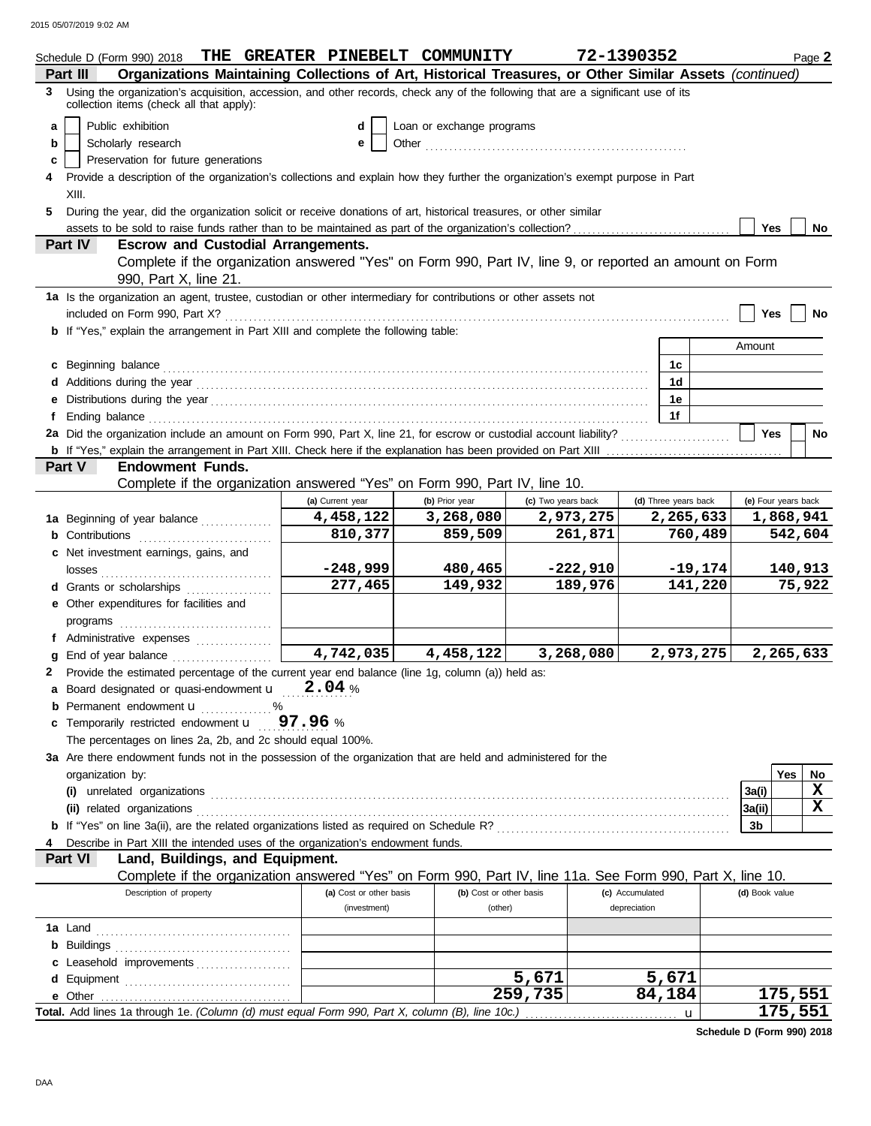2015 05/07/2019 9:02 AM

| Organizations Maintaining Collections of Art, Historical Treasures, or Other Similar Assets (continued)<br>Part III<br>3 Using the organization's acquisition, accession, and other records, check any of the following that are a significant use of its<br>collection items (check all that apply):<br>Public exhibition<br>Loan or exchange programs<br>a<br>d<br>Scholarly research<br>b<br>е<br>Preservation for future generations<br>c<br>Provide a description of the organization's collections and explain how they further the organization's exempt purpose in Part<br>XIII.<br>During the year, did the organization solicit or receive donations of art, historical treasures, or other similar<br>5.<br><b>Yes</b><br>No<br>Part IV<br><b>Escrow and Custodial Arrangements.</b><br>Complete if the organization answered "Yes" on Form 990, Part IV, line 9, or reported an amount on Form<br>990, Part X, line 21.<br>1a Is the organization an agent, trustee, custodian or other intermediary for contributions or other assets not<br><b>Yes</b><br>No<br><b>b</b> If "Yes," explain the arrangement in Part XIII and complete the following table:<br>Amount<br>c Beginning balance <b>contract to the contract of the contract of the contract of the contract of the contract of the contract of the contract of the contract of the contract of the contract of the contract of the contract </b><br>1c<br>1 <sub>d</sub><br>1e<br>е<br>1f<br>Ending balance <b>constructs</b> and constructs and constructs and constructs and constructs and constructs and constructs and constructs and constructs and constructs and constructs and constructs and constructs and constructs<br>2a Did the organization include an amount on Form 990, Part X, line 21, for escrow or custodial account liability?<br>Yes<br>No<br><b>Endowment Funds.</b><br><b>Part V</b><br>Complete if the organization answered "Yes" on Form 990, Part IV, line 10.<br>(a) Current year<br>(b) Prior year<br>(c) Two years back<br>(d) Three years back<br>(e) Four years back<br>4,458,122<br>3,268,080<br>2,973,275<br>2,265,633<br>1,868,941<br>1a Beginning of year balance<br>810,377<br>859,509<br>261,871<br>760,489<br>542,604<br><b>b</b> Contributions<br>c Net investment earnings, gains, and<br>$-248,999$<br>480,465<br>$-222,910$<br>$-19,174$<br>140,913<br>277,465<br>149,932<br>189,976<br>141,220<br>75,922<br>d Grants or scholarships<br>e Other expenditures for facilities and<br>f Administrative expenses<br>4,742,035<br>4,458,122<br>3,268,080<br>2,973,275<br>2,265,633<br>End of year balance<br>Provide the estimated percentage of the current year end balance (line 1g, column (a)) held as:<br><b>a</b> Board designated or quasi-endowment $\mathbf{u}$ 2.04 %<br><b>b</b> Permanent endowment <b>u</b> %<br>c Temporarily restricted endowment $\mathbf{u} = 97.96$ %<br>The percentages on lines 2a, 2b, and 2c should equal 100%.<br>3a Are there endowment funds not in the possession of the organization that are held and administered for the<br>Yes<br>No<br>organization by:<br>X<br>3a(i)<br>x<br> 3a(ii)<br>3b<br>Describe in Part XIII the intended uses of the organization's endowment funds.<br>Land, Buildings, and Equipment.<br><b>Part VI</b><br>Complete if the organization answered "Yes" on Form 990, Part IV, line 11a. See Form 990, Part X, line 10.<br>Description of property<br>(a) Cost or other basis<br>(b) Cost or other basis<br>(c) Accumulated<br>(d) Book value<br>(investment)<br>(other)<br>depreciation<br>b<br>c Leasehold improvements<br>5,671<br>5,671<br>259,735<br>84,184<br>175,551<br>175,551<br>Total. Add lines 1a through 1e. (Column (d) must equal Form 990, Part X, column (B), line 10c.)<br>$\mathbf u$ | Schedule D (Form 990) 2018 THE GREATER PINEBELT COMMUNITY |  | 72-1390352 |  |  | Page 2 |
|--------------------------------------------------------------------------------------------------------------------------------------------------------------------------------------------------------------------------------------------------------------------------------------------------------------------------------------------------------------------------------------------------------------------------------------------------------------------------------------------------------------------------------------------------------------------------------------------------------------------------------------------------------------------------------------------------------------------------------------------------------------------------------------------------------------------------------------------------------------------------------------------------------------------------------------------------------------------------------------------------------------------------------------------------------------------------------------------------------------------------------------------------------------------------------------------------------------------------------------------------------------------------------------------------------------------------------------------------------------------------------------------------------------------------------------------------------------------------------------------------------------------------------------------------------------------------------------------------------------------------------------------------------------------------------------------------------------------------------------------------------------------------------------------------------------------------------------------------------------------------------------------------------------------------------------------------------------------------------------------------------------------------------------------------------------------------------------------------------------------------------------------------------------------------------------------------------------------------------------------------------------------------------------------------------------------------------------------------------------------------------------------------------------------------------------------------------------------------------------------------------------------------------------------------------------------------------------------------------------------------------------------------------------------------------------------------------------------------------------------------------------------------------------------------------------------------------------------------------------------------------------------------------------------------------------------------------------------------------------------------------------------------------------------------------------------------------------------------------------------------------------------------------------------------------------------------------------------------------------------------------------------------------------------------------------------------------------------------------------------------------------------------------------------------------------------------------------------------------------------------------------------------------------------------------------------------------------------------------------------------------------------------------------------------------------------------------------------------------------------------------------------------------------------------------|-----------------------------------------------------------|--|------------|--|--|--------|
|                                                                                                                                                                                                                                                                                                                                                                                                                                                                                                                                                                                                                                                                                                                                                                                                                                                                                                                                                                                                                                                                                                                                                                                                                                                                                                                                                                                                                                                                                                                                                                                                                                                                                                                                                                                                                                                                                                                                                                                                                                                                                                                                                                                                                                                                                                                                                                                                                                                                                                                                                                                                                                                                                                                                                                                                                                                                                                                                                                                                                                                                                                                                                                                                                                                                                                                                                                                                                                                                                                                                                                                                                                                                                                                                                                                                        |                                                           |  |            |  |  |        |
|                                                                                                                                                                                                                                                                                                                                                                                                                                                                                                                                                                                                                                                                                                                                                                                                                                                                                                                                                                                                                                                                                                                                                                                                                                                                                                                                                                                                                                                                                                                                                                                                                                                                                                                                                                                                                                                                                                                                                                                                                                                                                                                                                                                                                                                                                                                                                                                                                                                                                                                                                                                                                                                                                                                                                                                                                                                                                                                                                                                                                                                                                                                                                                                                                                                                                                                                                                                                                                                                                                                                                                                                                                                                                                                                                                                                        |                                                           |  |            |  |  |        |
|                                                                                                                                                                                                                                                                                                                                                                                                                                                                                                                                                                                                                                                                                                                                                                                                                                                                                                                                                                                                                                                                                                                                                                                                                                                                                                                                                                                                                                                                                                                                                                                                                                                                                                                                                                                                                                                                                                                                                                                                                                                                                                                                                                                                                                                                                                                                                                                                                                                                                                                                                                                                                                                                                                                                                                                                                                                                                                                                                                                                                                                                                                                                                                                                                                                                                                                                                                                                                                                                                                                                                                                                                                                                                                                                                                                                        |                                                           |  |            |  |  |        |
|                                                                                                                                                                                                                                                                                                                                                                                                                                                                                                                                                                                                                                                                                                                                                                                                                                                                                                                                                                                                                                                                                                                                                                                                                                                                                                                                                                                                                                                                                                                                                                                                                                                                                                                                                                                                                                                                                                                                                                                                                                                                                                                                                                                                                                                                                                                                                                                                                                                                                                                                                                                                                                                                                                                                                                                                                                                                                                                                                                                                                                                                                                                                                                                                                                                                                                                                                                                                                                                                                                                                                                                                                                                                                                                                                                                                        |                                                           |  |            |  |  |        |
|                                                                                                                                                                                                                                                                                                                                                                                                                                                                                                                                                                                                                                                                                                                                                                                                                                                                                                                                                                                                                                                                                                                                                                                                                                                                                                                                                                                                                                                                                                                                                                                                                                                                                                                                                                                                                                                                                                                                                                                                                                                                                                                                                                                                                                                                                                                                                                                                                                                                                                                                                                                                                                                                                                                                                                                                                                                                                                                                                                                                                                                                                                                                                                                                                                                                                                                                                                                                                                                                                                                                                                                                                                                                                                                                                                                                        |                                                           |  |            |  |  |        |
|                                                                                                                                                                                                                                                                                                                                                                                                                                                                                                                                                                                                                                                                                                                                                                                                                                                                                                                                                                                                                                                                                                                                                                                                                                                                                                                                                                                                                                                                                                                                                                                                                                                                                                                                                                                                                                                                                                                                                                                                                                                                                                                                                                                                                                                                                                                                                                                                                                                                                                                                                                                                                                                                                                                                                                                                                                                                                                                                                                                                                                                                                                                                                                                                                                                                                                                                                                                                                                                                                                                                                                                                                                                                                                                                                                                                        |                                                           |  |            |  |  |        |
|                                                                                                                                                                                                                                                                                                                                                                                                                                                                                                                                                                                                                                                                                                                                                                                                                                                                                                                                                                                                                                                                                                                                                                                                                                                                                                                                                                                                                                                                                                                                                                                                                                                                                                                                                                                                                                                                                                                                                                                                                                                                                                                                                                                                                                                                                                                                                                                                                                                                                                                                                                                                                                                                                                                                                                                                                                                                                                                                                                                                                                                                                                                                                                                                                                                                                                                                                                                                                                                                                                                                                                                                                                                                                                                                                                                                        |                                                           |  |            |  |  |        |
|                                                                                                                                                                                                                                                                                                                                                                                                                                                                                                                                                                                                                                                                                                                                                                                                                                                                                                                                                                                                                                                                                                                                                                                                                                                                                                                                                                                                                                                                                                                                                                                                                                                                                                                                                                                                                                                                                                                                                                                                                                                                                                                                                                                                                                                                                                                                                                                                                                                                                                                                                                                                                                                                                                                                                                                                                                                                                                                                                                                                                                                                                                                                                                                                                                                                                                                                                                                                                                                                                                                                                                                                                                                                                                                                                                                                        |                                                           |  |            |  |  |        |
|                                                                                                                                                                                                                                                                                                                                                                                                                                                                                                                                                                                                                                                                                                                                                                                                                                                                                                                                                                                                                                                                                                                                                                                                                                                                                                                                                                                                                                                                                                                                                                                                                                                                                                                                                                                                                                                                                                                                                                                                                                                                                                                                                                                                                                                                                                                                                                                                                                                                                                                                                                                                                                                                                                                                                                                                                                                                                                                                                                                                                                                                                                                                                                                                                                                                                                                                                                                                                                                                                                                                                                                                                                                                                                                                                                                                        |                                                           |  |            |  |  |        |
|                                                                                                                                                                                                                                                                                                                                                                                                                                                                                                                                                                                                                                                                                                                                                                                                                                                                                                                                                                                                                                                                                                                                                                                                                                                                                                                                                                                                                                                                                                                                                                                                                                                                                                                                                                                                                                                                                                                                                                                                                                                                                                                                                                                                                                                                                                                                                                                                                                                                                                                                                                                                                                                                                                                                                                                                                                                                                                                                                                                                                                                                                                                                                                                                                                                                                                                                                                                                                                                                                                                                                                                                                                                                                                                                                                                                        |                                                           |  |            |  |  |        |
|                                                                                                                                                                                                                                                                                                                                                                                                                                                                                                                                                                                                                                                                                                                                                                                                                                                                                                                                                                                                                                                                                                                                                                                                                                                                                                                                                                                                                                                                                                                                                                                                                                                                                                                                                                                                                                                                                                                                                                                                                                                                                                                                                                                                                                                                                                                                                                                                                                                                                                                                                                                                                                                                                                                                                                                                                                                                                                                                                                                                                                                                                                                                                                                                                                                                                                                                                                                                                                                                                                                                                                                                                                                                                                                                                                                                        |                                                           |  |            |  |  |        |
|                                                                                                                                                                                                                                                                                                                                                                                                                                                                                                                                                                                                                                                                                                                                                                                                                                                                                                                                                                                                                                                                                                                                                                                                                                                                                                                                                                                                                                                                                                                                                                                                                                                                                                                                                                                                                                                                                                                                                                                                                                                                                                                                                                                                                                                                                                                                                                                                                                                                                                                                                                                                                                                                                                                                                                                                                                                                                                                                                                                                                                                                                                                                                                                                                                                                                                                                                                                                                                                                                                                                                                                                                                                                                                                                                                                                        |                                                           |  |            |  |  |        |
|                                                                                                                                                                                                                                                                                                                                                                                                                                                                                                                                                                                                                                                                                                                                                                                                                                                                                                                                                                                                                                                                                                                                                                                                                                                                                                                                                                                                                                                                                                                                                                                                                                                                                                                                                                                                                                                                                                                                                                                                                                                                                                                                                                                                                                                                                                                                                                                                                                                                                                                                                                                                                                                                                                                                                                                                                                                                                                                                                                                                                                                                                                                                                                                                                                                                                                                                                                                                                                                                                                                                                                                                                                                                                                                                                                                                        |                                                           |  |            |  |  |        |
|                                                                                                                                                                                                                                                                                                                                                                                                                                                                                                                                                                                                                                                                                                                                                                                                                                                                                                                                                                                                                                                                                                                                                                                                                                                                                                                                                                                                                                                                                                                                                                                                                                                                                                                                                                                                                                                                                                                                                                                                                                                                                                                                                                                                                                                                                                                                                                                                                                                                                                                                                                                                                                                                                                                                                                                                                                                                                                                                                                                                                                                                                                                                                                                                                                                                                                                                                                                                                                                                                                                                                                                                                                                                                                                                                                                                        |                                                           |  |            |  |  |        |
|                                                                                                                                                                                                                                                                                                                                                                                                                                                                                                                                                                                                                                                                                                                                                                                                                                                                                                                                                                                                                                                                                                                                                                                                                                                                                                                                                                                                                                                                                                                                                                                                                                                                                                                                                                                                                                                                                                                                                                                                                                                                                                                                                                                                                                                                                                                                                                                                                                                                                                                                                                                                                                                                                                                                                                                                                                                                                                                                                                                                                                                                                                                                                                                                                                                                                                                                                                                                                                                                                                                                                                                                                                                                                                                                                                                                        |                                                           |  |            |  |  |        |
|                                                                                                                                                                                                                                                                                                                                                                                                                                                                                                                                                                                                                                                                                                                                                                                                                                                                                                                                                                                                                                                                                                                                                                                                                                                                                                                                                                                                                                                                                                                                                                                                                                                                                                                                                                                                                                                                                                                                                                                                                                                                                                                                                                                                                                                                                                                                                                                                                                                                                                                                                                                                                                                                                                                                                                                                                                                                                                                                                                                                                                                                                                                                                                                                                                                                                                                                                                                                                                                                                                                                                                                                                                                                                                                                                                                                        |                                                           |  |            |  |  |        |
|                                                                                                                                                                                                                                                                                                                                                                                                                                                                                                                                                                                                                                                                                                                                                                                                                                                                                                                                                                                                                                                                                                                                                                                                                                                                                                                                                                                                                                                                                                                                                                                                                                                                                                                                                                                                                                                                                                                                                                                                                                                                                                                                                                                                                                                                                                                                                                                                                                                                                                                                                                                                                                                                                                                                                                                                                                                                                                                                                                                                                                                                                                                                                                                                                                                                                                                                                                                                                                                                                                                                                                                                                                                                                                                                                                                                        |                                                           |  |            |  |  |        |
|                                                                                                                                                                                                                                                                                                                                                                                                                                                                                                                                                                                                                                                                                                                                                                                                                                                                                                                                                                                                                                                                                                                                                                                                                                                                                                                                                                                                                                                                                                                                                                                                                                                                                                                                                                                                                                                                                                                                                                                                                                                                                                                                                                                                                                                                                                                                                                                                                                                                                                                                                                                                                                                                                                                                                                                                                                                                                                                                                                                                                                                                                                                                                                                                                                                                                                                                                                                                                                                                                                                                                                                                                                                                                                                                                                                                        |                                                           |  |            |  |  |        |
|                                                                                                                                                                                                                                                                                                                                                                                                                                                                                                                                                                                                                                                                                                                                                                                                                                                                                                                                                                                                                                                                                                                                                                                                                                                                                                                                                                                                                                                                                                                                                                                                                                                                                                                                                                                                                                                                                                                                                                                                                                                                                                                                                                                                                                                                                                                                                                                                                                                                                                                                                                                                                                                                                                                                                                                                                                                                                                                                                                                                                                                                                                                                                                                                                                                                                                                                                                                                                                                                                                                                                                                                                                                                                                                                                                                                        |                                                           |  |            |  |  |        |
|                                                                                                                                                                                                                                                                                                                                                                                                                                                                                                                                                                                                                                                                                                                                                                                                                                                                                                                                                                                                                                                                                                                                                                                                                                                                                                                                                                                                                                                                                                                                                                                                                                                                                                                                                                                                                                                                                                                                                                                                                                                                                                                                                                                                                                                                                                                                                                                                                                                                                                                                                                                                                                                                                                                                                                                                                                                                                                                                                                                                                                                                                                                                                                                                                                                                                                                                                                                                                                                                                                                                                                                                                                                                                                                                                                                                        |                                                           |  |            |  |  |        |
|                                                                                                                                                                                                                                                                                                                                                                                                                                                                                                                                                                                                                                                                                                                                                                                                                                                                                                                                                                                                                                                                                                                                                                                                                                                                                                                                                                                                                                                                                                                                                                                                                                                                                                                                                                                                                                                                                                                                                                                                                                                                                                                                                                                                                                                                                                                                                                                                                                                                                                                                                                                                                                                                                                                                                                                                                                                                                                                                                                                                                                                                                                                                                                                                                                                                                                                                                                                                                                                                                                                                                                                                                                                                                                                                                                                                        |                                                           |  |            |  |  |        |
|                                                                                                                                                                                                                                                                                                                                                                                                                                                                                                                                                                                                                                                                                                                                                                                                                                                                                                                                                                                                                                                                                                                                                                                                                                                                                                                                                                                                                                                                                                                                                                                                                                                                                                                                                                                                                                                                                                                                                                                                                                                                                                                                                                                                                                                                                                                                                                                                                                                                                                                                                                                                                                                                                                                                                                                                                                                                                                                                                                                                                                                                                                                                                                                                                                                                                                                                                                                                                                                                                                                                                                                                                                                                                                                                                                                                        |                                                           |  |            |  |  |        |
|                                                                                                                                                                                                                                                                                                                                                                                                                                                                                                                                                                                                                                                                                                                                                                                                                                                                                                                                                                                                                                                                                                                                                                                                                                                                                                                                                                                                                                                                                                                                                                                                                                                                                                                                                                                                                                                                                                                                                                                                                                                                                                                                                                                                                                                                                                                                                                                                                                                                                                                                                                                                                                                                                                                                                                                                                                                                                                                                                                                                                                                                                                                                                                                                                                                                                                                                                                                                                                                                                                                                                                                                                                                                                                                                                                                                        |                                                           |  |            |  |  |        |
|                                                                                                                                                                                                                                                                                                                                                                                                                                                                                                                                                                                                                                                                                                                                                                                                                                                                                                                                                                                                                                                                                                                                                                                                                                                                                                                                                                                                                                                                                                                                                                                                                                                                                                                                                                                                                                                                                                                                                                                                                                                                                                                                                                                                                                                                                                                                                                                                                                                                                                                                                                                                                                                                                                                                                                                                                                                                                                                                                                                                                                                                                                                                                                                                                                                                                                                                                                                                                                                                                                                                                                                                                                                                                                                                                                                                        |                                                           |  |            |  |  |        |
|                                                                                                                                                                                                                                                                                                                                                                                                                                                                                                                                                                                                                                                                                                                                                                                                                                                                                                                                                                                                                                                                                                                                                                                                                                                                                                                                                                                                                                                                                                                                                                                                                                                                                                                                                                                                                                                                                                                                                                                                                                                                                                                                                                                                                                                                                                                                                                                                                                                                                                                                                                                                                                                                                                                                                                                                                                                                                                                                                                                                                                                                                                                                                                                                                                                                                                                                                                                                                                                                                                                                                                                                                                                                                                                                                                                                        |                                                           |  |            |  |  |        |
|                                                                                                                                                                                                                                                                                                                                                                                                                                                                                                                                                                                                                                                                                                                                                                                                                                                                                                                                                                                                                                                                                                                                                                                                                                                                                                                                                                                                                                                                                                                                                                                                                                                                                                                                                                                                                                                                                                                                                                                                                                                                                                                                                                                                                                                                                                                                                                                                                                                                                                                                                                                                                                                                                                                                                                                                                                                                                                                                                                                                                                                                                                                                                                                                                                                                                                                                                                                                                                                                                                                                                                                                                                                                                                                                                                                                        |                                                           |  |            |  |  |        |
|                                                                                                                                                                                                                                                                                                                                                                                                                                                                                                                                                                                                                                                                                                                                                                                                                                                                                                                                                                                                                                                                                                                                                                                                                                                                                                                                                                                                                                                                                                                                                                                                                                                                                                                                                                                                                                                                                                                                                                                                                                                                                                                                                                                                                                                                                                                                                                                                                                                                                                                                                                                                                                                                                                                                                                                                                                                                                                                                                                                                                                                                                                                                                                                                                                                                                                                                                                                                                                                                                                                                                                                                                                                                                                                                                                                                        |                                                           |  |            |  |  |        |
|                                                                                                                                                                                                                                                                                                                                                                                                                                                                                                                                                                                                                                                                                                                                                                                                                                                                                                                                                                                                                                                                                                                                                                                                                                                                                                                                                                                                                                                                                                                                                                                                                                                                                                                                                                                                                                                                                                                                                                                                                                                                                                                                                                                                                                                                                                                                                                                                                                                                                                                                                                                                                                                                                                                                                                                                                                                                                                                                                                                                                                                                                                                                                                                                                                                                                                                                                                                                                                                                                                                                                                                                                                                                                                                                                                                                        |                                                           |  |            |  |  |        |
|                                                                                                                                                                                                                                                                                                                                                                                                                                                                                                                                                                                                                                                                                                                                                                                                                                                                                                                                                                                                                                                                                                                                                                                                                                                                                                                                                                                                                                                                                                                                                                                                                                                                                                                                                                                                                                                                                                                                                                                                                                                                                                                                                                                                                                                                                                                                                                                                                                                                                                                                                                                                                                                                                                                                                                                                                                                                                                                                                                                                                                                                                                                                                                                                                                                                                                                                                                                                                                                                                                                                                                                                                                                                                                                                                                                                        |                                                           |  |            |  |  |        |
|                                                                                                                                                                                                                                                                                                                                                                                                                                                                                                                                                                                                                                                                                                                                                                                                                                                                                                                                                                                                                                                                                                                                                                                                                                                                                                                                                                                                                                                                                                                                                                                                                                                                                                                                                                                                                                                                                                                                                                                                                                                                                                                                                                                                                                                                                                                                                                                                                                                                                                                                                                                                                                                                                                                                                                                                                                                                                                                                                                                                                                                                                                                                                                                                                                                                                                                                                                                                                                                                                                                                                                                                                                                                                                                                                                                                        |                                                           |  |            |  |  |        |
|                                                                                                                                                                                                                                                                                                                                                                                                                                                                                                                                                                                                                                                                                                                                                                                                                                                                                                                                                                                                                                                                                                                                                                                                                                                                                                                                                                                                                                                                                                                                                                                                                                                                                                                                                                                                                                                                                                                                                                                                                                                                                                                                                                                                                                                                                                                                                                                                                                                                                                                                                                                                                                                                                                                                                                                                                                                                                                                                                                                                                                                                                                                                                                                                                                                                                                                                                                                                                                                                                                                                                                                                                                                                                                                                                                                                        |                                                           |  |            |  |  |        |
|                                                                                                                                                                                                                                                                                                                                                                                                                                                                                                                                                                                                                                                                                                                                                                                                                                                                                                                                                                                                                                                                                                                                                                                                                                                                                                                                                                                                                                                                                                                                                                                                                                                                                                                                                                                                                                                                                                                                                                                                                                                                                                                                                                                                                                                                                                                                                                                                                                                                                                                                                                                                                                                                                                                                                                                                                                                                                                                                                                                                                                                                                                                                                                                                                                                                                                                                                                                                                                                                                                                                                                                                                                                                                                                                                                                                        |                                                           |  |            |  |  |        |
|                                                                                                                                                                                                                                                                                                                                                                                                                                                                                                                                                                                                                                                                                                                                                                                                                                                                                                                                                                                                                                                                                                                                                                                                                                                                                                                                                                                                                                                                                                                                                                                                                                                                                                                                                                                                                                                                                                                                                                                                                                                                                                                                                                                                                                                                                                                                                                                                                                                                                                                                                                                                                                                                                                                                                                                                                                                                                                                                                                                                                                                                                                                                                                                                                                                                                                                                                                                                                                                                                                                                                                                                                                                                                                                                                                                                        |                                                           |  |            |  |  |        |
|                                                                                                                                                                                                                                                                                                                                                                                                                                                                                                                                                                                                                                                                                                                                                                                                                                                                                                                                                                                                                                                                                                                                                                                                                                                                                                                                                                                                                                                                                                                                                                                                                                                                                                                                                                                                                                                                                                                                                                                                                                                                                                                                                                                                                                                                                                                                                                                                                                                                                                                                                                                                                                                                                                                                                                                                                                                                                                                                                                                                                                                                                                                                                                                                                                                                                                                                                                                                                                                                                                                                                                                                                                                                                                                                                                                                        |                                                           |  |            |  |  |        |
|                                                                                                                                                                                                                                                                                                                                                                                                                                                                                                                                                                                                                                                                                                                                                                                                                                                                                                                                                                                                                                                                                                                                                                                                                                                                                                                                                                                                                                                                                                                                                                                                                                                                                                                                                                                                                                                                                                                                                                                                                                                                                                                                                                                                                                                                                                                                                                                                                                                                                                                                                                                                                                                                                                                                                                                                                                                                                                                                                                                                                                                                                                                                                                                                                                                                                                                                                                                                                                                                                                                                                                                                                                                                                                                                                                                                        |                                                           |  |            |  |  |        |
|                                                                                                                                                                                                                                                                                                                                                                                                                                                                                                                                                                                                                                                                                                                                                                                                                                                                                                                                                                                                                                                                                                                                                                                                                                                                                                                                                                                                                                                                                                                                                                                                                                                                                                                                                                                                                                                                                                                                                                                                                                                                                                                                                                                                                                                                                                                                                                                                                                                                                                                                                                                                                                                                                                                                                                                                                                                                                                                                                                                                                                                                                                                                                                                                                                                                                                                                                                                                                                                                                                                                                                                                                                                                                                                                                                                                        |                                                           |  |            |  |  |        |
|                                                                                                                                                                                                                                                                                                                                                                                                                                                                                                                                                                                                                                                                                                                                                                                                                                                                                                                                                                                                                                                                                                                                                                                                                                                                                                                                                                                                                                                                                                                                                                                                                                                                                                                                                                                                                                                                                                                                                                                                                                                                                                                                                                                                                                                                                                                                                                                                                                                                                                                                                                                                                                                                                                                                                                                                                                                                                                                                                                                                                                                                                                                                                                                                                                                                                                                                                                                                                                                                                                                                                                                                                                                                                                                                                                                                        |                                                           |  |            |  |  |        |
|                                                                                                                                                                                                                                                                                                                                                                                                                                                                                                                                                                                                                                                                                                                                                                                                                                                                                                                                                                                                                                                                                                                                                                                                                                                                                                                                                                                                                                                                                                                                                                                                                                                                                                                                                                                                                                                                                                                                                                                                                                                                                                                                                                                                                                                                                                                                                                                                                                                                                                                                                                                                                                                                                                                                                                                                                                                                                                                                                                                                                                                                                                                                                                                                                                                                                                                                                                                                                                                                                                                                                                                                                                                                                                                                                                                                        |                                                           |  |            |  |  |        |
|                                                                                                                                                                                                                                                                                                                                                                                                                                                                                                                                                                                                                                                                                                                                                                                                                                                                                                                                                                                                                                                                                                                                                                                                                                                                                                                                                                                                                                                                                                                                                                                                                                                                                                                                                                                                                                                                                                                                                                                                                                                                                                                                                                                                                                                                                                                                                                                                                                                                                                                                                                                                                                                                                                                                                                                                                                                                                                                                                                                                                                                                                                                                                                                                                                                                                                                                                                                                                                                                                                                                                                                                                                                                                                                                                                                                        |                                                           |  |            |  |  |        |
|                                                                                                                                                                                                                                                                                                                                                                                                                                                                                                                                                                                                                                                                                                                                                                                                                                                                                                                                                                                                                                                                                                                                                                                                                                                                                                                                                                                                                                                                                                                                                                                                                                                                                                                                                                                                                                                                                                                                                                                                                                                                                                                                                                                                                                                                                                                                                                                                                                                                                                                                                                                                                                                                                                                                                                                                                                                                                                                                                                                                                                                                                                                                                                                                                                                                                                                                                                                                                                                                                                                                                                                                                                                                                                                                                                                                        |                                                           |  |            |  |  |        |
|                                                                                                                                                                                                                                                                                                                                                                                                                                                                                                                                                                                                                                                                                                                                                                                                                                                                                                                                                                                                                                                                                                                                                                                                                                                                                                                                                                                                                                                                                                                                                                                                                                                                                                                                                                                                                                                                                                                                                                                                                                                                                                                                                                                                                                                                                                                                                                                                                                                                                                                                                                                                                                                                                                                                                                                                                                                                                                                                                                                                                                                                                                                                                                                                                                                                                                                                                                                                                                                                                                                                                                                                                                                                                                                                                                                                        |                                                           |  |            |  |  |        |
|                                                                                                                                                                                                                                                                                                                                                                                                                                                                                                                                                                                                                                                                                                                                                                                                                                                                                                                                                                                                                                                                                                                                                                                                                                                                                                                                                                                                                                                                                                                                                                                                                                                                                                                                                                                                                                                                                                                                                                                                                                                                                                                                                                                                                                                                                                                                                                                                                                                                                                                                                                                                                                                                                                                                                                                                                                                                                                                                                                                                                                                                                                                                                                                                                                                                                                                                                                                                                                                                                                                                                                                                                                                                                                                                                                                                        |                                                           |  |            |  |  |        |
|                                                                                                                                                                                                                                                                                                                                                                                                                                                                                                                                                                                                                                                                                                                                                                                                                                                                                                                                                                                                                                                                                                                                                                                                                                                                                                                                                                                                                                                                                                                                                                                                                                                                                                                                                                                                                                                                                                                                                                                                                                                                                                                                                                                                                                                                                                                                                                                                                                                                                                                                                                                                                                                                                                                                                                                                                                                                                                                                                                                                                                                                                                                                                                                                                                                                                                                                                                                                                                                                                                                                                                                                                                                                                                                                                                                                        |                                                           |  |            |  |  |        |
|                                                                                                                                                                                                                                                                                                                                                                                                                                                                                                                                                                                                                                                                                                                                                                                                                                                                                                                                                                                                                                                                                                                                                                                                                                                                                                                                                                                                                                                                                                                                                                                                                                                                                                                                                                                                                                                                                                                                                                                                                                                                                                                                                                                                                                                                                                                                                                                                                                                                                                                                                                                                                                                                                                                                                                                                                                                                                                                                                                                                                                                                                                                                                                                                                                                                                                                                                                                                                                                                                                                                                                                                                                                                                                                                                                                                        |                                                           |  |            |  |  |        |
|                                                                                                                                                                                                                                                                                                                                                                                                                                                                                                                                                                                                                                                                                                                                                                                                                                                                                                                                                                                                                                                                                                                                                                                                                                                                                                                                                                                                                                                                                                                                                                                                                                                                                                                                                                                                                                                                                                                                                                                                                                                                                                                                                                                                                                                                                                                                                                                                                                                                                                                                                                                                                                                                                                                                                                                                                                                                                                                                                                                                                                                                                                                                                                                                                                                                                                                                                                                                                                                                                                                                                                                                                                                                                                                                                                                                        |                                                           |  |            |  |  |        |
|                                                                                                                                                                                                                                                                                                                                                                                                                                                                                                                                                                                                                                                                                                                                                                                                                                                                                                                                                                                                                                                                                                                                                                                                                                                                                                                                                                                                                                                                                                                                                                                                                                                                                                                                                                                                                                                                                                                                                                                                                                                                                                                                                                                                                                                                                                                                                                                                                                                                                                                                                                                                                                                                                                                                                                                                                                                                                                                                                                                                                                                                                                                                                                                                                                                                                                                                                                                                                                                                                                                                                                                                                                                                                                                                                                                                        |                                                           |  |            |  |  |        |
|                                                                                                                                                                                                                                                                                                                                                                                                                                                                                                                                                                                                                                                                                                                                                                                                                                                                                                                                                                                                                                                                                                                                                                                                                                                                                                                                                                                                                                                                                                                                                                                                                                                                                                                                                                                                                                                                                                                                                                                                                                                                                                                                                                                                                                                                                                                                                                                                                                                                                                                                                                                                                                                                                                                                                                                                                                                                                                                                                                                                                                                                                                                                                                                                                                                                                                                                                                                                                                                                                                                                                                                                                                                                                                                                                                                                        |                                                           |  |            |  |  |        |
|                                                                                                                                                                                                                                                                                                                                                                                                                                                                                                                                                                                                                                                                                                                                                                                                                                                                                                                                                                                                                                                                                                                                                                                                                                                                                                                                                                                                                                                                                                                                                                                                                                                                                                                                                                                                                                                                                                                                                                                                                                                                                                                                                                                                                                                                                                                                                                                                                                                                                                                                                                                                                                                                                                                                                                                                                                                                                                                                                                                                                                                                                                                                                                                                                                                                                                                                                                                                                                                                                                                                                                                                                                                                                                                                                                                                        |                                                           |  |            |  |  |        |
|                                                                                                                                                                                                                                                                                                                                                                                                                                                                                                                                                                                                                                                                                                                                                                                                                                                                                                                                                                                                                                                                                                                                                                                                                                                                                                                                                                                                                                                                                                                                                                                                                                                                                                                                                                                                                                                                                                                                                                                                                                                                                                                                                                                                                                                                                                                                                                                                                                                                                                                                                                                                                                                                                                                                                                                                                                                                                                                                                                                                                                                                                                                                                                                                                                                                                                                                                                                                                                                                                                                                                                                                                                                                                                                                                                                                        |                                                           |  |            |  |  |        |
|                                                                                                                                                                                                                                                                                                                                                                                                                                                                                                                                                                                                                                                                                                                                                                                                                                                                                                                                                                                                                                                                                                                                                                                                                                                                                                                                                                                                                                                                                                                                                                                                                                                                                                                                                                                                                                                                                                                                                                                                                                                                                                                                                                                                                                                                                                                                                                                                                                                                                                                                                                                                                                                                                                                                                                                                                                                                                                                                                                                                                                                                                                                                                                                                                                                                                                                                                                                                                                                                                                                                                                                                                                                                                                                                                                                                        |                                                           |  |            |  |  |        |
|                                                                                                                                                                                                                                                                                                                                                                                                                                                                                                                                                                                                                                                                                                                                                                                                                                                                                                                                                                                                                                                                                                                                                                                                                                                                                                                                                                                                                                                                                                                                                                                                                                                                                                                                                                                                                                                                                                                                                                                                                                                                                                                                                                                                                                                                                                                                                                                                                                                                                                                                                                                                                                                                                                                                                                                                                                                                                                                                                                                                                                                                                                                                                                                                                                                                                                                                                                                                                                                                                                                                                                                                                                                                                                                                                                                                        |                                                           |  |            |  |  |        |
|                                                                                                                                                                                                                                                                                                                                                                                                                                                                                                                                                                                                                                                                                                                                                                                                                                                                                                                                                                                                                                                                                                                                                                                                                                                                                                                                                                                                                                                                                                                                                                                                                                                                                                                                                                                                                                                                                                                                                                                                                                                                                                                                                                                                                                                                                                                                                                                                                                                                                                                                                                                                                                                                                                                                                                                                                                                                                                                                                                                                                                                                                                                                                                                                                                                                                                                                                                                                                                                                                                                                                                                                                                                                                                                                                                                                        |                                                           |  |            |  |  |        |
|                                                                                                                                                                                                                                                                                                                                                                                                                                                                                                                                                                                                                                                                                                                                                                                                                                                                                                                                                                                                                                                                                                                                                                                                                                                                                                                                                                                                                                                                                                                                                                                                                                                                                                                                                                                                                                                                                                                                                                                                                                                                                                                                                                                                                                                                                                                                                                                                                                                                                                                                                                                                                                                                                                                                                                                                                                                                                                                                                                                                                                                                                                                                                                                                                                                                                                                                                                                                                                                                                                                                                                                                                                                                                                                                                                                                        |                                                           |  |            |  |  |        |

**Schedule D (Form 990) 2018**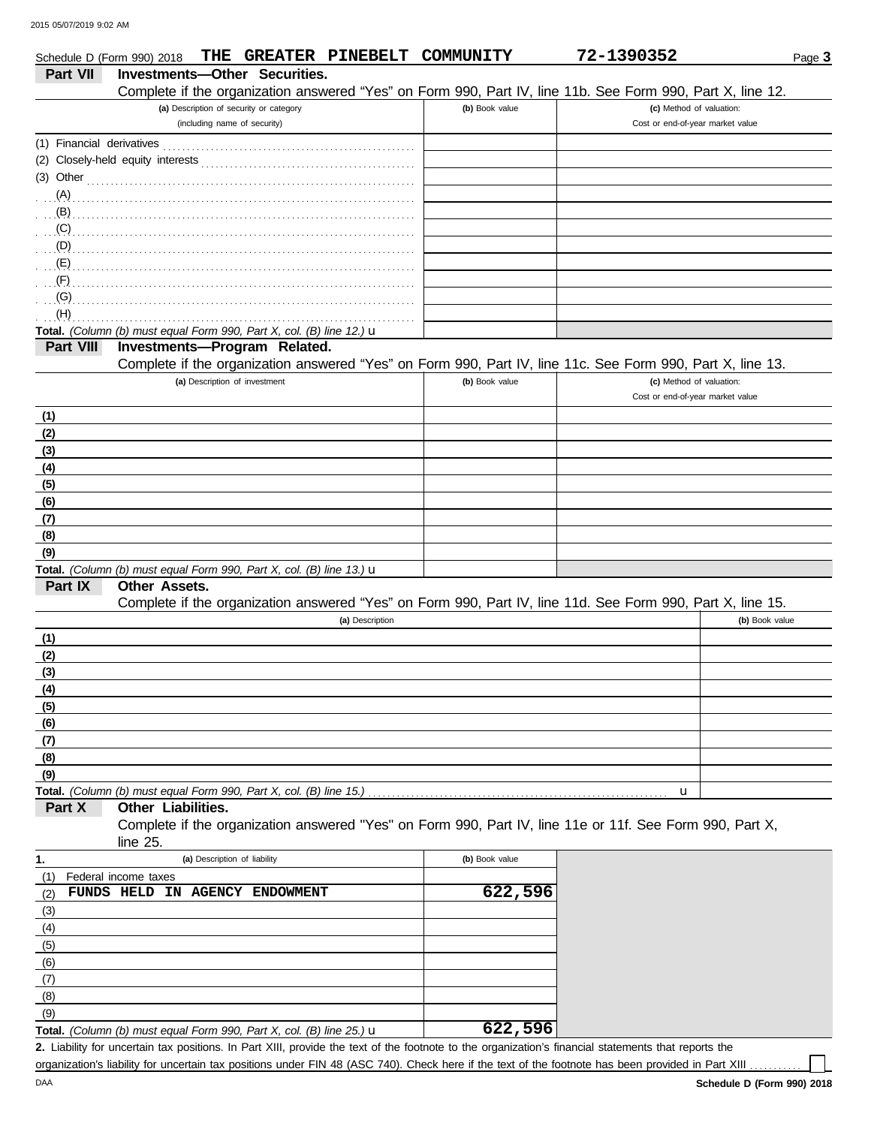|                           | THE GREATER PINEBELT COMMUNITY<br>Schedule D (Form 990) 2018                                               |                | 72-1390352                       | Page 3         |
|---------------------------|------------------------------------------------------------------------------------------------------------|----------------|----------------------------------|----------------|
| Part VII                  | <b>Investments-Other Securities.</b>                                                                       |                |                                  |                |
|                           | Complete if the organization answered "Yes" on Form 990, Part IV, line 11b. See Form 990, Part X, line 12. |                |                                  |                |
|                           | (a) Description of security or category                                                                    | (b) Book value | (c) Method of valuation:         |                |
|                           | (including name of security)                                                                               |                | Cost or end-of-year market value |                |
| (1) Financial derivatives |                                                                                                            |                |                                  |                |
|                           |                                                                                                            |                |                                  |                |
| $(3)$ Other               |                                                                                                            |                |                                  |                |
| (A)                       |                                                                                                            |                |                                  |                |
| (B)                       |                                                                                                            |                |                                  |                |
| (C)                       |                                                                                                            |                |                                  |                |
| (D)                       |                                                                                                            |                |                                  |                |
|                           |                                                                                                            |                |                                  |                |
| (F)                       |                                                                                                            |                |                                  |                |
| (G)                       |                                                                                                            |                |                                  |                |
| (H)                       |                                                                                                            |                |                                  |                |
|                           | Total. (Column (b) must equal Form 990, Part X, col. (B) line 12.) $\mathbf u$                             |                |                                  |                |
| Part VIII                 | Investments-Program Related.                                                                               |                |                                  |                |
|                           | Complete if the organization answered "Yes" on Form 990, Part IV, line 11c. See Form 990, Part X, line 13. |                |                                  |                |
|                           | (a) Description of investment                                                                              | (b) Book value | (c) Method of valuation:         |                |
|                           |                                                                                                            |                | Cost or end-of-year market value |                |
| (1)                       |                                                                                                            |                |                                  |                |
| (2)                       |                                                                                                            |                |                                  |                |
| (3)                       |                                                                                                            |                |                                  |                |
| (4)                       |                                                                                                            |                |                                  |                |
| (5)                       |                                                                                                            |                |                                  |                |
| (6)                       |                                                                                                            |                |                                  |                |
| (7)                       |                                                                                                            |                |                                  |                |
| (8)                       |                                                                                                            |                |                                  |                |
| (9)                       |                                                                                                            |                |                                  |                |
| Part IX                   | Total. (Column (b) must equal Form 990, Part X, col. (B) line 13.) $\mathbf u$<br><b>Other Assets.</b>     |                |                                  |                |
|                           | Complete if the organization answered "Yes" on Form 990, Part IV, line 11d. See Form 990, Part X, line 15. |                |                                  |                |
|                           | (a) Description                                                                                            |                |                                  | (b) Book value |
| (1)                       |                                                                                                            |                |                                  |                |
| (2)                       |                                                                                                            |                |                                  |                |
| (3)                       |                                                                                                            |                |                                  |                |
| (4)                       |                                                                                                            |                |                                  |                |
| (5)                       |                                                                                                            |                |                                  |                |
| (6)                       |                                                                                                            |                |                                  |                |
| (7)                       |                                                                                                            |                |                                  |                |
| (8)                       |                                                                                                            |                |                                  |                |
| (9)                       |                                                                                                            |                |                                  |                |
|                           | Total. (Column (b) must equal Form 990, Part X, col. (B) line 15.)                                         |                | u                                |                |
| Part X                    | Other Liabilities.                                                                                         |                |                                  |                |
|                           | Complete if the organization answered "Yes" on Form 990, Part IV, line 11e or 11f. See Form 990, Part X,   |                |                                  |                |
|                           | line $25$ .                                                                                                |                |                                  |                |
| 1.                        | (a) Description of liability                                                                               | (b) Book value |                                  |                |
| (1)                       | Federal income taxes                                                                                       |                |                                  |                |
| (2)                       | FUNDS HELD IN AGENCY ENDOWMENT                                                                             | 622,596        |                                  |                |
| (3)                       |                                                                                                            |                |                                  |                |
| (4)                       |                                                                                                            |                |                                  |                |
| (5)                       |                                                                                                            |                |                                  |                |
| (6)                       |                                                                                                            |                |                                  |                |
| (7)                       |                                                                                                            |                |                                  |                |
| (8)                       |                                                                                                            |                |                                  |                |
| (9)                       |                                                                                                            |                |                                  |                |

**Total.** *(Column (b) must equal Form 990, Part X, col. (B) line 25.)* u **622,596**

Liability for uncertain tax positions. In Part XIII, provide the text of the footnote to the organization's financial statements that reports the **2.** organization's liability for uncertain tax positions under FIN 48 (ASC 740). Check here if the text of the footnote has been provided in Part XIII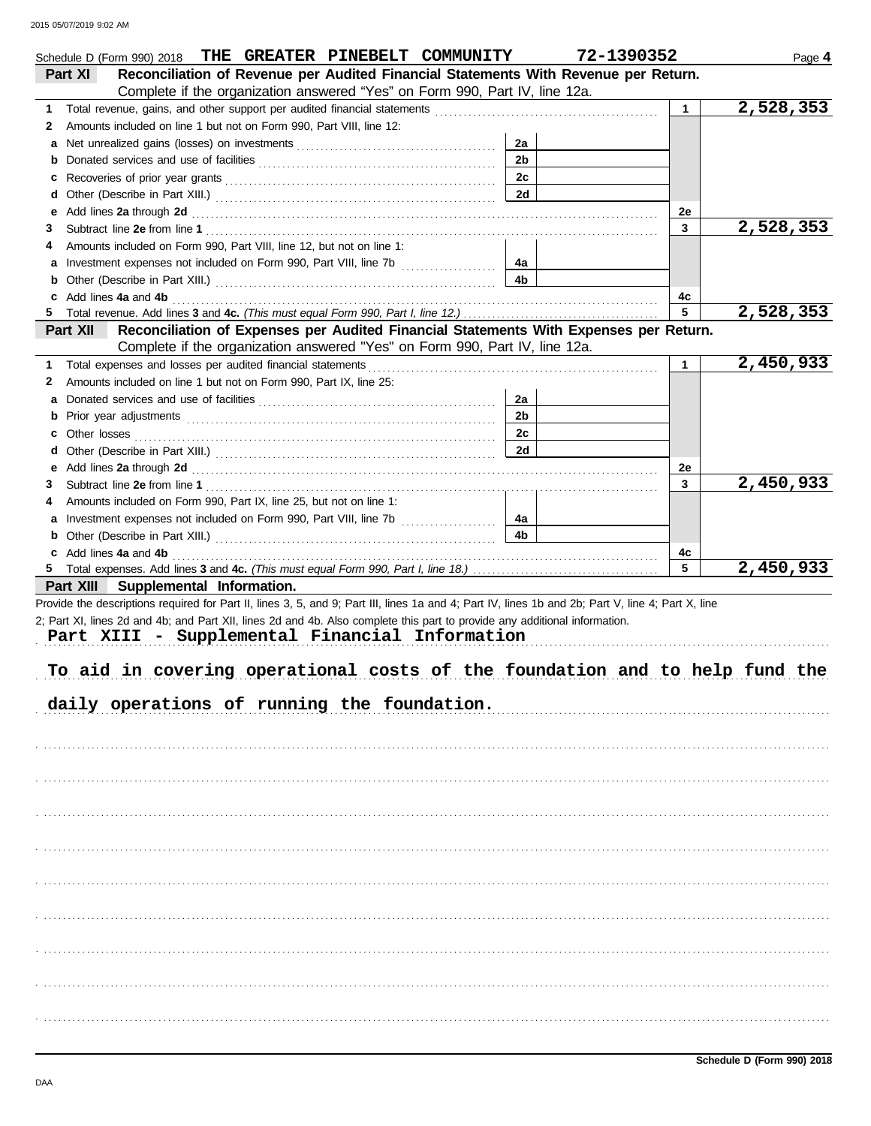| THE GREATER PINEBELT COMMUNITY<br>Schedule D (Form 990) 2018                                                                                                                                                                       |                | 72-1390352   | Page 4    |
|------------------------------------------------------------------------------------------------------------------------------------------------------------------------------------------------------------------------------------|----------------|--------------|-----------|
| Reconciliation of Revenue per Audited Financial Statements With Revenue per Return.<br>Part XI                                                                                                                                     |                |              |           |
| Complete if the organization answered "Yes" on Form 990, Part IV, line 12a.                                                                                                                                                        |                |              |           |
| 1.                                                                                                                                                                                                                                 |                | $\mathbf{1}$ | 2,528,353 |
| Amounts included on line 1 but not on Form 990, Part VIII, line 12:<br>2                                                                                                                                                           |                |              |           |
| а                                                                                                                                                                                                                                  | 2a             |              |           |
| b                                                                                                                                                                                                                                  | 2 <sub>b</sub> |              |           |
| с                                                                                                                                                                                                                                  | 2c             |              |           |
| d                                                                                                                                                                                                                                  | 2d             |              |           |
| Add lines 2a through 2d [11, 12] Add [12] Add lines 2a through 2d [12] Add lines 2a through 2d [12] Add lines 2a through 2d [12] Add and the set of the set of the set of the set of the set of the set of the set of the set<br>е |                | 2e           |           |
| 3                                                                                                                                                                                                                                  |                | 3            | 2,528,353 |
| Amounts included on Form 990, Part VIII, line 12, but not on line 1:                                                                                                                                                               |                |              |           |
| Investment expenses not included on Form 990, Part VIII, line 7b [100] [100] [100]<br>а                                                                                                                                            | 4а             |              |           |
| <b>b</b> Other (Describe in Part XIII.) <b>CONFIDENT</b> 1                                                                                                                                                                         | 4b             |              |           |
| c Add lines 4a and 4b                                                                                                                                                                                                              |                | 4c           |           |
| 5.                                                                                                                                                                                                                                 |                | 5            | 2,528,353 |
| Part XII<br>Reconciliation of Expenses per Audited Financial Statements With Expenses per Return.                                                                                                                                  |                |              |           |
| Complete if the organization answered "Yes" on Form 990, Part IV, line 12a.                                                                                                                                                        |                |              |           |
| Total expenses and losses per audited financial statements<br>1.                                                                                                                                                                   |                | $\mathbf{1}$ | 2,450,933 |
| Amounts included on line 1 but not on Form 990, Part IX, line 25:<br>2                                                                                                                                                             |                |              |           |
| a                                                                                                                                                                                                                                  | 2a             |              |           |
| b                                                                                                                                                                                                                                  | 2 <sub>b</sub> |              |           |
| c                                                                                                                                                                                                                                  | 2c             |              |           |
| d                                                                                                                                                                                                                                  | 2d             |              |           |
| e Add lines 2a through 2d [11] results and the contract of the contract of the contract of the contract of the contract of the contract of the contract of the contract of the contract of the contract of the contract of the     |                | 2e           |           |
| 3                                                                                                                                                                                                                                  |                | 3            | 2,450,933 |
| Amounts included on Form 990, Part IX, line 25, but not on line 1:                                                                                                                                                                 |                |              |           |
| a Investment expenses not included on Form 990, Part VIII, line 7b [[[[[[[[[[[[[[[[[[[[[[[[[[[[[[[[[                                                                                                                               | 4а             |              |           |
|                                                                                                                                                                                                                                    | 4 <sub>b</sub> |              |           |
|                                                                                                                                                                                                                                    |                |              |           |
| c Add lines 4a and 4b                                                                                                                                                                                                              |                | 4с           |           |
|                                                                                                                                                                                                                                    |                | 5            |           |
| Part XIII Supplemental Information.                                                                                                                                                                                                |                |              |           |
| Provide the descriptions required for Part II, lines 3, 5, and 9; Part III, lines 1a and 4; Part IV, lines 1b and 2b; Part V, line 4; Part X, line                                                                                 |                |              |           |
| 2; Part XI, lines 2d and 4b; and Part XII, lines 2d and 4b. Also complete this part to provide any additional information.                                                                                                         |                |              |           |
| Part XIII - Supplemental Financial Information                                                                                                                                                                                     |                |              |           |
|                                                                                                                                                                                                                                    |                |              |           |
| To aid in covering operational costs of the foundation and to help fund the                                                                                                                                                        |                |              |           |
|                                                                                                                                                                                                                                    |                |              |           |
| daily operations of running the foundation.                                                                                                                                                                                        |                |              |           |
|                                                                                                                                                                                                                                    |                |              |           |
|                                                                                                                                                                                                                                    |                |              |           |
|                                                                                                                                                                                                                                    |                |              |           |
|                                                                                                                                                                                                                                    |                |              |           |
|                                                                                                                                                                                                                                    |                |              |           |
|                                                                                                                                                                                                                                    |                |              |           |
|                                                                                                                                                                                                                                    |                |              |           |
|                                                                                                                                                                                                                                    |                |              |           |
|                                                                                                                                                                                                                                    |                |              |           |
|                                                                                                                                                                                                                                    |                |              |           |
|                                                                                                                                                                                                                                    |                |              |           |
|                                                                                                                                                                                                                                    |                |              |           |
|                                                                                                                                                                                                                                    |                |              |           |
|                                                                                                                                                                                                                                    |                |              |           |
|                                                                                                                                                                                                                                    |                |              |           |
|                                                                                                                                                                                                                                    |                |              |           |
|                                                                                                                                                                                                                                    |                |              |           |
|                                                                                                                                                                                                                                    |                |              | 2,450,933 |
|                                                                                                                                                                                                                                    |                |              |           |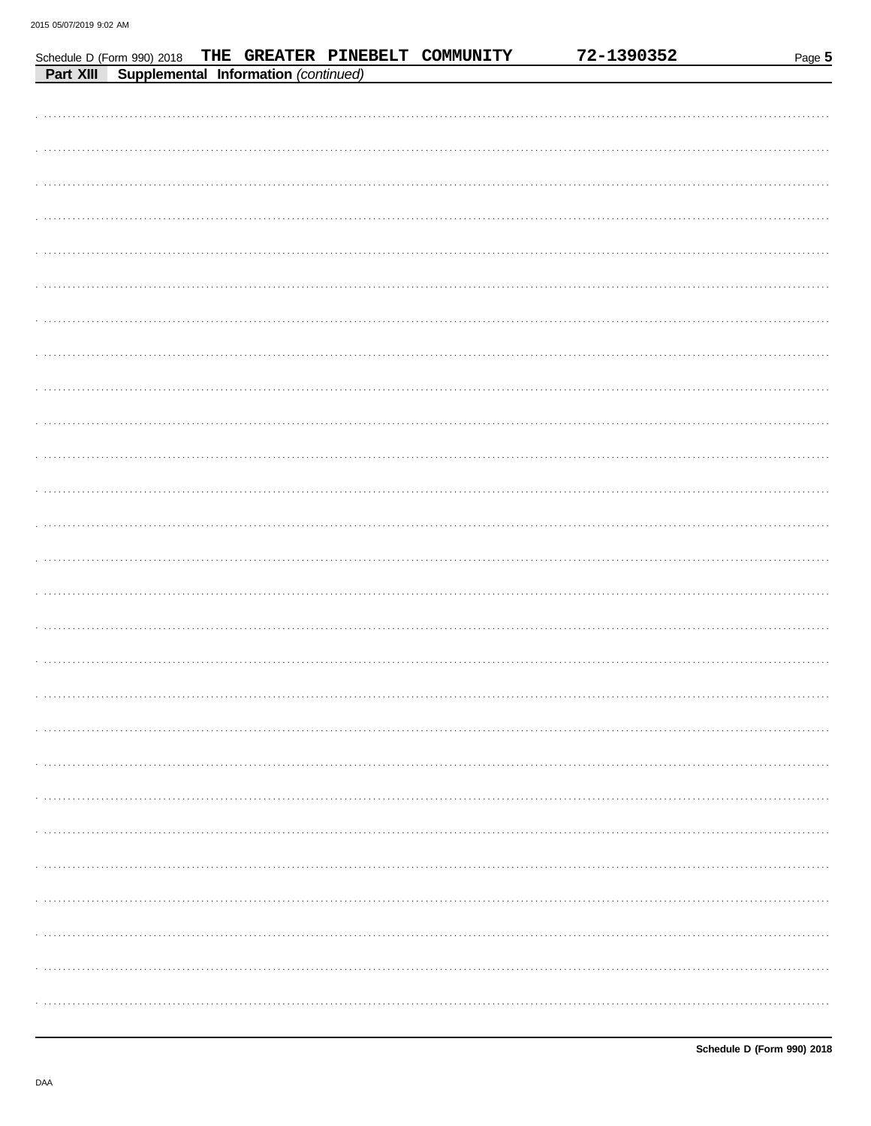|           | Schedule D (Form 990) 2018 |                                      | THE GREATER PINEBELT COMMUNITY | 72-1390352 | Page 5 |
|-----------|----------------------------|--------------------------------------|--------------------------------|------------|--------|
| Part XIII |                            | Supplemental Information (continued) |                                |            |        |
|           |                            |                                      |                                |            |        |
|           |                            |                                      |                                |            |        |
|           |                            |                                      |                                |            |        |
|           |                            |                                      |                                |            |        |
|           |                            |                                      |                                |            |        |
|           |                            |                                      |                                |            |        |
|           |                            |                                      |                                |            |        |
|           |                            |                                      |                                |            |        |
|           |                            |                                      |                                |            |        |
|           |                            |                                      |                                |            |        |
|           |                            |                                      |                                |            |        |
|           |                            |                                      |                                |            |        |
|           |                            |                                      |                                |            |        |
|           |                            |                                      |                                |            |        |
|           |                            |                                      |                                |            |        |
|           |                            |                                      |                                |            |        |
|           |                            |                                      |                                |            |        |
|           |                            |                                      |                                |            |        |
|           |                            |                                      |                                |            |        |
|           |                            |                                      |                                |            |        |
|           |                            |                                      |                                |            |        |
|           |                            |                                      |                                |            |        |
|           |                            |                                      |                                |            |        |
|           |                            |                                      |                                |            |        |
|           |                            |                                      |                                |            |        |
|           |                            |                                      |                                |            |        |
|           |                            |                                      |                                |            |        |
|           |                            |                                      |                                |            |        |
|           |                            |                                      |                                |            |        |
|           |                            |                                      |                                |            |        |
|           |                            |                                      |                                |            |        |
|           |                            |                                      |                                |            |        |
|           |                            |                                      |                                |            |        |
|           |                            |                                      |                                |            |        |
|           |                            |                                      |                                |            |        |
|           |                            |                                      |                                |            |        |
|           |                            |                                      |                                |            |        |
|           |                            |                                      |                                |            |        |
|           |                            |                                      |                                |            |        |
|           |                            |                                      |                                |            |        |
|           |                            |                                      |                                |            |        |
|           |                            |                                      |                                |            |        |
|           |                            |                                      |                                |            |        |
|           |                            |                                      |                                |            |        |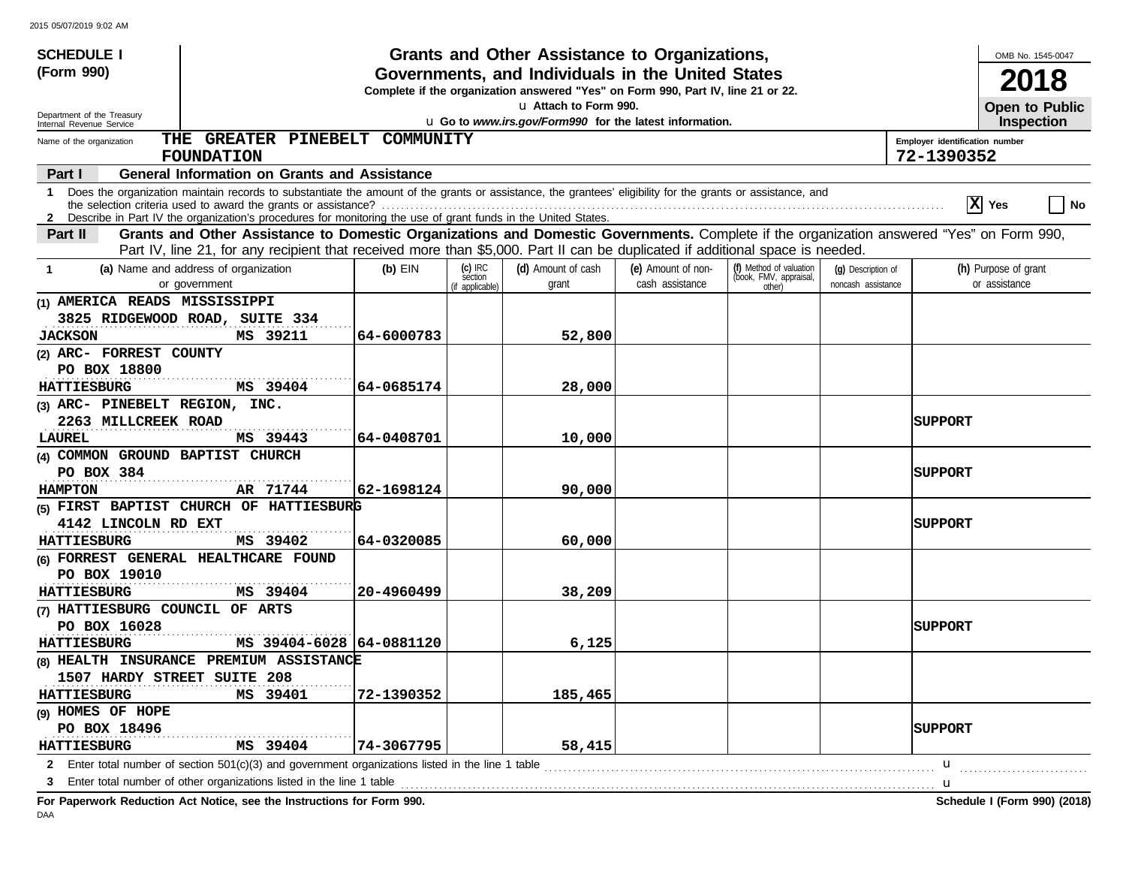| <b>SCHEDULE I</b>                                      |                                                                                                                                                                                                                                                                               |            |                            | Grants and Other Assistance to Organizations,                                                                                         |                    |                                  |                    | OMB No. 1545-0047                                                                                                                        |
|--------------------------------------------------------|-------------------------------------------------------------------------------------------------------------------------------------------------------------------------------------------------------------------------------------------------------------------------------|------------|----------------------------|---------------------------------------------------------------------------------------------------------------------------------------|--------------------|----------------------------------|--------------------|------------------------------------------------------------------------------------------------------------------------------------------|
| (Form 990)                                             |                                                                                                                                                                                                                                                                               |            |                            |                                                                                                                                       |                    |                                  |                    |                                                                                                                                          |
|                                                        |                                                                                                                                                                                                                                                                               |            |                            | Governments, and Individuals in the United States<br>Complete if the organization answered "Yes" on Form 990, Part IV, line 21 or 22. |                    |                                  |                    | 2018                                                                                                                                     |
|                                                        |                                                                                                                                                                                                                                                                               |            |                            | u Attach to Form 990.                                                                                                                 |                    |                                  |                    | <b>Open to Public</b>                                                                                                                    |
| Department of the Treasury<br>Internal Revenue Service |                                                                                                                                                                                                                                                                               |            |                            | u Go to www.irs.gov/Form990 for the latest information.                                                                               |                    |                                  |                    | <b>Inspection</b>                                                                                                                        |
| Name of the organization                               | THE GREATER PINEBELT COMMUNITY<br><b>FOUNDATION</b>                                                                                                                                                                                                                           |            |                            |                                                                                                                                       |                    |                                  |                    | Employer identification number<br>72-1390352                                                                                             |
| Part I                                                 | <b>General Information on Grants and Assistance</b>                                                                                                                                                                                                                           |            |                            |                                                                                                                                       |                    |                                  |                    |                                                                                                                                          |
| $\mathbf 1$                                            | Does the organization maintain records to substantiate the amount of the grants or assistance, the grantees' eligibility for the grants or assistance, and<br>2 Describe in Part IV the organization's procedures for monitoring the use of grant funds in the United States. |            |                            |                                                                                                                                       |                    |                                  |                    | $ \mathbf{X} $ Yes<br>No                                                                                                                 |
| <b>Part II</b>                                         |                                                                                                                                                                                                                                                                               |            |                            |                                                                                                                                       |                    |                                  |                    | Grants and Other Assistance to Domestic Organizations and Domestic Governments. Complete if the organization answered "Yes" on Form 990, |
|                                                        | Part IV, line 21, for any recipient that received more than \$5,000. Part II can be duplicated if additional space is needed.                                                                                                                                                 |            |                            |                                                                                                                                       |                    |                                  |                    |                                                                                                                                          |
| $\mathbf 1$                                            | (a) Name and address of organization                                                                                                                                                                                                                                          | $(b)$ EIN  | (c) IRC                    | (d) Amount of cash                                                                                                                    | (e) Amount of non- | (f) Method of valuation          | (g) Description of | (h) Purpose of grant                                                                                                                     |
|                                                        | or government                                                                                                                                                                                                                                                                 |            | section<br>(if applicable) | grant                                                                                                                                 | cash assistance    | (book, FMV, appraisal,<br>other) | noncash assistance | or assistance                                                                                                                            |
| (1) AMERICA READS MISSISSIPPI                          |                                                                                                                                                                                                                                                                               |            |                            |                                                                                                                                       |                    |                                  |                    |                                                                                                                                          |
|                                                        | 3825 RIDGEWOOD ROAD, SUITE 334                                                                                                                                                                                                                                                |            |                            |                                                                                                                                       |                    |                                  |                    |                                                                                                                                          |
| <b>JACKSON</b>                                         | MS 39211                                                                                                                                                                                                                                                                      | 64-6000783 |                            | 52,800                                                                                                                                |                    |                                  |                    |                                                                                                                                          |
| (2) ARC- FORREST COUNTY                                |                                                                                                                                                                                                                                                                               |            |                            |                                                                                                                                       |                    |                                  |                    |                                                                                                                                          |
| PO BOX 18800                                           |                                                                                                                                                                                                                                                                               |            |                            |                                                                                                                                       |                    |                                  |                    |                                                                                                                                          |
| <b>HATTIESBURG</b>                                     | MS 39404                                                                                                                                                                                                                                                                      | 64-0685174 |                            | 28,000                                                                                                                                |                    |                                  |                    |                                                                                                                                          |
| (3) ARC- PINEBELT REGION, INC.                         |                                                                                                                                                                                                                                                                               |            |                            |                                                                                                                                       |                    |                                  |                    |                                                                                                                                          |
| 2263 MILLCREEK ROAD                                    |                                                                                                                                                                                                                                                                               |            |                            |                                                                                                                                       |                    |                                  |                    | SUPPORT                                                                                                                                  |
| LAUREL                                                 | MS 39443                                                                                                                                                                                                                                                                      | 64-0408701 |                            | 10,000                                                                                                                                |                    |                                  |                    |                                                                                                                                          |
| (4) COMMON GROUND BAPTIST CHURCH                       |                                                                                                                                                                                                                                                                               |            |                            |                                                                                                                                       |                    |                                  |                    |                                                                                                                                          |
| PO BOX 384                                             |                                                                                                                                                                                                                                                                               |            |                            |                                                                                                                                       |                    |                                  |                    | SUPPORT                                                                                                                                  |
| <b>HAMPTON</b>                                         | AR 71744                                                                                                                                                                                                                                                                      | 62-1698124 |                            | 90,000                                                                                                                                |                    |                                  |                    |                                                                                                                                          |
|                                                        | (5) FIRST BAPTIST CHURCH OF HATTIESBURG                                                                                                                                                                                                                                       |            |                            |                                                                                                                                       |                    |                                  |                    |                                                                                                                                          |
| <b>4142 LINCOLN RD EXT</b>                             |                                                                                                                                                                                                                                                                               |            |                            |                                                                                                                                       |                    |                                  |                    | SUPPORT                                                                                                                                  |
| <b>HATTIESBURG</b>                                     | MS 39402                                                                                                                                                                                                                                                                      | 64-0320085 |                            | 60,000                                                                                                                                |                    |                                  |                    |                                                                                                                                          |
|                                                        | (6) FORREST GENERAL HEALTHCARE FOUND                                                                                                                                                                                                                                          |            |                            |                                                                                                                                       |                    |                                  |                    |                                                                                                                                          |
| PO BOX 19010                                           |                                                                                                                                                                                                                                                                               |            |                            |                                                                                                                                       |                    |                                  |                    |                                                                                                                                          |
| <b>HATTIESBURG</b>                                     | MS 39404                                                                                                                                                                                                                                                                      | 20-4960499 |                            | 38,209                                                                                                                                |                    |                                  |                    |                                                                                                                                          |
| (7) HATTIESBURG COUNCIL OF ARTS                        |                                                                                                                                                                                                                                                                               |            |                            |                                                                                                                                       |                    |                                  |                    |                                                                                                                                          |
| PO BOX 16028                                           |                                                                                                                                                                                                                                                                               |            |                            |                                                                                                                                       |                    |                                  |                    | SUPPORT                                                                                                                                  |
| <b>HATTIESBURG</b>                                     | MS 39404-6028 64-0881120                                                                                                                                                                                                                                                      |            |                            | 6,125                                                                                                                                 |                    |                                  |                    |                                                                                                                                          |
|                                                        | (8) HEALTH INSURANCE PREMIUM ASSISTANCE                                                                                                                                                                                                                                       |            |                            |                                                                                                                                       |                    |                                  |                    |                                                                                                                                          |
| 1507 HARDY STREET SUITE 208                            |                                                                                                                                                                                                                                                                               |            |                            |                                                                                                                                       |                    |                                  |                    |                                                                                                                                          |
| <b>HATTIESBURG</b>                                     | MS 39401                                                                                                                                                                                                                                                                      | 72-1390352 |                            | 185,465                                                                                                                               |                    |                                  |                    |                                                                                                                                          |
| (9) HOMES OF HOPE                                      |                                                                                                                                                                                                                                                                               |            |                            |                                                                                                                                       |                    |                                  |                    |                                                                                                                                          |
| PO BOX 18496                                           |                                                                                                                                                                                                                                                                               |            |                            |                                                                                                                                       |                    |                                  |                    | <b>SUPPORT</b>                                                                                                                           |
| <b>HATTIESBURG</b>                                     | MS 39404                                                                                                                                                                                                                                                                      | 74-3067795 |                            | 58,415                                                                                                                                |                    |                                  |                    |                                                                                                                                          |
| $\mathbf{2}$                                           | Enter total number of section 501(c)(3) and government organizations listed in the line 1 table                                                                                                                                                                               |            |                            |                                                                                                                                       |                    |                                  |                    | u                                                                                                                                        |
| 3                                                      | Enter total number of other organizations listed in the line 1 table                                                                                                                                                                                                          |            | .                          |                                                                                                                                       |                    |                                  |                    | u                                                                                                                                        |
|                                                        | For Paperwork Reduction Act Notice, see the Instructions for Form 990.                                                                                                                                                                                                        |            |                            |                                                                                                                                       |                    |                                  |                    | Schedule I (Form 990) (2018)                                                                                                             |

DAA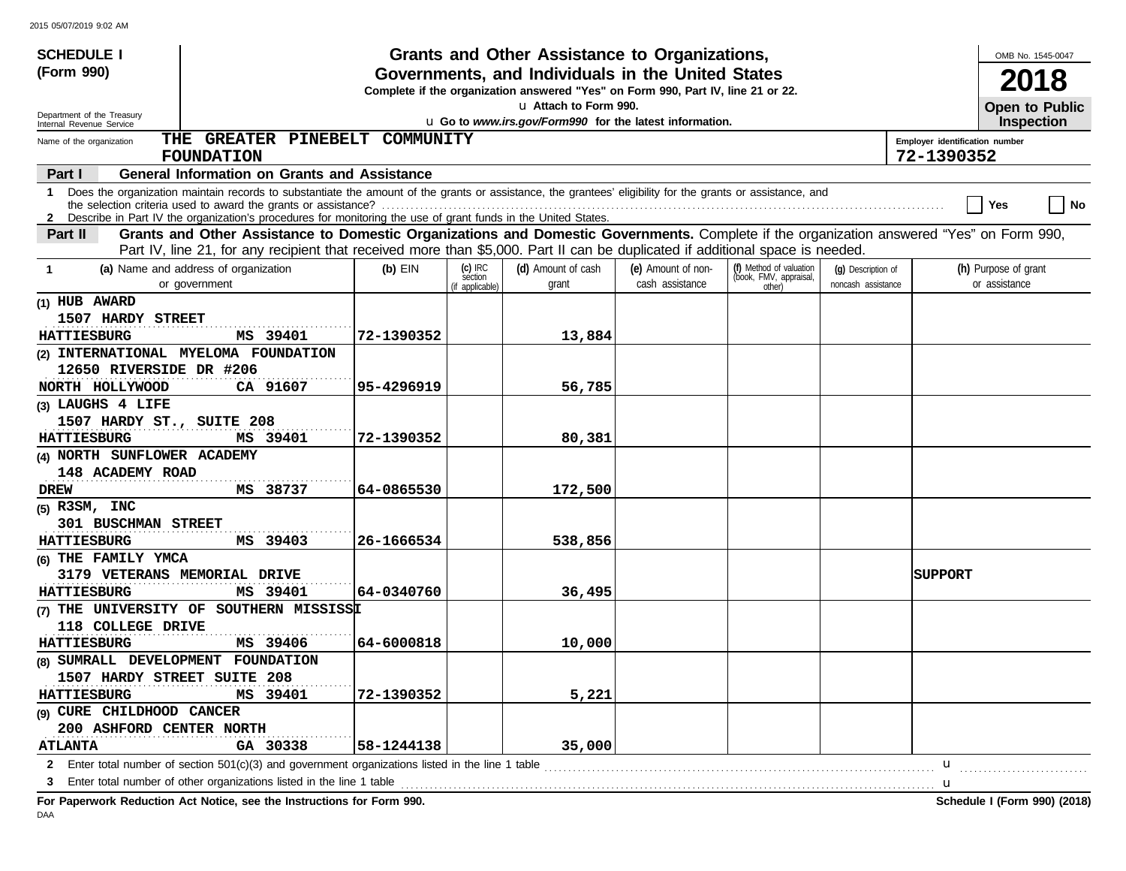| <b>SCHEDULE I</b>                                                                                                                                                                                                                                                                                                                                 |                                                   |                                       | Grants and Other Assistance to Organizations,                                    |                                       |                                                             |                                          |                                              | OMB No. 1545-0047                     |    |  |
|---------------------------------------------------------------------------------------------------------------------------------------------------------------------------------------------------------------------------------------------------------------------------------------------------------------------------------------------------|---------------------------------------------------|---------------------------------------|----------------------------------------------------------------------------------|---------------------------------------|-------------------------------------------------------------|------------------------------------------|----------------------------------------------|---------------------------------------|----|--|
| (Form 990)                                                                                                                                                                                                                                                                                                                                        | Governments, and Individuals in the United States |                                       |                                                                                  |                                       |                                                             |                                          |                                              |                                       |    |  |
|                                                                                                                                                                                                                                                                                                                                                   |                                                   |                                       | Complete if the organization answered "Yes" on Form 990, Part IV, line 21 or 22. |                                       |                                                             |                                          |                                              | 2018                                  |    |  |
| Department of the Treasury                                                                                                                                                                                                                                                                                                                        |                                                   |                                       | La Attach to Form 990.                                                           |                                       |                                                             |                                          |                                              | Open to Public                        |    |  |
| Internal Revenue Service                                                                                                                                                                                                                                                                                                                          |                                                   |                                       | u Go to www.irs.gov/Form990 for the latest information.                          |                                       |                                                             |                                          |                                              | <b>Inspection</b>                     |    |  |
| <b>GREATER PINEBELT</b><br>THE<br>Name of the organization<br><b>FOUNDATION</b>                                                                                                                                                                                                                                                                   | COMMUNITY                                         |                                       |                                                                                  |                                       |                                                             |                                          | Employer identification number<br>72-1390352 |                                       |    |  |
| <b>General Information on Grants and Assistance</b><br>Part I                                                                                                                                                                                                                                                                                     |                                                   |                                       |                                                                                  |                                       |                                                             |                                          |                                              |                                       |    |  |
| 1 Does the organization maintain records to substantiate the amount of the grants or assistance, the grantees' eligibility for the grants or assistance, and<br>the selection criteria used to award the grants or assistance?<br>2 Describe in Part IV the organization's procedures for monitoring the use of grant funds in the United States. |                                                   |                                       |                                                                                  |                                       |                                                             |                                          |                                              | Yes                                   | No |  |
| Grants and Other Assistance to Domestic Organizations and Domestic Governments. Complete if the organization answered "Yes" on Form 990,<br>Part II                                                                                                                                                                                               |                                                   |                                       |                                                                                  |                                       |                                                             |                                          |                                              |                                       |    |  |
| Part IV, line 21, for any recipient that received more than \$5,000. Part II can be duplicated if additional space is needed.                                                                                                                                                                                                                     |                                                   |                                       |                                                                                  |                                       |                                                             |                                          |                                              |                                       |    |  |
| (a) Name and address of organization<br>-1<br>or government                                                                                                                                                                                                                                                                                       | $(b)$ EIN                                         | (c) IRC<br>section<br>(if applicable) | (d) Amount of cash<br>grant                                                      | (e) Amount of non-<br>cash assistance | (f) Method of valuation<br>(book, FMV, appraisal,<br>other) | (q) Description of<br>noncash assistance |                                              | (h) Purpose of grant<br>or assistance |    |  |
| (1) HUB AWARD                                                                                                                                                                                                                                                                                                                                     |                                                   |                                       |                                                                                  |                                       |                                                             |                                          |                                              |                                       |    |  |
| 1507 HARDY STREET                                                                                                                                                                                                                                                                                                                                 |                                                   |                                       |                                                                                  |                                       |                                                             |                                          |                                              |                                       |    |  |
| <b>HATTIESBURG</b><br>MS 39401                                                                                                                                                                                                                                                                                                                    | 72–1390352                                        |                                       | 13,884                                                                           |                                       |                                                             |                                          |                                              |                                       |    |  |
| (2) INTERNATIONAL MYELOMA FOUNDATION                                                                                                                                                                                                                                                                                                              |                                                   |                                       |                                                                                  |                                       |                                                             |                                          |                                              |                                       |    |  |
| 12650 RIVERSIDE DR #206                                                                                                                                                                                                                                                                                                                           |                                                   |                                       |                                                                                  |                                       |                                                             |                                          |                                              |                                       |    |  |
| NORTH HOLLYWOOD<br>CA 91607                                                                                                                                                                                                                                                                                                                       | 95-4296919                                        |                                       | 56,785                                                                           |                                       |                                                             |                                          |                                              |                                       |    |  |
| (3) LAUGHS 4 LIFE                                                                                                                                                                                                                                                                                                                                 |                                                   |                                       |                                                                                  |                                       |                                                             |                                          |                                              |                                       |    |  |
| 1507 HARDY ST., SUITE 208                                                                                                                                                                                                                                                                                                                         |                                                   |                                       |                                                                                  |                                       |                                                             |                                          |                                              |                                       |    |  |
| MS 39401<br><b>HATTIESBURG</b>                                                                                                                                                                                                                                                                                                                    | 72–1390352                                        |                                       | 80,381                                                                           |                                       |                                                             |                                          |                                              |                                       |    |  |
| (4) NORTH SUNFLOWER ACADEMY                                                                                                                                                                                                                                                                                                                       |                                                   |                                       |                                                                                  |                                       |                                                             |                                          |                                              |                                       |    |  |
| 148 ACADEMY ROAD                                                                                                                                                                                                                                                                                                                                  |                                                   |                                       |                                                                                  |                                       |                                                             |                                          |                                              |                                       |    |  |
| MS 38737<br><b>DREW</b>                                                                                                                                                                                                                                                                                                                           | 64-0865530                                        |                                       | 172,500                                                                          |                                       |                                                             |                                          |                                              |                                       |    |  |
| $(5)$ R3SM, INC                                                                                                                                                                                                                                                                                                                                   |                                                   |                                       |                                                                                  |                                       |                                                             |                                          |                                              |                                       |    |  |
| 301 BUSCHMAN STREET                                                                                                                                                                                                                                                                                                                               |                                                   |                                       |                                                                                  |                                       |                                                             |                                          |                                              |                                       |    |  |
| <b>HATTIESBURG</b><br>MS 39403                                                                                                                                                                                                                                                                                                                    | 26–1666534                                        |                                       | 538,856                                                                          |                                       |                                                             |                                          |                                              |                                       |    |  |
| (6) THE FAMILY YMCA                                                                                                                                                                                                                                                                                                                               |                                                   |                                       |                                                                                  |                                       |                                                             |                                          |                                              |                                       |    |  |
| 3179 VETERANS MEMORIAL DRIVE                                                                                                                                                                                                                                                                                                                      |                                                   |                                       |                                                                                  |                                       |                                                             |                                          | <b>SUPPORT</b>                               |                                       |    |  |
| MS 39401<br><b>HATTIESBURG</b>                                                                                                                                                                                                                                                                                                                    | 64-0340760                                        |                                       | 36,495                                                                           |                                       |                                                             |                                          |                                              |                                       |    |  |
| (7) THE UNIVERSITY OF SOUTHERN MISSISSI                                                                                                                                                                                                                                                                                                           |                                                   |                                       |                                                                                  |                                       |                                                             |                                          |                                              |                                       |    |  |
| 118 COLLEGE DRIVE                                                                                                                                                                                                                                                                                                                                 |                                                   |                                       |                                                                                  |                                       |                                                             |                                          |                                              |                                       |    |  |
| <b>HATTIESBURG</b><br>MS 39406                                                                                                                                                                                                                                                                                                                    | 64-6000818                                        |                                       | 10,000                                                                           |                                       |                                                             |                                          |                                              |                                       |    |  |
| (8) SUMRALL DEVELOPMENT FOUNDATION                                                                                                                                                                                                                                                                                                                |                                                   |                                       |                                                                                  |                                       |                                                             |                                          |                                              |                                       |    |  |
| 1507 HARDY STREET SUITE 208                                                                                                                                                                                                                                                                                                                       |                                                   |                                       |                                                                                  |                                       |                                                             |                                          |                                              |                                       |    |  |
| <b>HATTIESBURG</b><br>MS 39401                                                                                                                                                                                                                                                                                                                    | 72-1390352                                        |                                       | 5,221                                                                            |                                       |                                                             |                                          |                                              |                                       |    |  |
| (9) CURE CHILDHOOD CANCER                                                                                                                                                                                                                                                                                                                         |                                                   |                                       |                                                                                  |                                       |                                                             |                                          |                                              |                                       |    |  |
| 200 ASHFORD CENTER NORTH                                                                                                                                                                                                                                                                                                                          |                                                   |                                       |                                                                                  |                                       |                                                             |                                          |                                              |                                       |    |  |
| <b>ATLANTA</b><br>GA 30338                                                                                                                                                                                                                                                                                                                        | 58-1244138                                        |                                       | 35,000                                                                           |                                       |                                                             |                                          |                                              |                                       |    |  |
| 2 Enter total number of section 501(c)(3) and government organizations listed in the line 1 table                                                                                                                                                                                                                                                 |                                                   |                                       |                                                                                  |                                       |                                                             |                                          | u                                            |                                       |    |  |
| Enter total number of other organizations listed in the line 1 table<br>3                                                                                                                                                                                                                                                                         |                                                   |                                       |                                                                                  |                                       |                                                             |                                          | u                                            |                                       |    |  |

**For Paperwork Reduction Act Notice, see the Instructions for Form 990. Schedule I (Form 990) (2018)** DAA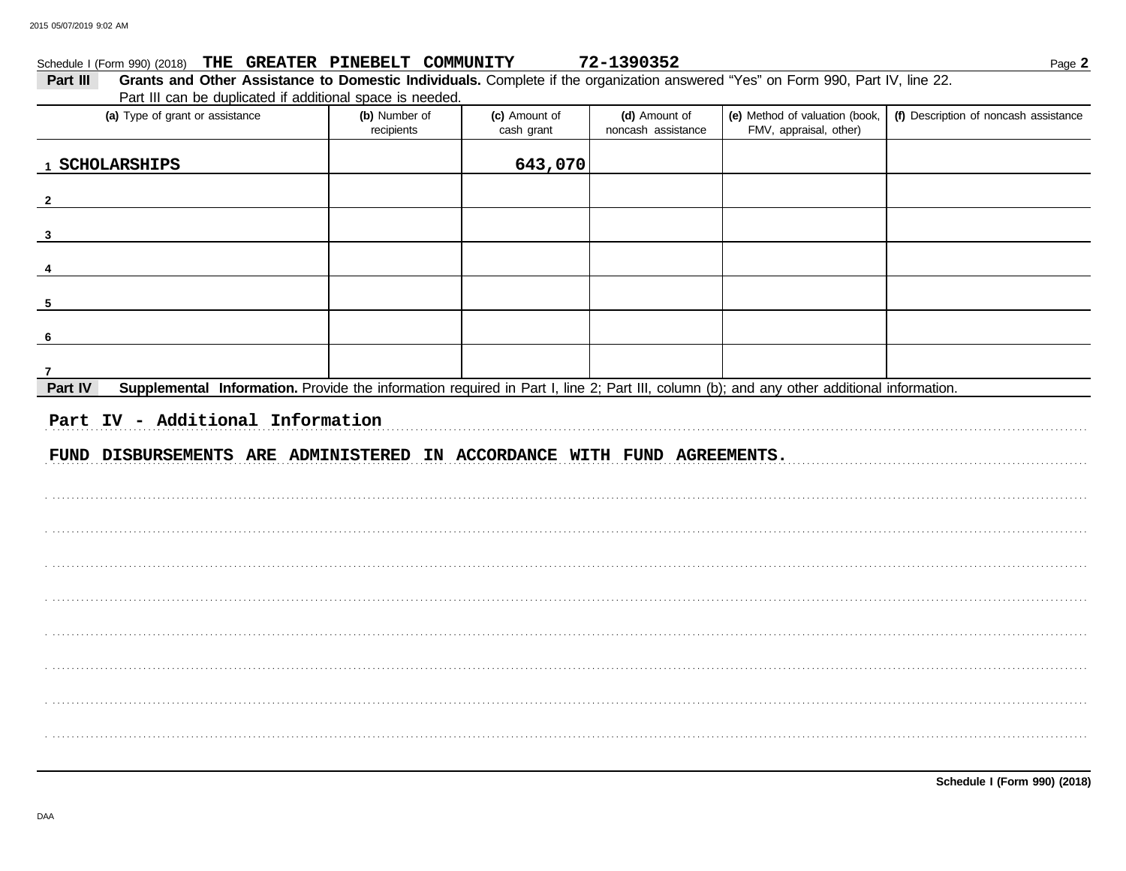#### Schedule I (Form 990) (2018) THE GREATER PINEBELT COMMUNITY 72-1390352

| Grants and Other Assistance to Domestic Individuals. Complete if the organization answered "Yes" on Form 990, Part IV, line 22.<br>Part III<br>Part III can be duplicated if additional space is needed. |                             |                             |                                     |                                                          |                                       |  |  |  |  |  |
|----------------------------------------------------------------------------------------------------------------------------------------------------------------------------------------------------------|-----------------------------|-----------------------------|-------------------------------------|----------------------------------------------------------|---------------------------------------|--|--|--|--|--|
| (a) Type of grant or assistance                                                                                                                                                                          | (b) Number of<br>recipients | (c) Amount of<br>cash grant | (d) Amount of<br>noncash assistance | (e) Method of valuation (book,<br>FMV, appraisal, other) | (f) Description of noncash assistance |  |  |  |  |  |
| 1 SCHOLARSHIPS                                                                                                                                                                                           |                             | 643,070                     |                                     |                                                          |                                       |  |  |  |  |  |
| $\overline{\mathbf{2}}$                                                                                                                                                                                  |                             |                             |                                     |                                                          |                                       |  |  |  |  |  |
| $\frac{3}{2}$                                                                                                                                                                                            |                             |                             |                                     |                                                          |                                       |  |  |  |  |  |
| 4                                                                                                                                                                                                        |                             |                             |                                     |                                                          |                                       |  |  |  |  |  |
| $5\phantom{.0}$                                                                                                                                                                                          |                             |                             |                                     |                                                          |                                       |  |  |  |  |  |
| $6\phantom{.}6$                                                                                                                                                                                          |                             |                             |                                     |                                                          |                                       |  |  |  |  |  |
| $\overline{7}$<br>Part IV<br>Supplemental Information. Provide the information required in Part I, line 2; Part III, column (b); and any other additional information.                                   |                             |                             |                                     |                                                          |                                       |  |  |  |  |  |
| Part IV - Additional Information                                                                                                                                                                         |                             |                             |                                     |                                                          |                                       |  |  |  |  |  |
| FUND DISBURSEMENTS ARE ADMINISTERED IN ACCORDANCE WITH FUND AGREEMENTS.                                                                                                                                  |                             |                             |                                     |                                                          |                                       |  |  |  |  |  |
|                                                                                                                                                                                                          |                             |                             |                                     |                                                          |                                       |  |  |  |  |  |
|                                                                                                                                                                                                          |                             |                             |                                     |                                                          |                                       |  |  |  |  |  |
|                                                                                                                                                                                                          |                             |                             |                                     |                                                          |                                       |  |  |  |  |  |
|                                                                                                                                                                                                          |                             |                             |                                     |                                                          |                                       |  |  |  |  |  |
|                                                                                                                                                                                                          |                             |                             |                                     |                                                          |                                       |  |  |  |  |  |
|                                                                                                                                                                                                          |                             |                             |                                     |                                                          |                                       |  |  |  |  |  |
|                                                                                                                                                                                                          |                             |                             |                                     |                                                          |                                       |  |  |  |  |  |
|                                                                                                                                                                                                          |                             |                             |                                     |                                                          |                                       |  |  |  |  |  |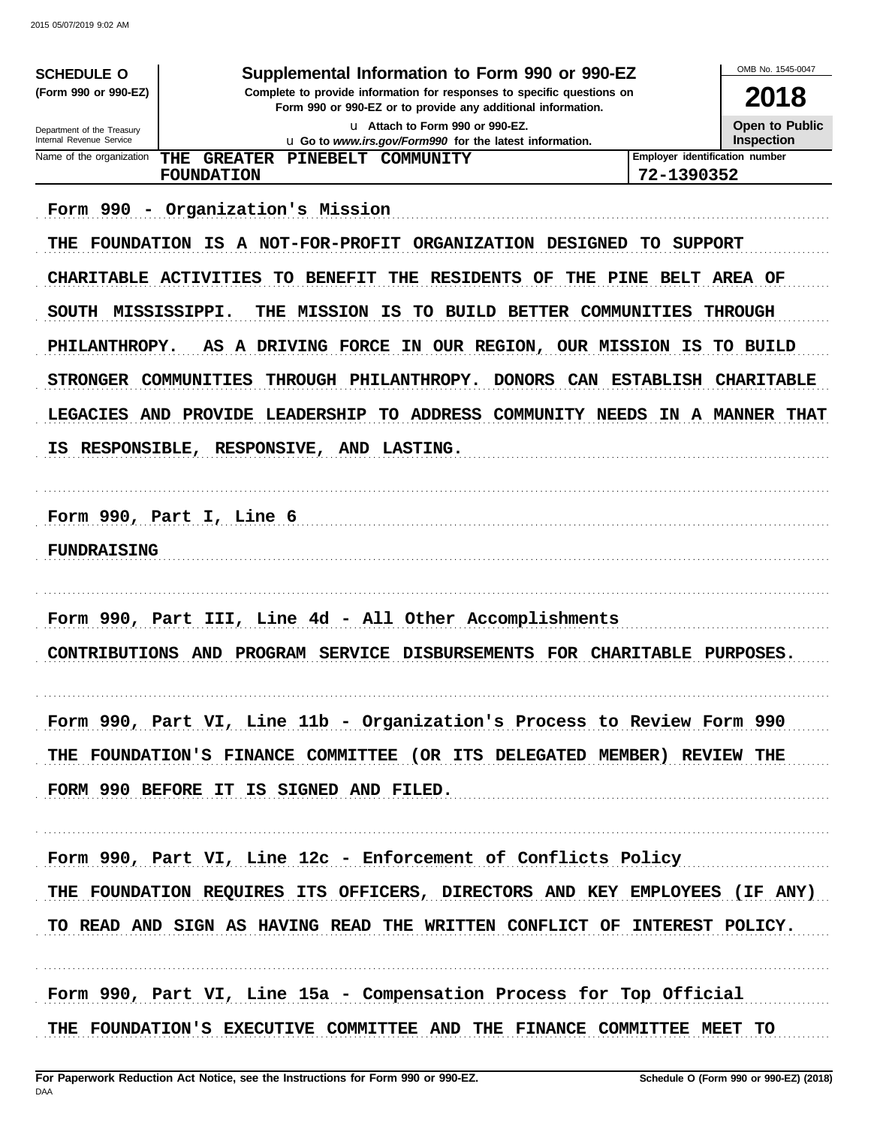2015 05/07/2019 9:02 AM

| <b>SCHEDULE O</b>          | Supplemental Information to Form 990 or 990-EZ                                                                                         |                                              | OMB No. 1545-0047 |  |
|----------------------------|----------------------------------------------------------------------------------------------------------------------------------------|----------------------------------------------|-------------------|--|
| (Form 990 or 990-EZ)       | Complete to provide information for responses to specific questions on<br>Form 990 or 990-EZ or to provide any additional information. |                                              | 2018              |  |
| Department of the Treasury | u Attach to Form 990 or 990-EZ.                                                                                                        |                                              | Open to Public    |  |
| Internal Revenue Service   | u Go to www.irs.gov/Form990 for the latest information.                                                                                |                                              | <b>Inspection</b> |  |
| Name of the organization   | <b>THE</b><br><b>GREATER</b><br>PINEBELT COMMUNITY<br><b>FOUNDATION</b>                                                                | Employer identification number<br>72-1390352 |                   |  |
|                            |                                                                                                                                        |                                              |                   |  |
|                            | Form 990 - Organization's Mission                                                                                                      |                                              |                   |  |
| THE                        | FOUNDATION IS A NOT-FOR-PROFIT ORGANIZATION DESIGNED                                                                                   | TO SUPPORT                                   |                   |  |
|                            | CHARITABLE ACTIVITIES<br>TO BENEFIT<br>THE RESIDENTS OF<br>THE                                                                         | PINE BELT AREA OF                            |                   |  |
| <b>SOUTH</b>               | TO BUILD BETTER COMMUNITIES<br>MISSISSIPPI.<br>THE MISSION IS                                                                          |                                              | <b>THROUGH</b>    |  |
| PHILANTHROPY.              | AS A DRIVING FORCE<br>IN OUR REGION, OUR MISSION IS                                                                                    |                                              | <b>TO BUILD</b>   |  |
| STRONGER                   | COMMUNITIES<br>THROUGH PHILANTHROPY.<br>DONORS CAN ESTABLISH CHARITABLE                                                                |                                              |                   |  |
| LEGACIES AND PROVIDE       | <b>LEADERSHIP TO ADDRESS</b><br><b>COMMUNITY NEEDS</b>                                                                                 |                                              | IN A MANNER THAT  |  |
| IS.                        | RESPONSIBLE, RESPONSIVE, AND LASTING.                                                                                                  |                                              |                   |  |
|                            | Form 990, Part I, Line 6                                                                                                               |                                              |                   |  |
| <b>FUNDRAISING</b>         |                                                                                                                                        |                                              |                   |  |
|                            |                                                                                                                                        |                                              |                   |  |
|                            | Form 990, Part III, Line 4d - All Other Accomplishments                                                                                |                                              |                   |  |
| <b>CONTRIBUTIONS AND</b>   | PROGRAM SERVICE<br>DISBURSEMENTS FOR CHARITABLE PURPOSES.                                                                              |                                              |                   |  |
|                            |                                                                                                                                        |                                              |                   |  |
|                            | Form 990, Part VI, Line 11b - Organization's Process to Review Form 990                                                                |                                              |                   |  |
|                            | THE FOUNDATION'S FINANCE COMMITTEE (OR ITS DELEGATED MEMBER) REVIEW THE                                                                |                                              |                   |  |
|                            | FORM 990 BEFORE IT IS SIGNED AND FILED.                                                                                                |                                              |                   |  |
|                            | Form 990, Part VI, Line 12c - Enforcement of Conflicts Policy                                                                          |                                              |                   |  |
|                            | THE FOUNDATION REQUIRES ITS OFFICERS, DIRECTORS AND KEY EMPLOYEES (IF ANY)                                                             |                                              |                   |  |
|                            |                                                                                                                                        |                                              |                   |  |
|                            | TO READ AND SIGN AS HAVING READ THE WRITTEN CONFLICT OF INTEREST POLICY.                                                               |                                              |                   |  |
|                            | Form 990, Part VI, Line 15a - Compensation Process for Top Official                                                                    |                                              |                   |  |
|                            | THE FOUNDATION'S EXECUTIVE COMMITTEE AND THE FINANCE COMMITTEE MEET TO                                                                 |                                              |                   |  |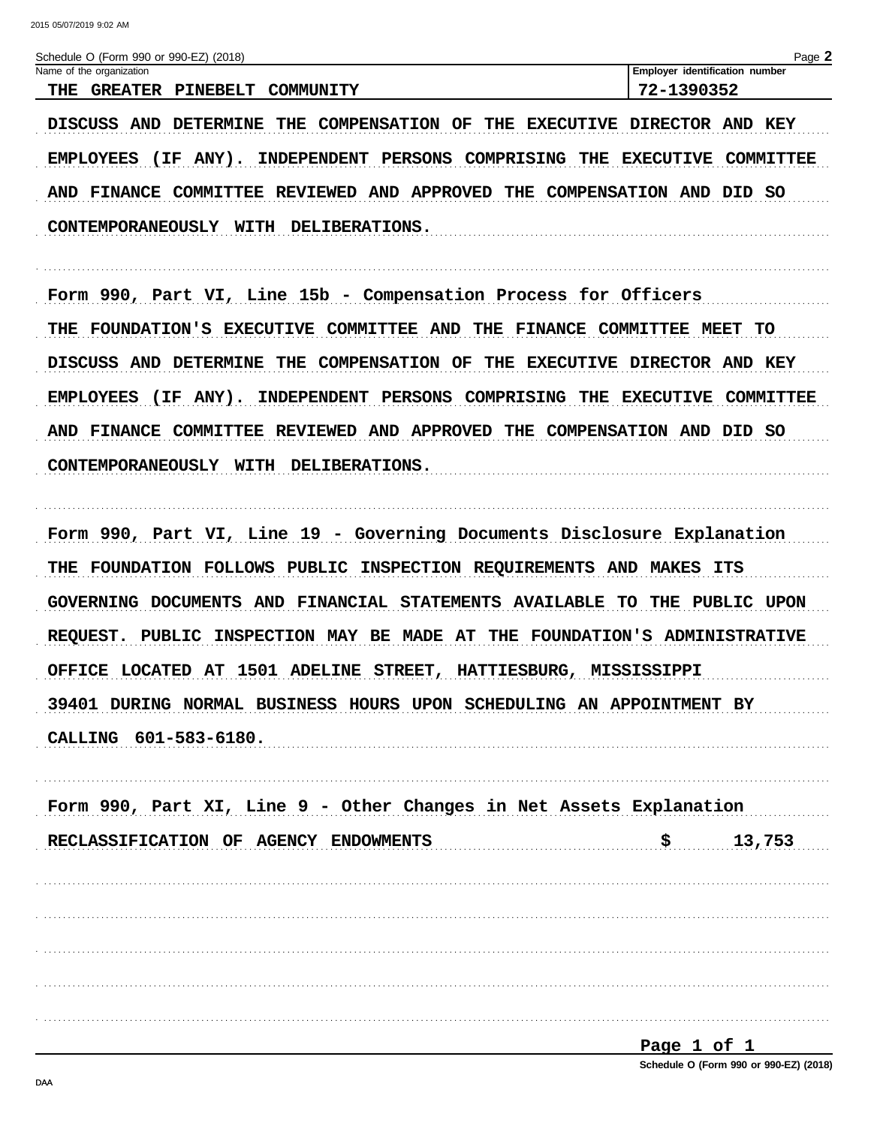| Schedule O (Form 990 or 990-EZ) (2018)<br>Name of the organization                      | Employer identification number | Page 2                     |
|-----------------------------------------------------------------------------------------|--------------------------------|----------------------------|
| GREATER PINEBELT COMMUNITY<br>THE .                                                     | 72-1390352                     |                            |
| DISCUSS AND DETERMINE THE COMPENSATION OF THE EXECUTIVE DIRECTOR AND KEY                |                                |                            |
| INDEPENDENT PERSONS COMPRISING THE<br><b>EMPLOYEES</b><br>$(IF ANY)$ .                  |                                | <b>EXECUTIVE COMMITTEE</b> |
| AND FINANCE COMMITTEE REVIEWED AND APPROVED THE COMPENSATION AND DID SO                 |                                |                            |
| CONTEMPORANEOUSLY WITH DELIBERATIONS.                                                   |                                |                            |
| Form 990, Part VI, Line 15b - Compensation Process for Officers                         |                                |                            |
|                                                                                         |                                |                            |
| THE FOUNDATION'S EXECUTIVE COMMITTEE AND THE FINANCE COMMITTEE MEET TO                  |                                |                            |
| DISCUSS AND DETERMINE THE COMPENSATION OF THE EXECUTIVE DIRECTOR AND KEY                |                                |                            |
| INDEPENDENT PERSONS COMPRISING THE EXECUTIVE COMMITTEE<br><b>EMPLOYEES</b><br>(IF ANY). |                                |                            |
| AND FINANCE COMMITTEE REVIEWED AND APPROVED THE COMPENSATION AND DID SO                 |                                |                            |
| CONTEMPORANEOUSLY WITH DELIBERATIONS.                                                   |                                |                            |
|                                                                                         |                                |                            |
| Form 990, Part VI, Line 19 - Governing Documents Disclosure Explanation                 |                                |                            |
| THE FOUNDATION FOLLOWS PUBLIC INSPECTION REQUIREMENTS AND MAKES ITS                     |                                |                            |
| GOVERNING DOCUMENTS AND FINANCIAL STATEMENTS AVAILABLE TO                               |                                | THE PUBLIC UPON            |
| INSPECTION MAY BE MADE AT THE FOUNDATION'S ADMINISTRATIVE<br><b>REQUEST.</b><br>PUBLIC  |                                |                            |
| OFFICE LOCATED AT 1501 ADELINE STREET, HATTIESBURG, MISSISSIPPI                         |                                |                            |
| 39401 DURING NORMAL BUSINESS HOURS UPON SCHEDULING AN APPOINTMENT BY                    |                                |                            |
| CALLING 601-583-6180.                                                                   |                                |                            |
|                                                                                         |                                |                            |
| Form 990, Part XI, Line 9 - Other Changes in Net Assets Explanation                     |                                |                            |
| RECLASSIFICATION OF AGENCY ENDOWMENTS                                                   | \$                             | 13,753                     |
|                                                                                         |                                |                            |
|                                                                                         |                                |                            |
|                                                                                         |                                |                            |
|                                                                                         |                                |                            |
|                                                                                         |                                |                            |
|                                                                                         |                                |                            |

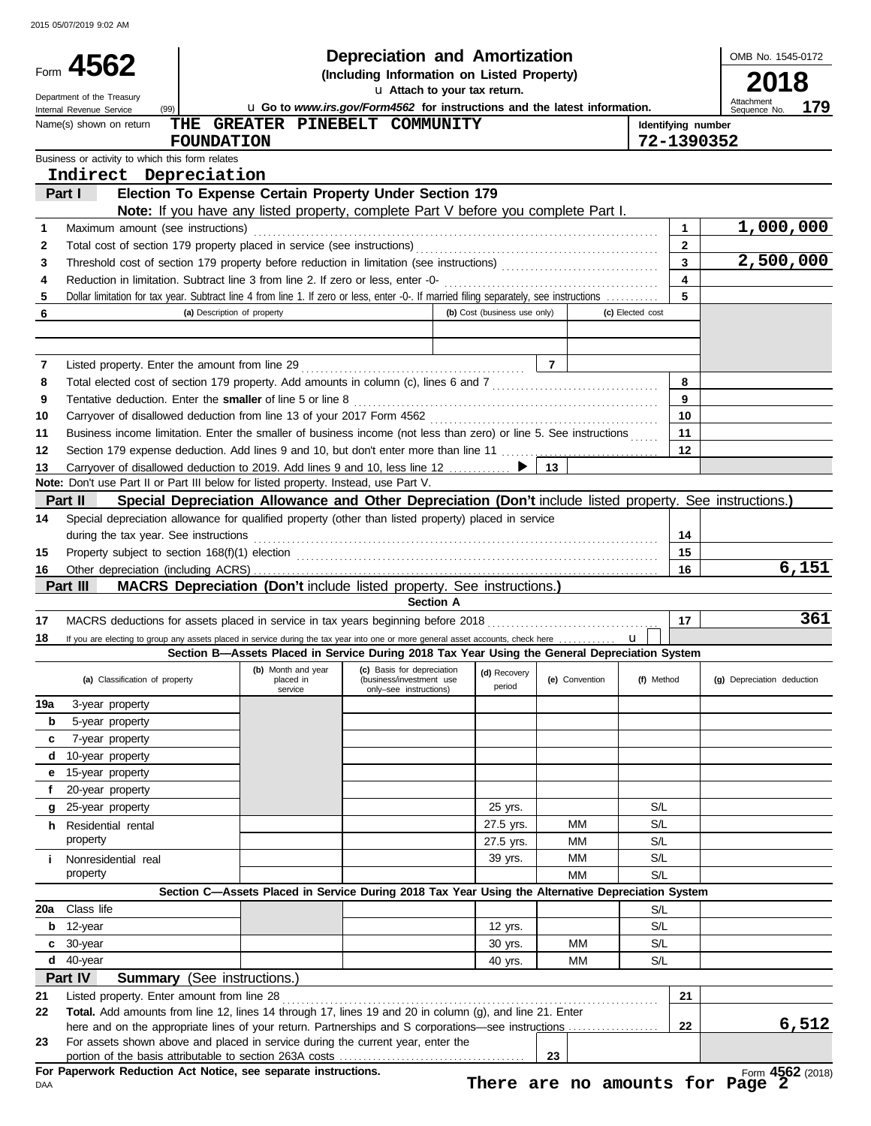2015 05/07/2019 9:02 AM

| Form $4562$                                                                           |                                    |                                            | <b>Depreciation and Amortization</b>                                                                                                                                                  |                              |                |                    | OMB No. 1545-0172          |
|---------------------------------------------------------------------------------------|------------------------------------|--------------------------------------------|---------------------------------------------------------------------------------------------------------------------------------------------------------------------------------------|------------------------------|----------------|--------------------|----------------------------|
|                                                                                       |                                    |                                            | (Including Information on Listed Property)                                                                                                                                            |                              |                |                    |                            |
| Department of the Treasury                                                            |                                    |                                            | u Attach to your tax return.<br>u Go to www.irs.gov/Form4562 for instructions and the latest information.                                                                             |                              |                |                    | Attachment<br>179          |
| (99)<br>Internal Revenue Service<br>Name(s) shown on return                           |                                    |                                            | THE GREATER PINEBELT COMMUNITY                                                                                                                                                        |                              |                | Identifying number | Sequence No.               |
|                                                                                       | <b>FOUNDATION</b>                  |                                            |                                                                                                                                                                                       |                              |                |                    | 72-1390352                 |
| Business or activity to which this form relates                                       |                                    |                                            |                                                                                                                                                                                       |                              |                |                    |                            |
| Indirect Depreciation                                                                 |                                    |                                            |                                                                                                                                                                                       |                              |                |                    |                            |
| Part I                                                                                |                                    |                                            | Election To Expense Certain Property Under Section 179                                                                                                                                |                              |                |                    |                            |
| Maximum amount (see instructions)<br>1                                                |                                    |                                            | <b>Note:</b> If you have any listed property, complete Part V before you complete Part I.                                                                                             |                              |                | $\mathbf{1}$       | 1,000,000                  |
| 2                                                                                     |                                    |                                            |                                                                                                                                                                                       |                              |                | $\mathbf{2}$       |                            |
| 3                                                                                     |                                    |                                            |                                                                                                                                                                                       |                              |                | 3                  | 2,500,000                  |
| Reduction in limitation. Subtract line 3 from line 2. If zero or less, enter -0-<br>4 |                                    |                                            |                                                                                                                                                                                       |                              |                | 4                  |                            |
| 5                                                                                     |                                    |                                            | Dollar limitation for tax year. Subtract line 4 from line 1. If zero or less, enter -0-. If married filing separately, see instructions                                               |                              |                | 5                  |                            |
| 6                                                                                     | (a) Description of property        |                                            |                                                                                                                                                                                       | (b) Cost (business use only) |                | (c) Elected cost   |                            |
|                                                                                       |                                    |                                            |                                                                                                                                                                                       |                              |                |                    |                            |
|                                                                                       |                                    |                                            |                                                                                                                                                                                       |                              |                |                    |                            |
| Listed property. Enter the amount from line 29<br>7<br>8                              |                                    |                                            |                                                                                                                                                                                       |                              | $\overline{7}$ | 8                  |                            |
| 9<br>Tentative deduction. Enter the smaller of line 5 or line 8                       |                                    |                                            |                                                                                                                                                                                       |                              |                | 9                  |                            |
| Carryover of disallowed deduction from line 13 of your 2017 Form 4562<br>10           |                                    |                                            |                                                                                                                                                                                       |                              |                | 10                 |                            |
| 11                                                                                    |                                    |                                            | Business income limitation. Enter the smaller of business income (not less than zero) or line 5. See instructions                                                                     |                              |                | 11                 |                            |
| 12                                                                                    |                                    |                                            |                                                                                                                                                                                       |                              |                | 12                 |                            |
| 13                                                                                    |                                    |                                            |                                                                                                                                                                                       |                              | 13             |                    |                            |
| Note: Don't use Part II or Part III below for listed property. Instead, use Part V.   |                                    |                                            |                                                                                                                                                                                       |                              |                |                    |                            |
| Part II                                                                               |                                    |                                            | Special Depreciation Allowance and Other Depreciation (Don't include listed property. See instructions.)                                                                              |                              |                |                    |                            |
| 14                                                                                    |                                    |                                            | Special depreciation allowance for qualified property (other than listed property) placed in service                                                                                  |                              |                |                    |                            |
| during the tax year. See instructions                                                 |                                    |                                            |                                                                                                                                                                                       |                              |                | 14                 |                            |
| 15                                                                                    |                                    |                                            | Property subject to section 168(f)(1) election <i>manufacture content content and a section</i> 168(f)(1) election                                                                    |                              |                | 15<br>16           | 6,151                      |
| 16<br>Part III                                                                        |                                    |                                            | <b>MACRS Depreciation (Don't include listed property. See instructions.)</b>                                                                                                          |                              |                |                    |                            |
|                                                                                       |                                    |                                            | <b>Section A</b>                                                                                                                                                                      |                              |                |                    |                            |
| 17                                                                                    |                                    |                                            |                                                                                                                                                                                       |                              |                | 17                 | 361                        |
| 18                                                                                    |                                    |                                            |                                                                                                                                                                                       |                              |                |                    |                            |
|                                                                                       |                                    |                                            | Section B-Assets Placed in Service During 2018 Tax Year Using the General Depreciation System                                                                                         |                              |                |                    |                            |
| (a) Classification of property                                                        |                                    | (b) Month and year<br>placed in<br>service | (c) Basis for depreciation<br>(business/investment use<br>only-see instructions)                                                                                                      | (d) Recovery<br>period       | (e) Convention | (f) Method         | (g) Depreciation deduction |
| 19a<br>3-year property                                                                |                                    |                                            |                                                                                                                                                                                       |                              |                |                    |                            |
| 5-year property<br>b                                                                  |                                    |                                            |                                                                                                                                                                                       |                              |                |                    |                            |
| 7-year property<br>c                                                                  |                                    |                                            |                                                                                                                                                                                       |                              |                |                    |                            |
| 10-year property<br>d                                                                 |                                    |                                            |                                                                                                                                                                                       |                              |                |                    |                            |
| 15-year property<br>е<br>20-year property<br>f                                        |                                    |                                            |                                                                                                                                                                                       |                              |                |                    |                            |
| 25-year property<br>g                                                                 |                                    |                                            |                                                                                                                                                                                       | 25 yrs.                      |                | S/L                |                            |
| <b>h</b> Residential rental                                                           |                                    |                                            |                                                                                                                                                                                       | 27.5 yrs.                    | MМ             | S/L                |                            |
| property                                                                              |                                    |                                            |                                                                                                                                                                                       | 27.5 yrs.                    | МM             | S/L                |                            |
| Nonresidential real<br>i.                                                             |                                    |                                            |                                                                                                                                                                                       | 39 yrs.                      | MМ             | S/L                |                            |
| property                                                                              |                                    |                                            |                                                                                                                                                                                       |                              | <b>MM</b>      | S/L                |                            |
|                                                                                       |                                    |                                            | Section C-Assets Placed in Service During 2018 Tax Year Using the Alternative Depreciation System                                                                                     |                              |                |                    |                            |
| Class life<br>20a                                                                     |                                    |                                            |                                                                                                                                                                                       |                              |                | S/L                |                            |
| 12-year<br>b                                                                          |                                    |                                            |                                                                                                                                                                                       | 12 yrs.                      |                | S/L                |                            |
| 30-year<br>c                                                                          |                                    |                                            |                                                                                                                                                                                       | 30 yrs.                      | MМ             | S/L                |                            |
|                                                                                       |                                    |                                            |                                                                                                                                                                                       | 40 yrs.                      | MМ             | S/L                |                            |
| 40-year<br>d                                                                          |                                    |                                            |                                                                                                                                                                                       |                              |                |                    |                            |
| Part IV                                                                               | <b>Summary</b> (See instructions.) |                                            |                                                                                                                                                                                       |                              |                |                    |                            |
| 21<br>Listed property. Enter amount from line 28                                      |                                    |                                            |                                                                                                                                                                                       |                              |                | 21                 |                            |
| 22                                                                                    |                                    |                                            | Total. Add amounts from line 12, lines 14 through 17, lines 19 and 20 in column (g), and line 21. Enter                                                                               |                              |                | 22                 |                            |
| 23                                                                                    |                                    |                                            | here and on the appropriate lines of your return. Partnerships and S corporations—see instructions<br>For assets shown above and placed in service during the current year, enter the |                              |                |                    | 6,512                      |
| For Paperwork Reduction Act Notice, see separate instructions.                        |                                    |                                            |                                                                                                                                                                                       |                              | 23             |                    | Form 4562 (2018)           |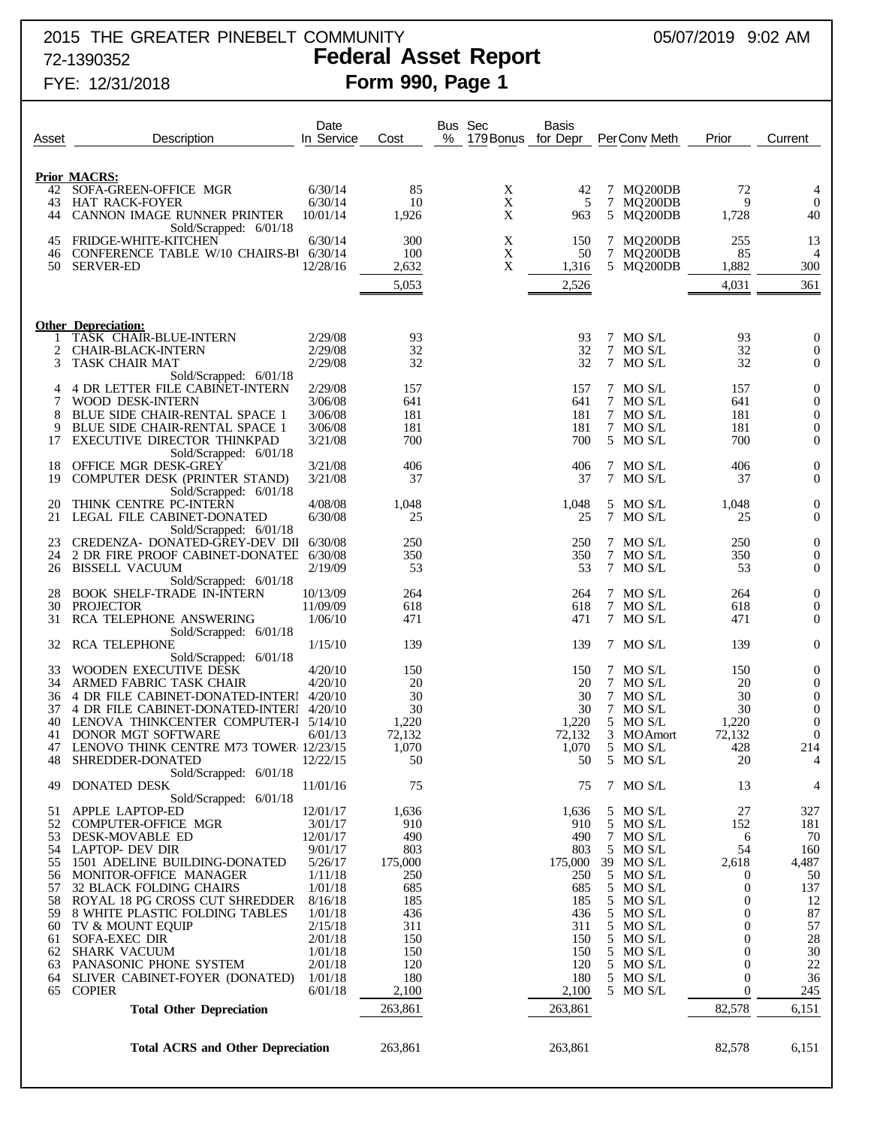### 2015 THE GREATER PINEBELT COMMUNITY **COMMUNITY** 05/07/2019 9:02 AM 72-1390352 **Federal Asset Report**

| Asset    | Description                                                               | Date<br>In Service  | Cost           | % | <b>Bus Sec</b><br>179 Bonus | Basis<br>for Depr |   | PerConv Meth           | Prior                | Current                              |
|----------|---------------------------------------------------------------------------|---------------------|----------------|---|-----------------------------|-------------------|---|------------------------|----------------------|--------------------------------------|
|          |                                                                           |                     |                |   |                             |                   |   |                        |                      |                                      |
| 42       | <b>Prior MACRS:</b><br>SOFA-GREEN-OFFICE MGR                              | 6/30/14             | 85             |   | X                           | 42                | 7 | MQ200DB                | 72                   | 4                                    |
| 43       | HAT RACK-FOYER                                                            | 6/30/14             | 10             |   | $\mathbf X$                 | 5                 |   | 7 MQ200DB              | 9                    | $\overline{0}$                       |
| 44       | CANNON IMAGE RUNNER PRINTER<br>Sold/Scrapped: 6/01/18                     | 10/01/14            | 1,926          |   | $\mathbf X$                 | 963               |   | 5 MQ200DB              | 1,728                | 40                                   |
| 45       | FRIDGE-WHITE-KITCHEN                                                      | 6/30/14             | 300            |   | X                           | 150               |   | 7 MQ200DB              | 255                  | 13                                   |
| 46<br>50 | <b>CONFERENCE TABLE W/10 CHAIRS-BI</b><br><b>SERVER-ED</b>                | 6/30/14<br>12/28/16 | 100<br>2,632   |   | $\mathbf X$<br>X            | 50<br>1,316       |   | 7 MQ200DB<br>5 MQ200DB | 85<br>1,882          | 4<br>300                             |
|          |                                                                           |                     | 5,053          |   |                             | 2,526             |   |                        | 4,031                | 361                                  |
|          |                                                                           |                     |                |   |                             |                   |   |                        |                      |                                      |
|          | <b>Other Depreciation:</b>                                                |                     |                |   |                             |                   |   |                        |                      |                                      |
|          | TASK CHAIR-BLUE-INTERN                                                    | 2/29/08             | 93             |   |                             | 93                |   | 7 MO S/L               | 93                   | $\boldsymbol{0}$                     |
| 2<br>3   | <b>CHAIR-BLACK-INTERN</b>                                                 | 2/29/08             | 32             |   |                             | 32<br>32          | 7 | MO S/L                 | 32<br>32             | $\mathbf{0}$<br>$\overline{0}$       |
|          | <b>TASK CHAIR MAT</b><br>Sold/Scrapped: 6/01/18                           | 2/29/08             | 32             |   |                             |                   | 7 | MO S/L                 |                      |                                      |
| 4        | 4 DR LETTER FILE CABINET-INTERN                                           | 2/29/08             | 157            |   |                             | 157               | 7 | MO S/L                 | 157                  | $\mathbf{0}$                         |
| 7<br>8   | WOOD DESK-INTERN<br><b>BLUE SIDE CHAIR-RENTAL SPACE 1</b>                 | 3/06/08<br>3/06/08  | 641<br>181     |   |                             | 641<br>181        | 7 | 7 MO S/L<br>MO S/L     | 641<br>181           | $\mathbf{0}$<br>$\mathbf{0}$         |
| 9        | <b>BLUE SIDE CHAIR-RENTAL SPACE 1</b>                                     | 3/06/08             | 181            |   |                             | 181               |   | 7 MO S/L               | 181                  | $\mathbf{0}$                         |
| 17       | EXECUTIVE DIRECTOR THINKPAD                                               | 3/21/08             | 700            |   |                             | 700               |   | 5 MO S/L               | 700                  | $\overline{0}$                       |
| 18       | Sold/Scrapped: 6/01/18<br>OFFICE MGR DESK-GREY                            | 3/21/08             | 406            |   |                             | 406               |   | 7 MO S/L               | 406                  | $\mathbf{0}$                         |
| 19       | <b>COMPUTER DESK (PRINTER STAND)</b>                                      | 3/21/08             | 37             |   |                             | 37                |   | 7 MO S/L               | 37                   | $\overline{0}$                       |
| 20       | Sold/Scrapped: 6/01/18<br>THINK CENTRE PC-INTERN                          | 4/08/08             | 1,048          |   |                             | 1,048             |   | 5 MO S/L               | 1,048                | $\mathbf{0}$                         |
| 21       | LEGAL FILE CABINET-DONATED                                                | 6/30/08             | 25             |   |                             | 25                | 7 | MO S/L                 | 25                   | $\overline{0}$                       |
|          | Sold/Scrapped: 6/01/18                                                    |                     |                |   |                             |                   |   |                        |                      |                                      |
| 23<br>24 | CREDENZA- DONATED-GREY-DEV DII<br>2 DR FIRE PROOF CABINET-DONATED         | 6/30/08<br>6/30/08  | 250<br>350     |   |                             | 250<br>350        |   | 7 MO S/L<br>7 MO S/L   | 250<br>350           | $\boldsymbol{0}$<br>$\boldsymbol{0}$ |
| 26       | <b>BISSELL VACUUM</b>                                                     | 2/19/09             | 53             |   |                             | 53                | 7 | MO S/L                 | 53                   | $\overline{0}$                       |
| 28       | Sold/Scrapped: 6/01/18<br><b>BOOK SHELF-TRADE IN-INTERN</b>               | 10/13/09            | 264            |   |                             | 264               |   | 7 MO S/L               | 264                  | $\mathbf{0}$                         |
| 30       | <b>PROJECTOR</b>                                                          | 11/09/09            | 618            |   |                             | 618               |   | 7 MO S/L               | 618                  | $\boldsymbol{0}$                     |
| 31       | RCA TELEPHONE ANSWERING                                                   | 1/06/10             | 471            |   |                             | 471               | 7 | MO S/L                 | 471                  | $\overline{0}$                       |
| 32       | Sold/Scrapped: 6/01/18<br><b>RCA TELEPHONE</b>                            | 1/15/10             | 139            |   |                             | 139               |   | 7 MO S/L               | 139                  | $\theta$                             |
| 33       | Sold/Scrapped: 6/01/18<br>WOODEN EXECUTIVE DESK                           | 4/20/10             | 150            |   |                             | 150               |   | 7 MO S/L               | 150                  | $\mathbf{0}$                         |
| 34       | ARMED FABRIC TASK CHAIR                                                   | 4/20/10             | 20             |   |                             | 20                |   | 7 MO S/L               | 20                   | $\boldsymbol{0}$                     |
| 36       | 4 DR FILE CABINET-DONATED-INTERI                                          | 4/20/10             | 30             |   |                             | 30                | 7 | MO S/L                 | 30                   | $\boldsymbol{0}$                     |
| 37<br>40 | 4 DR FILE CABINET-DONATED-INTERI<br>LENOVA THINKCENTER COMPUTER-I 5/14/10 | 4/20/10             | 30<br>1,220    |   |                             | 30<br>1,220       | 5 | 7 MO S/L<br>MO S/L     | 30<br>1,220          | $\boldsymbol{0}$<br>$\theta$         |
| 41       | DONOR MGT SOFTWARE                                                        | 6/01/13             | 72,132         |   |                             | 72,132            |   | 3 MOAmort              | 72,132               | $\theta$                             |
| 47       | LENOVO THINK CENTRE M73 TOWER 12/23/15                                    |                     | 1,070          |   |                             | 1,070             |   | 5 MOS/L                | 428                  | 214                                  |
| 48       | SHREDDER-DONATED<br>Sold/Scrapped: 6/01/18                                | 12/22/15            | 50             |   |                             | 50                |   | 5 MO S/L               | 20                   | 4                                    |
| 49       | <b>DONATED DESK</b>                                                       | 11/01/16            | 75             |   |                             | 75                |   | 7 MO S/L               | 13                   | 4                                    |
| 51       | Sold/Scrapped: 6/01/18<br>APPLE LAPTOP-ED                                 | 12/01/17            | 1,636          |   |                             | 1,636             |   | 5 MO S/L               | 27                   | 327                                  |
| 52       | <b>COMPUTER-OFFICE MGR</b>                                                | 3/01/17             | 910            |   |                             | 910               |   | 5 MO S/L               | 152                  | 181                                  |
| 53       | DESK-MOVABLE ED                                                           | 12/01/17            | 490            |   |                             | 490               |   | 7 MO S/L               | 6                    | 70                                   |
| 54<br>55 | <b>LAPTOP- DEV DIR</b><br>1501 ADELINE BUILDING-DONATED                   | 9/01/17<br>5/26/17  | 803<br>175,000 |   |                             | 803<br>175,000    |   | 5 MO S/L<br>39 MO S/L  | 54<br>2,618          | 160<br>4,487                         |
| 56       | MONITOR-OFFICE MANAGER                                                    | 1/11/18             | 250            |   |                             | 250               |   | 5 MO S/L               | $\theta$             | 50                                   |
| 57       | <b>32 BLACK FOLDING CHAIRS</b>                                            | 1/01/18             | 685            |   |                             | 685               |   | 5 MO S/L               | 0                    | 137                                  |
| 58<br>59 | ROYAL 18 PG CROSS CUT SHREDDER<br>8 WHITE PLASTIC FOLDING TABLES          | 8/16/18<br>1/01/18  | 185<br>436     |   |                             | 185<br>436        |   | 5 MO S/L<br>5 MO S/L   | $\mathbf 0$<br>0     | 12<br>87                             |
| 60       | TV & MOUNT EQUIP                                                          | 2/15/18             | 311            |   |                             | 311               |   | 5 MO S/L               | $\overline{0}$       | 57                                   |
| 61       | SOFA-EXEC DIR                                                             | 2/01/18             | 150            |   |                             | 150               |   | 5 MO S/L               | $\overline{0}$       | 28                                   |
| 62       | <b>SHARK VACUUM</b>                                                       | 1/01/18             | 150            |   |                             | 150               |   | 5 MO S/L               | 0                    | $30\,$                               |
| 63<br>64 | PANASONIC PHONE SYSTEM<br>SLIVER CABINET-FOYER (DONATED)                  | 2/01/18<br>1/01/18  | 120<br>180     |   |                             | 120<br>180        |   | 5 MO S/L<br>5 MO S/L   | $\Omega$<br>$\theta$ | $22\,$<br>36                         |
| 65       | <b>COPIER</b>                                                             | 6/01/18             | 2,100          |   |                             | 2,100             |   | 5 MO S/L               | $\boldsymbol{0}$     | 245                                  |
|          | <b>Total Other Depreciation</b>                                           |                     | 263,861        |   |                             | 263,861           |   |                        | 82,578               | 6,151                                |
|          |                                                                           |                     |                |   |                             |                   |   |                        |                      |                                      |
|          | <b>Total ACRS and Other Depreciation</b>                                  |                     | 263,861        |   |                             | 263,861           |   |                        | 82,578               | 6,151                                |
|          |                                                                           |                     |                |   |                             |                   |   |                        |                      |                                      |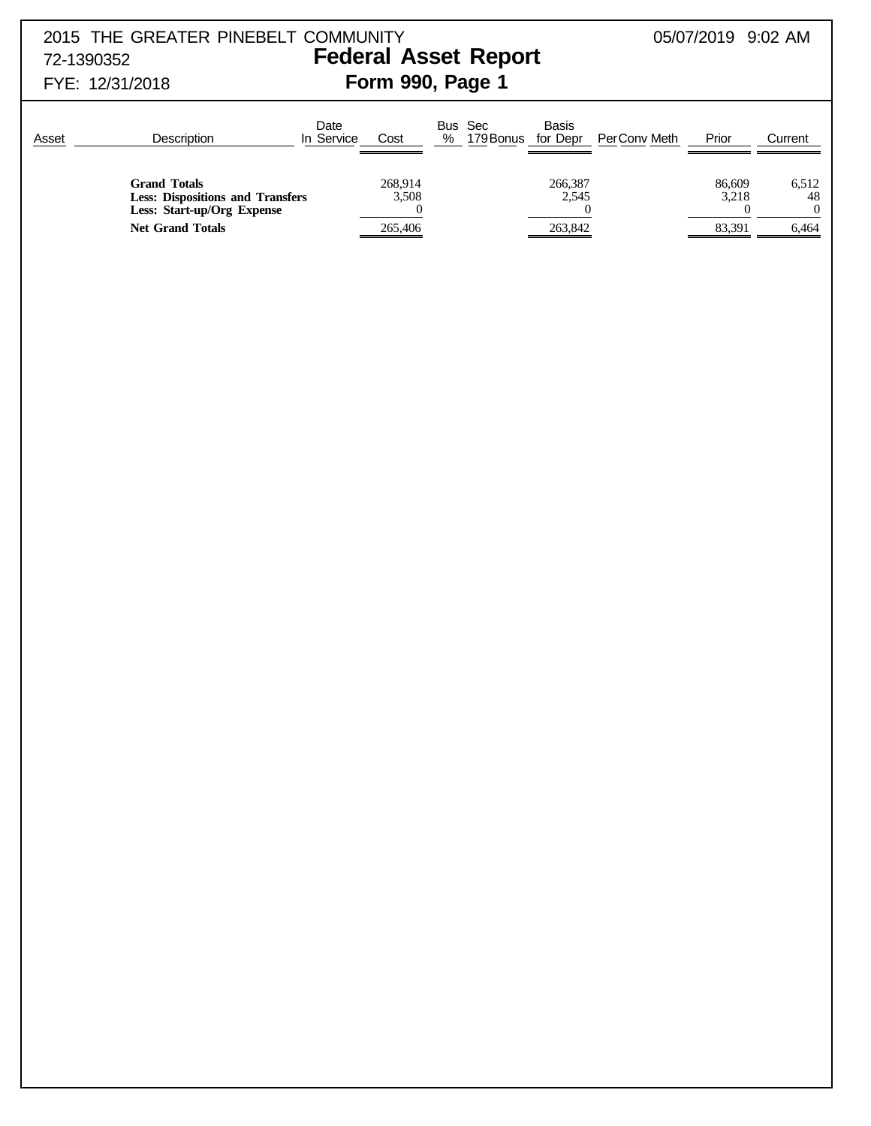2015 THE GREATER PINEBELT COMMUNITY **COMMUNITY** 05/07/2019 9:02 AM 72-1390352 **Federal Asset Report**

| Asset | <b>Description</b>                                                                           | Date<br>In Service<br>Cost | Bus Sec<br><b>Basis</b><br>%<br>179 Bonus<br>for Depr | Prior<br>PerConv Meth | Current     |
|-------|----------------------------------------------------------------------------------------------|----------------------------|-------------------------------------------------------|-----------------------|-------------|
|       | <b>Grand Totals</b><br><b>Less: Dispositions and Transfers</b><br>Less: Start-up/Org Expense | 268,914<br>3,508           | 266,387<br>2,545                                      | 86,609<br>3,218       | 6,512<br>48 |
|       | <b>Net Grand Totals</b>                                                                      | 265,406                    | 263,842                                               | 83.391                | 6,464       |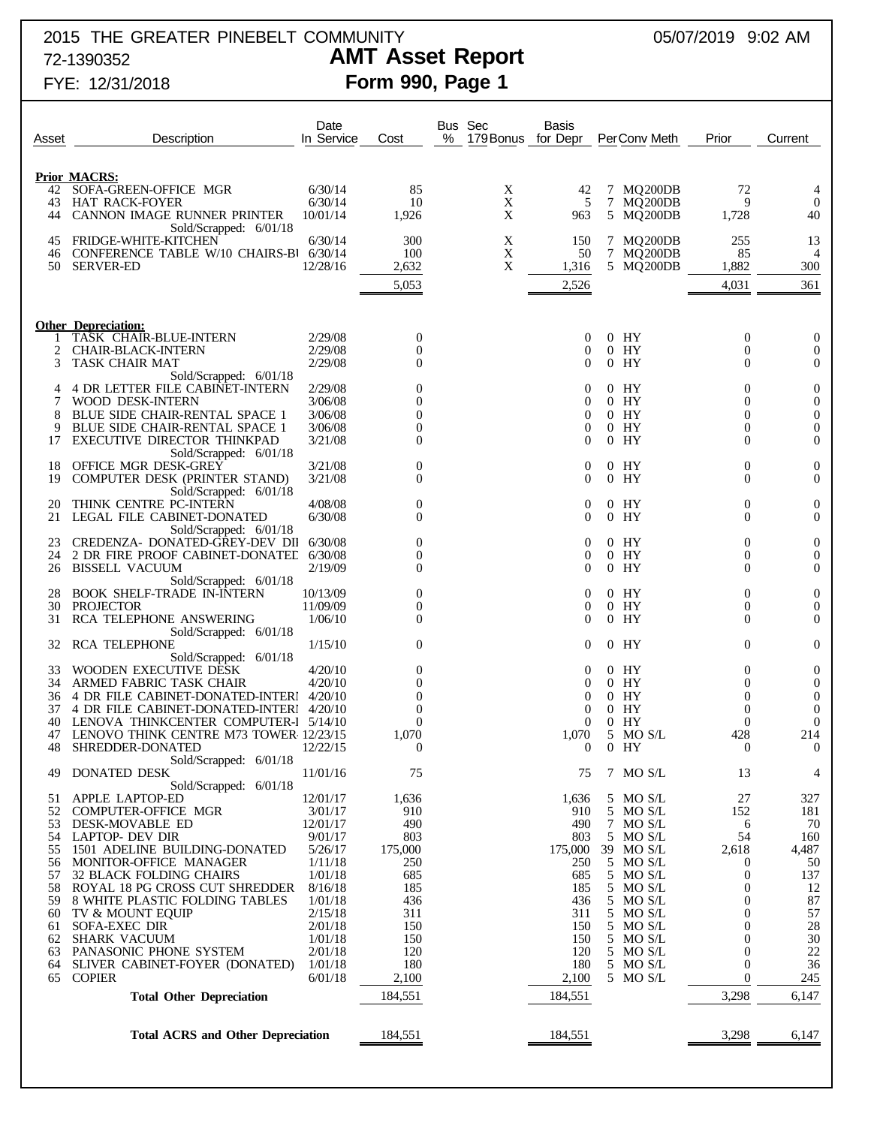### 2015 THE GREATER PINEBELT COMMUNITY 12015 105/07/2019 9:02 AM 72-1390352 **AMT Asset Report**

| Asset    | Description                                                          | Date<br>In Service   | Cost                                 | <b>Bus Sec</b><br>℅<br>179 Bonus | Basis<br>for Depr             | PerConv Meth                     | Prior                 | Current                      |
|----------|----------------------------------------------------------------------|----------------------|--------------------------------------|----------------------------------|-------------------------------|----------------------------------|-----------------------|------------------------------|
|          |                                                                      |                      |                                      |                                  |                               |                                  |                       |                              |
|          | <b>Prior MACRS:</b>                                                  |                      |                                      |                                  |                               |                                  |                       |                              |
| 42<br>43 | SOFA-GREEN-OFFICE MGR<br><b>HAT RACK-FOYER</b>                       | 6/30/14<br>6/30/14   | 85<br>10                             | X<br>X                           | 42<br>5                       | MQ200DB<br>7<br>7 MQ200DB        | 72<br>9               | 4<br>$\overline{0}$          |
| 44       | CANNON IMAGE RUNNER PRINTER                                          | 10/01/14             | 1,926                                | X                                | 963                           | 5 MQ200DB                        | 1,728                 | 40                           |
|          | Sold/Scrapped: 6/01/18                                               |                      |                                      |                                  |                               |                                  |                       |                              |
| 45<br>46 | FRIDGE-WHITE-KITCHEN<br>CONFERENCE TABLE W/10 CHAIRS-B1 6/30/14      | 6/30/14              | 300<br>100                           | X<br>X                           | 150<br>50                     | 7 MQ200DB<br>7 MQ200DB           | 255<br>85             | 13<br>$\overline{4}$         |
| 50       | <b>SERVER-ED</b>                                                     | 12/28/16             | 2,632                                | X                                | 1,316                         | 5 MQ200DB                        | 1,882                 | 300                          |
|          |                                                                      |                      | 5,053                                |                                  | 2,526                         |                                  | 4,031                 | 361                          |
|          |                                                                      |                      |                                      |                                  |                               |                                  |                       |                              |
|          | <b>Other Depreciation:</b>                                           |                      |                                      |                                  |                               |                                  |                       |                              |
| 2        | TASK CHAIR-BLUE-INTERN<br><b>CHAIR-BLACK-INTERN</b>                  | 2/29/08<br>2/29/08   | $\boldsymbol{0}$<br>$\boldsymbol{0}$ |                                  | 0<br>$\mathbf{0}$             | $0$ HY<br>HY<br>$\Omega$         | $\boldsymbol{0}$<br>0 | $\bf{0}$<br>$\mathbf{0}$     |
| 3        | <b>TASK CHAIR MAT</b>                                                | 2/29/08              | $\overline{0}$                       |                                  | $\Omega$                      | HY<br>$\Omega$                   | $\overline{0}$        | $\bf{0}$                     |
|          | Sold/Scrapped: 6/01/18                                               |                      |                                      |                                  |                               |                                  |                       |                              |
| 4<br>7   | 4 DR LETTER FILE CABINET-INTERN<br><b>WOOD DESK-INTERN</b>           | 2/29/08<br>3/06/08   | $\mathbf{0}$<br>0                    |                                  | $\mathbf 0$<br>$\overline{0}$ | $0$ HY<br>$0$ HY                 | $\mathbf{0}$<br>0     | $\mathbf{0}$<br>$\mathbf{0}$ |
| 8        | <b>BLUE SIDE CHAIR-RENTAL SPACE 1</b>                                | 3/06/08              | 0                                    |                                  | $\overline{0}$                | $0$ HY                           | 0                     | $\mathbf{0}$                 |
| 9        | <b>BLUE SIDE CHAIR-RENTAL SPACE 1</b>                                | 3/06/08              | 0                                    |                                  | $\overline{0}$                | HY<br>$\Omega$                   | 0                     | $\mathbf{0}$                 |
| 17       | EXECUTIVE DIRECTOR THINKPAD                                          | 3/21/08              | $\overline{0}$                       |                                  | $\overline{0}$                | HY<br>$\overline{0}$             | $\mathbf{0}$          | $\mathbf{0}$                 |
| 18       | Sold/Scrapped: 6/01/18<br>OFFICE MGR DESK-GREY                       | 3/21/08              | $\boldsymbol{0}$                     |                                  | $\boldsymbol{0}$              | $0$ HY                           | $\boldsymbol{0}$      | $\mathbf{0}$                 |
| 19       | <b>COMPUTER DESK (PRINTER STAND)</b>                                 | 3/21/08              | $\overline{0}$                       |                                  | $\Omega$                      | $0$ HY                           | $\overline{0}$        | 0                            |
| 20       | Sold/Scrapped: 6/01/18<br>THINK CENTRE PC-INTERN                     | 4/08/08              | $\boldsymbol{0}$                     |                                  | $\overline{0}$                | $0$ HY                           | $\boldsymbol{0}$      | $\mathbf{0}$                 |
| 21       | LEGAL FILE CABINET-DONATED                                           | 6/30/08              | $\overline{0}$                       |                                  | $\Omega$                      | HY<br>$\Omega$                   | $\overline{0}$        | 0                            |
|          | Sold/Scrapped: 6/01/18                                               |                      |                                      |                                  |                               |                                  |                       |                              |
| 23<br>24 | CREDENZA- DONATED-GREY-DEV DII<br>2 DR FIRE PROOF CABINET-DONATED    | 6/30/08<br>6/30/08   | $\boldsymbol{0}$<br>$\boldsymbol{0}$ |                                  | 0<br>$\mathbf{0}$             | $0$ HY<br>HY<br>$\Omega$         | $\boldsymbol{0}$<br>0 | $\mathbf{0}$<br>$\mathbf{0}$ |
| 26       | <b>BISSELL VACUUM</b>                                                | 2/19/09              | $\overline{0}$                       |                                  | $\Omega$                      | HY<br>$\Omega$                   | $\overline{0}$        | $\mathbf{0}$                 |
|          | Sold/Scrapped: 6/01/18                                               |                      |                                      |                                  |                               |                                  |                       |                              |
| 28<br>30 | <b>BOOK SHELF-TRADE IN-INTERN</b><br><b>PROJECTOR</b>                | 10/13/09<br>11/09/09 | $\boldsymbol{0}$<br>$\boldsymbol{0}$ |                                  | 0<br>$\mathbf{0}$             | $0$ HY<br>$0$ HY                 | $\boldsymbol{0}$<br>0 | $\mathbf{0}$<br>$\mathbf{0}$ |
| 31       | RCA TELEPHONE ANSWERING                                              | 1/06/10              | $\overline{0}$                       |                                  | $\overline{0}$                | HY<br>$\overline{0}$             | $\mathbf{0}$          | $\theta$                     |
|          | Sold/Scrapped: 6/01/18                                               |                      |                                      |                                  |                               |                                  |                       |                              |
| 32       | <b>RCA TELEPHONE</b><br>Sold/Scrapped: 6/01/18                       | 1/15/10              | $\overline{0}$                       |                                  | $\overline{0}$                | HY<br>0                          | $\boldsymbol{0}$      | 0                            |
| 33       | WOODEN EXECUTIVE DESK                                                | 4/20/10              | $\mathbf{0}$                         |                                  | 0                             | $0$ HY                           | $\mathbf{0}$          | $\mathbf{0}$                 |
| 34       | ARMED FABRIC TASK CHAIR                                              | 4/20/10              | 0                                    |                                  | $\overline{0}$                | $0$ HY                           | 0                     | $\mathbf{0}$                 |
| 36<br>37 | 4 DR FILE CABINET-DONATED-INTERI<br>4 DR FILE CABINET-DONATED-INTERI | 4/20/10<br>4/20/10   | $\overline{0}$<br>0                  |                                  | 0<br>0                        | HY<br>$\theta$<br>HY<br>$\Omega$ | 0<br>0                | $\mathbf{0}$<br>$\mathbf{0}$ |
| 40       | LENOVA THINKCENTER COMPUTER-I 5/14/10                                |                      | $\overline{0}$                       |                                  | $\overline{0}$                | HY<br>$\theta$                   | $\mathbf{0}$          | $\mathbf{0}$                 |
| 47       | LENOVO THINK CENTRE M73 TOWER 12/23/15                               |                      | 1,070                                |                                  | 1,070                         | 5 MO S/L                         | 428                   | 214                          |
| 48       | SHREDDER-DONATED<br>Sold/Scrapped: 6/01/18                           | 12/22/15             | $\Omega$                             |                                  | $\theta$                      | HY<br>$\theta$                   | $\theta$              | $\theta$                     |
| 49       | <b>DONATED DESK</b>                                                  | 11/01/16             | 75                                   |                                  | 75                            | 7 MO S/L                         | 13                    | 4                            |
| 51       | Sold/Scrapped: 6/01/18<br>APPLE LAPTOP-ED                            |                      | 1,636                                |                                  | 1,636                         | 5 MO S/L                         | 27                    | 327                          |
| 52       | <b>COMPUTER-OFFICE MGR</b>                                           | 12/01/17<br>3/01/17  | 910                                  |                                  | 910                           | 5 MO S/L                         | 152                   | 181                          |
| 53       | DESK-MOVABLE ED                                                      | 12/01/17             | 490                                  |                                  | 490                           | 7 MO S/L                         | 6                     | 70                           |
| 54       | LAPTOP- DEV DIR                                                      | 9/01/17              | 803                                  |                                  | 803                           | 5 MO S/L                         | 54                    | 160                          |
| 55       | 1501 ADELINE BUILDING-DONATED                                        | 5/26/17              | 175,000                              |                                  | 175,000                       | 39 MO S/L                        | 2,618                 | 4,487                        |
| 56<br>57 | MONITOR-OFFICE MANAGER<br><b>32 BLACK FOLDING CHAIRS</b>             | 1/11/18<br>1/01/18   | 250<br>685                           |                                  | 250<br>685                    | 5 MO S/L<br>5 MO S/L             | $\theta$<br>0         | 50<br>137                    |
| 58       | ROYAL 18 PG CROSS CUT SHREDDER                                       | 8/16/18              | 185                                  |                                  | 185                           | 5 MO S/L                         | 0                     | 12                           |
| 59       | 8 WHITE PLASTIC FOLDING TABLES                                       | 1/01/18              | 436                                  |                                  | 436                           | 5 MO S/L                         | $\mathbf{0}$          | 87                           |
| 60       | TV & MOUNT EQUIP                                                     | 2/15/18              | 311                                  |                                  | 311                           | 5 MO S/L                         | 0                     | 57                           |
| 61<br>62 | SOFA-EXEC DIR<br><b>SHARK VACUUM</b>                                 | 2/01/18<br>1/01/18   | 150<br>150                           |                                  | 150<br>150                    | 5 MO S/L<br>5 MO S/L             | 0<br>0                | 28<br>$30\,$                 |
| 63       | PANASONIC PHONE SYSTEM                                               | 2/01/18              | 120                                  |                                  | 120                           | 5 MO S/L                         | $\mathbf{0}$          | 22                           |
| 64       | SLIVER CABINET-FOYER (DONATED)                                       | 1/01/18              | 180                                  |                                  | 180                           | 5 MO S/L                         | 0                     | 36                           |
| 65       | <b>COPIER</b>                                                        | 6/01/18              | 2,100                                |                                  | 2,100                         | 5 MO S/L                         | $\mathbf{0}$          | 245                          |
|          | <b>Total Other Depreciation</b>                                      |                      | 184,551                              |                                  | 184,551                       |                                  | 3,298                 | 6,147                        |
|          |                                                                      |                      |                                      |                                  |                               |                                  |                       |                              |
|          | <b>Total ACRS and Other Depreciation</b>                             |                      | 184,551                              |                                  | 184,551                       |                                  | 3,298                 | 6,147                        |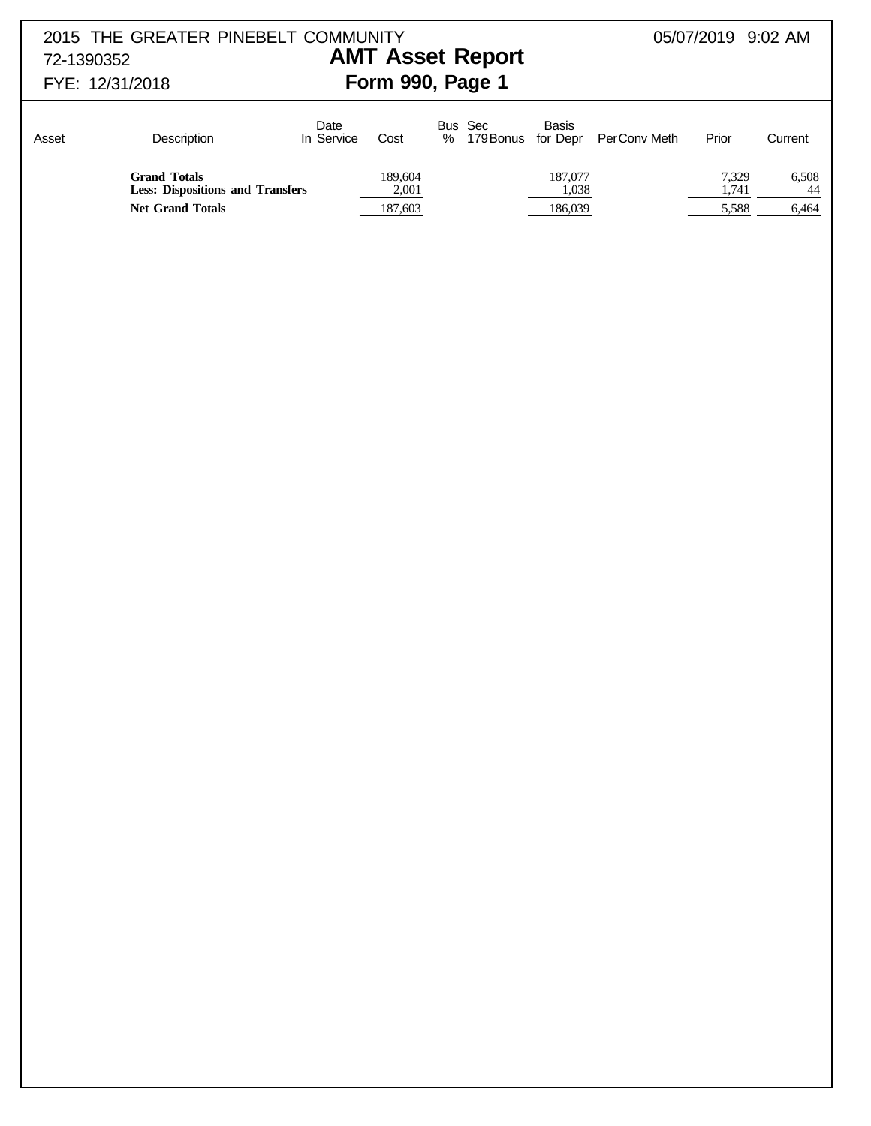2015 THE GREATER PINEBELT COMMUNITY 12015 105/07/2019 9:02 AM 72-1390352 **AMT Asset Report**

| Asset | Description                                                    | Date<br>In Service | Cost             | Bus Sec<br>$\%$<br>179 Bonus | <b>Basis</b><br>for Depr | Per Conv Meth | Prior          | Current     |
|-------|----------------------------------------------------------------|--------------------|------------------|------------------------------|--------------------------|---------------|----------------|-------------|
|       | <b>Grand Totals</b><br><b>Less: Dispositions and Transfers</b> |                    | 189,604<br>2,001 |                              | 187,077<br>1,038         |               | 7,329<br>l.741 | 6,508<br>44 |
|       | <b>Net Grand Totals</b>                                        |                    | 187,603          |                              | 186.039                  |               | 5,588          | 6,464       |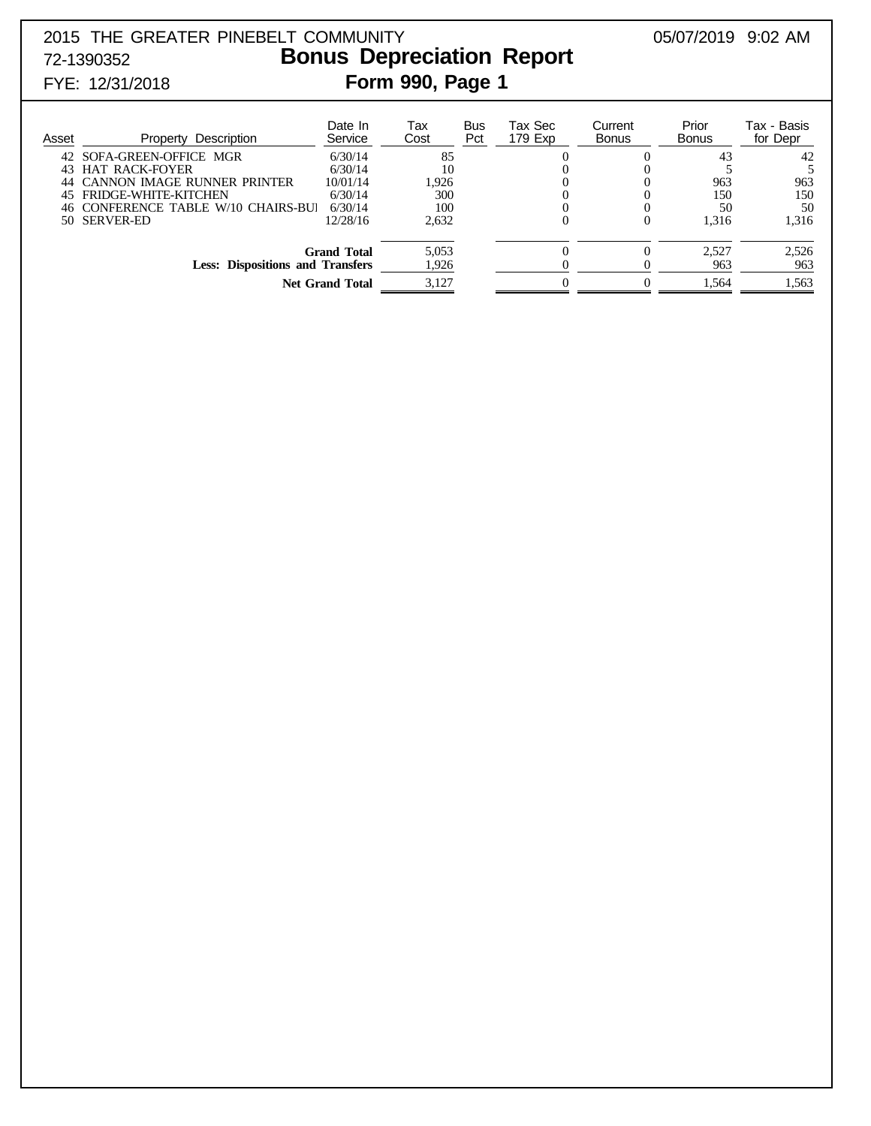### 2015 THE GREATER PINEBELT COMMUNITY  $05/07/2019$  9:02 AM 72-1390352 **Bonus Depreciation Report** FYE: 12/31/2018 **Form 990, Page 1**

| Asset | Description<br>Property                 | Date In<br>Service     | Tax<br>Cost    | Bus<br>Pct | Tax Sec<br>179 Exp | Current<br><b>Bonus</b> | Prior<br><b>Bonus</b> | Tax - Basis<br>for Depr |
|-------|-----------------------------------------|------------------------|----------------|------------|--------------------|-------------------------|-----------------------|-------------------------|
|       | 42 SOFA-GREEN-OFFICE MGR                | 6/30/14                | 85             |            |                    |                         | 43                    | 42                      |
| 43    | HAT RACK-FOYER                          | 6/30/14                | 10             |            |                    |                         |                       |                         |
| 44    | CANNON IMAGE RUNNER PRINTER             | 10/01/14               | 1,926          |            |                    |                         | 963                   | 963                     |
| 45    | FRIDGE-WHITE-KITCHEN                    | 6/30/14                | 300            |            |                    |                         | 150                   | 150                     |
| 46.   | CONFERENCE TABLE W/10 CHAIRS-BUL        | 6/30/14                | 100            |            |                    |                         | 50                    | 50                      |
| 50.   | <b>SERVER-ED</b>                        | 12/28/16               | 2,632          |            |                    |                         | 1,316                 | 1,316                   |
|       | <b>Less: Dispositions and Transfers</b> | <b>Grand Total</b>     | 5.053<br>1,926 |            |                    |                         | 2.527<br>963          | 2.526<br>963            |
|       |                                         | <b>Net Grand Total</b> | 3,127          |            |                    |                         | 1,564                 | 1,563                   |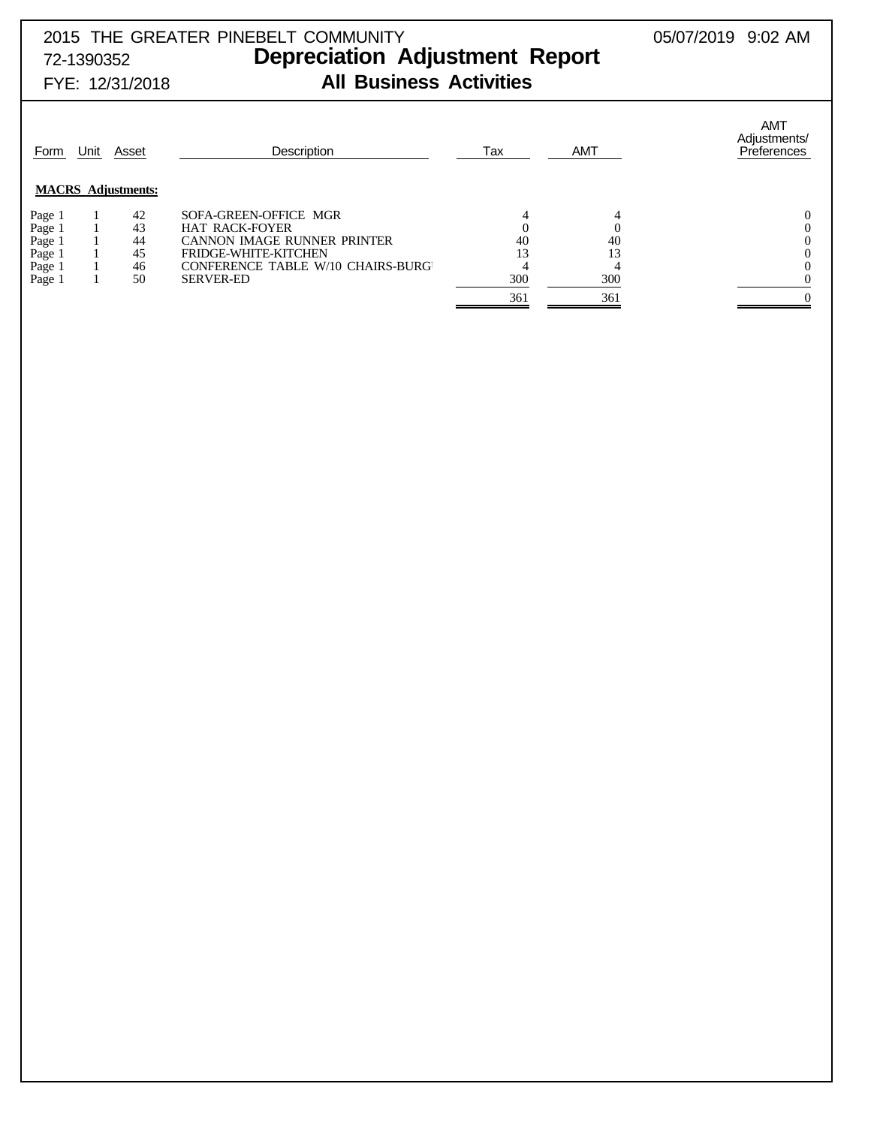### 2015 THE GREATER PINEBELT COMMUNITY  $05/07/2019$  9:02 AM 72-1390352 **Depreciation Adjustment Report** FYE: 12/31/2018 **All Business Activities**

| Form   | Unit | Asset<br><b>MACRS</b> Adjustments: | Description                        | Tax | <b>AMT</b> | <b>AMT</b><br>Adjustments/<br>Preferences |
|--------|------|------------------------------------|------------------------------------|-----|------------|-------------------------------------------|
| Page   |      | 42                                 | SOFA-GREEN-OFFICE MGR              |     |            |                                           |
| Page 1 |      | 43                                 | <b>HAT RACK-FOYER</b>              |     |            |                                           |
| Page 1 |      | 44                                 | <b>CANNON IMAGE RUNNER PRINTER</b> | 40  | 40         |                                           |
| Page 1 |      | 45                                 | <b>FRIDGE-WHITE-KITCHEN</b>        |     | 13         |                                           |
| Page 1 |      | 46                                 | CONFERENCE TABLE W/10 CHAIRS-BURG  |     |            |                                           |
| Page 1 |      | 50                                 | <b>SERVER-ED</b>                   | 300 | 300        |                                           |
|        |      |                                    |                                    | 361 | 361        |                                           |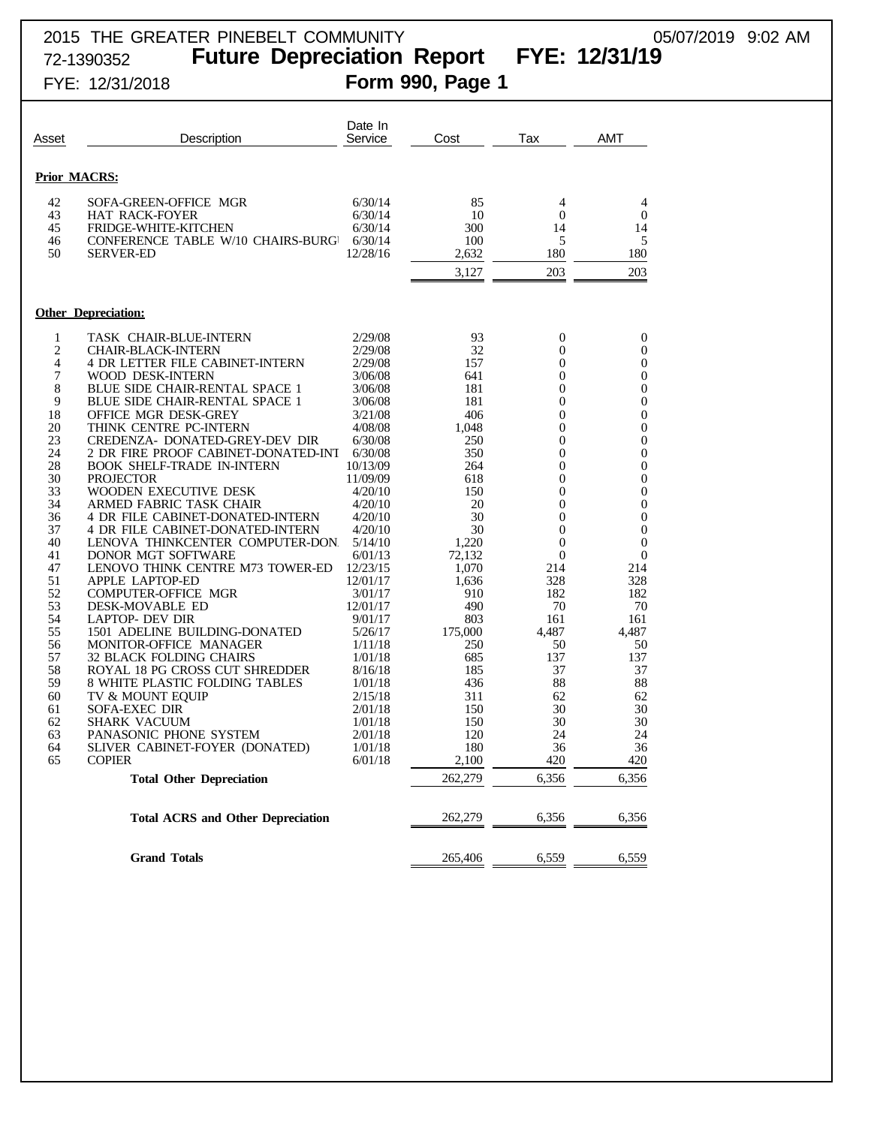### 2015 THE GREATER PINEBELT COMMUNITY **2015** 12:05/07/2019 9:02 AM 72-1390352 **Future Depreciation Report FYE: 12/31/19** FYE: 12/31/2018 **Form 990, Page 1**

|                     | Description                                                                    | Date In<br>Service | Cost           | Tax                              | AMT                  |
|---------------------|--------------------------------------------------------------------------------|--------------------|----------------|----------------------------------|----------------------|
| Asset               |                                                                                |                    |                |                                  |                      |
|                     |                                                                                |                    |                |                                  |                      |
| <b>Prior MACRS:</b> |                                                                                |                    |                |                                  |                      |
| 42                  | SOFA-GREEN-OFFICE MGR                                                          | 6/30/14            | 85             | 4                                | 4                    |
| 43                  | <b>HAT RACK-FOYER</b>                                                          | 6/30/14            | 10             | $\mathbf{0}$                     | $\mathbf{0}$         |
| 45                  | FRIDGE-WHITE-KITCHEN                                                           | 6/30/14            | 300            | 14                               | 14                   |
| 46                  | CONFERENCE TABLE W/10 CHAIRS-BURG                                              | 6/30/14            | 100            | 5                                | 5                    |
| 50                  | <b>SERVER-ED</b>                                                               | 12/28/16           | 2,632          | 180                              | 180                  |
|                     |                                                                                |                    | 3,127          | 203                              | 203                  |
|                     |                                                                                |                    |                |                                  |                      |
|                     | <b>Other Depreciation:</b>                                                     |                    |                |                                  |                      |
| 1                   | TASK CHAIR-BLUE-INTERN                                                         | 2/29/08            | 93             | 0                                | 0                    |
| 2                   | <b>CHAIR-BLACK-INTERN</b>                                                      | 2/29/08            | 32             | $\overline{0}$                   | $\mathbf{0}$         |
| 4                   | <b>4 DR LETTER FILE CABINET-INTERN</b>                                         | 2/29/08            | 157            | 0                                | 0                    |
| 7                   | WOOD DESK-INTERN                                                               | 3/06/08            | 641            | $\overline{0}$                   | $\mathbf{0}$         |
| 8<br>9              | <b>BLUE SIDE CHAIR-RENTAL SPACE 1</b><br><b>BLUE SIDE CHAIR-RENTAL SPACE 1</b> | 3/06/08            | 181<br>181     | $\overline{0}$<br>$\overline{0}$ | 0<br>$\mathbf{0}$    |
| 18                  | OFFICE MGR DESK-GREY                                                           | 3/06/08<br>3/21/08 | 406            | 0                                | 0                    |
| 20                  | THINK CENTRE PC-INTERN                                                         | 4/08/08            | 1,048          | 0                                | $\mathbf{0}$         |
| 23                  | CREDENZA- DONATED-GREY-DEV DIR                                                 | 6/30/08            | 250            | 0                                | 0                    |
| 24                  | 2 DR FIRE PROOF CABINET-DONATED-INT                                            | 6/30/08            | 350            | $\overline{0}$                   | $\theta$             |
| 28                  | <b>BOOK SHELF-TRADE IN-INTERN</b>                                              | 10/13/09           | 264            | 0                                | 0                    |
| 30                  | <b>PROJECTOR</b>                                                               | 11/09/09           | 618            | 0                                | $\theta$             |
| 33                  | WOODEN EXECUTIVE DESK                                                          | 4/20/10            | 150            | 0                                | $\theta$             |
| 34<br>36            | ARMED FABRIC TASK CHAIR<br>4 DR FILE CABINET-DONATED-INTERN                    | 4/20/10            | 20             | $\overline{0}$                   | $\theta$             |
| 37                  | 4 DR FILE CABINET-DONATED-INTERN                                               | 4/20/10<br>4/20/10 | 30<br>30       | $\overline{0}$<br>$\overline{0}$ | $\theta$<br>$\theta$ |
| 40                  | LENOVA THINKCENTER COMPUTER-DON                                                | 5/14/10            | 1,220          | $\mathbf{0}$                     | $\theta$             |
| 41                  | <b>DONOR MGT SOFTWARE</b>                                                      | 6/01/13            | 72,132         | $\mathbf{0}$                     | $\Omega$             |
| 47                  | LENOVO THINK CENTRE M73 TOWER-ED                                               | 12/23/15           | 1,070          | 214                              | 214                  |
| 51                  | APPLE LAPTOP-ED                                                                | 12/01/17           | 1,636          | 328                              | 328                  |
| 52                  | <b>COMPUTER-OFFICE MGR</b>                                                     | 3/01/17            | 910            | 182                              | 182                  |
| 53                  | DESK-MOVABLE ED                                                                | 12/01/17           | 490            | 70                               | 70                   |
| 54                  | LAPTOP- DEV DIR                                                                | 9/01/17            | 803            | 161                              | 161                  |
| 55<br>56            | 1501 ADELINE BUILDING-DONATED<br>MONITOR-OFFICE MANAGER                        | 5/26/17<br>1/11/18 | 175,000<br>250 | 4,487<br>50                      | 4,487<br>50          |
| 57                  | <b>32 BLACK FOLDING CHAIRS</b>                                                 | 1/01/18            | 685            | 137                              | 137                  |
| 58                  | ROYAL 18 PG CROSS CUT SHREDDER                                                 | 8/16/18            | 185            | 37                               | 37                   |
| 59                  | 8 WHITE PLASTIC FOLDING TABLES                                                 | 1/01/18            | 436            | 88                               | 88                   |
| 60                  | TV & MOUNT EQUIP                                                               | 2/15/18            | 311            | 62                               | 62                   |
| 61                  | <b>SOFA-EXEC DIR</b>                                                           | 2/01/18            | 150            | 30                               | 30                   |
| 62                  | <b>SHARK VACUUM</b>                                                            | 1/01/18            | 150            | 30                               | 30                   |
| 63                  | PANASONIC PHONE SYSTEM                                                         | 2/01/18            | 120            | 24                               | 24                   |
| 64<br>65            | SLIVER CABINET-FOYER (DONATED)<br><b>COPIER</b>                                | 1/01/18<br>6/01/18 | 180<br>2,100   | 36<br>420                        | 36<br>420            |
|                     | <b>Total Other Depreciation</b>                                                |                    | 262,279        | 6,356                            | 6,356                |
|                     |                                                                                |                    |                |                                  |                      |
|                     | <b>Total ACRS and Other Depreciation</b>                                       |                    | 262,279        | 6,356                            | 6,356                |
|                     |                                                                                |                    |                |                                  |                      |
|                     | <b>Grand Totals</b>                                                            |                    | 265,406        | 6,559                            | 6,559                |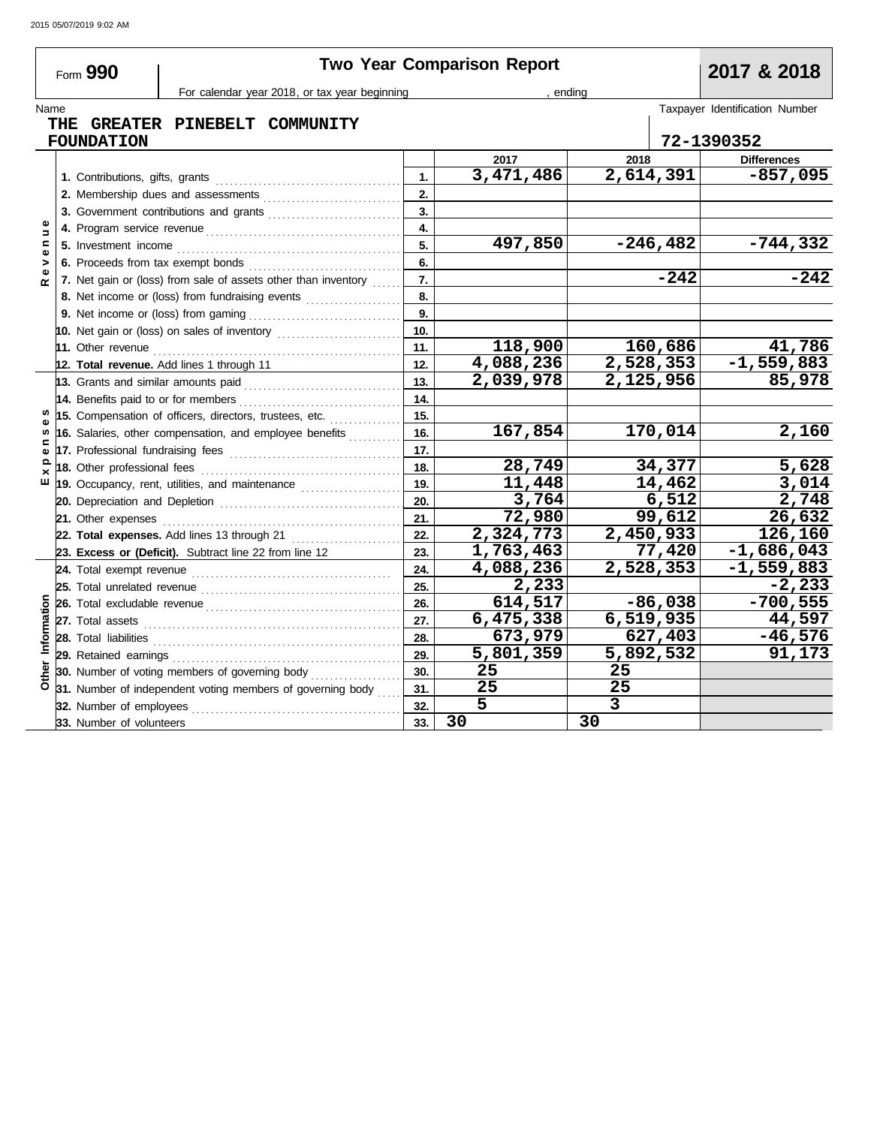Form **990**

## Two Year Comparison Report **2017 & 2018**

For calendar year 2018, or tax year beginning , ending , ending

Name Taxpayer Identification Number

### **THE GREATER PINEBELT COMMUNITY**

|                    | <b>FOUNDATION</b>                                                                                                                                                                                                                   |                |           |            | 72-1390352         |
|--------------------|-------------------------------------------------------------------------------------------------------------------------------------------------------------------------------------------------------------------------------------|----------------|-----------|------------|--------------------|
|                    |                                                                                                                                                                                                                                     |                | 2017      | 2018       | <b>Differences</b> |
|                    |                                                                                                                                                                                                                                     | $\mathbf{1}$ . | 3,471,486 | 2,614,391  | $-857,095$         |
|                    | 2. Membership dues and assessments                                                                                                                                                                                                  | 2.             |           |            |                    |
|                    | 3. Government contributions and grants                                                                                                                                                                                              | 3.             |           |            |                    |
| Φ<br>$\Rightarrow$ |                                                                                                                                                                                                                                     | 4.             |           |            |                    |
| $\mathbf{C}$<br>Φ  | 5. Investment income                                                                                                                                                                                                                | 5.             | 497,850   | $-246,482$ | $-744,332$         |
| >                  |                                                                                                                                                                                                                                     | 6.             |           |            |                    |
| Φ<br>$\alpha$      | 7. Net gain or (loss) from sale of assets other than inventory                                                                                                                                                                      | 7.             |           | $-242$     | $-242$             |
|                    | 8. Net income or (loss) from fundraising events                                                                                                                                                                                     | 8.             |           |            |                    |
|                    |                                                                                                                                                                                                                                     | 9.             |           |            |                    |
|                    | 10. Net gain or (loss) on sales of inventory                                                                                                                                                                                        | 10.            |           |            |                    |
|                    | 11. Other revenue                                                                                                                                                                                                                   | 11.            | 118,900   | 160,686    | 41,786             |
|                    | 12. Total revenue. Add lines 1 through 11                                                                                                                                                                                           | 12.            | 4,088,236 | 2,528,353  | $-1,559,883$       |
|                    | 13. Grants and similar amounts paid                                                                                                                                                                                                 | 13.            | 2,039,978 | 2,125,956  | 85,978             |
|                    |                                                                                                                                                                                                                                     | 14.            |           |            |                    |
|                    | 15. Compensation of officers, directors, trustees, etc.                                                                                                                                                                             | 15.            |           |            |                    |
| w                  | 16. Salaries, other compensation, and employee benefits                                                                                                                                                                             | 16.            | 167,854   | 170,014    | 2,160              |
| ⊂<br>Φ             | 17. Professional fundraising fees <b>constructs</b> and the rest of the set of the set of the set of the set of the set of the set of the set of the set of the set of the set of the set of the set of the set of the set of the s | 17.            |           |            |                    |
| ≏<br>×             | 18. Other professional fees                                                                                                                                                                                                         | 18.            | 28,749    | 34,377     | 5,628              |
| ш                  | 19. Occupancy, rent, utilities, and maintenance <i>minimizion</i> .                                                                                                                                                                 | 19.            | 11,448    | 14,462     | 3,014              |
|                    |                                                                                                                                                                                                                                     | 20.            | 3,764     | 6,512      | 2,748              |
|                    | 21. Other expenses                                                                                                                                                                                                                  | 21.            | 72,980    | 99,612     | 26,632             |
|                    | 22. Total expenses. Add lines 13 through 21                                                                                                                                                                                         | 22.            | 2,324,773 | 2,450,933  | 126,160            |
|                    | 23. Excess or (Deficit). Subtract line 22 from line 12                                                                                                                                                                              | 23.            | 1,763,463 | 77,420     | $-1,686,043$       |
|                    |                                                                                                                                                                                                                                     | 24.            | 4,088,236 | 2,528,353  | $-1,559,883$       |
|                    | 25. Total unrelated revenue                                                                                                                                                                                                         | 25.            | 2,233     |            | $-2, 233$          |
|                    |                                                                                                                                                                                                                                     | 26.            | 614,517   | $-86,038$  | $-700, 555$        |
|                    | 27. Total assets <b>construction 27.</b> Total assets                                                                                                                                                                               | 27.            | 6,475,338 | 6,519,935  | 44,597             |
| Information        | 28. Total liabilities                                                                                                                                                                                                               | 28.            | 673,979   | 627,403    | $-46,576$          |
|                    |                                                                                                                                                                                                                                     | 29.            | 5,801,359 | 5,892,532  | 91,173             |
| Other              | 30. Number of voting members of governing body                                                                                                                                                                                      | 30.            | 25        | 25         |                    |
|                    | 31. Number of independent voting members of governing body                                                                                                                                                                          | 31.            | 25        | 25         |                    |
|                    | 32. Number of employees                                                                                                                                                                                                             | 32.            | 5         | 3          |                    |
|                    | 33. Number of volunteers                                                                                                                                                                                                            | 33.            | 30        | 30         |                    |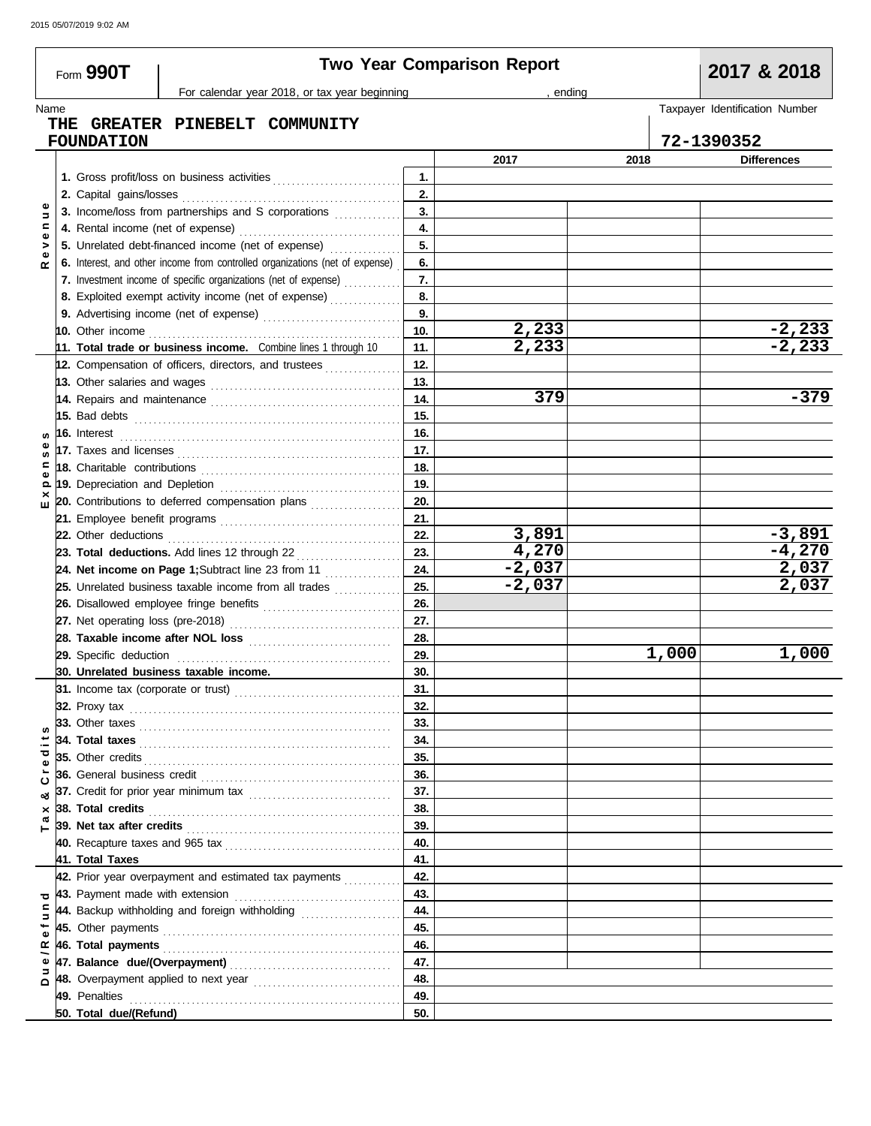| Form 990T              |                                                                                                                        |     | <b>Two Year Comparison Report</b> |       | 2017 & 2018                    |
|------------------------|------------------------------------------------------------------------------------------------------------------------|-----|-----------------------------------|-------|--------------------------------|
|                        | For calendar year 2018, or tax year beginning                                                                          |     | , ending                          |       |                                |
| Name                   | THE GREATER PINEBELT COMMUNITY                                                                                         |     |                                   |       | Taxpayer Identification Number |
| <b>FOUNDATION</b>      |                                                                                                                        |     |                                   |       | 72-1390352                     |
|                        |                                                                                                                        |     | 2017                              | 2018  | <b>Differences</b>             |
|                        |                                                                                                                        | 1.  |                                   |       |                                |
| $\pmb{\omega}$         |                                                                                                                        | 2.  |                                   |       |                                |
|                        | 3. Income/loss from partnerships and S corporations                                                                    | 3.  |                                   |       |                                |
|                        |                                                                                                                        | 4.  |                                   |       |                                |
|                        | 5. Unrelated debt-financed income (net of expense)                                                                     | 5.  |                                   |       |                                |
|                        | 6. Interest, and other income from controlled organizations (net of expense)                                           | 6.  |                                   |       |                                |
|                        | 7. Investment income of specific organizations (net of expense)                                                        | 7.  |                                   |       |                                |
|                        | 8. Exploited exempt activity income (net of expense)                                                                   | 8.  |                                   |       |                                |
|                        |                                                                                                                        | 9.  |                                   |       |                                |
|                        |                                                                                                                        | 10. | 2,233                             |       | <u>-2,233</u>                  |
|                        | 11. Total trade or business income. Combine lines 1 through 10                                                         | 11. | 2,233                             |       | $-2, 233$                      |
|                        | 12. Compensation of officers, directors, and trustees                                                                  | 12. |                                   |       |                                |
|                        | 13. Other salaries and wages <b>constants</b> of the salaries and wages                                                | 13. |                                   |       |                                |
|                        | 14. Repairs and maintenance <b>constant and a set of the Repairs and maintenance</b> construction and a set of the set | 14. | 379                               |       | $-379$                         |
|                        |                                                                                                                        | 15. |                                   |       |                                |
|                        | 16. Interest <b>Construction 16. Interest</b>                                                                          | 16. |                                   |       |                                |
|                        |                                                                                                                        | 17. |                                   |       |                                |
|                        |                                                                                                                        | 18. |                                   |       |                                |
| ௨                      |                                                                                                                        | 19. |                                   |       |                                |
|                        | 20. Contributions to deferred compensation plans                                                                       | 20. |                                   |       |                                |
|                        |                                                                                                                        | 21. |                                   |       |                                |
|                        |                                                                                                                        | 22. | 3,891                             |       | $-3,891$                       |
|                        | 23. Total deductions. Add lines 12 through 22                                                                          | 23. | 4,270                             |       | $-4,270$                       |
|                        | 24. Net income on Page 1; Subtract line 23 from 11                                                                     | 24. | $\overline{-2,037}$               |       | 2,037                          |
|                        | 25. Unrelated business taxable income from all trades                                                                  | 25. | $-2,037$                          |       | 2,037                          |
|                        | 26. Disallowed employee fringe benefits                                                                                | 26. |                                   |       |                                |
|                        |                                                                                                                        | 27. |                                   |       |                                |
|                        |                                                                                                                        | 28. |                                   |       |                                |
| 29. Specific deduction |                                                                                                                        | 29. |                                   | 1,000 | 1,000                          |
|                        | 30. Unrelated business taxable income.                                                                                 | 30. |                                   |       |                                |
|                        |                                                                                                                        | 31. |                                   |       |                                |
|                        |                                                                                                                        | 32. |                                   |       |                                |
|                        |                                                                                                                        | 33. |                                   |       |                                |
|                        |                                                                                                                        | 34. |                                   |       |                                |
|                        |                                                                                                                        | 35. |                                   |       |                                |
|                        |                                                                                                                        | 36. |                                   |       |                                |
|                        |                                                                                                                        | 37. |                                   |       |                                |
|                        |                                                                                                                        | 38. |                                   |       |                                |
|                        |                                                                                                                        | 39. |                                   |       |                                |
|                        |                                                                                                                        | 40. |                                   |       |                                |
| 41. Total Taxes        |                                                                                                                        | 41. |                                   |       |                                |
|                        | 42. Prior year overpayment and estimated tax payments                                                                  | 42. |                                   |       |                                |
|                        |                                                                                                                        | 43. |                                   |       |                                |
|                        | 44. Backup withholding and foreign withholding <b>construct of the State</b>                                           | 44. |                                   |       |                                |
|                        |                                                                                                                        | 45. |                                   |       |                                |
|                        |                                                                                                                        | 46. |                                   |       |                                |
|                        |                                                                                                                        | 47. |                                   |       |                                |
|                        | $\overline{\bullet}$ 48. Overpayment applied to next year                                                              | 48. |                                   |       |                                |

**48. 49. 50.**

**Total payments** . . . . . . . . . . . . . . . . . . . . . . . . . . . . . . . . . . . . . . . . . . . . . . . . . . **Balance due/(Overpayment)** . . . . . . . . . . . . . . . . . . . . . . . . . . . . . . . . . . Overpayment applied to next year . . . . . . . . . . . . . . . . . . . . . . . . . . . . . . . Penalties . . . . . . . . . . . . . . . . . . . . . . . . . . . . . . . . . . . . . . . . . . . . . . . . . . . . . . . . .

**Total due/(Refund)**

**48. 49. 50.**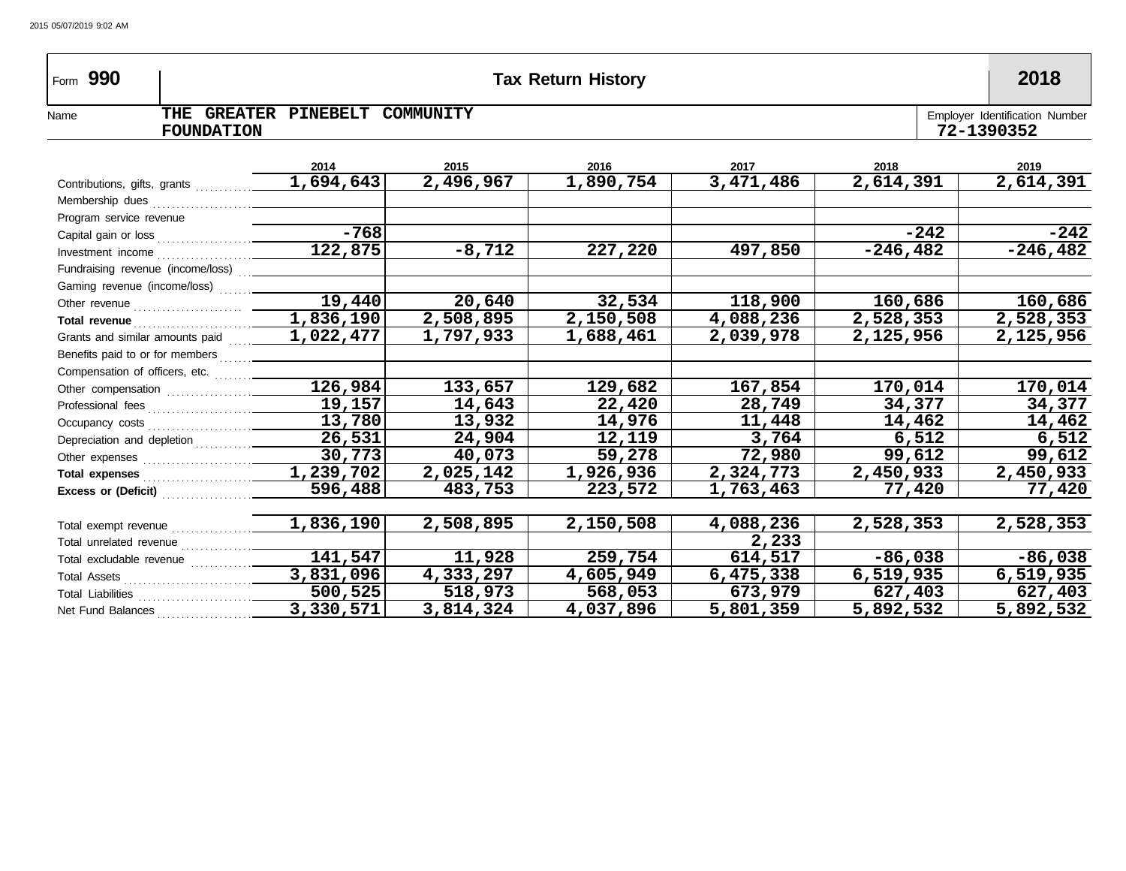| Form 990                     |                                                      |                        |                        | <b>Tax Return History</b> |           |                        | 2018                                         |
|------------------------------|------------------------------------------------------|------------------------|------------------------|---------------------------|-----------|------------------------|----------------------------------------------|
| Name                         | THE GREATER PINEBELT<br><b>FOUNDATION</b>            |                        | COMMUNITY              |                           |           |                        | Employer Identification Number<br>72-1390352 |
|                              |                                                      | 2014                   | 2015                   | 2016                      | 2017      | 2018                   | 2019                                         |
|                              |                                                      | $\overline{1,694,643}$ | $\overline{2,496,967}$ | 1,890,754                 | 3,471,486 | $\overline{2,614,391}$ | 2,614,391                                    |
|                              |                                                      |                        |                        |                           |           |                        |                                              |
| Program service revenue      |                                                      |                        |                        |                           |           |                        |                                              |
|                              |                                                      | $-768$                 |                        |                           |           | $-242$                 | $-242$                                       |
|                              |                                                      | $\overline{122,875}$   | $-8,712$               | 227,220                   | 497,850   | $-246, 482$            | $-246, 482$                                  |
|                              | Fundraising revenue (income/loss)                    |                        |                        |                           |           |                        |                                              |
| Gaming revenue (income/loss) |                                                      |                        |                        |                           |           |                        |                                              |
|                              |                                                      | 19,440                 | 20,640                 | 32,534                    | 118,900   | 160,686                | 160,686                                      |
|                              | Total revenue Manual Communication and Communication | 1,836,190              | 2,508,895              | 2,150,508                 | 4,088,236 | 2,528,353              | $\overline{2,528,353}$                       |
|                              | Grants and similar amounts paid 1, 022, 477          |                        | 1,797,933              | 1,688,461                 | 2,039,978 | 2,125,956              | 2,125,956                                    |
|                              | Benefits paid to or for members [11, 11, 11, 11]     |                        |                        |                           |           |                        |                                              |
|                              | Compensation of officers, etc.                       |                        |                        |                           |           |                        |                                              |
|                              |                                                      | 126,984                | 133,657                | 129,682                   | 167,854   | 170,014                | 170,014                                      |
|                              |                                                      | 19,157                 | 14,643                 | 22,420                    | 28,749    | 34,377                 | 34,377                                       |
|                              |                                                      | 13,780                 | 13,932                 | 14,976                    | 11,448    | 14,462                 | 14,462                                       |
|                              |                                                      | 26,531                 | 24,904                 | 12,119                    | 3,764     | 6,512                  | 6,512                                        |
|                              |                                                      | 30,773                 | 40,073                 | 59,278                    | 72,980    | 99,612                 | 99,612                                       |
|                              |                                                      | 1,239,702              | 2,025,142              | 1,926,936                 | 2,324,773 | 2,450,933              | 2,450,933                                    |
|                              | Excess or (Deficit)                                  | 596,488                | 483,753                | 223,572                   | 1,763,463 | 77,420                 | 77,420                                       |
|                              |                                                      |                        |                        |                           |           |                        |                                              |
|                              |                                                      | 1,836,190              | 2,508,895              | 2,150,508                 | 4,088,236 | 2,528,353              | 2,528,353                                    |
|                              |                                                      |                        |                        |                           | 2,233     |                        |                                              |
|                              |                                                      | $\overline{141}$ , 547 | 11,928                 | 259,754                   | 614,517   | $-86,038$              | $-86,038$                                    |
|                              |                                                      | 3,831,096              | $\overline{4,333,297}$ | 4,605,949                 | 6,475,338 | 6,519,935              | 6,519,935                                    |
|                              |                                                      | $\overline{500}$ , 525 | 518,973                | 568,053                   | 673,979   | 627,403                | 627,403                                      |
| Net Fund Balances            |                                                      | 3,330,571              | 3,814,324              | 4,037,896                 | 5,801,359 | 5,892,532              | 5,892,532                                    |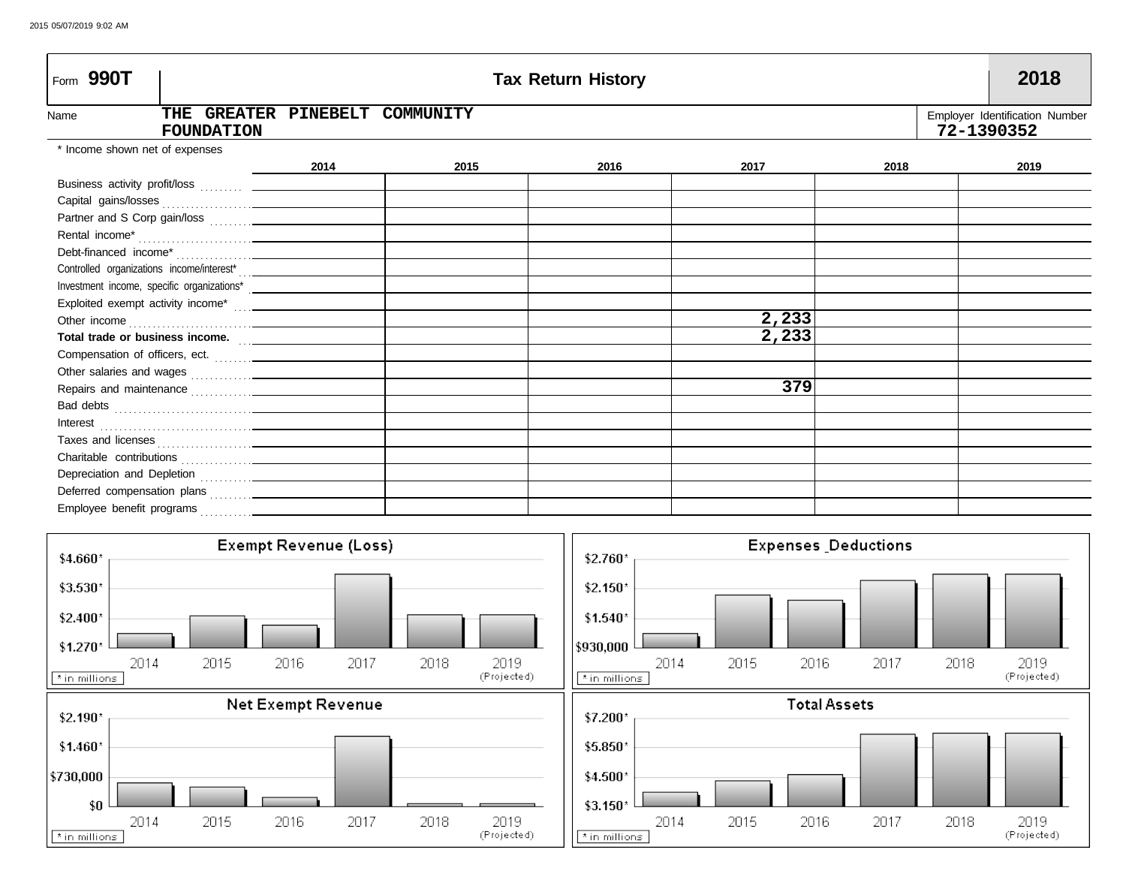| Form 990T                                     |                                           |      |           | <b>Tax Return History</b> |       |      | 2018                                         |
|-----------------------------------------------|-------------------------------------------|------|-----------|---------------------------|-------|------|----------------------------------------------|
| Name                                          | THE GREATER PINEBELT<br><b>FOUNDATION</b> |      | COMMUNITY |                           |       |      | Employer Identification Number<br>72-1390352 |
| * Income shown net of expenses                |                                           |      |           |                           |       |      |                                              |
|                                               |                                           | 2014 | 2015      | 2016                      | 2017  | 2018 | 2019                                         |
| Business activity profit/loss  ______________ |                                           |      |           |                           |       |      |                                              |
|                                               |                                           |      |           |                           |       |      |                                              |
|                                               |                                           |      |           |                           |       |      |                                              |
|                                               |                                           |      |           |                           |       |      |                                              |
|                                               |                                           |      |           |                           |       |      |                                              |
|                                               |                                           |      |           |                           |       |      |                                              |
|                                               |                                           |      |           |                           |       |      |                                              |
|                                               |                                           |      |           |                           |       |      |                                              |
|                                               |                                           |      |           |                           | 2,233 |      |                                              |
| Total trade or business income.               |                                           |      |           |                           | 2,233 |      |                                              |
| Compensation of officers, ect.                |                                           |      |           |                           |       |      |                                              |
|                                               |                                           |      |           |                           |       |      |                                              |
|                                               |                                           |      |           |                           | 379   |      |                                              |
|                                               |                                           |      |           |                           |       |      |                                              |
| Interest<br><br><u> </u>                      |                                           |      |           |                           |       |      |                                              |
|                                               |                                           |      |           |                           |       |      |                                              |
|                                               |                                           |      |           |                           |       |      |                                              |
|                                               |                                           |      |           |                           |       |      |                                              |
|                                               |                                           |      |           |                           |       |      |                                              |
|                                               |                                           |      |           |                           |       |      |                                              |

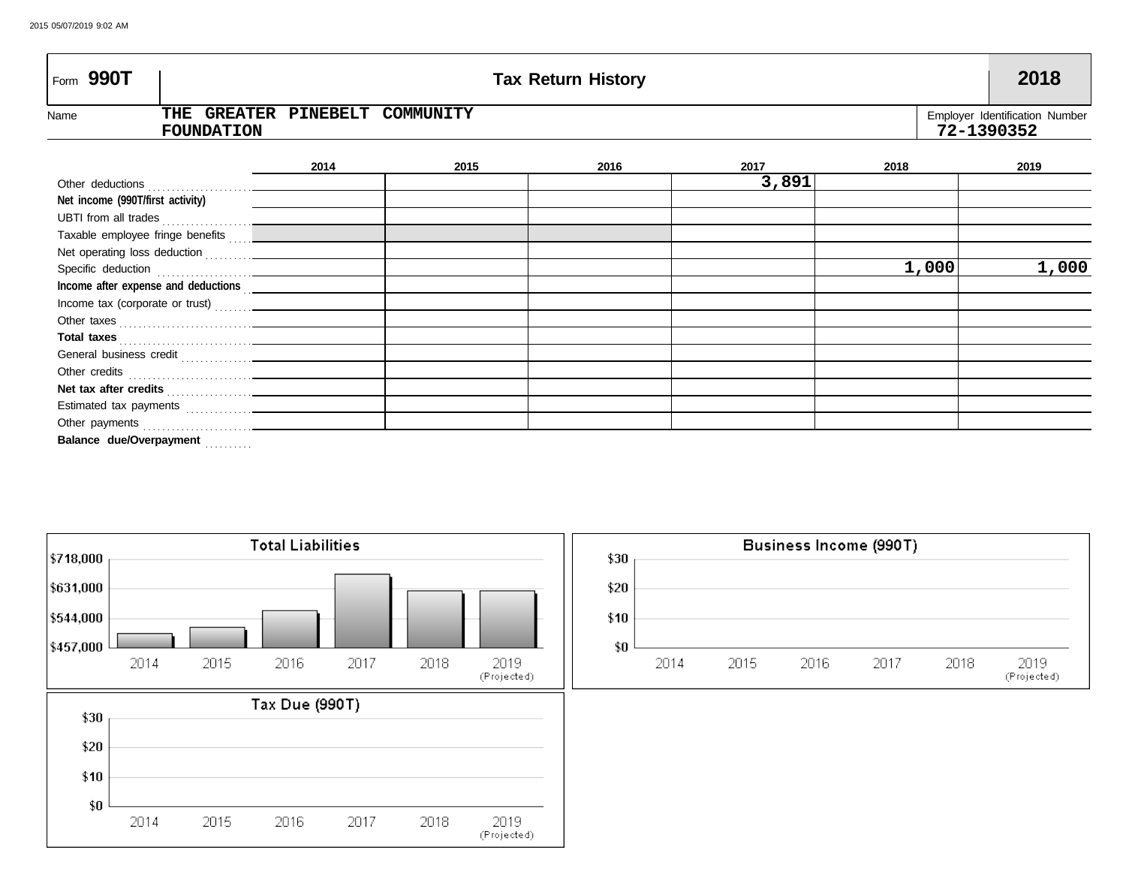| Form 990T                              |                                                 |      |           | <b>Tax Return History</b> |       |       | 2018                                         |
|----------------------------------------|-------------------------------------------------|------|-----------|---------------------------|-------|-------|----------------------------------------------|
| Name                                   | THE GREATER PINEBELT<br><b>FOUNDATION</b>       |      | COMMUNITY |                           |       |       | Employer Identification Number<br>72-1390352 |
|                                        |                                                 | 2014 | 2015      | 2016                      | 2017  | 2018  | 2019                                         |
| Other deductions                       | the contract of the contract of the contract of |      |           |                           | 3,891 |       |                                              |
| Net income (990T/first activity)       |                                                 |      |           |                           |       |       |                                              |
|                                        |                                                 |      |           |                           |       |       |                                              |
|                                        |                                                 |      |           |                           |       |       |                                              |
|                                        |                                                 |      |           |                           |       |       |                                              |
|                                        |                                                 |      |           |                           |       | 1,000 | 1,000                                        |
|                                        |                                                 |      |           |                           |       |       |                                              |
|                                        |                                                 |      |           |                           |       |       |                                              |
|                                        |                                                 |      |           |                           |       |       |                                              |
|                                        | Total taxes                                     |      |           |                           |       |       |                                              |
|                                        |                                                 |      |           |                           |       |       |                                              |
|                                        |                                                 |      |           |                           |       |       |                                              |
| Net tax after credits <b>contained</b> |                                                 |      |           |                           |       |       |                                              |
|                                        |                                                 |      |           |                           |       |       |                                              |
|                                        |                                                 |      |           |                           |       |       |                                              |
|                                        |                                                 |      |           |                           |       |       |                                              |

Balance due/Overpayment

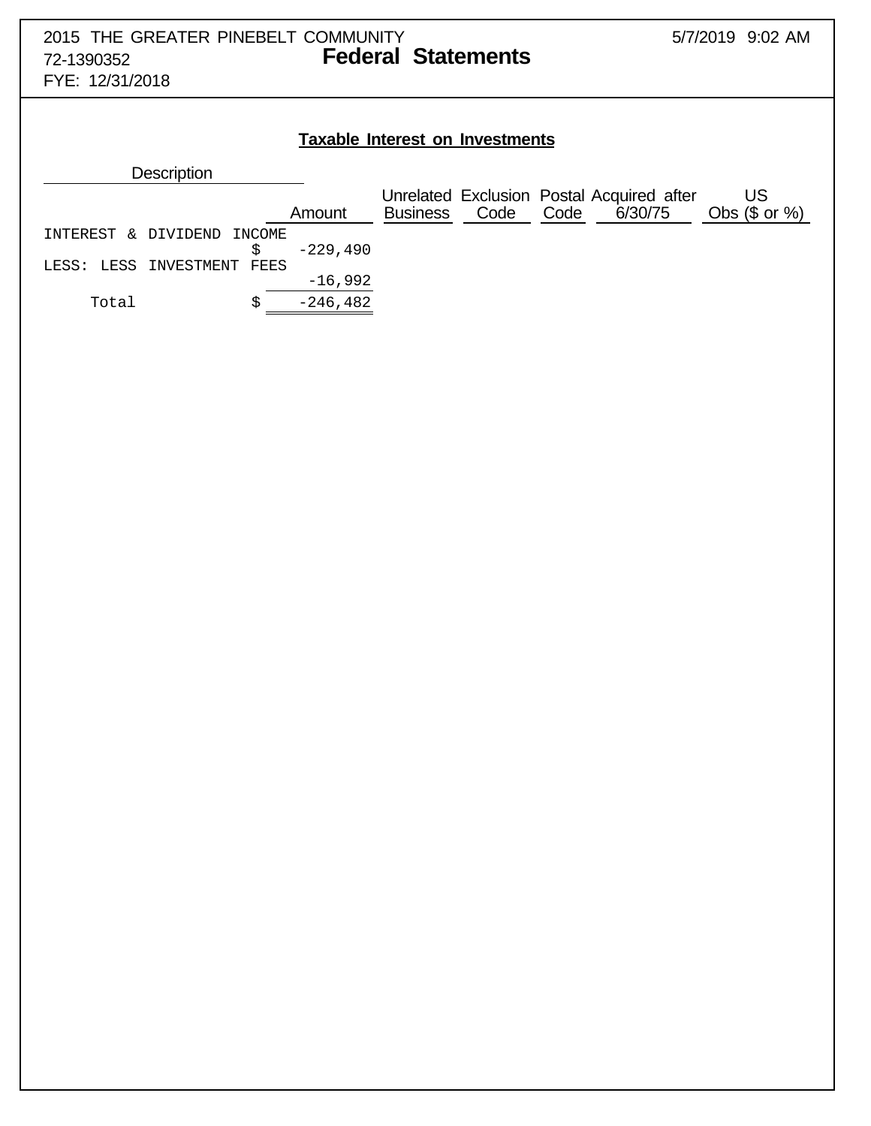| 2015 THE GREATER PINEBELT COMMUNITY<br>72-1390352<br>FYE: 12/31/2018 |                                 | <b>Federal Statements</b>              |      |                                                              | 5/7/2019 9:02 AM       |
|----------------------------------------------------------------------|---------------------------------|----------------------------------------|------|--------------------------------------------------------------|------------------------|
|                                                                      |                                 | <b>Taxable Interest on Investments</b> |      |                                                              |                        |
| <b>Description</b>                                                   |                                 |                                        |      |                                                              |                        |
|                                                                      | Amount                          | <b>Business</b>                        | Code | Unrelated Exclusion Postal Acquired after<br>6/30/75<br>Code | US<br>Obs $(\$$ or $%$ |
| INTEREST<br>INCOME<br>DIVIDEND<br>δz                                 |                                 |                                        |      |                                                              |                        |
| \$<br>INVESTMENT<br>LESS<br>LESS:                                    | $-229.490$<br>FEES<br>$-16,992$ |                                        |      |                                                              |                        |
| Total<br>\$                                                          | $-246, 482$                     |                                        |      |                                                              |                        |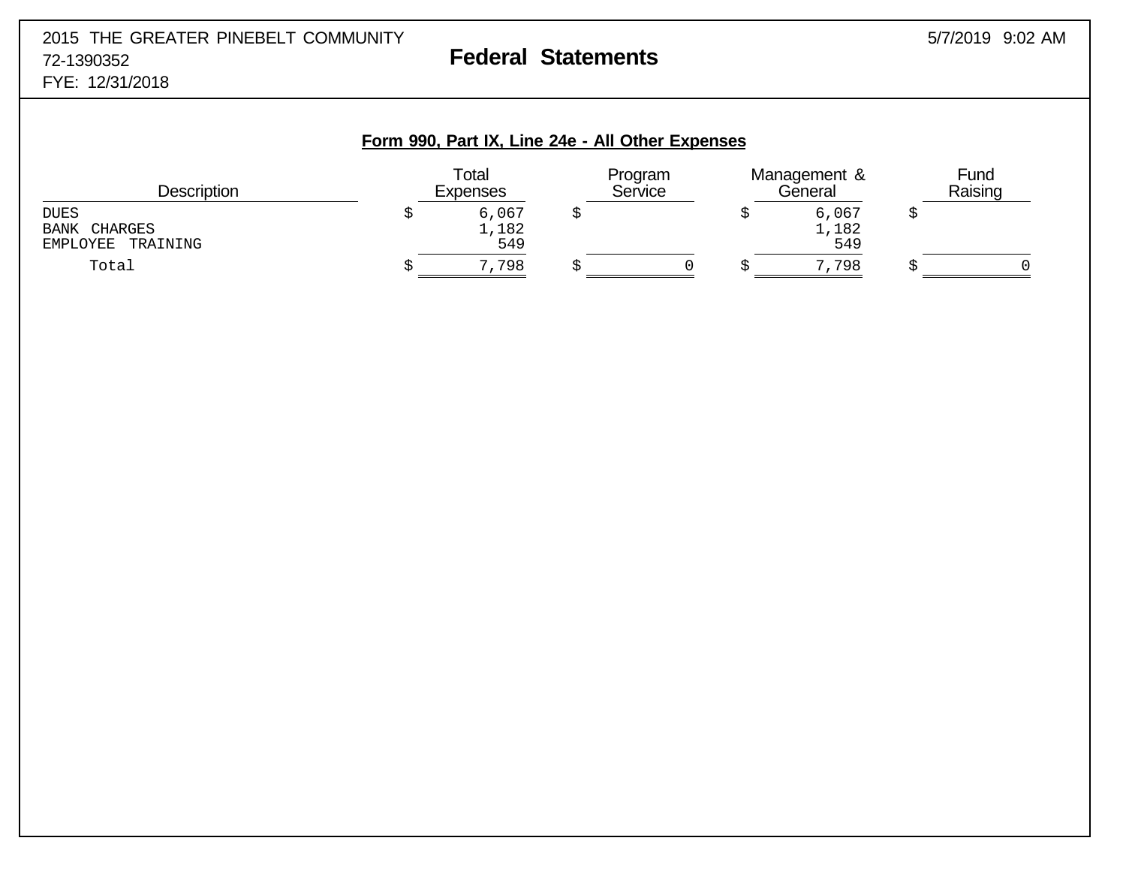|                                                        | Form 990, Part IX, Line 24e - All Other Expenses |                    |                         |                 |
|--------------------------------------------------------|--------------------------------------------------|--------------------|-------------------------|-----------------|
| <b>Description</b>                                     | Total<br><b>Expenses</b>                         | Program<br>Service | Management &<br>General | Fund<br>Raising |
| <b>DUES</b><br>CHARGES<br>BANK<br>TRAINING<br>EMPLOYEE | 6,067<br>1,182<br>549                            |                    | 6,067<br>1,182<br>549   |                 |
| Total                                                  | 7,798                                            |                    | 7,798                   |                 |